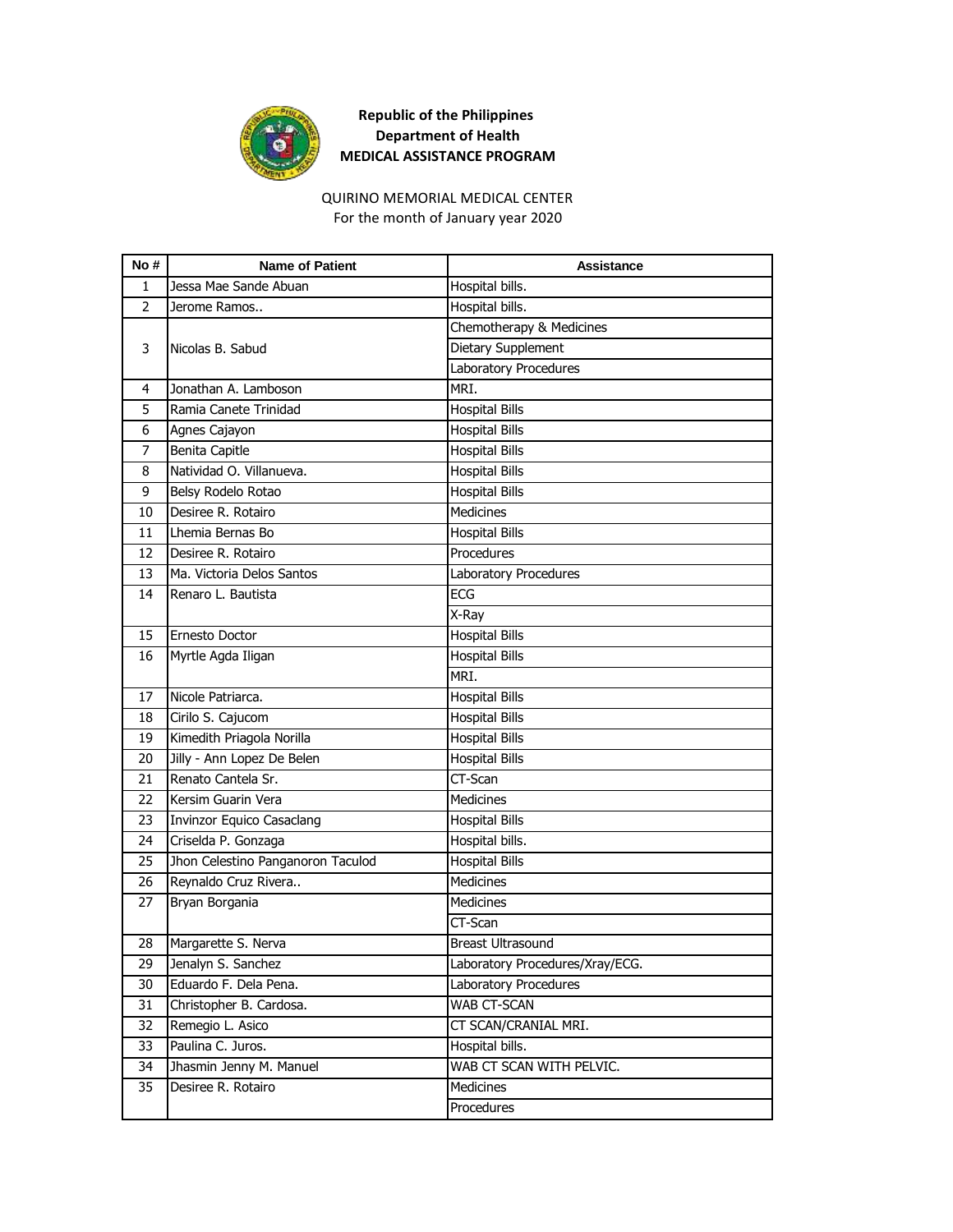

## **Republic of the Philippines Department of Health MEDICAL ASSISTANCE PROGRAM**

## QUIRINO MEMORIAL MEDICAL CENTER

For the month of January year 2020

| No#            | <b>Name of Patient</b>            | Assistance                      |
|----------------|-----------------------------------|---------------------------------|
| 1              | Jessa Mae Sande Abuan             | Hospital bills.                 |
| $\overline{2}$ | Jerome Ramos                      | Hospital bills.                 |
| 3              |                                   | Chemotherapy & Medicines        |
|                | Nicolas B. Sabud                  | <b>Dietary Supplement</b>       |
|                |                                   | Laboratory Procedures           |
| 4              | Jonathan A. Lamboson              | MRI.                            |
| 5              | Ramia Canete Trinidad             | <b>Hospital Bills</b>           |
| 6              | Agnes Cajayon                     | <b>Hospital Bills</b>           |
| 7              | <b>Benita Capitle</b>             | <b>Hospital Bills</b>           |
| 8              | Natividad O. Villanueva.          | <b>Hospital Bills</b>           |
| 9              | Belsy Rodelo Rotao                | <b>Hospital Bills</b>           |
| 10             | Desiree R. Rotairo                | Medicines                       |
| 11             | Lhemia Bernas Bo                  | <b>Hospital Bills</b>           |
| 12             | Desiree R. Rotairo                | Procedures                      |
| 13             | Ma. Victoria Delos Santos         | Laboratory Procedures           |
| 14             | Renaro L. Bautista                | <b>ECG</b>                      |
|                |                                   | X-Ray                           |
| 15             | Ernesto Doctor                    | <b>Hospital Bills</b>           |
| 16             | Myrtle Agda Iligan                | <b>Hospital Bills</b>           |
|                |                                   | MRI.                            |
| 17             | Nicole Patriarca.                 | <b>Hospital Bills</b>           |
| 18             | Cirilo S. Cajucom                 | <b>Hospital Bills</b>           |
| 19             | Kimedith Priagola Norilla         | <b>Hospital Bills</b>           |
| 20             | Jilly - Ann Lopez De Belen        | <b>Hospital Bills</b>           |
| 21             | Renato Cantela Sr.                | CT-Scan                         |
| 22             | Kersim Guarin Vera                | <b>Medicines</b>                |
| 23             | Invinzor Equico Casaclang         | <b>Hospital Bills</b>           |
| 24             | Criselda P. Gonzaga               | Hospital bills.                 |
| 25             | Jhon Celestino Panganoron Taculod | <b>Hospital Bills</b>           |
| 26             | Reynaldo Cruz Rivera              | <b>Medicines</b>                |
| 27             | Bryan Borgania                    | <b>Medicines</b>                |
|                |                                   | CT-Scan                         |
| 28             | Margarette S. Nerva               | Breast Ultrasound               |
| 29             | Jenalyn S. Sanchez                | Laboratory Procedures/Xray/ECG. |
| 30             | Eduardo F. Dela Pena.             | Laboratory Procedures           |
| 31             | Christopher B. Cardosa.           | WAB CT-SCAN                     |
| 32             | Remegio L. Asico                  | CT SCAN/CRANIAL MRI.            |
| 33             | Paulina C. Juros.                 | Hospital bills.                 |
| 34             | Jhasmin Jenny M. Manuel           | WAB CT SCAN WITH PELVIC.        |
| 35             | Desiree R. Rotairo                | Medicines                       |
|                |                                   | Procedures                      |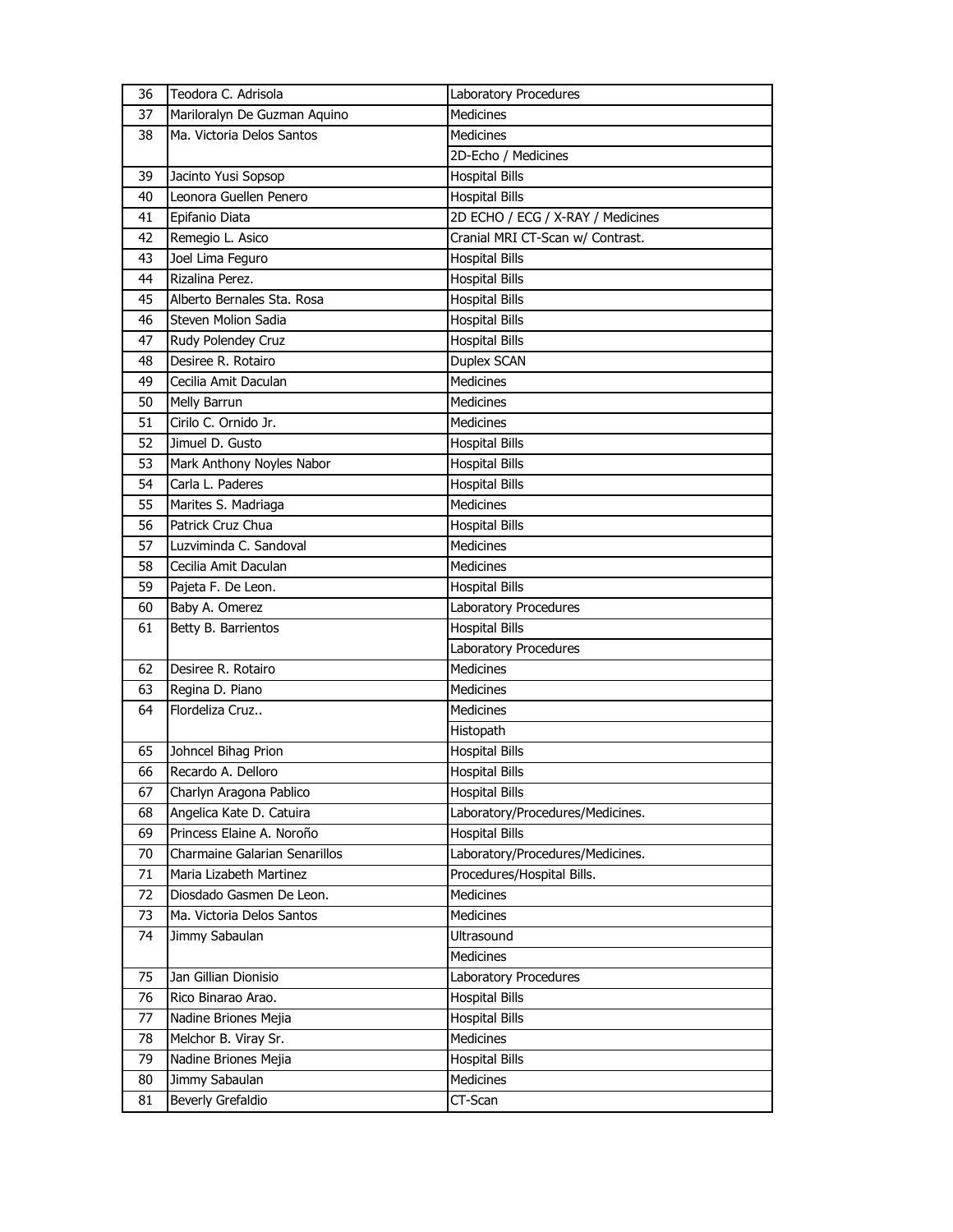| 36 | Teodora C. Adrisola           | Laboratory Procedures             |
|----|-------------------------------|-----------------------------------|
| 37 | Mariloralyn De Guzman Aquino  | <b>Medicines</b>                  |
| 38 | Ma. Victoria Delos Santos     | <b>Medicines</b>                  |
|    |                               | 2D-Echo / Medicines               |
| 39 | Jacinto Yusi Sopsop           | <b>Hospital Bills</b>             |
| 40 | Leonora Guellen Penero        | <b>Hospital Bills</b>             |
| 41 | Epifanio Diata                | 2D ECHO / ECG / X-RAY / Medicines |
| 42 | Remegio L. Asico              | Cranial MRI CT-Scan w/ Contrast.  |
| 43 | Joel Lima Feguro              | <b>Hospital Bills</b>             |
| 44 | Rizalina Perez.               | <b>Hospital Bills</b>             |
| 45 | Alberto Bernales Sta. Rosa    | <b>Hospital Bills</b>             |
| 46 | Steven Molion Sadia           | <b>Hospital Bills</b>             |
| 47 | Rudy Polendey Cruz            | <b>Hospital Bills</b>             |
| 48 | Desiree R. Rotairo            | Duplex SCAN                       |
| 49 | Cecilia Amit Daculan          | <b>Medicines</b>                  |
| 50 | Melly Barrun                  | <b>Medicines</b>                  |
| 51 | Cirilo C. Ornido Jr.          | <b>Medicines</b>                  |
| 52 | Jimuel D. Gusto               | <b>Hospital Bills</b>             |
| 53 | Mark Anthony Noyles Nabor     | <b>Hospital Bills</b>             |
| 54 | Carla L. Paderes              | <b>Hospital Bills</b>             |
| 55 | Marites S. Madriaga           | Medicines                         |
| 56 | Patrick Cruz Chua             | <b>Hospital Bills</b>             |
| 57 | Luzviminda C. Sandoval        | <b>Medicines</b>                  |
| 58 | Cecilia Amit Daculan          | <b>Medicines</b>                  |
| 59 | Pajeta F. De Leon.            | <b>Hospital Bills</b>             |
| 60 | Baby A. Omerez                | Laboratory Procedures             |
| 61 | Betty B. Barrientos           | <b>Hospital Bills</b>             |
|    |                               | Laboratory Procedures             |
| 62 | Desiree R. Rotairo            | <b>Medicines</b>                  |
| 63 | Regina D. Piano               | <b>Medicines</b>                  |
| 64 | Flordeliza Cruz               | <b>Medicines</b>                  |
|    |                               | Histopath                         |
| 65 | Johncel Bihag Prion           | <b>Hospital Bills</b>             |
| 66 | Recardo A. Delloro            | <b>Hospital Bills</b>             |
| 67 | Charlyn Aragona Pablico       | <b>Hospital Bills</b>             |
| 68 | Angelica Kate D. Catuira      | Laboratory/Procedures/Medicines.  |
| 69 | Princess Elaine A. Noroño     | <b>Hospital Bills</b>             |
| 70 | Charmaine Galarian Senarillos | Laboratory/Procedures/Medicines.  |
| 71 | Maria Lizabeth Martinez       | Procedures/Hospital Bills.        |
| 72 | Diosdado Gasmen De Leon.      | Medicines                         |
| 73 | Ma. Victoria Delos Santos     | Medicines                         |
| 74 | Jimmy Sabaulan                | Ultrasound                        |
|    |                               | <b>Medicines</b>                  |
| 75 | Jan Gillian Dionisio          | Laboratory Procedures             |
| 76 | Rico Binarao Arao.            | <b>Hospital Bills</b>             |
| 77 | Nadine Briones Mejia          | <b>Hospital Bills</b>             |
| 78 | Melchor B. Viray Sr.          | Medicines                         |
| 79 | Nadine Briones Mejia          | <b>Hospital Bills</b>             |
| 80 | Jimmy Sabaulan                | Medicines                         |
| 81 | Beverly Grefaldio             | CT-Scan                           |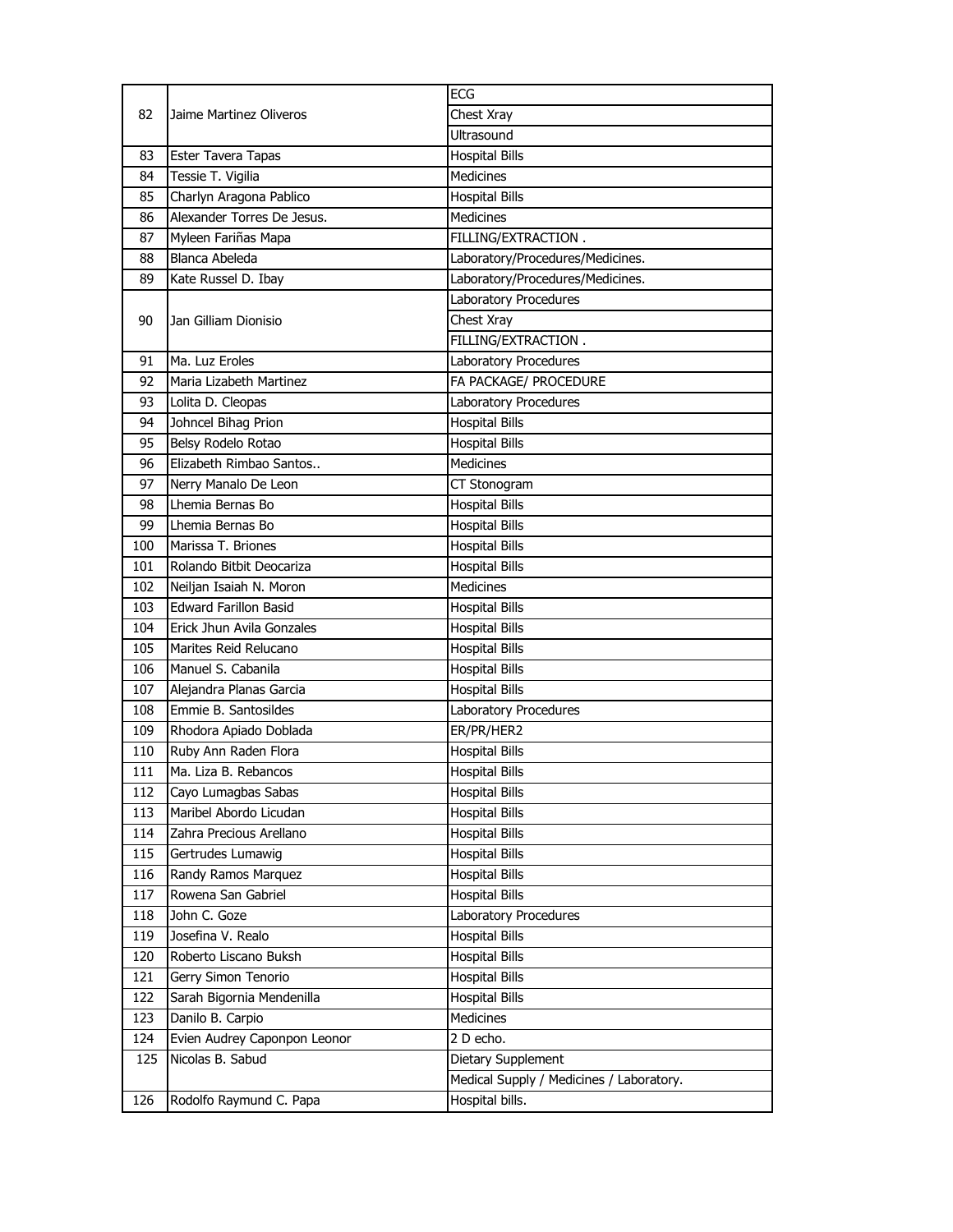| 82  | Jaime Martinez Oliveros      | <b>ECG</b>                               |
|-----|------------------------------|------------------------------------------|
|     |                              | Chest Xray                               |
|     |                              | Ultrasound                               |
| 83  | Ester Tavera Tapas           | <b>Hospital Bills</b>                    |
| 84  | Tessie T. Vigilia            | <b>Medicines</b>                         |
| 85  | Charlyn Aragona Pablico      | <b>Hospital Bills</b>                    |
| 86  | Alexander Torres De Jesus.   | <b>Medicines</b>                         |
| 87  | Myleen Fariñas Mapa          | FILLING/EXTRACTION.                      |
| 88  | Blanca Abeleda               | Laboratory/Procedures/Medicines.         |
| 89  | Kate Russel D. Ibay          | Laboratory/Procedures/Medicines.         |
|     |                              | Laboratory Procedures                    |
| 90  | Jan Gilliam Dionisio         | Chest Xray                               |
|     |                              | FILLING/EXTRACTION.                      |
| 91  | Ma. Luz Eroles               | Laboratory Procedures                    |
| 92  | Maria Lizabeth Martinez      | FA PACKAGE/ PROCEDURE                    |
| 93  | Lolita D. Cleopas            | Laboratory Procedures                    |
| 94  | Johncel Bihag Prion          | <b>Hospital Bills</b>                    |
| 95  | Belsy Rodelo Rotao           | <b>Hospital Bills</b>                    |
| 96  | Elizabeth Rimbao Santos      | <b>Medicines</b>                         |
| 97  | Nerry Manalo De Leon         | CT Stonogram                             |
| 98  | Lhemia Bernas Bo             | <b>Hospital Bills</b>                    |
| 99  | Lhemia Bernas Bo             | <b>Hospital Bills</b>                    |
| 100 | Marissa T. Briones           | <b>Hospital Bills</b>                    |
| 101 | Rolando Bitbit Deocariza     | <b>Hospital Bills</b>                    |
| 102 | Neiljan Isaiah N. Moron      | <b>Medicines</b>                         |
| 103 | <b>Edward Farillon Basid</b> | <b>Hospital Bills</b>                    |
| 104 | Erick Jhun Avila Gonzales    | <b>Hospital Bills</b>                    |
| 105 | Marites Reid Relucano        | <b>Hospital Bills</b>                    |
| 106 | Manuel S. Cabanila           | <b>Hospital Bills</b>                    |
| 107 | Alejandra Planas Garcia      | <b>Hospital Bills</b>                    |
| 108 | Emmie B. Santosildes         | Laboratory Procedures                    |
| 109 | Rhodora Apiado Doblada       | ER/PR/HER2                               |
| 110 | Ruby Ann Raden Flora         | <b>Hospital Bills</b>                    |
| 111 | Ma. Liza B. Rebancos         | Hospital Bills                           |
| 112 | Cayo Lumagbas Sabas          | <b>Hospital Bills</b>                    |
| 113 | Maribel Abordo Licudan       | <b>Hospital Bills</b>                    |
| 114 | Zahra Precious Arellano      | <b>Hospital Bills</b>                    |
| 115 | Gertrudes Lumawig            | <b>Hospital Bills</b>                    |
| 116 | Randy Ramos Marquez          | <b>Hospital Bills</b>                    |
| 117 | Rowena San Gabriel           | <b>Hospital Bills</b>                    |
| 118 | John C. Goze                 | Laboratory Procedures                    |
| 119 | Josefina V. Realo            | <b>Hospital Bills</b>                    |
| 120 | Roberto Liscano Buksh        | <b>Hospital Bills</b>                    |
| 121 | Gerry Simon Tenorio          | <b>Hospital Bills</b>                    |
| 122 | Sarah Bigornia Mendenilla    | <b>Hospital Bills</b>                    |
| 123 | Danilo B. Carpio             | Medicines                                |
| 124 | Evien Audrey Caponpon Leonor | 2 D echo.                                |
| 125 | Nicolas B. Sabud             | Dietary Supplement                       |
|     |                              | Medical Supply / Medicines / Laboratory. |
| 126 | Rodolfo Raymund C. Papa      | Hospital bills.                          |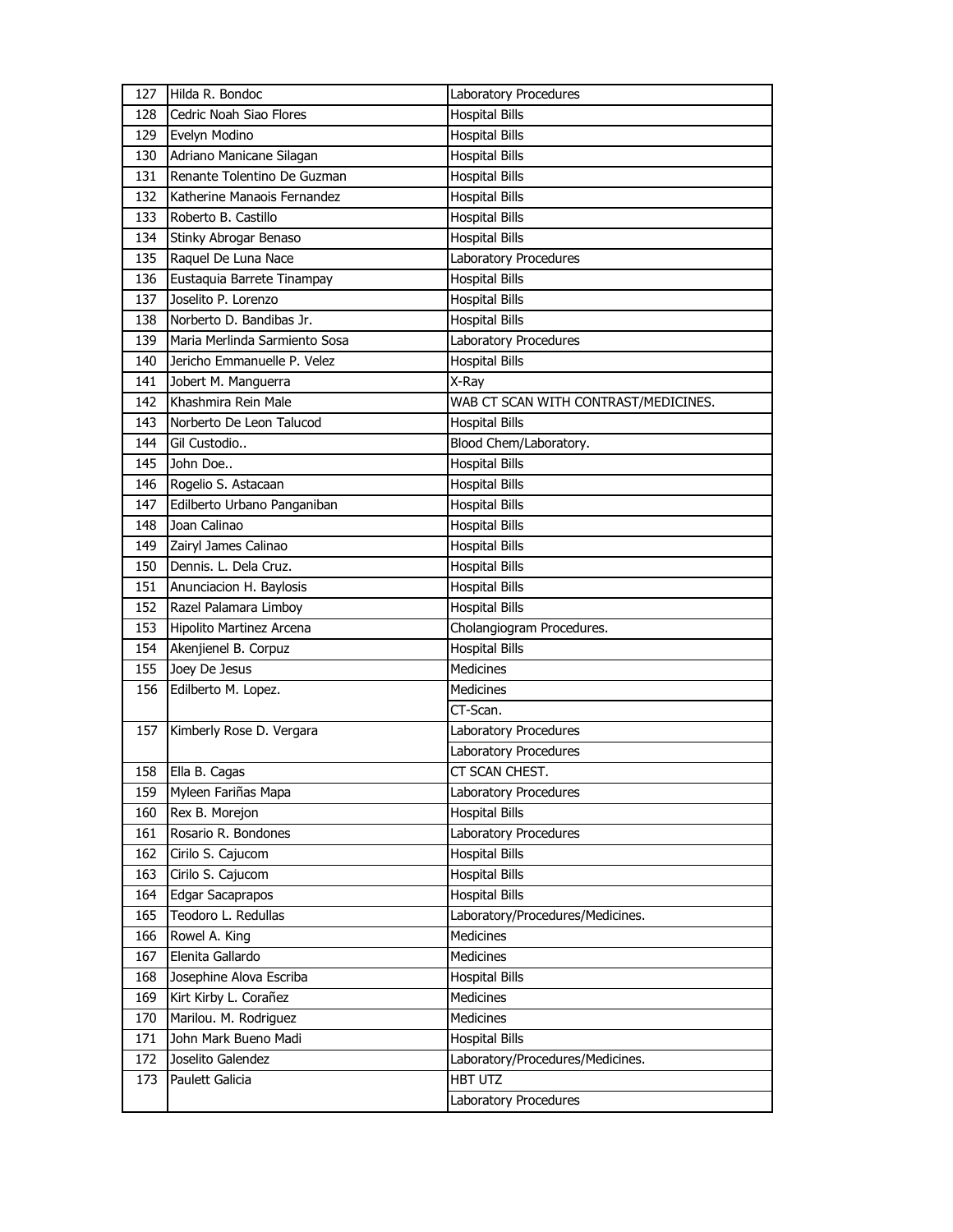| 127 | Hilda R. Bondoc               | Laboratory Procedures                |
|-----|-------------------------------|--------------------------------------|
| 128 | Cedric Noah Siao Flores       | <b>Hospital Bills</b>                |
| 129 | Evelyn Modino                 | <b>Hospital Bills</b>                |
| 130 | Adriano Manicane Silagan      | <b>Hospital Bills</b>                |
| 131 | Renante Tolentino De Guzman   | <b>Hospital Bills</b>                |
| 132 | Katherine Manaois Fernandez   | <b>Hospital Bills</b>                |
| 133 | Roberto B. Castillo           | <b>Hospital Bills</b>                |
| 134 | Stinky Abrogar Benaso         | <b>Hospital Bills</b>                |
| 135 | Raquel De Luna Nace           | Laboratory Procedures                |
| 136 | Eustaquia Barrete Tinampay    | <b>Hospital Bills</b>                |
| 137 | Joselito P. Lorenzo           | <b>Hospital Bills</b>                |
| 138 | Norberto D. Bandibas Jr.      | <b>Hospital Bills</b>                |
| 139 | Maria Merlinda Sarmiento Sosa | Laboratory Procedures                |
| 140 | Jericho Emmanuelle P. Velez   | <b>Hospital Bills</b>                |
| 141 | Jobert M. Manguerra           | X-Ray                                |
| 142 | Khashmira Rein Male           | WAB CT SCAN WITH CONTRAST/MEDICINES. |
| 143 | Norberto De Leon Talucod      | <b>Hospital Bills</b>                |
| 144 | Gil Custodio                  | Blood Chem/Laboratory.               |
| 145 | John Doe                      | <b>Hospital Bills</b>                |
| 146 | Rogelio S. Astacaan           | <b>Hospital Bills</b>                |
| 147 | Edilberto Urbano Panganiban   | <b>Hospital Bills</b>                |
| 148 | Joan Calinao                  | <b>Hospital Bills</b>                |
| 149 | Zairyl James Calinao          | <b>Hospital Bills</b>                |
| 150 | Dennis. L. Dela Cruz.         | <b>Hospital Bills</b>                |
| 151 | Anunciacion H. Baylosis       | <b>Hospital Bills</b>                |
| 152 | Razel Palamara Limboy         | <b>Hospital Bills</b>                |
| 153 | Hipolito Martinez Arcena      | Cholangiogram Procedures.            |
| 154 | Akenjienel B. Corpuz          | <b>Hospital Bills</b>                |
| 155 | Joey De Jesus                 | <b>Medicines</b>                     |
| 156 | Edilberto M. Lopez.           | <b>Medicines</b>                     |
|     |                               | CT-Scan.                             |
| 157 | Kimberly Rose D. Vergara      | Laboratory Procedures                |
|     |                               | Laboratory Procedures                |
| 158 | Ella B. Cagas                 | CT SCAN CHEST.                       |
| 159 | Myleen Fariñas Mapa           | Laboratory Procedures                |
| 160 | Rex B. Morejon                | <b>Hospital Bills</b>                |
| 161 | Rosario R. Bondones           | Laboratory Procedures                |
| 162 | Cirilo S. Cajucom             | <b>Hospital Bills</b>                |
| 163 |                               |                                      |
|     | Cirilo S. Cajucom             | <b>Hospital Bills</b>                |
| 164 | Edgar Sacaprapos              | <b>Hospital Bills</b>                |
| 165 | Teodoro L. Redullas           | Laboratory/Procedures/Medicines.     |
| 166 | Rowel A. King                 | <b>Medicines</b>                     |
| 167 | Elenita Gallardo              | Medicines                            |
| 168 | Josephine Alova Escriba       | <b>Hospital Bills</b>                |
| 169 | Kirt Kirby L. Corañez         | Medicines                            |
| 170 | Marilou. M. Rodriguez         | Medicines                            |
| 171 | John Mark Bueno Madi          | <b>Hospital Bills</b>                |
| 172 | Joselito Galendez             | Laboratory/Procedures/Medicines.     |
| 173 | Paulett Galicia               | HBT UTZ                              |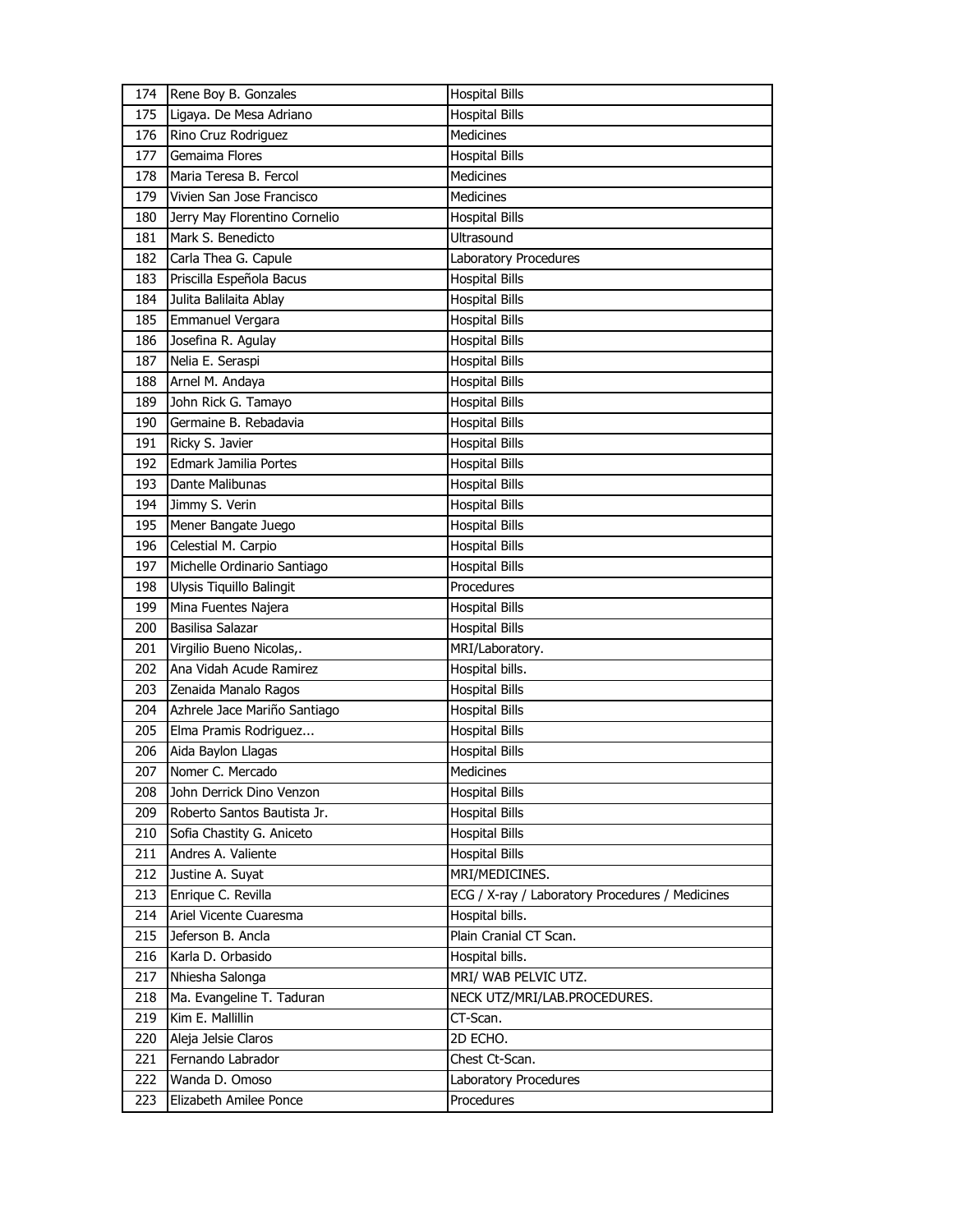| 174 | Rene Boy B. Gonzales          | <b>Hospital Bills</b>                           |
|-----|-------------------------------|-------------------------------------------------|
| 175 | Ligaya. De Mesa Adriano       | <b>Hospital Bills</b>                           |
| 176 | Rino Cruz Rodriguez           | Medicines                                       |
| 177 | Gemaima Flores                | <b>Hospital Bills</b>                           |
| 178 | Maria Teresa B. Fercol        | <b>Medicines</b>                                |
| 179 | Vivien San Jose Francisco     | <b>Medicines</b>                                |
| 180 | Jerry May Florentino Cornelio | <b>Hospital Bills</b>                           |
| 181 | Mark S. Benedicto             | Ultrasound                                      |
| 182 | Carla Thea G. Capule          | Laboratory Procedures                           |
| 183 | Priscilla Espeñola Bacus      | <b>Hospital Bills</b>                           |
| 184 | Julita Balilaita Ablay        | <b>Hospital Bills</b>                           |
| 185 | Emmanuel Vergara              | <b>Hospital Bills</b>                           |
| 186 | Josefina R. Agulay            | <b>Hospital Bills</b>                           |
| 187 | Nelia E. Seraspi              | <b>Hospital Bills</b>                           |
| 188 | Arnel M. Andaya               | <b>Hospital Bills</b>                           |
| 189 | John Rick G. Tamayo           | <b>Hospital Bills</b>                           |
| 190 | Germaine B. Rebadavia         | <b>Hospital Bills</b>                           |
| 191 | Ricky S. Javier               | Hospital Bills                                  |
| 192 | Edmark Jamilia Portes         | <b>Hospital Bills</b>                           |
| 193 | Dante Malibunas               | <b>Hospital Bills</b>                           |
| 194 | Jimmy S. Verin                | <b>Hospital Bills</b>                           |
| 195 | Mener Bangate Juego           | <b>Hospital Bills</b>                           |
| 196 | Celestial M. Carpio           | <b>Hospital Bills</b>                           |
| 197 | Michelle Ordinario Santiago   | <b>Hospital Bills</b>                           |
| 198 | Ulysis Tiquillo Balingit      | Procedures                                      |
| 199 | Mina Fuentes Najera           | <b>Hospital Bills</b>                           |
| 200 | Basilisa Salazar              | <b>Hospital Bills</b>                           |
| 201 | Virgilio Bueno Nicolas,.      | MRI/Laboratory.                                 |
| 202 | Ana Vidah Acude Ramirez       | Hospital bills.                                 |
| 203 | Zenaida Manalo Ragos          | <b>Hospital Bills</b>                           |
| 204 | Azhrele Jace Mariño Santiago  | <b>Hospital Bills</b>                           |
| 205 | Elma Pramis Rodriguez         | <b>Hospital Bills</b>                           |
| 206 | Aida Baylon Llagas            | <b>Hospital Bills</b>                           |
| 207 | Nomer C. Mercado              | Medicines                                       |
| 208 | John Derrick Dino Venzon      | <b>Hospital Bills</b>                           |
| 209 | Roberto Santos Bautista Jr.   | <b>Hospital Bills</b>                           |
| 210 | Sofia Chastity G. Aniceto     | <b>Hospital Bills</b>                           |
| 211 | Andres A. Valiente            | <b>Hospital Bills</b>                           |
| 212 | Justine A. Suyat              | MRI/MEDICINES.                                  |
| 213 | Enrique C. Revilla            | ECG / X-ray / Laboratory Procedures / Medicines |
| 214 | Ariel Vicente Cuaresma        | Hospital bills.                                 |
| 215 | Jeferson B. Ancla             | Plain Cranial CT Scan.                          |
| 216 | Karla D. Orbasido             | Hospital bills.                                 |
| 217 | Nhiesha Salonga               | MRI/ WAB PELVIC UTZ.                            |
| 218 | Ma. Evangeline T. Taduran     | NECK UTZ/MRI/LAB.PROCEDURES.                    |
| 219 | Kim E. Mallillin              | CT-Scan.                                        |
| 220 | Aleja Jelsie Claros           | 2D ECHO.                                        |
| 221 | Fernando Labrador             | Chest Ct-Scan.                                  |
| 222 | Wanda D. Omoso                | Laboratory Procedures                           |
| 223 | Elizabeth Amilee Ponce        | Procedures                                      |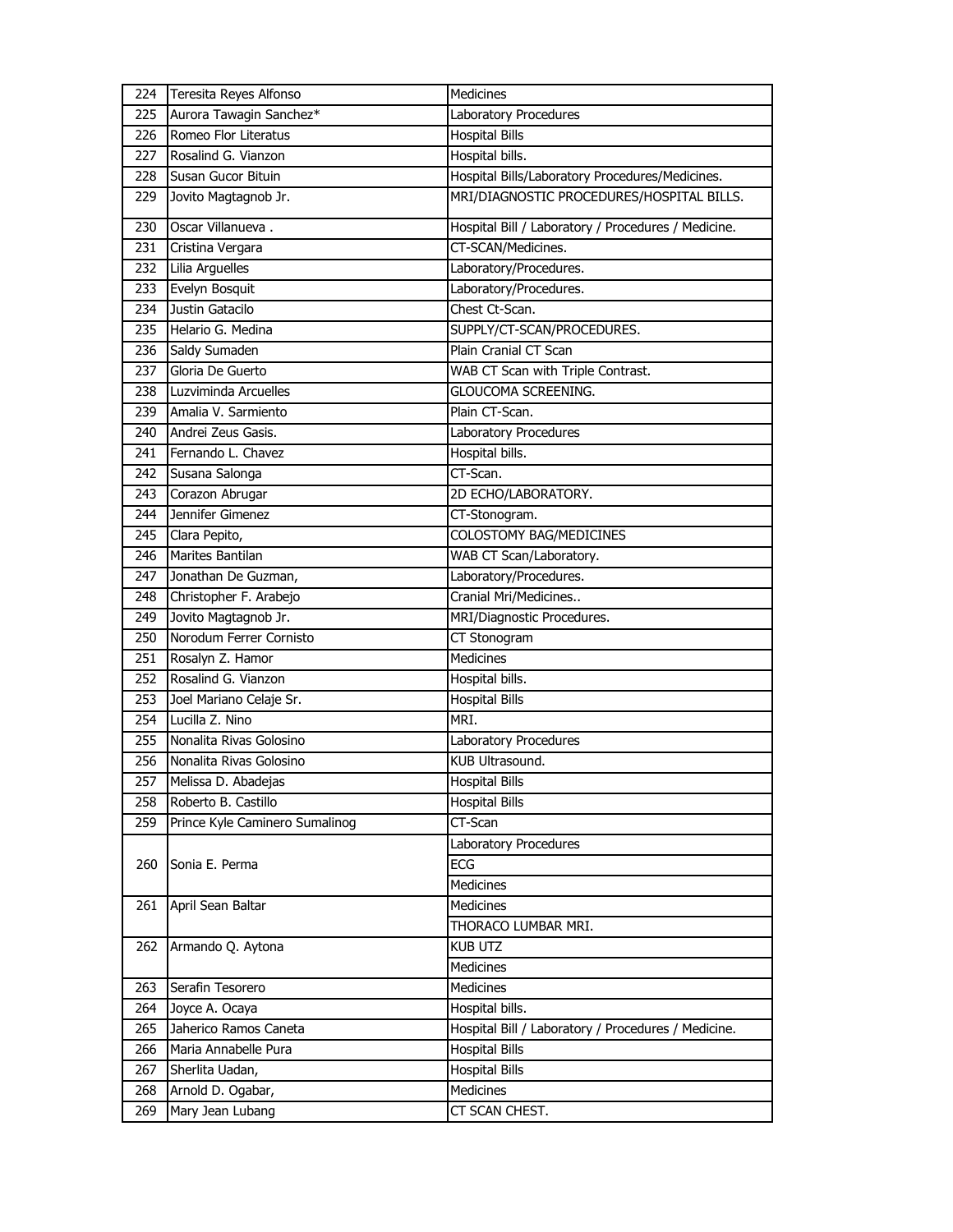| 224 | Teresita Reyes Alfonso         | Medicines                                           |
|-----|--------------------------------|-----------------------------------------------------|
| 225 | Aurora Tawagin Sanchez*        | Laboratory Procedures                               |
| 226 | Romeo Flor Literatus           | <b>Hospital Bills</b>                               |
| 227 | Rosalind G. Vianzon            | Hospital bills.                                     |
| 228 | Susan Gucor Bituin             | Hospital Bills/Laboratory Procedures/Medicines.     |
| 229 | Jovito Magtagnob Jr.           | MRI/DIAGNOSTIC PROCEDURES/HOSPITAL BILLS.           |
| 230 | Oscar Villanueva.              | Hospital Bill / Laboratory / Procedures / Medicine. |
| 231 | Cristina Vergara               | CT-SCAN/Medicines.                                  |
| 232 | Lilia Arguelles                | Laboratory/Procedures.                              |
| 233 | Evelyn Bosquit                 | Laboratory/Procedures.                              |
| 234 | Justin Gatacilo                | Chest Ct-Scan.                                      |
| 235 | Helario G. Medina              | SUPPLY/CT-SCAN/PROCEDURES.                          |
| 236 | Saldy Sumaden                  | Plain Cranial CT Scan                               |
| 237 | Gloria De Guerto               | WAB CT Scan with Triple Contrast.                   |
| 238 | Luzviminda Arcuelles           | GLOUCOMA SCREENING.                                 |
| 239 | Amalia V. Sarmiento            | Plain CT-Scan.                                      |
| 240 | Andrei Zeus Gasis.             | Laboratory Procedures                               |
| 241 | Fernando L. Chavez             | Hospital bills.                                     |
| 242 | Susana Salonga                 | CT-Scan.                                            |
| 243 | Corazon Abrugar                | 2D ECHO/LABORATORY.                                 |
| 244 | Jennifer Gimenez               | CT-Stonogram.                                       |
| 245 | Clara Pepito,                  | COLOSTOMY BAG/MEDICINES                             |
| 246 | Marites Bantilan               | WAB CT Scan/Laboratory.                             |
| 247 | Jonathan De Guzman,            | Laboratory/Procedures.                              |
| 248 | Christopher F. Arabejo         | Cranial Mri/Medicines                               |
| 249 | Jovito Magtagnob Jr.           | MRI/Diagnostic Procedures.                          |
| 250 | Norodum Ferrer Cornisto        | CT Stonogram                                        |
| 251 | Rosalyn Z. Hamor               | <b>Medicines</b>                                    |
| 252 | Rosalind G. Vianzon            | Hospital bills.                                     |
| 253 | Joel Mariano Celaje Sr.        | <b>Hospital Bills</b>                               |
| 254 | Lucilla Z. Nino                | MRI.                                                |
| 255 | Nonalita Rivas Golosino        | Laboratory Procedures                               |
| 256 | Nonalita Rivas Golosino        | KUB Ultrasound.                                     |
| 257 | Melissa D. Abadejas            | <b>Hospital Bills</b>                               |
| 258 | Roberto B. Castillo            | <b>Hospital Bills</b>                               |
| 259 | Prince Kyle Caminero Sumalinog | CT-Scan                                             |
|     |                                | Laboratory Procedures                               |
| 260 | Sonia E. Perma                 | ECG                                                 |
|     |                                | Medicines                                           |
|     | 261 April Sean Baltar          | <b>Medicines</b>                                    |
|     |                                | THORACO LUMBAR MRI.                                 |
| 262 | Armando Q. Aytona              | <b>KUB UTZ</b>                                      |
|     |                                | Medicines                                           |
| 263 | Serafin Tesorero               | <b>Medicines</b>                                    |
| 264 | Joyce A. Ocaya                 | Hospital bills.                                     |
| 265 | Jaherico Ramos Caneta          | Hospital Bill / Laboratory / Procedures / Medicine. |
| 266 | Maria Annabelle Pura           | <b>Hospital Bills</b>                               |
| 267 | Sherlita Uadan,                | <b>Hospital Bills</b>                               |
| 268 | Arnold D. Ogabar,              | Medicines                                           |
| 269 | Mary Jean Lubang               | CT SCAN CHEST.                                      |
|     |                                |                                                     |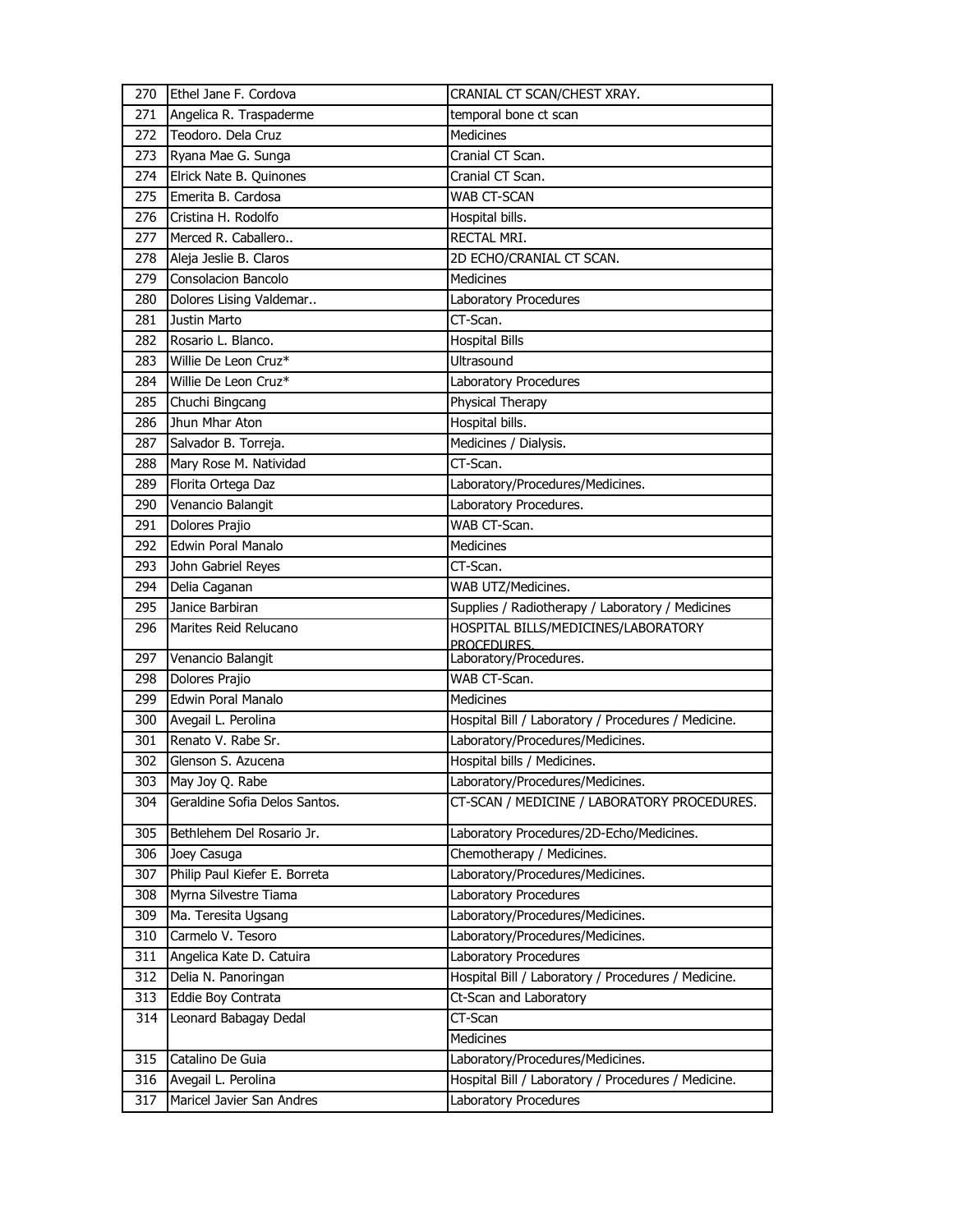| 270 | Ethel Jane F. Cordova         | CRANIAL CT SCAN/CHEST XRAY.                         |
|-----|-------------------------------|-----------------------------------------------------|
| 271 | Angelica R. Traspaderme       | temporal bone ct scan                               |
| 272 | Teodoro. Dela Cruz            | <b>Medicines</b>                                    |
| 273 | Ryana Mae G. Sunga            | Cranial CT Scan.                                    |
| 274 | Elrick Nate B. Quinones       | Cranial CT Scan.                                    |
| 275 | Emerita B. Cardosa            | WAB CT-SCAN                                         |
| 276 | Cristina H. Rodolfo           | Hospital bills.                                     |
| 277 | Merced R. Caballero           | RECTAL MRI.                                         |
| 278 | Aleja Jeslie B. Claros        | 2D ECHO/CRANIAL CT SCAN.                            |
| 279 | Consolacion Bancolo           | <b>Medicines</b>                                    |
| 280 | Dolores Lising Valdemar       | Laboratory Procedures                               |
| 281 | Justin Marto                  | CT-Scan.                                            |
| 282 | Rosario L. Blanco.            | <b>Hospital Bills</b>                               |
| 283 | Willie De Leon Cruz*          | <b>Ultrasound</b>                                   |
| 284 | Willie De Leon Cruz*          | Laboratory Procedures                               |
| 285 | Chuchi Bingcang               | Physical Therapy                                    |
| 286 | Jhun Mhar Aton                | Hospital bills.                                     |
| 287 | Salvador B. Torreja.          | Medicines / Dialysis.                               |
| 288 | Mary Rose M. Natividad        | CT-Scan.                                            |
| 289 | Florita Ortega Daz            | Laboratory/Procedures/Medicines.                    |
| 290 | Venancio Balangit             | Laboratory Procedures.                              |
| 291 | Dolores Prajio                | WAB CT-Scan.                                        |
| 292 | Edwin Poral Manalo            | <b>Medicines</b>                                    |
| 293 | John Gabriel Reyes            | CT-Scan.                                            |
| 294 | Delia Caganan                 | WAB UTZ/Medicines.                                  |
| 295 | Janice Barbiran               | Supplies / Radiotherapy / Laboratory / Medicines    |
|     |                               |                                                     |
| 296 | Marites Reid Relucano         | HOSPITAL BILLS/MEDICINES/LABORATORY                 |
| 297 | Venancio Balangit             | PROCEDURES.<br>Laboratory/Procedures.               |
| 298 | Dolores Prajio                | WAB CT-Scan.                                        |
| 299 | Edwin Poral Manalo            | Medicines                                           |
| 300 | Avegail L. Perolina           | Hospital Bill / Laboratory / Procedures / Medicine. |
| 301 | Renato V. Rabe Sr.            | Laboratory/Procedures/Medicines.                    |
| 302 | Glenson S. Azucena            | Hospital bills / Medicines.                         |
| 303 | May Joy Q. Rabe               | Laboratory/Procedures/Medicines.                    |
| 304 | Geraldine Sofia Delos Santos. | CT-SCAN / MEDICINE / LABORATORY PROCEDURES.         |
| 305 | Bethlehem Del Rosario Jr.     | Laboratory Procedures/2D-Echo/Medicines.            |
| 306 | Joey Casuga                   | Chemotherapy / Medicines.                           |
| 307 | Philip Paul Kiefer E. Borreta | Laboratory/Procedures/Medicines.                    |
| 308 | Myrna Silvestre Tiama         | Laboratory Procedures                               |
| 309 | Ma. Teresita Ugsang           | Laboratory/Procedures/Medicines.                    |
| 310 | Carmelo V. Tesoro             | Laboratory/Procedures/Medicines.                    |
| 311 | Angelica Kate D. Catuira      | Laboratory Procedures                               |
| 312 | Delia N. Panoringan           | Hospital Bill / Laboratory / Procedures / Medicine. |
| 313 | Eddie Boy Contrata            | Ct-Scan and Laboratory                              |
| 314 | Leonard Babagay Dedal         | CT-Scan                                             |
|     |                               | Medicines                                           |
| 315 | Catalino De Guia              | Laboratory/Procedures/Medicines.                    |
| 316 | Avegail L. Perolina           | Hospital Bill / Laboratory / Procedures / Medicine. |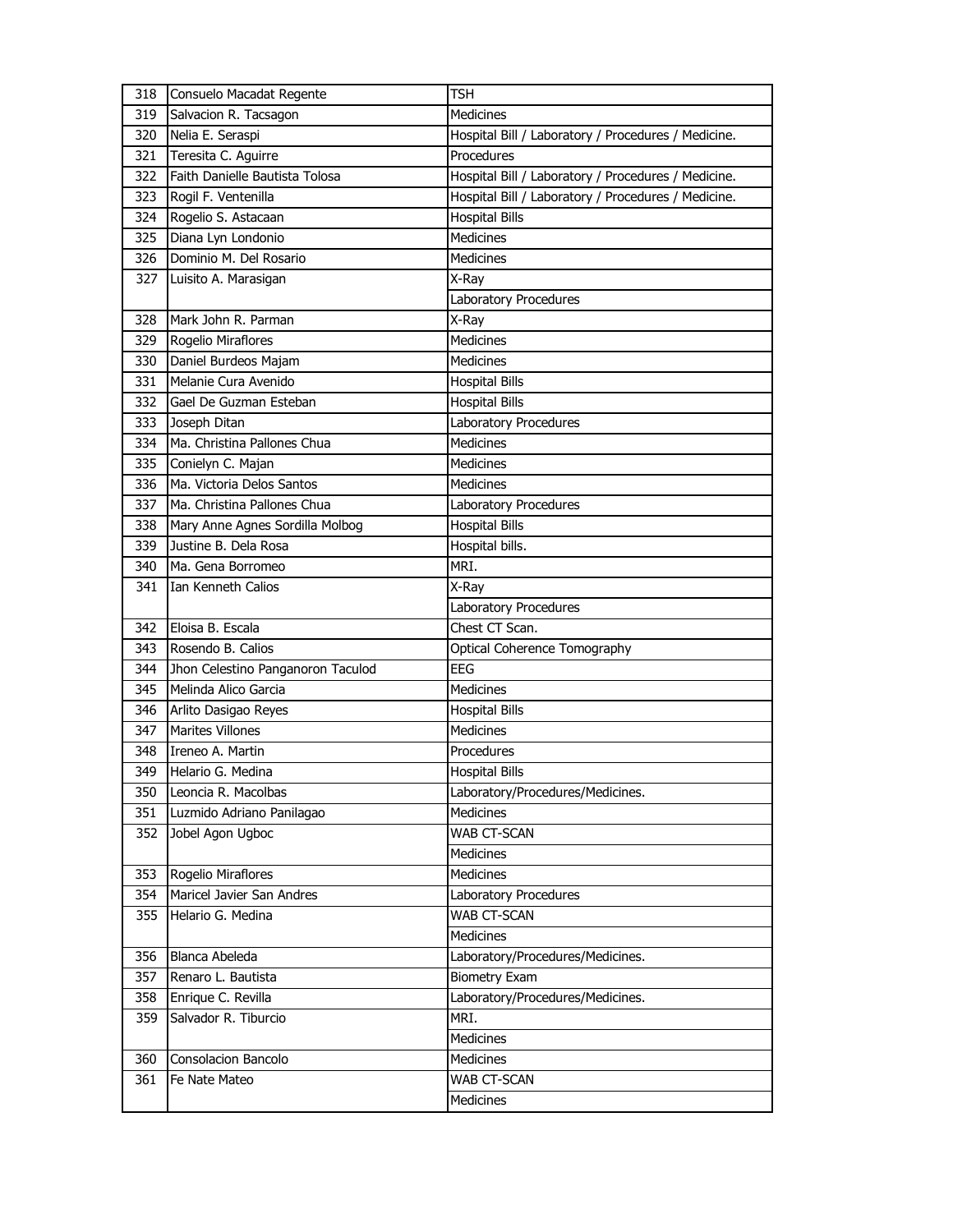| 318 | Consuelo Macadat Regente          | <b>TSH</b>                                          |
|-----|-----------------------------------|-----------------------------------------------------|
| 319 | Salvacion R. Tacsagon             | Medicines                                           |
| 320 | Nelia E. Seraspi                  | Hospital Bill / Laboratory / Procedures / Medicine. |
| 321 | Teresita C. Aguirre               | Procedures                                          |
| 322 | Faith Danielle Bautista Tolosa    | Hospital Bill / Laboratory / Procedures / Medicine. |
| 323 | Rogil F. Ventenilla               | Hospital Bill / Laboratory / Procedures / Medicine. |
| 324 | Rogelio S. Astacaan               | <b>Hospital Bills</b>                               |
| 325 | Diana Lyn Londonio                | Medicines                                           |
| 326 | Dominio M. Del Rosario            | <b>Medicines</b>                                    |
| 327 | Luisito A. Marasigan              | X-Ray                                               |
|     |                                   | Laboratory Procedures                               |
| 328 | Mark John R. Parman               | X-Ray                                               |
| 329 | Rogelio Miraflores                | Medicines                                           |
| 330 | Daniel Burdeos Majam              | <b>Medicines</b>                                    |
| 331 | Melanie Cura Avenido              | <b>Hospital Bills</b>                               |
| 332 | Gael De Guzman Esteban            | <b>Hospital Bills</b>                               |
| 333 | Joseph Ditan                      | Laboratory Procedures                               |
| 334 | Ma. Christina Pallones Chua       | Medicines                                           |
| 335 | Conielyn C. Majan                 | <b>Medicines</b>                                    |
| 336 | Ma. Victoria Delos Santos         | <b>Medicines</b>                                    |
| 337 | Ma. Christina Pallones Chua       | Laboratory Procedures                               |
| 338 | Mary Anne Agnes Sordilla Molbog   | <b>Hospital Bills</b>                               |
| 339 | Justine B. Dela Rosa              | Hospital bills.                                     |
| 340 | Ma. Gena Borromeo                 | MRI.                                                |
| 341 | Ian Kenneth Calios                | X-Ray                                               |
|     |                                   | Laboratory Procedures                               |
| 342 | Eloisa B. Escala                  | Chest CT Scan.                                      |
| 343 | Rosendo B. Calios                 | Optical Coherence Tomography                        |
| 344 | Jhon Celestino Panganoron Taculod | <b>EEG</b>                                          |
| 345 | Melinda Alico Garcia              | <b>Medicines</b>                                    |
| 346 | Arlito Dasigao Reyes              | <b>Hospital Bills</b>                               |
| 347 | <b>Marites Villones</b>           | <b>Medicines</b>                                    |
| 348 | Ireneo A. Martin                  | Procedures                                          |
| 349 | Helario G. Medina                 | <b>Hospital Bills</b>                               |
| 350 | Leoncia R. Macolbas               | Laboratory/Procedures/Medicines.                    |
| 351 | Luzmido Adriano Panilagao         | Medicines                                           |
| 352 | Jobel Agon Ugboc                  | WAB CT-SCAN                                         |
|     |                                   | Medicines                                           |
| 353 | Rogelio Miraflores                | Medicines                                           |
| 354 | Maricel Javier San Andres         | Laboratory Procedures                               |
| 355 | Helario G. Medina                 | WAB CT-SCAN                                         |
|     |                                   | Medicines                                           |
| 356 | Blanca Abeleda                    | Laboratory/Procedures/Medicines.                    |
| 357 | Renaro L. Bautista                | <b>Biometry Exam</b>                                |
| 358 | Enrique C. Revilla                | Laboratory/Procedures/Medicines.                    |
| 359 | Salvador R. Tiburcio              | MRI.                                                |
|     |                                   | Medicines                                           |
| 360 | Consolacion Bancolo               | Medicines                                           |
| 361 |                                   |                                                     |
|     | Fe Nate Mateo                     | <b>WAB CT-SCAN</b>                                  |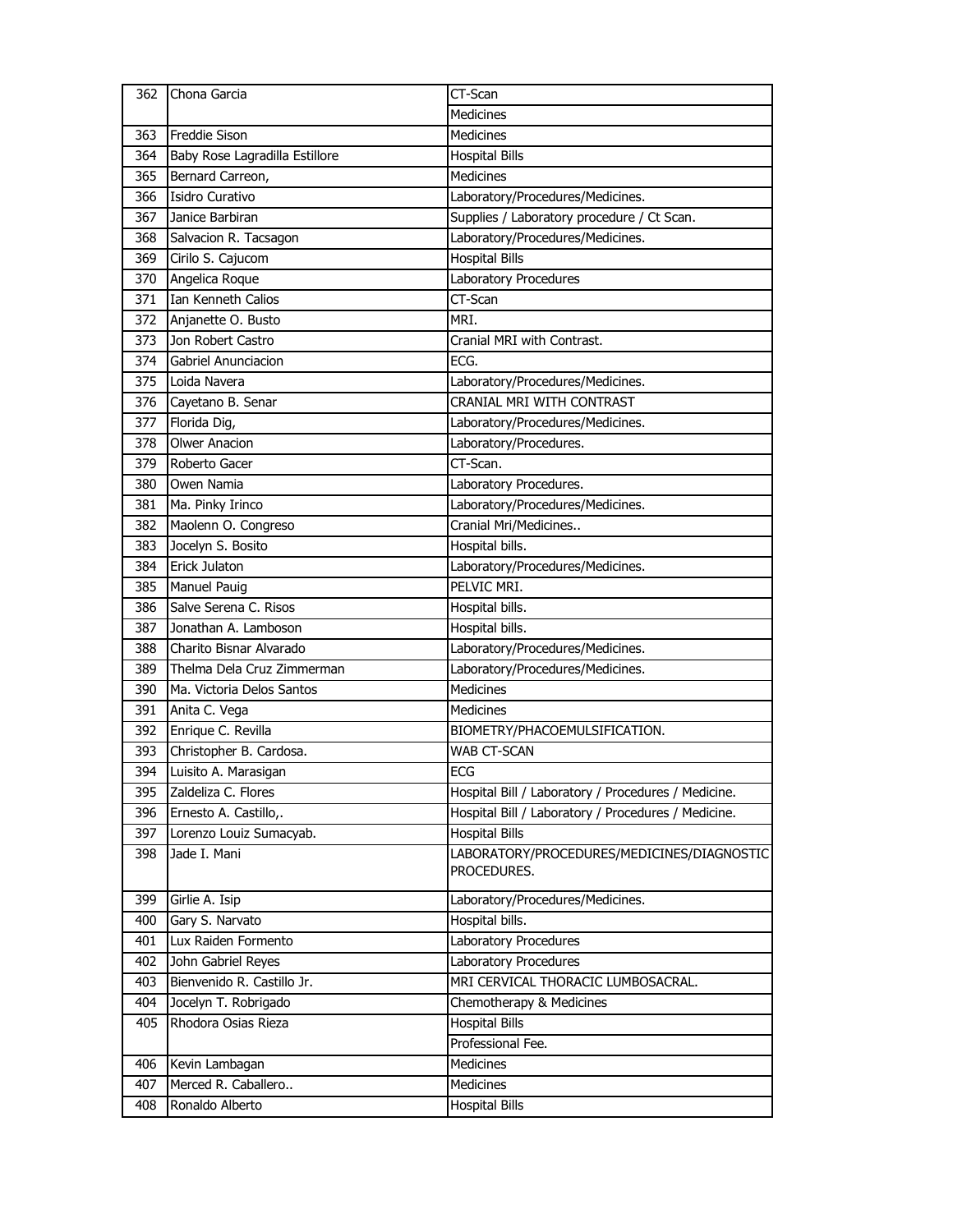| 362 | Chona Garcia                   | CT-Scan                                             |
|-----|--------------------------------|-----------------------------------------------------|
|     |                                | <b>Medicines</b>                                    |
| 363 | <b>Freddie Sison</b>           | Medicines                                           |
| 364 | Baby Rose Lagradilla Estillore | <b>Hospital Bills</b>                               |
| 365 | Bernard Carreon,               | <b>Medicines</b>                                    |
| 366 | Isidro Curativo                | Laboratory/Procedures/Medicines.                    |
| 367 | Janice Barbiran                | Supplies / Laboratory procedure / Ct Scan.          |
| 368 | Salvacion R. Tacsagon          | Laboratory/Procedures/Medicines.                    |
| 369 | Cirilo S. Cajucom              | <b>Hospital Bills</b>                               |
| 370 | Angelica Roque                 | Laboratory Procedures                               |
| 371 | Ian Kenneth Calios             | $CT-Scan$                                           |
| 372 | Anjanette O. Busto             | MRI.                                                |
| 373 | Jon Robert Castro              | Cranial MRI with Contrast.                          |
| 374 | Gabriel Anunciacion            | ECG.                                                |
| 375 | Loida Navera                   | Laboratory/Procedures/Medicines.                    |
| 376 | Cayetano B. Senar              | <b>CRANIAL MRI WITH CONTRAST</b>                    |
| 377 | Florida Dig,                   | Laboratory/Procedures/Medicines.                    |
| 378 | <b>Olwer Anacion</b>           | Laboratory/Procedures.                              |
| 379 | Roberto Gacer                  | CT-Scan.                                            |
| 380 | Owen Namia                     | Laboratory Procedures.                              |
| 381 | Ma. Pinky Irinco               | Laboratory/Procedures/Medicines.                    |
| 382 | Maolenn O. Congreso            | Cranial Mri/Medicines                               |
| 383 | Jocelyn S. Bosito              | Hospital bills.                                     |
| 384 | Erick Julaton                  | Laboratory/Procedures/Medicines.                    |
| 385 | <b>Manuel Pauig</b>            | PELVIC MRI.                                         |
| 386 | Salve Serena C. Risos          | Hospital bills.                                     |
| 387 | Jonathan A. Lamboson           | Hospital bills.                                     |
| 388 | Charito Bisnar Alvarado        | Laboratory/Procedures/Medicines.                    |
| 389 | Thelma Dela Cruz Zimmerman     | Laboratory/Procedures/Medicines.                    |
| 390 | Ma. Victoria Delos Santos      | Medicines                                           |
| 391 | Anita C. Vega                  | Medicines                                           |
| 392 | Enrique C. Revilla             | BIOMETRY/PHACOEMULSIFICATION.                       |
| 393 | Christopher B. Cardosa.        | <b>WAB CT-SCAN</b>                                  |
| 394 | Luisito A. Marasigan           | ECG                                                 |
| 395 | Zaldeliza C. Flores            | Hospital Bill / Laboratory / Procedures / Medicine. |
| 396 | Ernesto A. Castillo,.          | Hospital Bill / Laboratory / Procedures / Medicine. |
| 397 | Lorenzo Louiz Sumacyab.        | <b>Hospital Bills</b>                               |
| 398 | Jade I. Mani                   | LABORATORY/PROCEDURES/MEDICINES/DIAGNOSTIC          |
|     |                                | PROCEDURES.                                         |
| 399 | Girlie A. Isip                 | Laboratory/Procedures/Medicines.                    |
| 400 | Gary S. Narvato                | Hospital bills.                                     |
| 401 | Lux Raiden Formento            | Laboratory Procedures                               |
| 402 | John Gabriel Reyes             | Laboratory Procedures                               |
| 403 | Bienvenido R. Castillo Jr.     | MRI CERVICAL THORACIC LUMBOSACRAL.                  |
| 404 | Jocelyn T. Robrigado           | Chemotherapy & Medicines                            |
| 405 | Rhodora Osias Rieza            | <b>Hospital Bills</b>                               |
|     |                                | Professional Fee.                                   |
| 406 | Kevin Lambagan                 | Medicines                                           |
| 407 | Merced R. Caballero            | <b>Medicines</b>                                    |
| 408 | Ronaldo Alberto                | <b>Hospital Bills</b>                               |
|     |                                |                                                     |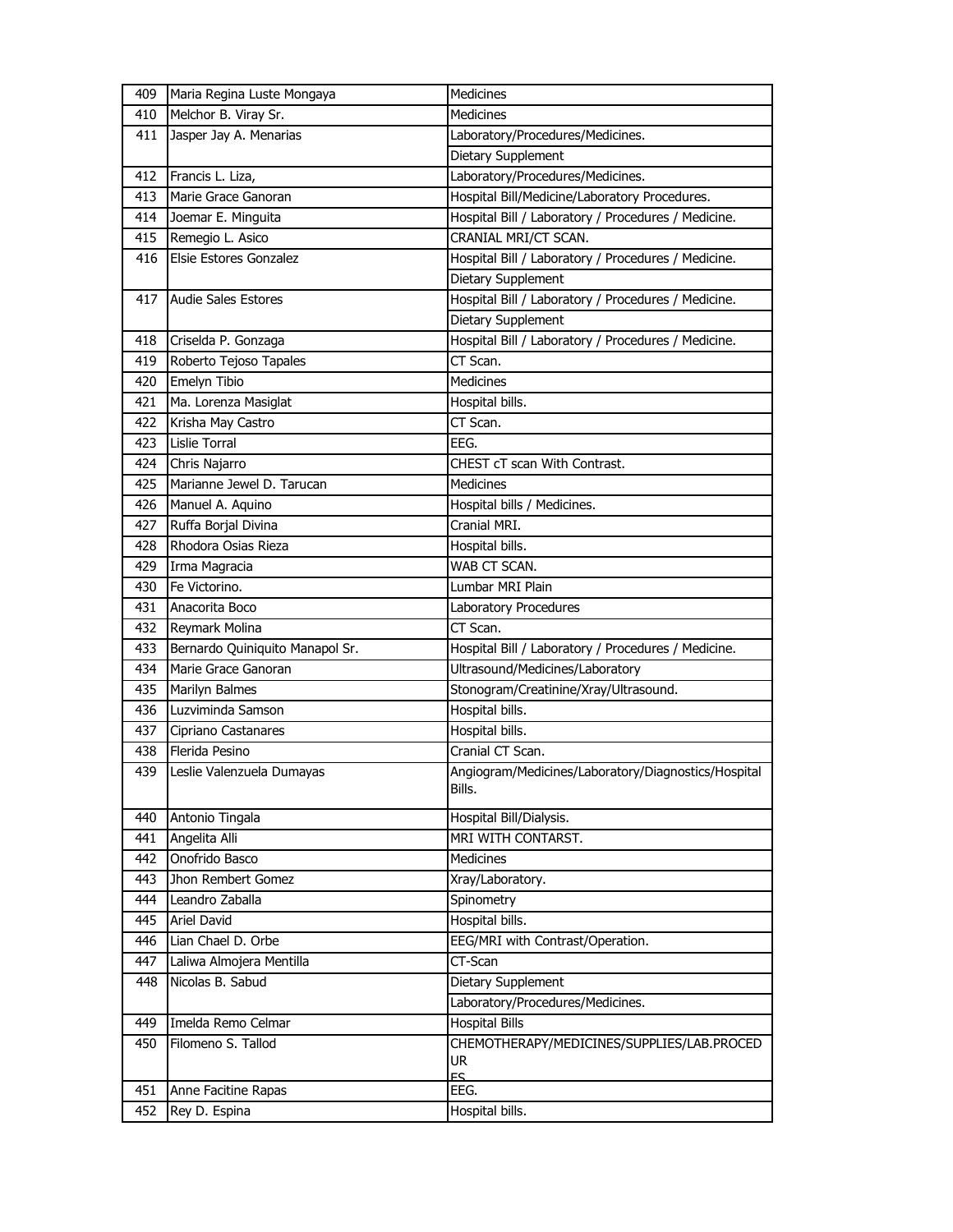| 409 | Maria Regina Luste Mongaya      | Medicines                                                     |
|-----|---------------------------------|---------------------------------------------------------------|
| 410 | Melchor B. Viray Sr.            | <b>Medicines</b>                                              |
| 411 | Jasper Jay A. Menarias          | Laboratory/Procedures/Medicines.                              |
|     |                                 | Dietary Supplement                                            |
| 412 | Francis L. Liza,                | Laboratory/Procedures/Medicines.                              |
| 413 | Marie Grace Ganoran             | Hospital Bill/Medicine/Laboratory Procedures.                 |
| 414 | Joemar E. Minguita              | Hospital Bill / Laboratory / Procedures / Medicine.           |
| 415 | Remegio L. Asico                | CRANIAL MRI/CT SCAN.                                          |
| 416 | Elsie Estores Gonzalez          | Hospital Bill / Laboratory / Procedures / Medicine.           |
|     |                                 | Dietary Supplement                                            |
| 417 | <b>Audie Sales Estores</b>      | Hospital Bill / Laboratory / Procedures / Medicine.           |
|     |                                 | Dietary Supplement                                            |
| 418 | Criselda P. Gonzaga             | Hospital Bill / Laboratory / Procedures / Medicine.           |
| 419 | Roberto Tejoso Tapales          | CT Scan.                                                      |
| 420 | Emelyn Tibio                    | <b>Medicines</b>                                              |
| 421 | Ma. Lorenza Masiglat            | Hospital bills.                                               |
| 422 | Krisha May Castro               | CT Scan.                                                      |
| 423 | Lislie Torral                   | EEG.                                                          |
| 424 | Chris Najarro                   | CHEST cT scan With Contrast.                                  |
| 425 | Marianne Jewel D. Tarucan       | <b>Medicines</b>                                              |
| 426 | Manuel A. Aquino                | Hospital bills / Medicines.                                   |
| 427 | Ruffa Borjal Divina             | Cranial MRI.                                                  |
| 428 | Rhodora Osias Rieza             | Hospital bills.                                               |
| 429 | Irma Magracia                   | WAB CT SCAN.                                                  |
| 430 | Fe Victorino.                   | Lumbar MRI Plain                                              |
| 431 | Anacorita Boco                  | Laboratory Procedures                                         |
| 432 | Reymark Molina                  | CT Scan.                                                      |
| 433 | Bernardo Quiniquito Manapol Sr. | Hospital Bill / Laboratory / Procedures / Medicine.           |
| 434 | Marie Grace Ganoran             | Ultrasound/Medicines/Laboratory                               |
| 435 | Marilyn Balmes                  | Stonogram/Creatinine/Xray/Ultrasound.                         |
| 436 | Luzviminda Samson               | Hospital bills.                                               |
| 437 | Cipriano Castanares             | Hospital bills.                                               |
| 438 | Flerida Pesino                  | Cranial CT Scan.                                              |
| 439 | Leslie Valenzuela Dumayas       | Angiogram/Medicines/Laboratory/Diagnostics/Hospital<br>Bills. |
| 440 | Antonio Tingala                 | Hospital Bill/Dialysis.                                       |
| 441 | Angelita Alli                   | MRI WITH CONTARST.                                            |
| 442 | Onofrido Basco                  | <b>Medicines</b>                                              |
| 443 | Jhon Rembert Gomez              | Xray/Laboratory.                                              |
| 444 | Leandro Zaballa                 | Spinometry                                                    |
| 445 | Ariel David                     | Hospital bills.                                               |
| 446 | Lian Chael D. Orbe              | EEG/MRI with Contrast/Operation.                              |
| 447 | Laliwa Almojera Mentilla        | CT-Scan                                                       |
| 448 | Nicolas B. Sabud                | Dietary Supplement                                            |
|     |                                 | Laboratory/Procedures/Medicines.                              |
| 449 | Imelda Remo Celmar              | <b>Hospital Bills</b>                                         |
| 450 | Filomeno S. Tallod              | CHEMOTHERAPY/MEDICINES/SUPPLIES/LAB.PROCED                    |
|     |                                 | UR<br>FS.                                                     |
| 451 | Anne Facitine Rapas             | EEG.                                                          |
| 452 | Rey D. Espina                   | Hospital bills.                                               |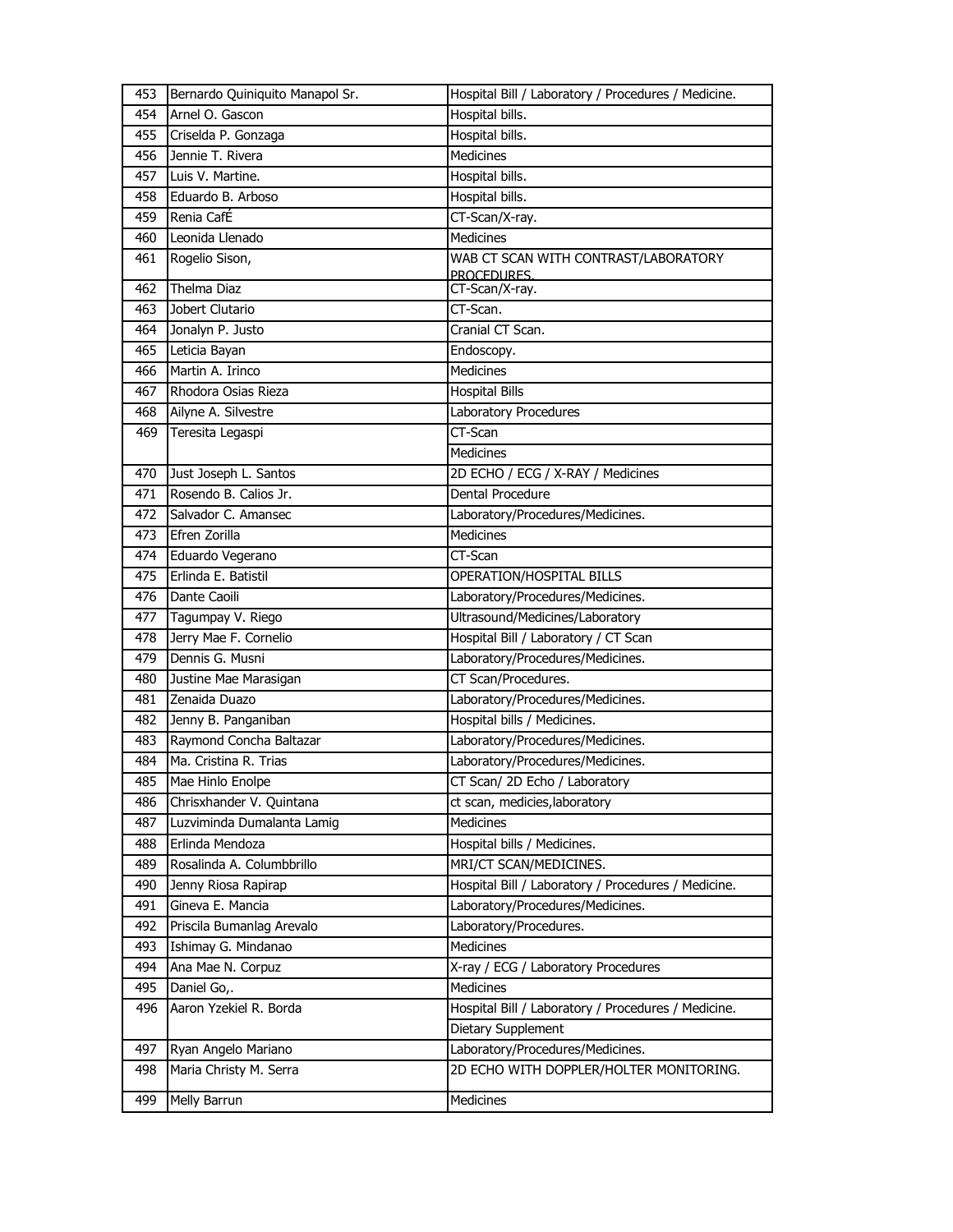| 453 | Bernardo Quiniquito Manapol Sr. | Hospital Bill / Laboratory / Procedures / Medicine. |
|-----|---------------------------------|-----------------------------------------------------|
| 454 | Arnel O. Gascon                 | Hospital bills.                                     |
| 455 | Criselda P. Gonzaga             | Hospital bills.                                     |
| 456 | Jennie T. Rivera                | Medicines                                           |
| 457 | Luis V. Martine.                | Hospital bills.                                     |
| 458 | Eduardo B. Arboso               | Hospital bills.                                     |
| 459 | Renia CafÉ                      | CT-Scan/X-ray.                                      |
| 460 | Leonida Llenado                 | <b>Medicines</b>                                    |
| 461 | Rogelio Sison,                  | WAB CT SCAN WITH CONTRAST/LABORATORY                |
|     |                                 | PROCEDURES.                                         |
| 462 | Thelma Diaz                     | CT-Scan/X-ray.                                      |
| 463 | Jobert Clutario                 | CT-Scan.                                            |
| 464 | Jonalyn P. Justo                | Cranial CT Scan.                                    |
| 465 | Leticia Bayan                   | Endoscopy.                                          |
| 466 | Martin A. Irinco                | Medicines                                           |
| 467 | Rhodora Osias Rieza             | <b>Hospital Bills</b>                               |
| 468 | Ailyne A. Silvestre             | Laboratory Procedures                               |
| 469 | Teresita Legaspi                | CT-Scan                                             |
|     |                                 | <b>Medicines</b>                                    |
| 470 | Just Joseph L. Santos           | 2D ECHO / ECG / X-RAY / Medicines                   |
| 471 | Rosendo B. Calios Jr.           | Dental Procedure                                    |
| 472 | Salvador C. Amansec             | Laboratory/Procedures/Medicines.                    |
| 473 | Efren Zorilla                   | <b>Medicines</b>                                    |
| 474 | Eduardo Vegerano                | CT-Scan                                             |
| 475 | Erlinda E. Batistil             | OPERATION/HOSPITAL BILLS                            |
| 476 | Dante Caoili                    | Laboratory/Procedures/Medicines.                    |
| 477 | Tagumpay V. Riego               | Ultrasound/Medicines/Laboratory                     |
| 478 | Jerry Mae F. Cornelio           | Hospital Bill / Laboratory / CT Scan                |
| 479 | Dennis G. Musni                 | Laboratory/Procedures/Medicines.                    |
| 480 | Justine Mae Marasigan           | CT Scan/Procedures.                                 |
| 481 | Zenaida Duazo                   | Laboratory/Procedures/Medicines.                    |
| 482 | Jenny B. Panganiban             | Hospital bills / Medicines.                         |
| 483 | Raymond Concha Baltazar         | Laboratory/Procedures/Medicines.                    |
| 484 | Ma. Cristina R. Trias           | Laboratory/Procedures/Medicines.                    |
| 485 | Mae Hinlo Enolpe                | CT Scan/ 2D Echo / Laboratory                       |
| 486 | Chrisxhander V. Quintana        | ct scan, medicies, laboratory                       |
| 487 | Luzviminda Dumalanta Lamig      | <b>Medicines</b>                                    |
| 488 | Erlinda Mendoza                 | Hospital bills / Medicines.                         |
| 489 | Rosalinda A. Columbbrillo       | MRI/CT SCAN/MEDICINES.                              |
| 490 | Jenny Riosa Rapirap             | Hospital Bill / Laboratory / Procedures / Medicine. |
| 491 | Gineva E. Mancia                | Laboratory/Procedures/Medicines.                    |
| 492 | Priscila Bumanlag Arevalo       | Laboratory/Procedures.                              |
| 493 | Ishimay G. Mindanao             | Medicines                                           |
| 494 | Ana Mae N. Corpuz               | X-ray / ECG / Laboratory Procedures                 |
| 495 | Daniel Go,.                     | Medicines                                           |
| 496 | Aaron Yzekiel R. Borda          | Hospital Bill / Laboratory / Procedures / Medicine. |
|     |                                 | Dietary Supplement                                  |
| 497 | Ryan Angelo Mariano             | Laboratory/Procedures/Medicines.                    |
| 498 | Maria Christy M. Serra          | 2D ECHO WITH DOPPLER/HOLTER MONITORING.             |
|     |                                 |                                                     |
| 499 | Melly Barrun                    | Medicines                                           |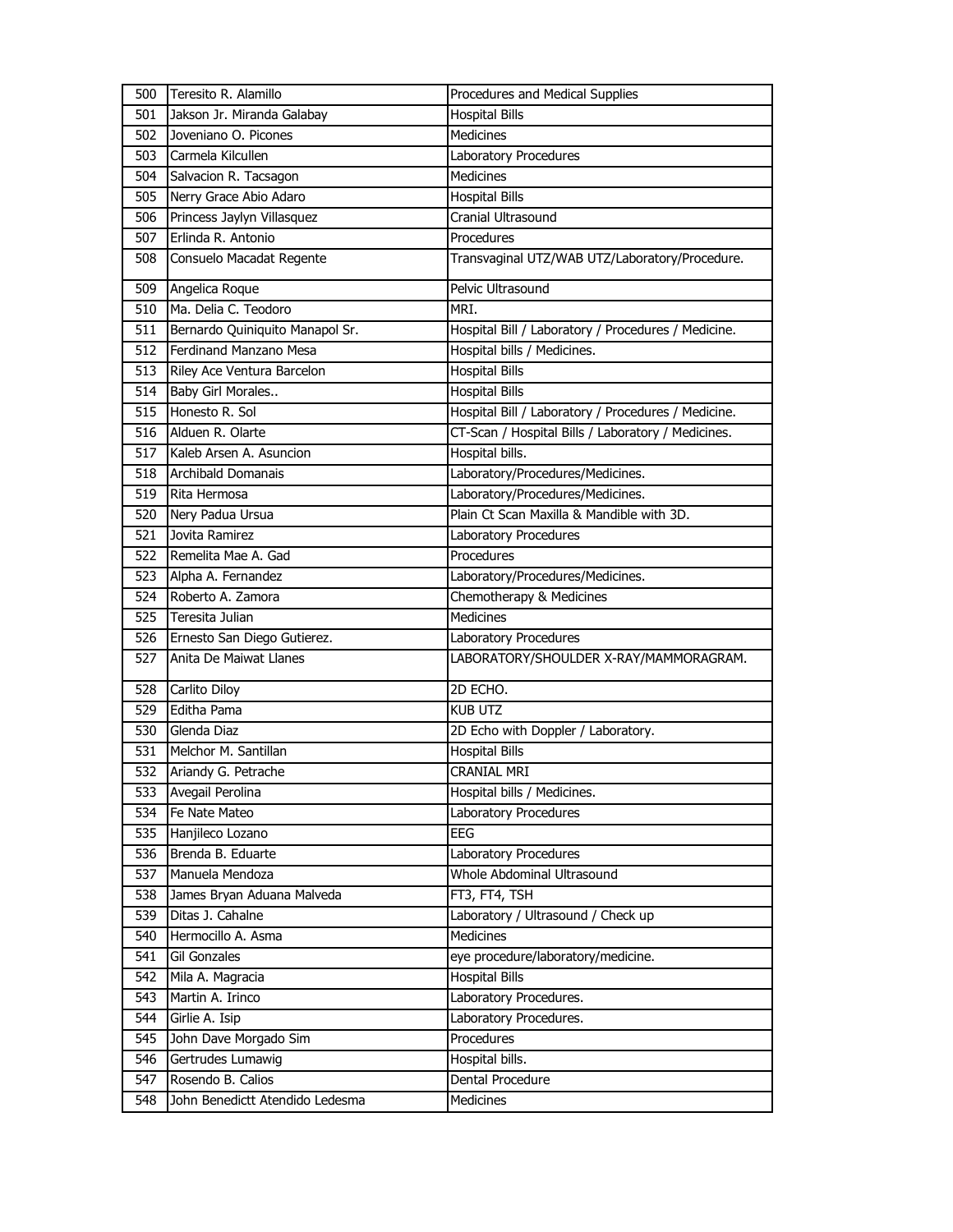| 500 | Teresito R. Alamillo            | Procedures and Medical Supplies                     |
|-----|---------------------------------|-----------------------------------------------------|
| 501 | Jakson Jr. Miranda Galabay      | <b>Hospital Bills</b>                               |
| 502 | Joveniano O. Picones            | Medicines                                           |
| 503 | Carmela Kilcullen               | Laboratory Procedures                               |
| 504 | Salvacion R. Tacsagon           | <b>Medicines</b>                                    |
| 505 | Nerry Grace Abio Adaro          | <b>Hospital Bills</b>                               |
| 506 | Princess Jaylyn Villasquez      | Cranial Ultrasound                                  |
| 507 | Erlinda R. Antonio              | Procedures                                          |
| 508 | Consuelo Macadat Regente        | Transvaginal UTZ/WAB UTZ/Laboratory/Procedure.      |
| 509 | Angelica Roque                  | Pelvic Ultrasound                                   |
| 510 | Ma. Delia C. Teodoro            | MRI.                                                |
| 511 | Bernardo Quiniquito Manapol Sr. | Hospital Bill / Laboratory / Procedures / Medicine. |
| 512 | Ferdinand Manzano Mesa          | Hospital bills / Medicines.                         |
| 513 | Riley Ace Ventura Barcelon      | Hospital Bills                                      |
| 514 | Baby Girl Morales               | <b>Hospital Bills</b>                               |
| 515 | Honesto R. Sol                  | Hospital Bill / Laboratory / Procedures / Medicine. |
| 516 | Alduen R. Olarte                | CT-Scan / Hospital Bills / Laboratory / Medicines.  |
| 517 | Kaleb Arsen A. Asuncion         | Hospital bills.                                     |
| 518 | <b>Archibald Domanais</b>       | Laboratory/Procedures/Medicines.                    |
| 519 | Rita Hermosa                    | Laboratory/Procedures/Medicines.                    |
| 520 | Nery Padua Ursua                | Plain Ct Scan Maxilla & Mandible with 3D.           |
| 521 | Jovita Ramirez                  | Laboratory Procedures                               |
| 522 | Remelita Mae A. Gad             | Procedures                                          |
| 523 | Alpha A. Fernandez              | Laboratory/Procedures/Medicines.                    |
| 524 | Roberto A. Zamora               | Chemotherapy & Medicines                            |
| 525 | Teresita Julian                 | <b>Medicines</b>                                    |
| 526 | Ernesto San Diego Gutierez.     | Laboratory Procedures                               |
| 527 | Anita De Maiwat Llanes          | LABORATORY/SHOULDER X-RAY/MAMMORAGRAM.              |
| 528 | Carlito Diloy                   | 2D ECHO.                                            |
| 529 | Editha Pama                     | <b>KUB UTZ</b>                                      |
| 530 | Glenda Diaz                     | 2D Echo with Doppler / Laboratory.                  |
| 531 | Melchor M. Santillan            | <b>Hospital Bills</b>                               |
| 532 | Ariandy G. Petrache             | <b>CRANIAL MRI</b>                                  |
| 533 | Avegail Perolina                | Hospital bills / Medicines.                         |
| 534 | Fe Nate Mateo                   | Laboratory Procedures                               |
| 535 | Hanjileco Lozano                | <b>EEG</b>                                          |
| 536 | Brenda B. Eduarte               | Laboratory Procedures                               |
| 537 | Manuela Mendoza                 | Whole Abdominal Ultrasound                          |
| 538 | James Bryan Aduana Malveda      | FT3, FT4, TSH                                       |
| 539 | Ditas J. Cahalne                | Laboratory / Ultrasound / Check up                  |
| 540 | Hermocillo A. Asma              | Medicines                                           |
| 541 | <b>Gil Gonzales</b>             | eye procedure/laboratory/medicine.                  |
| 542 | Mila A. Magracia                | <b>Hospital Bills</b>                               |
| 543 | Martin A. Irinco                | Laboratory Procedures.                              |
| 544 | Girlie A. Isip                  | Laboratory Procedures.                              |
| 545 | John Dave Morgado Sim           | Procedures                                          |
| 546 | Gertrudes Lumawig               | Hospital bills.                                     |
| 547 | Rosendo B. Calios               | Dental Procedure                                    |
| 548 | John Benedictt Atendido Ledesma | Medicines                                           |
|     |                                 |                                                     |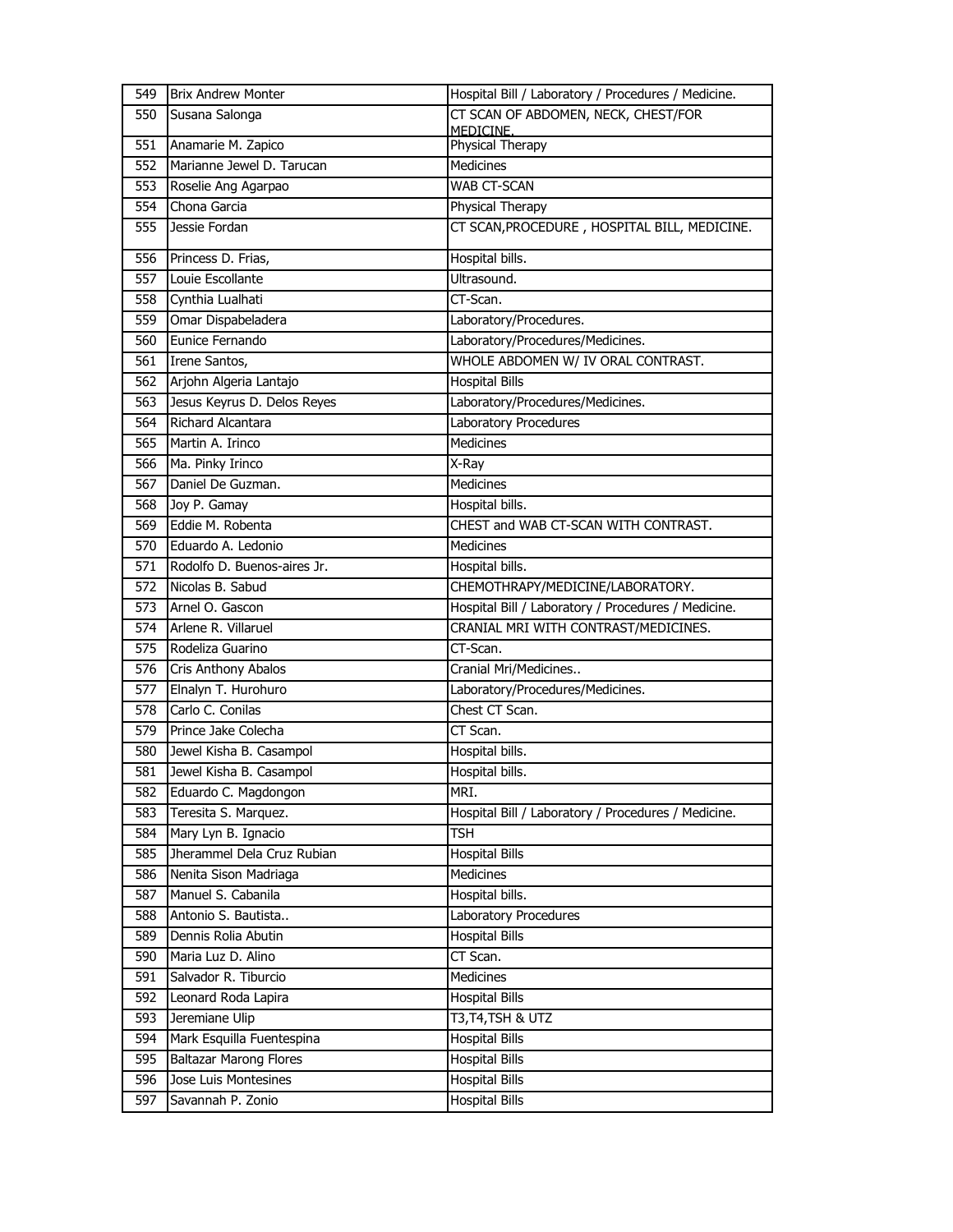| 549 | <b>Brix Andrew Monter</b>           | Hospital Bill / Laboratory / Procedures / Medicine.              |
|-----|-------------------------------------|------------------------------------------------------------------|
| 550 | Susana Salonga                      | CT SCAN OF ABDOMEN, NECK, CHEST/FOR                              |
| 551 | Anamarie M. Zapico                  | MEDICINE.<br>Physical Therapy                                    |
| 552 | Marianne Jewel D. Tarucan           | <b>Medicines</b>                                                 |
| 553 |                                     | WAB CT-SCAN                                                      |
| 554 | Roselie Ang Agarpao<br>Chona Garcia |                                                                  |
| 555 | Jessie Fordan                       | Physical Therapy<br>CT SCAN, PROCEDURE, HOSPITAL BILL, MEDICINE. |
|     |                                     |                                                                  |
| 556 | Princess D. Frias,                  | Hospital bills.                                                  |
| 557 | Louie Escollante                    | Ultrasound.                                                      |
| 558 | Cynthia Lualhati                    | CT-Scan.                                                         |
| 559 | Omar Dispabeladera                  | Laboratory/Procedures.                                           |
| 560 | Eunice Fernando                     | Laboratory/Procedures/Medicines.                                 |
| 561 | Irene Santos,                       | WHOLE ABDOMEN W/ IV ORAL CONTRAST.                               |
| 562 | Arjohn Algeria Lantajo              | <b>Hospital Bills</b>                                            |
| 563 | Jesus Keyrus D. Delos Reyes         | Laboratory/Procedures/Medicines.                                 |
| 564 | Richard Alcantara                   | Laboratory Procedures                                            |
| 565 | Martin A. Irinco                    | Medicines                                                        |
| 566 | Ma. Pinky Irinco                    | X-Ray                                                            |
| 567 | Daniel De Guzman.                   | <b>Medicines</b>                                                 |
| 568 | Joy P. Gamay                        | Hospital bills.                                                  |
| 569 | Eddie M. Robenta                    | CHEST and WAB CT-SCAN WITH CONTRAST.                             |
| 570 | Eduardo A. Ledonio                  | <b>Medicines</b>                                                 |
| 571 | Rodolfo D. Buenos-aires Jr.         | Hospital bills.                                                  |
| 572 | Nicolas B. Sabud                    | CHEMOTHRAPY/MEDICINE/LABORATORY.                                 |
| 573 | Arnel O. Gascon                     | Hospital Bill / Laboratory / Procedures / Medicine.              |
| 574 | Arlene R. Villaruel                 | CRANIAL MRI WITH CONTRAST/MEDICINES.                             |
| 575 | Rodeliza Guarino                    | CT-Scan.                                                         |
| 576 | Cris Anthony Abalos                 | Cranial Mri/Medicines                                            |
| 577 | Elnalyn T. Hurohuro                 | Laboratory/Procedures/Medicines.                                 |
| 578 | Carlo C. Conilas                    | Chest CT Scan.                                                   |
| 579 | Prince Jake Colecha                 | CT Scan.                                                         |
| 580 | Jewel Kisha B. Casampol             | Hospital bills.                                                  |
| 581 | Jewel Kisha B. Casampol             | Hospital bills.                                                  |
| 582 | Eduardo C. Magdongon                | MRI.                                                             |
| 583 | Teresita S. Marquez.                | Hospital Bill / Laboratory / Procedures / Medicine.              |
| 584 | Mary Lyn B. Ignacio                 | TSH                                                              |
| 585 | Jherammel Dela Cruz Rubian          | <b>Hospital Bills</b>                                            |
| 586 | Nenita Sison Madriaga               | <b>Medicines</b>                                                 |
| 587 | Manuel S. Cabanila                  | Hospital bills.                                                  |
| 588 | Antonio S. Bautista                 | Laboratory Procedures                                            |
| 589 | Dennis Rolia Abutin                 | <b>Hospital Bills</b>                                            |
| 590 | Maria Luz D. Alino                  | CT Scan.                                                         |
| 591 | Salvador R. Tiburcio                | Medicines                                                        |
| 592 | Leonard Roda Lapira                 | <b>Hospital Bills</b>                                            |
| 593 | Jeremiane Ulip                      | T3,T4,TSH & UTZ                                                  |
| 594 | Mark Esquilla Fuentespina           | <b>Hospital Bills</b>                                            |
| 595 | <b>Baltazar Marong Flores</b>       | <b>Hospital Bills</b>                                            |
| 596 | Jose Luis Montesines                | <b>Hospital Bills</b>                                            |
| 597 | Savannah P. Zonio                   | <b>Hospital Bills</b>                                            |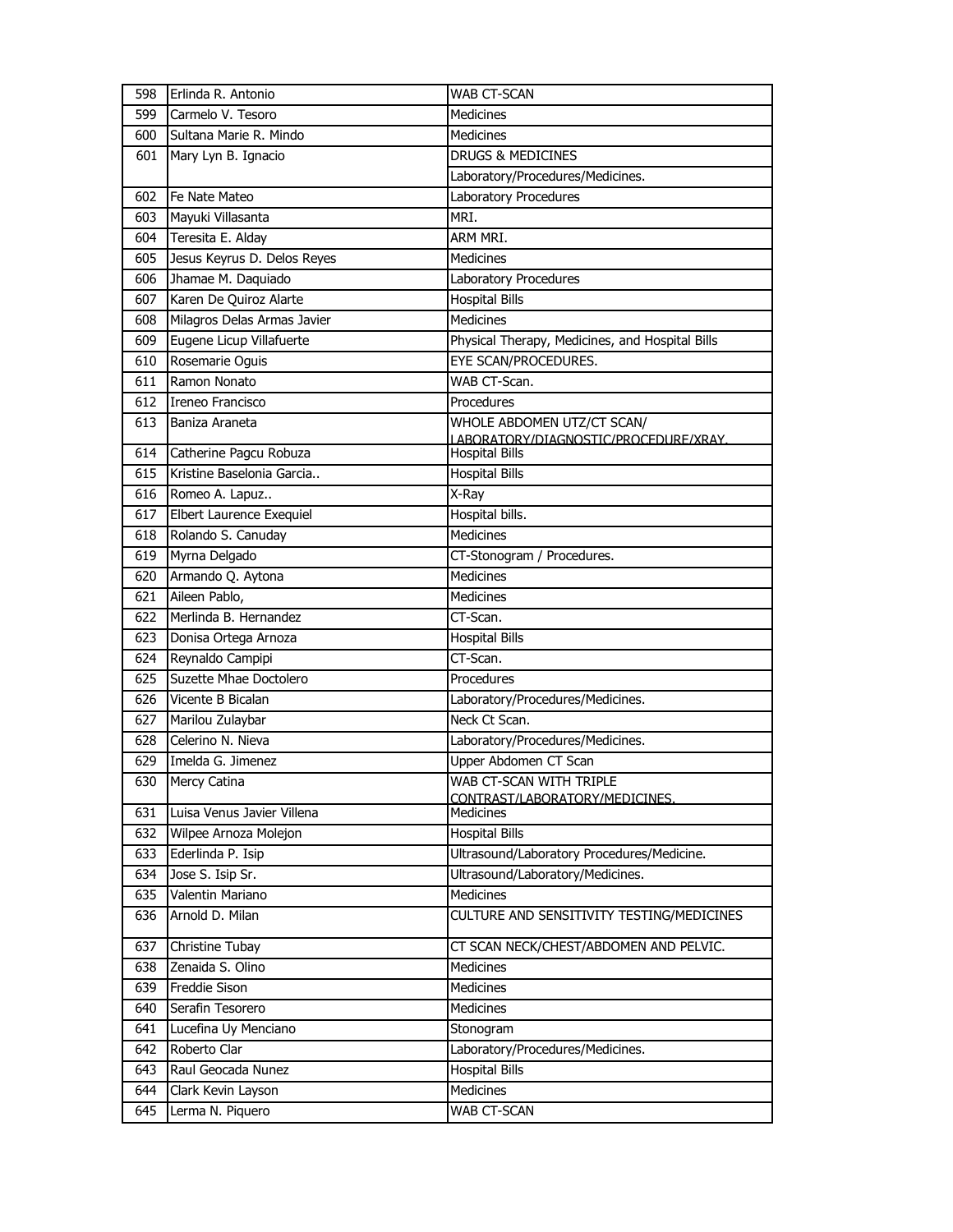| 598 | Erlinda R. Antonio          | WAB CT-SCAN                                     |
|-----|-----------------------------|-------------------------------------------------|
| 599 | Carmelo V. Tesoro           | <b>Medicines</b>                                |
| 600 | Sultana Marie R. Mindo      | <b>Medicines</b>                                |
| 601 | Mary Lyn B. Ignacio         | <b>DRUGS &amp; MEDICINES</b>                    |
|     |                             | Laboratory/Procedures/Medicines.                |
| 602 | Fe Nate Mateo               | Laboratory Procedures                           |
| 603 | Mayuki Villasanta           | MRI.                                            |
| 604 | Teresita E. Alday           | ARM MRI.                                        |
| 605 | Jesus Keyrus D. Delos Reyes | <b>Medicines</b>                                |
| 606 | Jhamae M. Daquiado          | Laboratory Procedures                           |
| 607 | Karen De Quiroz Alarte      | <b>Hospital Bills</b>                           |
| 608 | Milagros Delas Armas Javier | Medicines                                       |
| 609 | Eugene Licup Villafuerte    | Physical Therapy, Medicines, and Hospital Bills |
| 610 | Rosemarie Oguis             | EYE SCAN/PROCEDURES.                            |
| 611 | Ramon Nonato                | WAB CT-Scan.                                    |
| 612 | Ireneo Francisco            | Procedures                                      |
| 613 | Baniza Araneta              | WHOLE ABDOMEN UTZ/CT SCAN/                      |
|     |                             | LABORATORY/DIAGNOSTIC/PROCEDURE/XRAY.           |
| 614 | Catherine Pagcu Robuza      | <b>Hospital Bills</b>                           |
| 615 | Kristine Baselonia Garcia   | <b>Hospital Bills</b>                           |
| 616 | Romeo A. Lapuz              | X-Ray                                           |
| 617 | Elbert Laurence Exequiel    | Hospital bills.                                 |
| 618 | Rolando S. Canuday          | Medicines                                       |
| 619 | Myrna Delgado               | CT-Stonogram / Procedures.                      |
| 620 | Armando Q. Aytona           | Medicines                                       |
| 621 | Aileen Pablo,               | <b>Medicines</b>                                |
| 622 | Merlinda B. Hernandez       | CT-Scan.                                        |
| 623 | Donisa Ortega Arnoza        | <b>Hospital Bills</b>                           |
| 624 | Reynaldo Campipi            | CT-Scan.                                        |
| 625 | Suzette Mhae Doctolero      | Procedures                                      |
| 626 | Vicente B Bicalan           | Laboratory/Procedures/Medicines.                |
| 627 | Marilou Zulaybar            | Neck Ct Scan.                                   |
| 628 | Celerino N. Nieva           | Laboratory/Procedures/Medicines.                |
| 629 | Imelda G. Jimenez           | Upper Abdomen CT Scan                           |
| 630 | Mercy Catina                | WAB CT-SCAN WITH TRIPLE                         |
| 631 | Luisa Venus Javier Villena  | CONTRAST/LABORATORY/MEDICINES.<br>Medicines     |
| 632 | Wilpee Arnoza Molejon       | <b>Hospital Bills</b>                           |
| 633 | Ederlinda P. Isip           | Ultrasound/Laboratory Procedures/Medicine.      |
| 634 | Jose S. Isip Sr.            | Ultrasound/Laboratory/Medicines.                |
| 635 | Valentin Mariano            | Medicines                                       |
| 636 | Arnold D. Milan             | CULTURE AND SENSITIVITY TESTING/MEDICINES       |
| 637 | Christine Tubay             | CT SCAN NECK/CHEST/ABDOMEN AND PELVIC.          |
| 638 | Zenaida S. Olino            | <b>Medicines</b>                                |
| 639 | Freddie Sison               | Medicines                                       |
| 640 | Serafin Tesorero            | Medicines                                       |
| 641 | Lucefina Uy Menciano        | Stonogram                                       |
| 642 | Roberto Clar                | Laboratory/Procedures/Medicines.                |
| 643 | Raul Geocada Nunez          | <b>Hospital Bills</b>                           |
| 644 | Clark Kevin Layson          | Medicines                                       |
| 645 | Lerma N. Piquero            | WAB CT-SCAN                                     |
|     |                             |                                                 |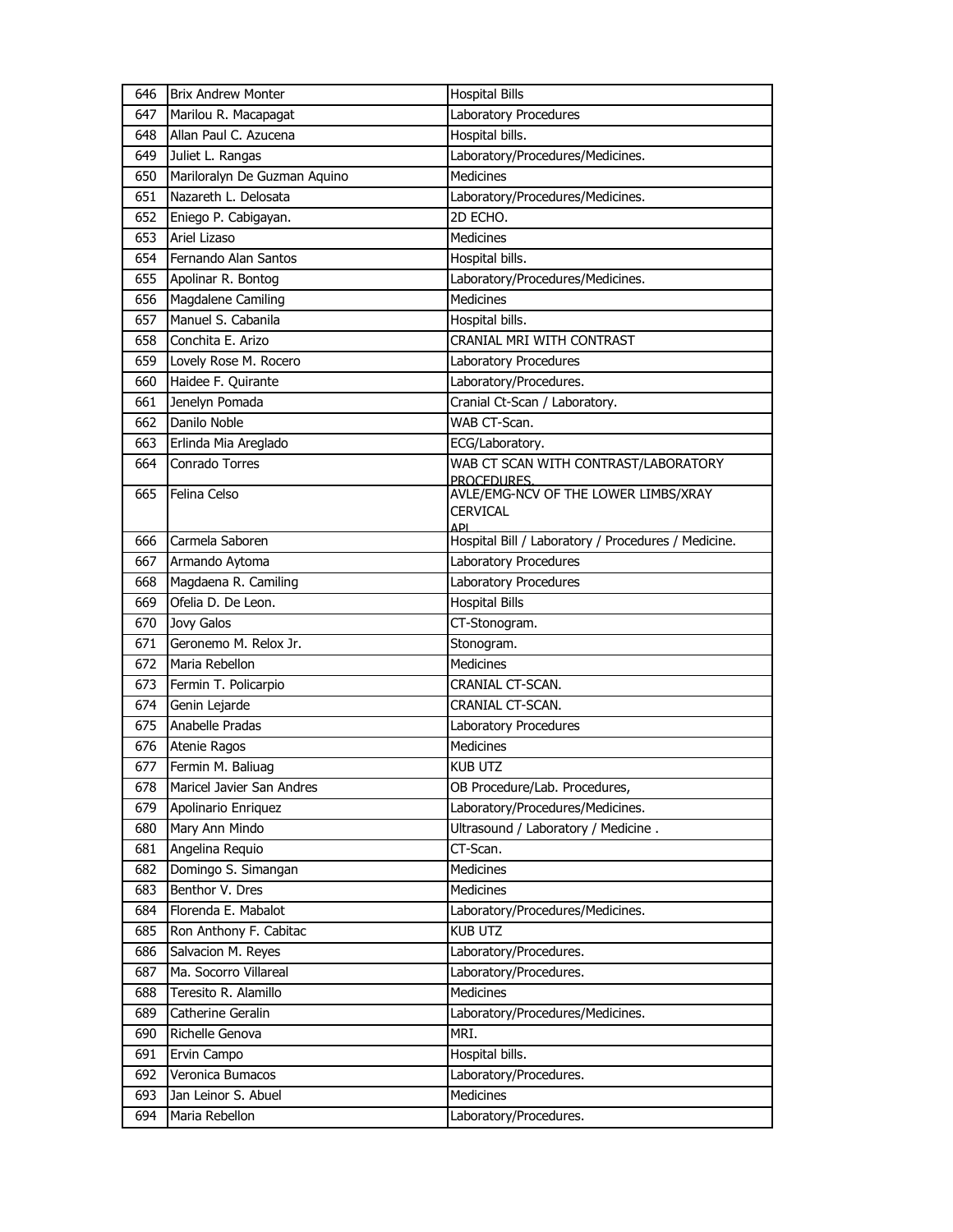| 646 | <b>Brix Andrew Monter</b>    | <b>Hospital Bills</b>                               |
|-----|------------------------------|-----------------------------------------------------|
| 647 | Marilou R. Macapagat         | Laboratory Procedures                               |
| 648 | Allan Paul C. Azucena        | Hospital bills.                                     |
| 649 | Juliet L. Rangas             | Laboratory/Procedures/Medicines.                    |
| 650 | Mariloralyn De Guzman Aquino | Medicines                                           |
| 651 | Nazareth L. Delosata         | Laboratory/Procedures/Medicines.                    |
| 652 | Eniego P. Cabigayan.         | 2D ECHO.                                            |
| 653 | Ariel Lizaso                 | <b>Medicines</b>                                    |
| 654 | Fernando Alan Santos         | Hospital bills.                                     |
| 655 | Apolinar R. Bontog           | Laboratory/Procedures/Medicines.                    |
| 656 | Magdalene Camiling           | <b>Medicines</b>                                    |
| 657 | Manuel S. Cabanila           | Hospital bills.                                     |
| 658 | Conchita E. Arizo            | CRANIAL MRI WITH CONTRAST                           |
| 659 | Lovely Rose M. Rocero        | Laboratory Procedures                               |
| 660 | Haidee F. Quirante           | Laboratory/Procedures.                              |
| 661 | Jenelyn Pomada               | Cranial Ct-Scan / Laboratory.                       |
| 662 | Danilo Noble                 | WAB CT-Scan.                                        |
| 663 | Erlinda Mia Areglado         | ECG/Laboratory.                                     |
| 664 | Conrado Torres               | WAB CT SCAN WITH CONTRAST/LABORATORY                |
| 665 | Felina Celso                 | PROCEDURES.<br>AVLE/EMG-NCV OF THE LOWER LIMBS/XRAY |
|     |                              | <b>CERVICAL</b>                                     |
|     |                              | ΔDΙ                                                 |
| 666 | Carmela Saboren              | Hospital Bill / Laboratory / Procedures / Medicine. |
| 667 | Armando Aytoma               | Laboratory Procedures                               |
| 668 | Magdaena R. Camiling         | Laboratory Procedures                               |
| 669 | Ofelia D. De Leon.           | <b>Hospital Bills</b>                               |
| 670 | Jovy Galos                   | CT-Stonogram.                                       |
| 671 | Geronemo M. Relox Jr.        | Stonogram.                                          |
| 672 | Maria Rebellon               | <b>Medicines</b>                                    |
| 673 | Fermin T. Policarpio         | CRANIAL CT-SCAN.                                    |
| 674 | Genin Lejarde                | CRANIAL CT-SCAN.                                    |
| 675 | Anabelle Pradas              | Laboratory Procedures                               |
| 676 | Atenie Ragos                 | <b>Medicines</b>                                    |
| 677 | Fermin M. Baliuag            | <b>KUB UTZ</b>                                      |
| 678 | Maricel Javier San Andres    | OB Procedure/Lab. Procedures,                       |
| 679 | Apolinario Enriquez          | Laboratory/Procedures/Medicines.                    |
| 680 | Mary Ann Mindo               | Ultrasound / Laboratory / Medicine.                 |
| 681 | Angelina Requio              | CT-Scan.                                            |
| 682 | Domingo S. Simangan          | Medicines                                           |
| 683 | Benthor V. Dres              | <b>Medicines</b>                                    |
| 684 | Florenda E. Mabalot          | Laboratory/Procedures/Medicines.                    |
| 685 | Ron Anthony F. Cabitac       | <b>KUB UTZ</b>                                      |
| 686 | Salvacion M. Reyes           | Laboratory/Procedures.                              |
| 687 | Ma. Socorro Villareal        | Laboratory/Procedures.                              |
| 688 | Teresito R. Alamillo         | Medicines                                           |
| 689 | Catherine Geralin            | Laboratory/Procedures/Medicines.                    |
| 690 | Richelle Genova              | MRI.                                                |
| 691 | Ervin Campo                  | Hospital bills.                                     |
| 692 | Veronica Bumacos             | Laboratory/Procedures.                              |
| 693 | Jan Leinor S. Abuel          | <b>Medicines</b>                                    |
| 694 | Maria Rebellon               | Laboratory/Procedures.                              |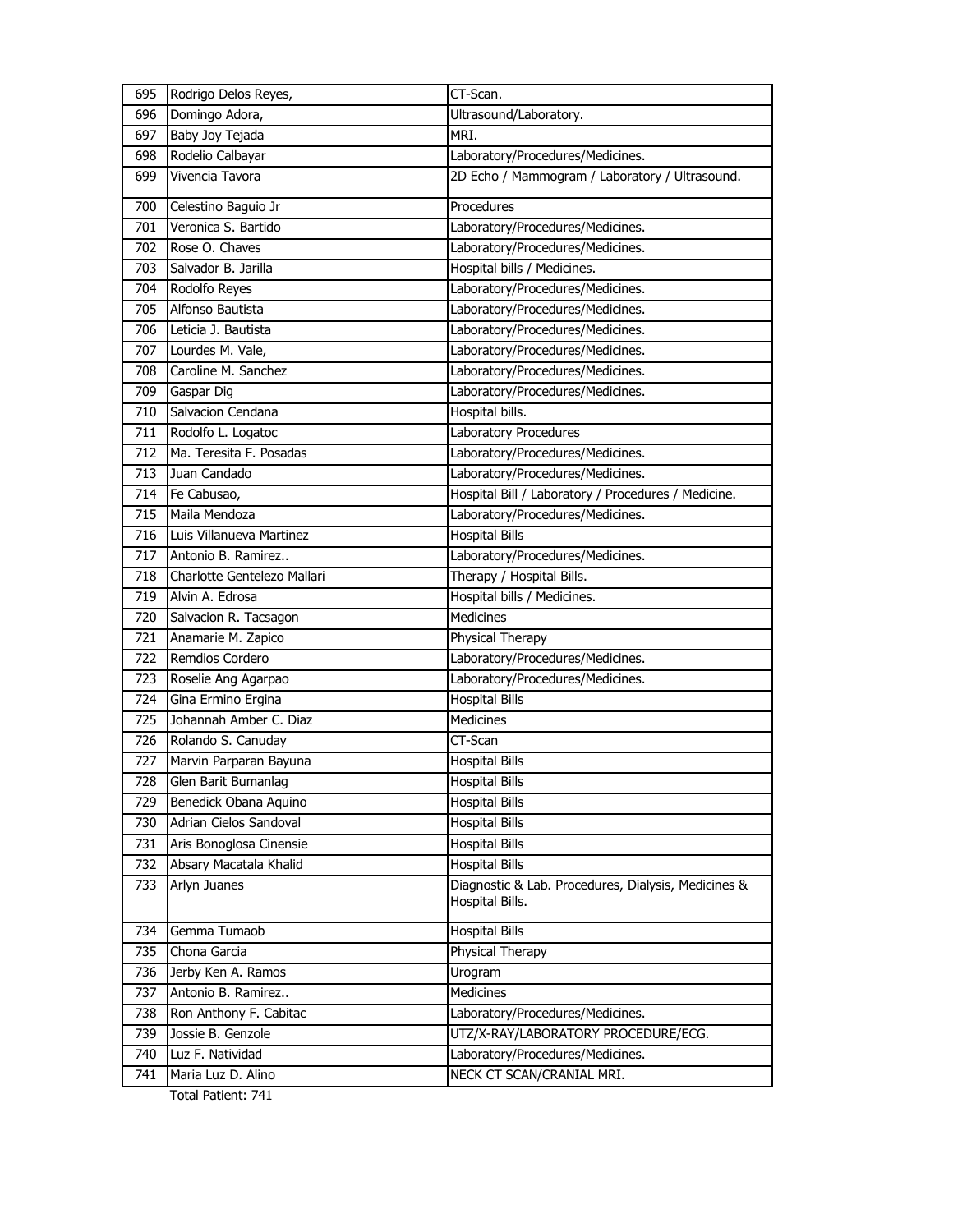| 695 | Rodrigo Delos Reyes,        | CT-Scan.                                                               |
|-----|-----------------------------|------------------------------------------------------------------------|
| 696 | Domingo Adora,              | Ultrasound/Laboratory.                                                 |
| 697 | Baby Joy Tejada             | MRI.                                                                   |
| 698 | Rodelio Calbayar            | Laboratory/Procedures/Medicines.                                       |
| 699 | Vivencia Tavora             | 2D Echo / Mammogram / Laboratory / Ultrasound.                         |
| 700 | Celestino Baguio Jr         | Procedures                                                             |
| 701 | Veronica S. Bartido         | Laboratory/Procedures/Medicines.                                       |
| 702 | Rose O. Chaves              | Laboratory/Procedures/Medicines.                                       |
| 703 | Salvador B. Jarilla         | Hospital bills / Medicines.                                            |
| 704 | Rodolfo Reyes               | Laboratory/Procedures/Medicines.                                       |
| 705 | Alfonso Bautista            | Laboratory/Procedures/Medicines.                                       |
| 706 | Leticia J. Bautista         | Laboratory/Procedures/Medicines.                                       |
| 707 | Lourdes M. Vale,            | Laboratory/Procedures/Medicines.                                       |
| 708 | Caroline M. Sanchez         | Laboratory/Procedures/Medicines.                                       |
| 709 | Gaspar Dig                  | Laboratory/Procedures/Medicines.                                       |
| 710 | Salvacion Cendana           | Hospital bills.                                                        |
| 711 | Rodolfo L. Logatoc          | Laboratory Procedures                                                  |
| 712 | Ma. Teresita F. Posadas     | Laboratory/Procedures/Medicines.                                       |
| 713 | Juan Candado                | Laboratory/Procedures/Medicines.                                       |
| 714 | Fe Cabusao,                 | Hospital Bill / Laboratory / Procedures / Medicine.                    |
| 715 | Maila Mendoza               | Laboratory/Procedures/Medicines.                                       |
| 716 | Luis Villanueva Martinez    | <b>Hospital Bills</b>                                                  |
| 717 | Antonio B. Ramirez          | Laboratory/Procedures/Medicines.                                       |
| 718 | Charlotte Gentelezo Mallari | Therapy / Hospital Bills.                                              |
| 719 | Alvin A. Edrosa             | Hospital bills / Medicines.                                            |
| 720 | Salvacion R. Tacsagon       | <b>Medicines</b>                                                       |
| 721 | Anamarie M. Zapico          | Physical Therapy                                                       |
| 722 | Remdios Cordero             | Laboratory/Procedures/Medicines.                                       |
| 723 | Roselie Ang Agarpao         | Laboratory/Procedures/Medicines.                                       |
| 724 | Gina Ermino Ergina          | <b>Hospital Bills</b>                                                  |
| 725 | Johannah Amber C. Diaz      | Medicines                                                              |
| 726 | Rolando S. Canuday          | CT-Scan                                                                |
| 727 | Marvin Parparan Bayuna      | <b>Hospital Bills</b>                                                  |
| 728 | Glen Barit Bumanlag         | <b>Hospital Bills</b>                                                  |
| 729 |                             |                                                                        |
|     | Benedick Obana Aquino       | <b>Hospital Bills</b>                                                  |
| 730 | Adrian Cielos Sandoval      | Hospital Bills                                                         |
| 731 | Aris Bonoglosa Cinensie     | <b>Hospital Bills</b>                                                  |
| 732 | Absary Macatala Khalid      | <b>Hospital Bills</b>                                                  |
| 733 | Arlyn Juanes                | Diagnostic & Lab. Procedures, Dialysis, Medicines &<br>Hospital Bills. |
| 734 | Gemma Tumaob                | <b>Hospital Bills</b>                                                  |
| 735 | Chona Garcia                | Physical Therapy                                                       |
| 736 | Jerby Ken A. Ramos          | Urogram                                                                |
| 737 | Antonio B. Ramirez          | Medicines                                                              |
| 738 | Ron Anthony F. Cabitac      | Laboratory/Procedures/Medicines.                                       |
| 739 | Jossie B. Genzole           | UTZ/X-RAY/LABORATORY PROCEDURE/ECG.                                    |
| 740 | Luz F. Natividad            | Laboratory/Procedures/Medicines.                                       |
| 741 | Maria Luz D. Alino          | NECK CT SCAN/CRANIAL MRI.                                              |

Total Patient: 741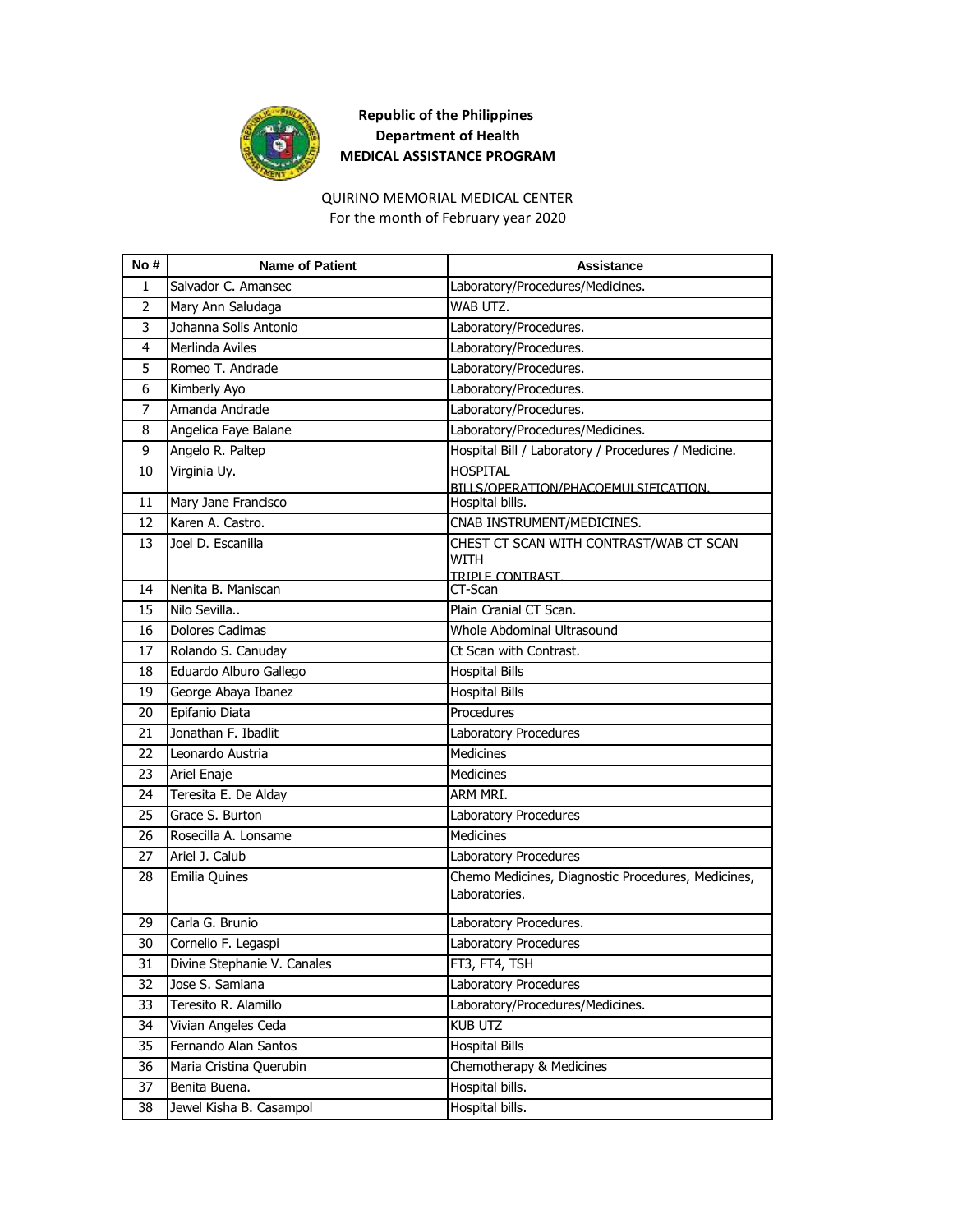

## **Republic of the Philippines Department of Health MEDICAL ASSISTANCE PROGRAM**

## For the month of February year 2020 QUIRINO MEMORIAL MEDICAL CENTER

| No#            | <b>Name of Patient</b>      | Assistance                                                                |
|----------------|-----------------------------|---------------------------------------------------------------------------|
| 1              | Salvador C. Amansec         | Laboratory/Procedures/Medicines.                                          |
| $\overline{2}$ | Mary Ann Saludaga           | WAB UTZ.                                                                  |
| 3              | Johanna Solis Antonio       | Laboratory/Procedures.                                                    |
| 4              | Merlinda Aviles             | Laboratory/Procedures.                                                    |
| 5              | Romeo T. Andrade            | Laboratory/Procedures.                                                    |
| 6              | Kimberly Ayo                | Laboratory/Procedures.                                                    |
| $\overline{7}$ | Amanda Andrade              | Laboratory/Procedures.                                                    |
| 8              | Angelica Faye Balane        | Laboratory/Procedures/Medicines.                                          |
| 9              | Angelo R. Paltep            | Hospital Bill / Laboratory / Procedures / Medicine.                       |
| 10             | Virginia Uy.                | <b>HOSPITAL</b><br>BILLS/OPERATION/PHACOEMULSIFICATION.                   |
| 11             | Mary Jane Francisco         | Hospital bills.                                                           |
| 12             | Karen A. Castro.            | CNAB INSTRUMENT/MEDICINES.                                                |
| 13             | Joel D. Escanilla           | CHEST CT SCAN WITH CONTRAST/WAB CT SCAN<br><b>WITH</b><br>TRIPLE CONTRAST |
| 14             | Nenita B. Maniscan          | CT-Scan                                                                   |
| 15             | Nilo Sevilla                | Plain Cranial CT Scan.                                                    |
| 16             | <b>Dolores Cadimas</b>      | Whole Abdominal Ultrasound                                                |
| 17             | Rolando S. Canuday          | Ct Scan with Contrast.                                                    |
| 18             | Eduardo Alburo Gallego      | <b>Hospital Bills</b>                                                     |
| 19             | George Abaya Ibanez         | <b>Hospital Bills</b>                                                     |
| 20             | Epifanio Diata              | Procedures                                                                |
| 21             | Jonathan F. Ibadlit         | Laboratory Procedures                                                     |
| 22             | Leonardo Austria            | <b>Medicines</b>                                                          |
| 23             | Ariel Enaje                 | <b>Medicines</b>                                                          |
| 24             | Teresita E. De Alday        | ARM MRI.                                                                  |
| 25             | Grace S. Burton             | Laboratory Procedures                                                     |
| 26             | Rosecilla A. Lonsame        | Medicines                                                                 |
| 27             | Ariel J. Calub              | Laboratory Procedures                                                     |
| 28             | Emilia Quines               | Chemo Medicines, Diagnostic Procedures, Medicines,<br>Laboratories.       |
| 29             | Carla G. Brunio             | Laboratory Procedures.                                                    |
| 30             | Cornelio F. Legaspi         | Laboratory Procedures                                                     |
| 31             | Divine Stephanie V. Canales | FT3, FT4, TSH                                                             |
| 32             | Jose S. Samiana             | Laboratory Procedures                                                     |
| 33             | Teresito R. Alamillo        | Laboratory/Procedures/Medicines.                                          |
| 34             | Vivian Angeles Ceda         | <b>KUB UTZ</b>                                                            |
| 35             | Fernando Alan Santos        | <b>Hospital Bills</b>                                                     |
| 36             | Maria Cristina Querubin     | Chemotherapy & Medicines                                                  |
| 37             | Benita Buena.               | Hospital bills.                                                           |
| 38             | Jewel Kisha B. Casampol     | Hospital bills.                                                           |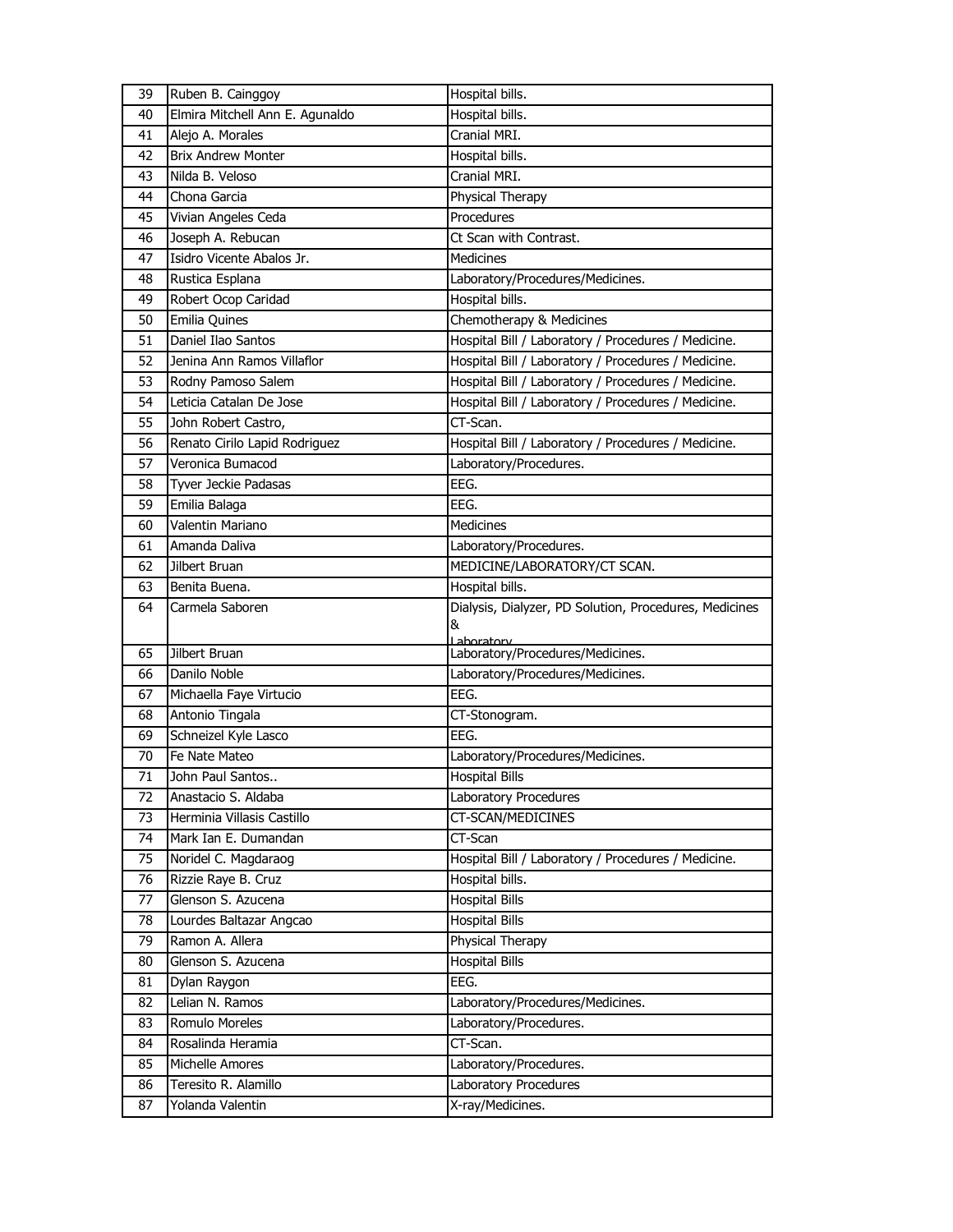| 39       | Ruben B. Cainggoy                                  | Hospital bills.                                        |
|----------|----------------------------------------------------|--------------------------------------------------------|
| 40       | Elmira Mitchell Ann E. Agunaldo                    | Hospital bills.                                        |
| 41       | Alejo A. Morales                                   | Cranial MRI.                                           |
| 42       | <b>Brix Andrew Monter</b>                          | Hospital bills.                                        |
| 43       | Nilda B. Veloso                                    | Cranial MRI.                                           |
| 44       | Chona Garcia                                       | Physical Therapy                                       |
| 45       | Vivian Angeles Ceda                                | Procedures                                             |
| 46       | Joseph A. Rebucan                                  | Ct Scan with Contrast.                                 |
| 47       | Isidro Vicente Abalos Jr.                          | <b>Medicines</b>                                       |
| 48       | Rustica Esplana                                    | Laboratory/Procedures/Medicines.                       |
| 49       | Robert Ocop Caridad                                | Hospital bills.                                        |
| 50       | Emilia Quines                                      | Chemotherapy & Medicines                               |
| 51       | Daniel Ilao Santos                                 | Hospital Bill / Laboratory / Procedures / Medicine.    |
| 52       | Jenina Ann Ramos Villaflor                         | Hospital Bill / Laboratory / Procedures / Medicine.    |
| 53       | Rodny Pamoso Salem                                 | Hospital Bill / Laboratory / Procedures / Medicine.    |
| 54       | Leticia Catalan De Jose                            | Hospital Bill / Laboratory / Procedures / Medicine.    |
| 55       | John Robert Castro,                                | CT-Scan.                                               |
| 56       | Renato Cirilo Lapid Rodriguez                      | Hospital Bill / Laboratory / Procedures / Medicine.    |
| 57       | Veronica Bumacod                                   | Laboratory/Procedures.                                 |
| 58       | Tyver Jeckie Padasas                               | EEG.                                                   |
| 59       | Emilia Balaga                                      | EEG.                                                   |
| 60       | Valentin Mariano                                   | <b>Medicines</b>                                       |
| 61       | Amanda Daliva                                      | Laboratory/Procedures.                                 |
| 62       | Jilbert Bruan                                      | MEDICINE/LABORATORY/CT SCAN.                           |
| 63       | Benita Buena.                                      | Hospital bills.                                        |
|          | Carmela Saboren                                    | Dialysis, Dialyzer, PD Solution, Procedures, Medicines |
| 64       |                                                    |                                                        |
|          |                                                    | &                                                      |
|          |                                                    | Laboratory                                             |
| 65       | Jilbert Bruan                                      | Laboratory/Procedures/Medicines.                       |
| 66       | Danilo Noble                                       | Laboratory/Procedures/Medicines.                       |
| 67       | Michaella Faye Virtucio                            | EEG.                                                   |
| 68       | Antonio Tingala                                    | CT-Stonogram.<br>EEG.                                  |
| 69       | Schneizel Kyle Lasco                               |                                                        |
| 70       | Fe Nate Mateo<br>John Paul Santos                  | Laboratory/Procedures/Medicines.                       |
| 71       |                                                    | <b>Hospital Bills</b>                                  |
| 72<br>73 | Anastacio S. Aldaba                                | Laboratory Procedures                                  |
| 74       | Herminia Villasis Castillo<br>Mark Ian E. Dumandan | CT-SCAN/MEDICINES<br>CT-Scan                           |
| 75       |                                                    | Hospital Bill / Laboratory / Procedures / Medicine.    |
| 76       | Noridel C. Magdaraog                               | Hospital bills.                                        |
|          | Rizzie Raye B. Cruz<br>Glenson S. Azucena          |                                                        |
| 77<br>78 |                                                    | <b>Hospital Bills</b><br><b>Hospital Bills</b>         |
|          | Lourdes Baltazar Angcao                            |                                                        |
| 79<br>80 | Ramon A. Allera                                    | Physical Therapy<br><b>Hospital Bills</b>              |
| 81       | Glenson S. Azucena                                 | EEG.                                                   |
|          | Dylan Raygon<br>Lelian N. Ramos                    |                                                        |
| 82       | Romulo Moreles                                     | Laboratory/Procedures/Medicines.                       |
| 83<br>84 |                                                    | Laboratory/Procedures.                                 |
| 85       | Rosalinda Heramia                                  | CT-Scan.                                               |
| 86       | Michelle Amores<br>Teresito R. Alamillo            | Laboratory/Procedures.<br>Laboratory Procedures        |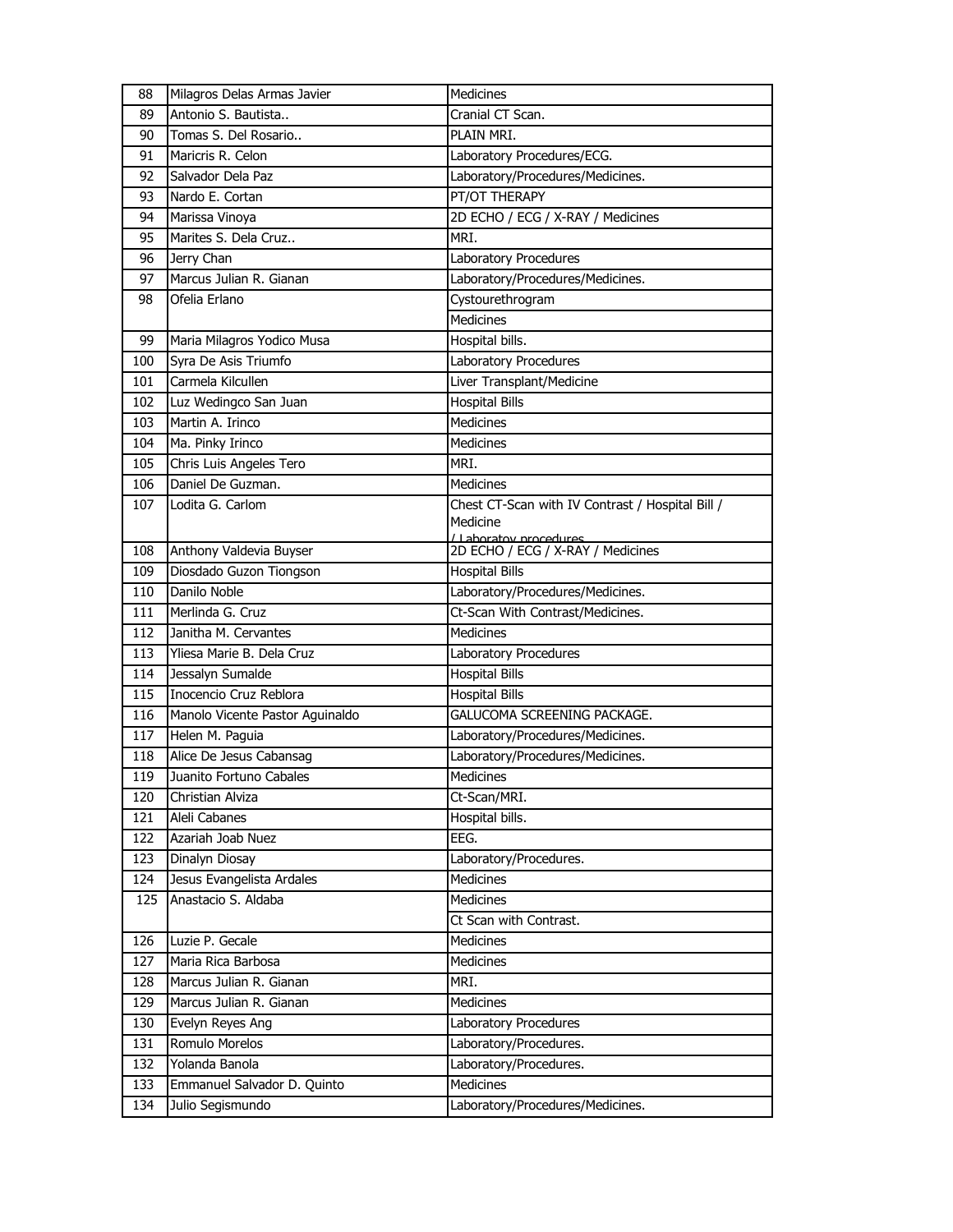| 88  | Milagros Delas Armas Javier     | Medicines                                                   |
|-----|---------------------------------|-------------------------------------------------------------|
| 89  | Antonio S. Bautista             | Cranial CT Scan.                                            |
| 90  | Tomas S. Del Rosario            | PLAIN MRI.                                                  |
| 91  | Maricris R. Celon               | Laboratory Procedures/ECG.                                  |
| 92  | Salvador Dela Paz               | Laboratory/Procedures/Medicines.                            |
| 93  | Nardo E. Cortan                 | PT/OT THERAPY                                               |
| 94  | Marissa Vinoya                  | 2D ECHO / ECG / X-RAY / Medicines                           |
| 95  | Marites S. Dela Cruz            | MRI.                                                        |
| 96  | Jerry Chan                      | Laboratory Procedures                                       |
| 97  | Marcus Julian R. Gianan         | Laboratory/Procedures/Medicines.                            |
| 98  | Ofelia Erlano                   | Cystourethrogram                                            |
|     |                                 | <b>Medicines</b>                                            |
| 99  | Maria Milagros Yodico Musa      | Hospital bills.                                             |
| 100 | Syra De Asis Triumfo            | Laboratory Procedures                                       |
| 101 | Carmela Kilcullen               | Liver Transplant/Medicine                                   |
| 102 | Luz Wedingco San Juan           | <b>Hospital Bills</b>                                       |
| 103 | Martin A. Irinco                | <b>Medicines</b>                                            |
| 104 | Ma. Pinky Irinco                | Medicines                                                   |
| 105 | Chris Luis Angeles Tero         | MRI.                                                        |
| 106 | Daniel De Guzman.               | <b>Medicines</b>                                            |
| 107 | Lodita G. Carlom                | Chest CT-Scan with IV Contrast / Hospital Bill /            |
|     |                                 | Medicine                                                    |
| 108 | Anthony Valdevia Buyser         | / Laboratov procedures<br>2D ECHO / ECG / X-RAY / Medicines |
| 109 | Diosdado Guzon Tiongson         | <b>Hospital Bills</b>                                       |
| 110 | Danilo Noble                    | Laboratory/Procedures/Medicines.                            |
| 111 | Merlinda G. Cruz                | Ct-Scan With Contrast/Medicines.                            |
| 112 | Janitha M. Cervantes            | Medicines                                                   |
| 113 | Yliesa Marie B. Dela Cruz       | Laboratory Procedures                                       |
| 114 | Jessalyn Sumalde                | <b>Hospital Bills</b>                                       |
| 115 | Inocencio Cruz Reblora          | <b>Hospital Bills</b>                                       |
| 116 | Manolo Vicente Pastor Aguinaldo | GALUCOMA SCREENING PACKAGE.                                 |
| 117 | Helen M. Paguia                 | Laboratory/Procedures/Medicines.                            |
| 118 | Alice De Jesus Cabansag         | Laboratory/Procedures/Medicines.                            |
| 119 | Juanito Fortuno Cabales         | Medicines                                                   |
| 120 | Christian Alviza                | Ct-Scan/MRI.                                                |
| 121 | Aleli Cabanes                   | Hospital bills.                                             |
| 122 | Azariah Joab Nuez               | EEG.                                                        |
| 123 | Dinalyn Diosay                  | Laboratory/Procedures.                                      |
| 124 | Jesus Evangelista Ardales       | Medicines                                                   |
| 125 | Anastacio S. Aldaba             | Medicines                                                   |
|     |                                 | Ct Scan with Contrast.                                      |
| 126 | Luzie P. Gecale                 | Medicines                                                   |
| 127 | Maria Rica Barbosa              | Medicines                                                   |
| 128 | Marcus Julian R. Gianan         | MRI.                                                        |
| 129 | Marcus Julian R. Gianan         | Medicines                                                   |
| 130 | Evelyn Reyes Ang                | Laboratory Procedures                                       |
| 131 | Romulo Morelos                  | Laboratory/Procedures.                                      |
| 132 | Yolanda Banola                  | Laboratory/Procedures.                                      |
| 133 | Emmanuel Salvador D. Quinto     | Medicines                                                   |
| 134 | Julio Segismundo                | Laboratory/Procedures/Medicines.                            |
|     |                                 |                                                             |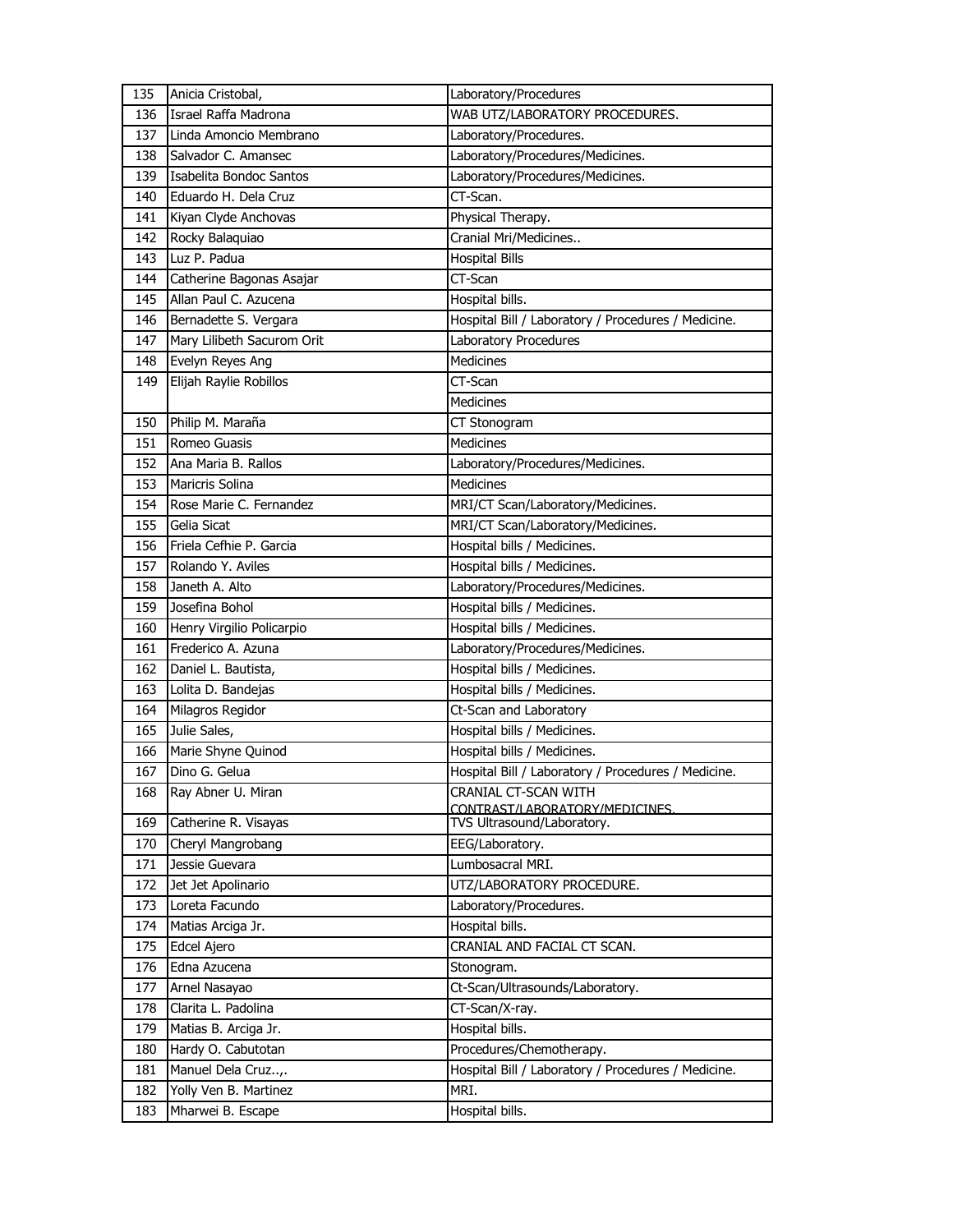| 135 | Anicia Cristobal,                   | Laboratory/Procedures                               |
|-----|-------------------------------------|-----------------------------------------------------|
| 136 | Israel Raffa Madrona                | WAB UTZ/LABORATORY PROCEDURES.                      |
| 137 | Linda Amoncio Membrano              | Laboratory/Procedures.                              |
| 138 | Salvador C. Amansec                 | Laboratory/Procedures/Medicines.                    |
| 139 | Isabelita Bondoc Santos             | Laboratory/Procedures/Medicines.                    |
| 140 | Eduardo H. Dela Cruz                | CT-Scan.                                            |
| 141 | Kiyan Clyde Anchovas                | Physical Therapy.                                   |
| 142 | Rocky Balaquiao                     | Cranial Mri/Medicines                               |
| 143 | Luz P. Padua                        | <b>Hospital Bills</b>                               |
| 144 | Catherine Bagonas Asajar            | CT-Scan                                             |
| 145 | Allan Paul C. Azucena               | Hospital bills.                                     |
| 146 | Bernadette S. Vergara               | Hospital Bill / Laboratory / Procedures / Medicine. |
| 147 | Mary Lilibeth Sacurom Orit          | Laboratory Procedures                               |
| 148 | Evelyn Reyes Ang                    | <b>Medicines</b>                                    |
| 149 | Elijah Raylie Robillos              | CT-Scan                                             |
|     |                                     | Medicines                                           |
| 150 | Philip M. Maraña                    | CT Stonogram                                        |
| 151 | Romeo Guasis                        | Medicines                                           |
| 152 | Ana Maria B. Rallos                 | Laboratory/Procedures/Medicines.                    |
| 153 | Maricris Solina                     | Medicines                                           |
| 154 | Rose Marie C. Fernandez             | MRI/CT Scan/Laboratory/Medicines.                   |
| 155 | Gelia Sicat                         | MRI/CT Scan/Laboratory/Medicines.                   |
| 156 | Friela Cefhie P. Garcia             | Hospital bills / Medicines.                         |
| 157 | Rolando Y. Aviles                   | Hospital bills / Medicines.                         |
| 158 | Janeth A. Alto                      | Laboratory/Procedures/Medicines.                    |
| 159 | Josefina Bohol                      | Hospital bills / Medicines.                         |
| 160 | Henry Virgilio Policarpio           | Hospital bills / Medicines.                         |
| 161 | Frederico A. Azuna                  | Laboratory/Procedures/Medicines.                    |
| 162 | Daniel L. Bautista,                 | Hospital bills / Medicines.                         |
| 163 | Lolita D. Bandejas                  | Hospital bills / Medicines.                         |
| 164 | Milagros Regidor                    | Ct-Scan and Laboratory                              |
| 165 | Julie Sales,                        | Hospital bills / Medicines.                         |
| 166 | Marie Shyne Quinod                  | Hospital bills / Medicines.                         |
| 167 | Dino G. Gelua                       | Hospital Bill / Laboratory / Procedures / Medicine. |
| 168 | Ray Abner U. Miran                  | CRANIAL CT-SCAN WITH                                |
|     |                                     | CONTRAST/LABORATORY/MEDICINES.                      |
| 169 | Catherine R. Visayas                | TVS Ultrasound/Laboratory.                          |
| 170 | Cheryl Mangrobang<br>Jessie Guevara | EEG/Laboratory.<br>Lumbosacral MRI.                 |
| 171 |                                     |                                                     |
| 172 | Jet Jet Apolinario                  | UTZ/LABORATORY PROCEDURE.                           |
| 173 | Loreta Facundo                      | Laboratory/Procedures.                              |
| 174 | Matias Arciga Jr.                   | Hospital bills.                                     |
| 175 | Edcel Ajero                         | CRANIAL AND FACIAL CT SCAN.                         |
| 176 | Edna Azucena                        | Stonogram.                                          |
| 177 | Arnel Nasayao                       | Ct-Scan/Ultrasounds/Laboratory.                     |
| 178 | Clarita L. Padolina                 | CT-Scan/X-ray.                                      |
| 179 | Matias B. Arciga Jr.                | Hospital bills.                                     |
| 180 | Hardy O. Cabutotan                  | Procedures/Chemotherapy.                            |
| 181 | Manuel Dela Cruz,.                  | Hospital Bill / Laboratory / Procedures / Medicine. |
| 182 | Yolly Ven B. Martinez               | MRI.                                                |
| 183 | Mharwei B. Escape                   | Hospital bills.                                     |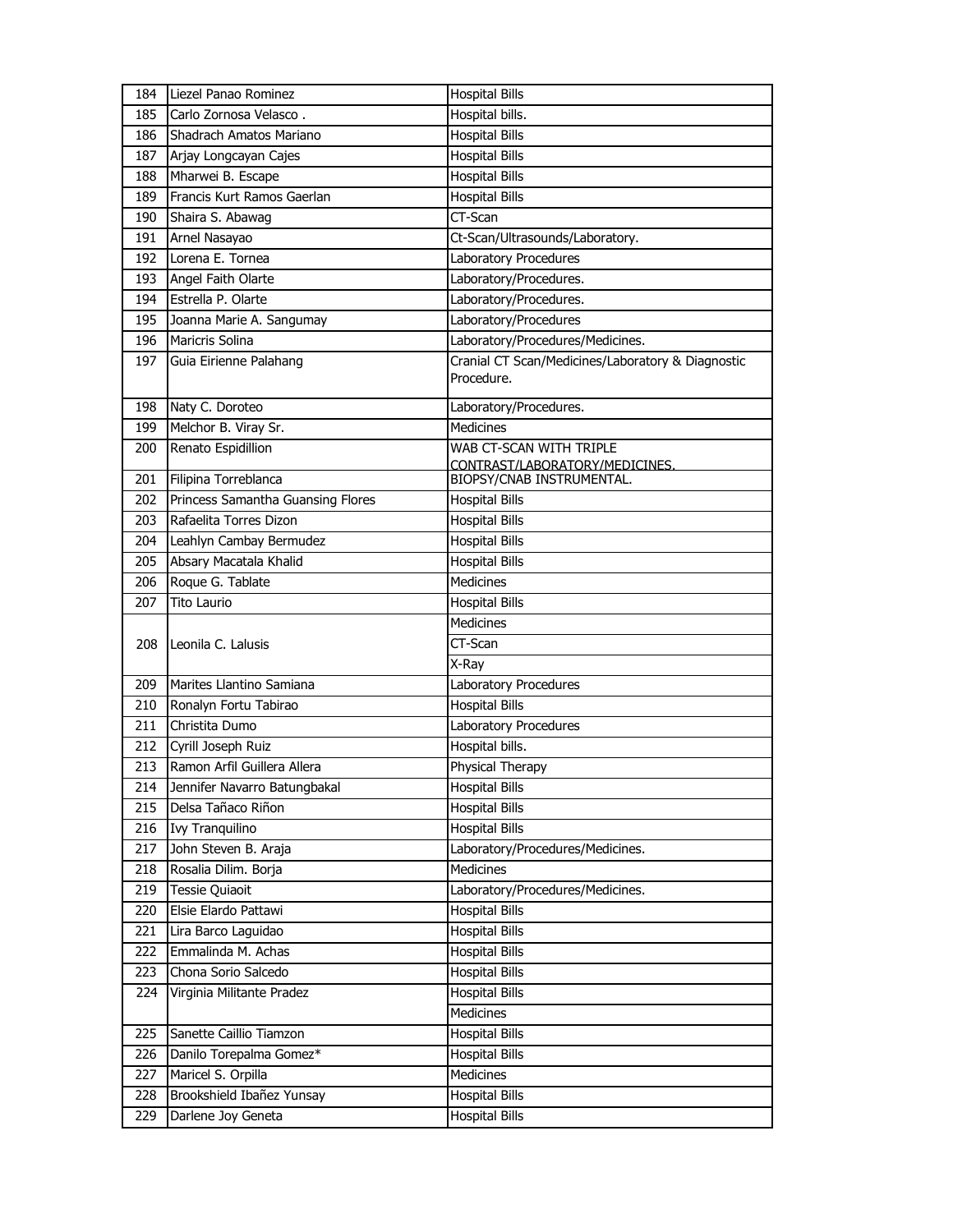| 184        | Liezel Panao Rominez              | <b>Hospital Bills</b>                              |
|------------|-----------------------------------|----------------------------------------------------|
| 185        | Carlo Zornosa Velasco.            | Hospital bills.                                    |
| 186        | Shadrach Amatos Mariano           | <b>Hospital Bills</b>                              |
| 187        | Arjay Longcayan Cajes             | <b>Hospital Bills</b>                              |
| 188        | Mharwei B. Escape                 | <b>Hospital Bills</b>                              |
| 189        | Francis Kurt Ramos Gaerlan        | <b>Hospital Bills</b>                              |
| 190        | Shaira S. Abawag                  | CT-Scan                                            |
| 191        | Arnel Nasayao                     | Ct-Scan/Ultrasounds/Laboratory.                    |
| 192        | Lorena E. Tornea                  | Laboratory Procedures                              |
| 193        | Angel Faith Olarte                | Laboratory/Procedures.                             |
| 194        | Estrella P. Olarte                | Laboratory/Procedures.                             |
| 195        | Joanna Marie A. Sangumay          | Laboratory/Procedures                              |
| 196        | <b>Maricris Solina</b>            | Laboratory/Procedures/Medicines.                   |
| 197        | Guia Eirienne Palahang            | Cranial CT Scan/Medicines/Laboratory & Diagnostic  |
|            |                                   | Procedure.                                         |
| 198        | Naty C. Doroteo                   | Laboratory/Procedures.                             |
| 199        | Melchor B. Viray Sr.              | Medicines                                          |
| 200        | Renato Espidillion                | WAB CT-SCAN WITH TRIPLE                            |
|            | Filipina Torreblanca              | CONTRAST/LABORATORY/MEDICINES.                     |
| 201<br>202 | Princess Samantha Guansing Flores | BIOPSY/CNAB INSTRUMENTAL.<br><b>Hospital Bills</b> |
| 203        | Rafaelita Torres Dizon            | <b>Hospital Bills</b>                              |
| 204        | Leahlyn Cambay Bermudez           | <b>Hospital Bills</b>                              |
| 205        | Absary Macatala Khalid            | <b>Hospital Bills</b>                              |
| 206        | Roque G. Tablate                  | Medicines                                          |
| 207        | <b>Tito Laurio</b>                | <b>Hospital Bills</b>                              |
|            |                                   | <b>Medicines</b>                                   |
| 208        | Leonila C. Lalusis                | CT-Scan                                            |
|            |                                   | X-Ray                                              |
| 209        | Marites Llantino Samiana          | Laboratory Procedures                              |
| 210        | Ronalyn Fortu Tabirao             | <b>Hospital Bills</b>                              |
| 211        | Christita Dumo                    | Laboratory Procedures                              |
| 212        | Cyrill Joseph Ruiz                | Hospital bills.                                    |
| 213        | Ramon Arfil Guillera Allera       | Physical Therapy                                   |
| 214        | Jennifer Navarro Batungbakal      | <b>Hospital Bills</b>                              |
| 215        | Delsa Tañaco Riñon                | <b>Hospital Bills</b>                              |
| 216        | Ivy Tranquilino                   | <b>Hospital Bills</b>                              |
| 217        | John Steven B. Araja              | Laboratory/Procedures/Medicines.                   |
| 218        | Rosalia Dilim. Borja              | <b>Medicines</b>                                   |
| 219        | Tessie Quiaoit                    | Laboratory/Procedures/Medicines.                   |
| 220        | Elsie Elardo Pattawi              | <b>Hospital Bills</b>                              |
| 221        | Lira Barco Laguidao               | <b>Hospital Bills</b>                              |
| 222        | Emmalinda M. Achas                | <b>Hospital Bills</b>                              |
| 223        | Chona Sorio Salcedo               | <b>Hospital Bills</b>                              |
| 224        | Virginia Militante Pradez         | <b>Hospital Bills</b>                              |
|            |                                   | Medicines                                          |
| 225        | Sanette Caillio Tiamzon           | <b>Hospital Bills</b>                              |
| 226        | Danilo Torepalma Gomez*           | <b>Hospital Bills</b>                              |
| 227        | Maricel S. Orpilla                | Medicines                                          |
| 228        | Brookshield Ibañez Yunsay         | <b>Hospital Bills</b>                              |
| 229        | Darlene Joy Geneta                | <b>Hospital Bills</b>                              |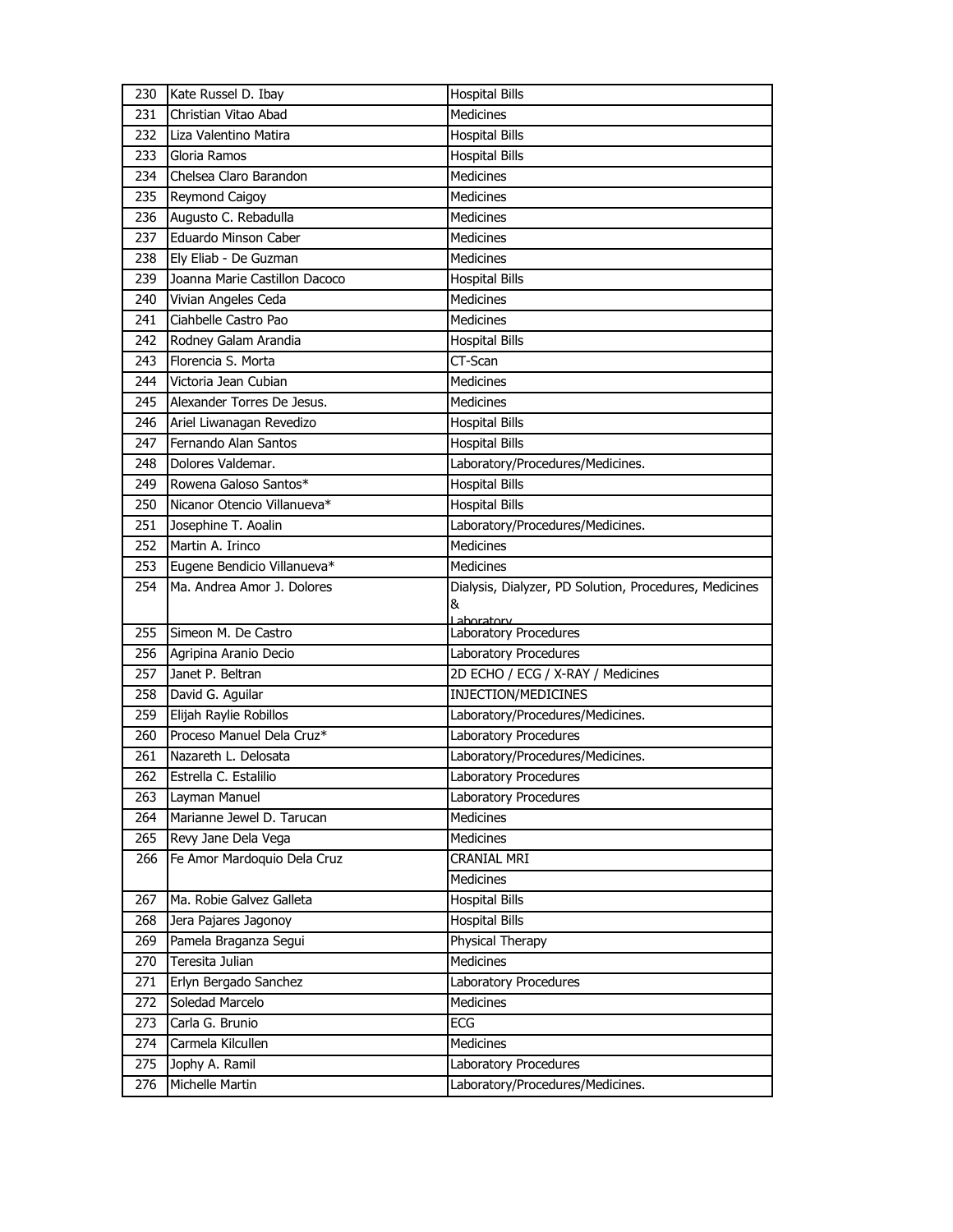| 230        | Kate Russel D. Ibay               | <b>Hospital Bills</b>                                     |
|------------|-----------------------------------|-----------------------------------------------------------|
| 231        | Christian Vitao Abad              | Medicines                                                 |
| 232        | Liza Valentino Matira             | <b>Hospital Bills</b>                                     |
| 233        | Gloria Ramos                      | <b>Hospital Bills</b>                                     |
| 234        | Chelsea Claro Barandon            | Medicines                                                 |
| 235        | Reymond Caigoy                    | <b>Medicines</b>                                          |
| 236        | Augusto C. Rebadulla              | <b>Medicines</b>                                          |
| 237        | Eduardo Minson Caber              | <b>Medicines</b>                                          |
| 238        | Ely Eliab - De Guzman             | <b>Medicines</b>                                          |
| 239        | Joanna Marie Castillon Dacoco     | <b>Hospital Bills</b>                                     |
| 240        | Vivian Angeles Ceda               | <b>Medicines</b>                                          |
| 241        | Ciahbelle Castro Pao              | <b>Medicines</b>                                          |
| 242        | Rodney Galam Arandia              | <b>Hospital Bills</b>                                     |
| 243        | Florencia S. Morta                | CT-Scan                                                   |
| 244        | Victoria Jean Cubian              | <b>Medicines</b>                                          |
| 245        | Alexander Torres De Jesus.        | Medicines                                                 |
| 246        | Ariel Liwanagan Revedizo          | <b>Hospital Bills</b>                                     |
| 247        | Fernando Alan Santos              | <b>Hospital Bills</b>                                     |
| 248        | Dolores Valdemar.                 | Laboratory/Procedures/Medicines.                          |
| 249        | Rowena Galoso Santos*             | <b>Hospital Bills</b>                                     |
| 250        | Nicanor Otencio Villanueva*       | <b>Hospital Bills</b>                                     |
| 251        | Josephine T. Aoalin               | Laboratory/Procedures/Medicines.                          |
| 252        | Martin A. Irinco                  | <b>Medicines</b>                                          |
| 253        | Eugene Bendicio Villanueva*       | <b>Medicines</b>                                          |
| 254        | Ma. Andrea Amor J. Dolores        | Dialysis, Dialyzer, PD Solution, Procedures, Medicines    |
|            |                                   | &                                                         |
|            |                                   |                                                           |
| 255        | Simeon M. De Castro               | Lahoratory<br>Laboratory Procedures                       |
| 256        | Agripina Aranio Decio             | Laboratory Procedures                                     |
| 257        | Janet P. Beltran                  | 2D ECHO / ECG / X-RAY / Medicines                         |
| 258        | David G. Aguilar                  | INJECTION/MEDICINES                                       |
| 259        | Elijah Raylie Robillos            | Laboratory/Procedures/Medicines.                          |
| 260        | Proceso Manuel Dela Cruz*         | Laboratory Procedures                                     |
| 261        | Nazareth L. Delosata              | Laboratory/Procedures/Medicines.                          |
| 262        | Estrella C. Estalilio             | Laboratory Procedures                                     |
| 263        | Layman Manuel                     | Laboratory Procedures                                     |
| 264        | Marianne Jewel D. Tarucan         | Medicines                                                 |
| 265        | Revy Jane Dela Vega               | Medicines                                                 |
| 266        | Fe Amor Mardoquio Dela Cruz       | CRANIAL MRI                                               |
|            |                                   | Medicines                                                 |
| 267        | Ma. Robie Galvez Galleta          | <b>Hospital Bills</b>                                     |
| 268        | Jera Pajares Jagonoy              | <b>Hospital Bills</b>                                     |
| 269        | Pamela Braganza Segui             | Physical Therapy                                          |
| 270        | Teresita Julian                   | <b>Medicines</b>                                          |
| 271        | Erlyn Bergado Sanchez             | Laboratory Procedures                                     |
| 272        | Soledad Marcelo                   | Medicines                                                 |
| 273        | Carla G. Brunio                   | ECG                                                       |
| 274        | Carmela Kilcullen                 | Medicines                                                 |
| 275<br>276 | Jophy A. Ramil<br>Michelle Martin | Laboratory Procedures<br>Laboratory/Procedures/Medicines. |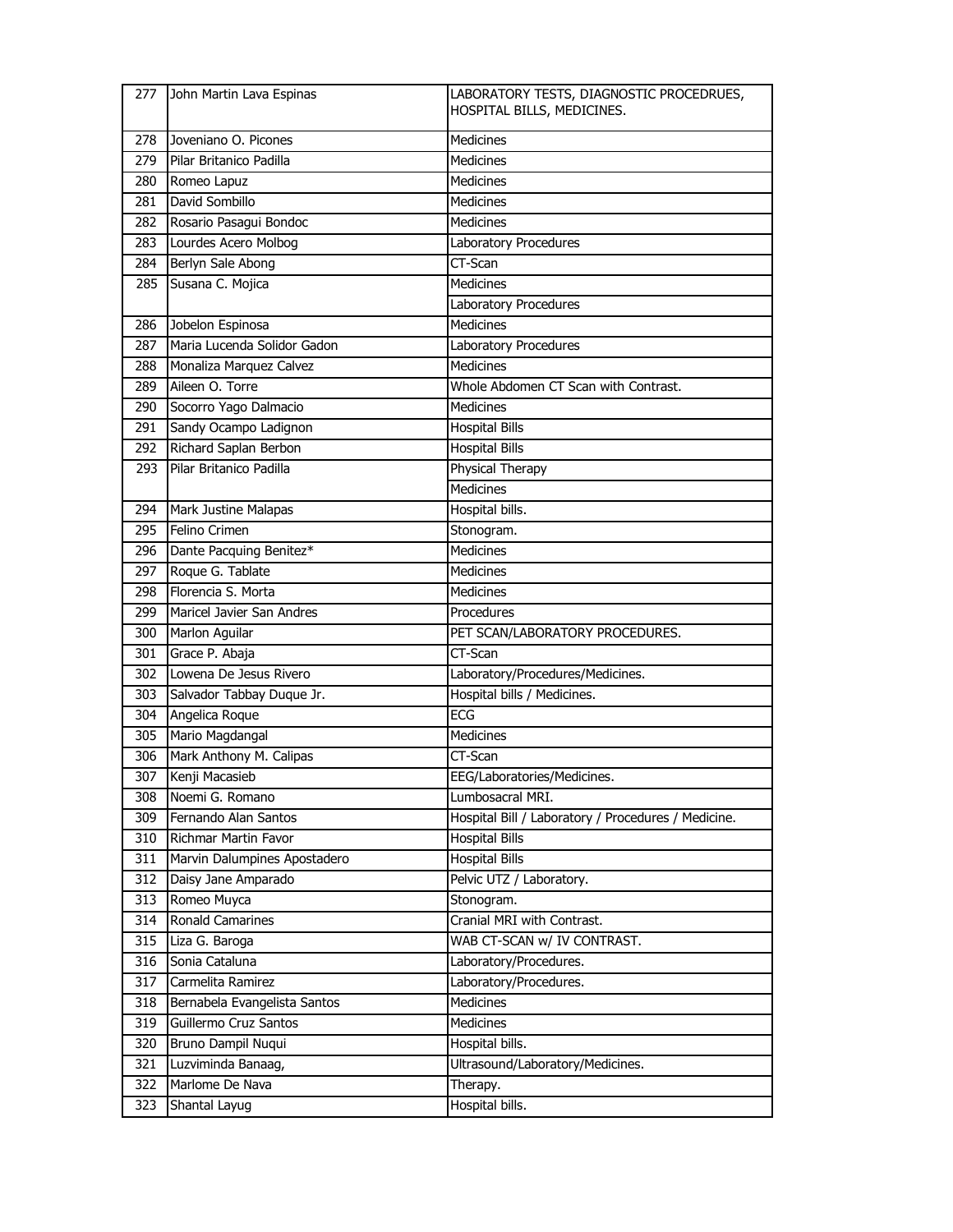| 277 | John Martin Lava Espinas     | LABORATORY TESTS, DIAGNOSTIC PROCEDRUES,<br>HOSPITAL BILLS, MEDICINES. |
|-----|------------------------------|------------------------------------------------------------------------|
| 278 | Joveniano O. Picones         | <b>Medicines</b>                                                       |
| 279 | Pilar Britanico Padilla      | <b>Medicines</b>                                                       |
| 280 | Romeo Lapuz                  | <b>Medicines</b>                                                       |
| 281 | David Sombillo               | <b>Medicines</b>                                                       |
| 282 | Rosario Pasagui Bondoc       | <b>Medicines</b>                                                       |
| 283 | Lourdes Acero Molbog         | Laboratory Procedures                                                  |
| 284 | Berlyn Sale Abong            | CT-Scan                                                                |
| 285 | Susana C. Mojica             | <b>Medicines</b>                                                       |
|     |                              | Laboratory Procedures                                                  |
| 286 | Jobelon Espinosa             | <b>Medicines</b>                                                       |
| 287 | Maria Lucenda Solidor Gadon  | Laboratory Procedures                                                  |
| 288 | Monaliza Marquez Calvez      | <b>Medicines</b>                                                       |
| 289 | Aileen O. Torre              | Whole Abdomen CT Scan with Contrast.                                   |
| 290 | Socorro Yago Dalmacio        | <b>Medicines</b>                                                       |
| 291 | Sandy Ocampo Ladignon        | <b>Hospital Bills</b>                                                  |
| 292 | Richard Saplan Berbon        | <b>Hospital Bills</b>                                                  |
| 293 | Pilar Britanico Padilla      | Physical Therapy                                                       |
|     |                              | <b>Medicines</b>                                                       |
| 294 | Mark Justine Malapas         | Hospital bills.                                                        |
| 295 | Felino Crimen                | Stonogram.                                                             |
| 296 | Dante Pacquing Benitez*      | <b>Medicines</b>                                                       |
| 297 | Roque G. Tablate             | <b>Medicines</b>                                                       |
| 298 | Florencia S. Morta           | <b>Medicines</b>                                                       |
| 299 | Maricel Javier San Andres    | Procedures                                                             |
| 300 | Marlon Aguilar               | PET SCAN/LABORATORY PROCEDURES.                                        |
| 301 | Grace P. Abaja               | CT-Scan                                                                |
| 302 | Lowena De Jesus Rivero       | Laboratory/Procedures/Medicines.                                       |
| 303 | Salvador Tabbay Duque Jr.    | Hospital bills / Medicines.                                            |
| 304 | Angelica Roque               | ECG                                                                    |
| 305 | Mario Magdangal              | <b>Medicines</b>                                                       |
| 306 | Mark Anthony M. Calipas      | CT-Scan                                                                |
| 307 | Kenji Macasieb               | EEG/Laboratories/Medicines.                                            |
| 308 | Noemi G. Romano              | Lumbosacral MRI.                                                       |
| 309 | Fernando Alan Santos         | Hospital Bill / Laboratory / Procedures / Medicine.                    |
| 310 | Richmar Martin Favor         | <b>Hospital Bills</b>                                                  |
| 311 | Marvin Dalumpines Apostadero | <b>Hospital Bills</b>                                                  |
| 312 | Daisy Jane Amparado          | Pelvic UTZ / Laboratory.                                               |
| 313 | Romeo Muyca                  | Stonogram.                                                             |
| 314 | <b>Ronald Camarines</b>      | Cranial MRI with Contrast.                                             |
| 315 | Liza G. Baroga               | WAB CT-SCAN w/ IV CONTRAST.                                            |
| 316 | Sonia Cataluna               | Laboratory/Procedures.                                                 |
| 317 | Carmelita Ramirez            | Laboratory/Procedures.                                                 |
| 318 | Bernabela Evangelista Santos | Medicines                                                              |
| 319 | Guillermo Cruz Santos        | Medicines                                                              |
| 320 | Bruno Dampil Nuqui           | Hospital bills.                                                        |
| 321 | Luzviminda Banaag,           | Ultrasound/Laboratory/Medicines.                                       |
| 322 | Marlome De Nava              | Therapy.                                                               |
| 323 | Shantal Layug                | Hospital bills.                                                        |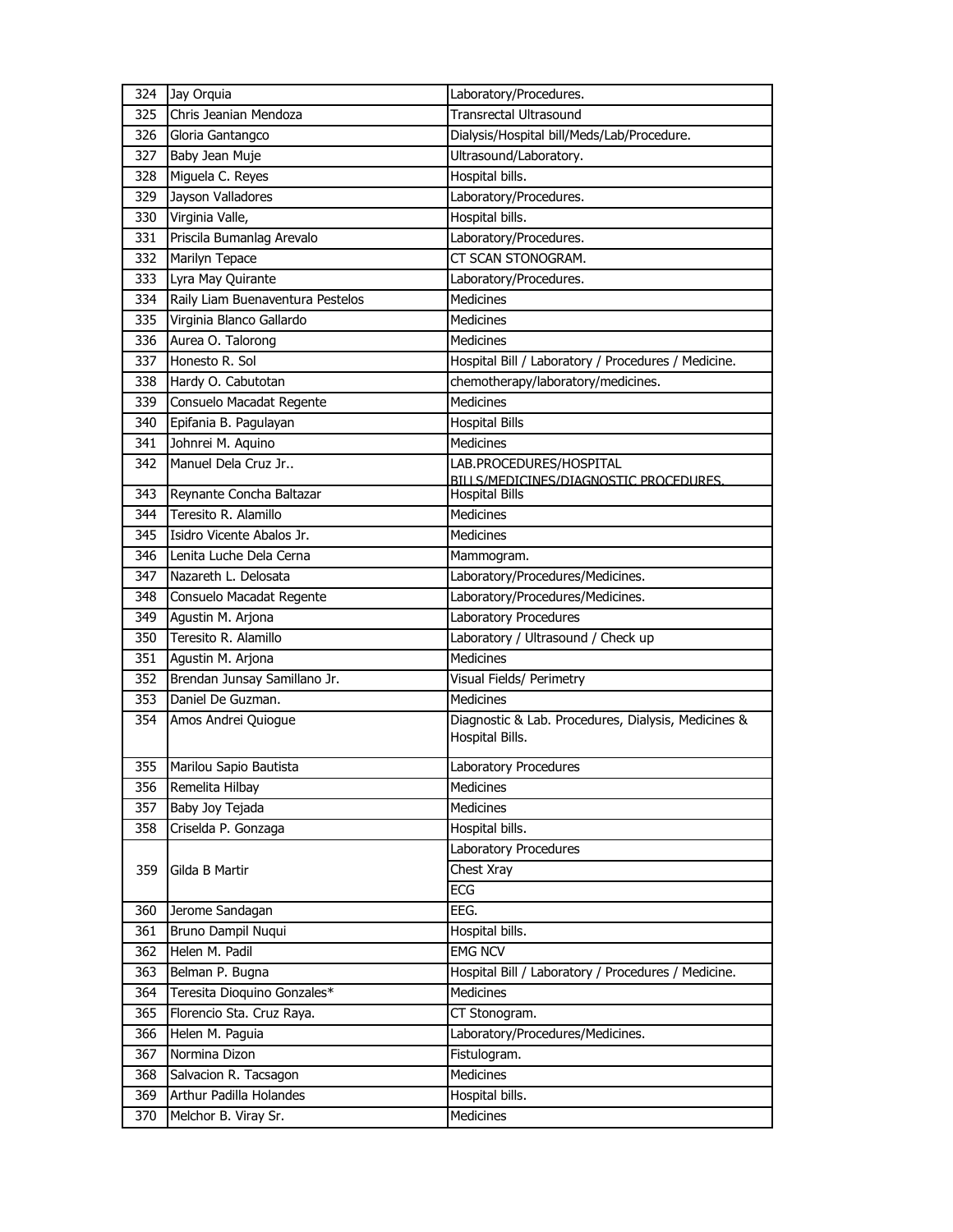| 324 | Jay Orquia                       | Laboratory/Procedures.                                                 |
|-----|----------------------------------|------------------------------------------------------------------------|
| 325 | Chris Jeanian Mendoza            | <b>Transrectal Ultrasound</b>                                          |
| 326 | Gloria Gantangco                 | Dialysis/Hospital bill/Meds/Lab/Procedure.                             |
| 327 | Baby Jean Muje                   | Ultrasound/Laboratory.                                                 |
| 328 | Miguela C. Reyes                 | Hospital bills.                                                        |
| 329 | Jayson Valladores                | Laboratory/Procedures.                                                 |
| 330 | Virginia Valle,                  | Hospital bills.                                                        |
| 331 | Priscila Bumanlag Arevalo        | Laboratory/Procedures.                                                 |
| 332 | Marilyn Tepace                   | CT SCAN STONOGRAM.                                                     |
| 333 | Lyra May Quirante                | Laboratory/Procedures.                                                 |
| 334 | Raily Liam Buenaventura Pestelos | <b>Medicines</b>                                                       |
| 335 | Virginia Blanco Gallardo         | <b>Medicines</b>                                                       |
| 336 | Aurea O. Talorong                | Medicines                                                              |
| 337 | Honesto R. Sol                   | Hospital Bill / Laboratory / Procedures / Medicine.                    |
| 338 | Hardy O. Cabutotan               | chemotherapy/laboratory/medicines.                                     |
| 339 | Consuelo Macadat Regente         | <b>Medicines</b>                                                       |
| 340 | Epifania B. Pagulayan            | <b>Hospital Bills</b>                                                  |
| 341 | Johnrei M. Aquino                | Medicines                                                              |
| 342 | Manuel Dela Cruz Jr              | LAB.PROCEDURES/HOSPITAL                                                |
| 343 | Reynante Concha Baltazar         | BILLS/MEDICINES/DIAGNOSTIC PROCEDURES.                                 |
| 344 | Teresito R. Alamillo             | <b>Hospital Bills</b><br><b>Medicines</b>                              |
|     | Isidro Vicente Abalos Jr.        | <b>Medicines</b>                                                       |
| 345 | Lenita Luche Dela Cerna          |                                                                        |
| 346 |                                  | Mammogram.                                                             |
| 347 | Nazareth L. Delosata             | Laboratory/Procedures/Medicines.                                       |
| 348 | Consuelo Macadat Regente         | Laboratory/Procedures/Medicines.                                       |
| 349 | Agustin M. Arjona                | Laboratory Procedures                                                  |
| 350 | Teresito R. Alamillo             | Laboratory / Ultrasound / Check up                                     |
| 351 | Agustin M. Arjona                | <b>Medicines</b>                                                       |
| 352 | Brendan Junsay Samillano Jr.     | Visual Fields/ Perimetry                                               |
| 353 | Daniel De Guzman.                | Medicines                                                              |
| 354 | Amos Andrei Quiogue              | Diagnostic & Lab. Procedures, Dialysis, Medicines &<br>Hospital Bills. |
| 355 | Marilou Sapio Bautista           | Laboratory Procedures                                                  |
| 356 | Remelita Hilbay                  | Medicines                                                              |
| 357 | Baby Joy Tejada                  | Medicines                                                              |
| 358 | Criselda P. Gonzaga              | Hospital bills.                                                        |
|     |                                  | Laboratory Procedures                                                  |
| 359 | Gilda B Martir                   | Chest Xray                                                             |
|     |                                  | ECG                                                                    |
| 360 | Jerome Sandagan                  | EEG.                                                                   |
| 361 | Bruno Dampil Nuqui               | Hospital bills.                                                        |
| 362 | Helen M. Padil                   | <b>EMG NCV</b>                                                         |
| 363 | Belman P. Bugna                  | Hospital Bill / Laboratory / Procedures / Medicine.                    |
| 364 | Teresita Dioquino Gonzales*      | Medicines                                                              |
| 365 | Florencio Sta. Cruz Raya.        | CT Stonogram.                                                          |
| 366 | Helen M. Paguia                  | Laboratory/Procedures/Medicines.                                       |
| 367 | Normina Dizon                    | Fistulogram.                                                           |
| 368 | Salvacion R. Tacsagon            | Medicines                                                              |
| 369 | Arthur Padilla Holandes          | Hospital bills.                                                        |
| 370 | Melchor B. Viray Sr.             | Medicines                                                              |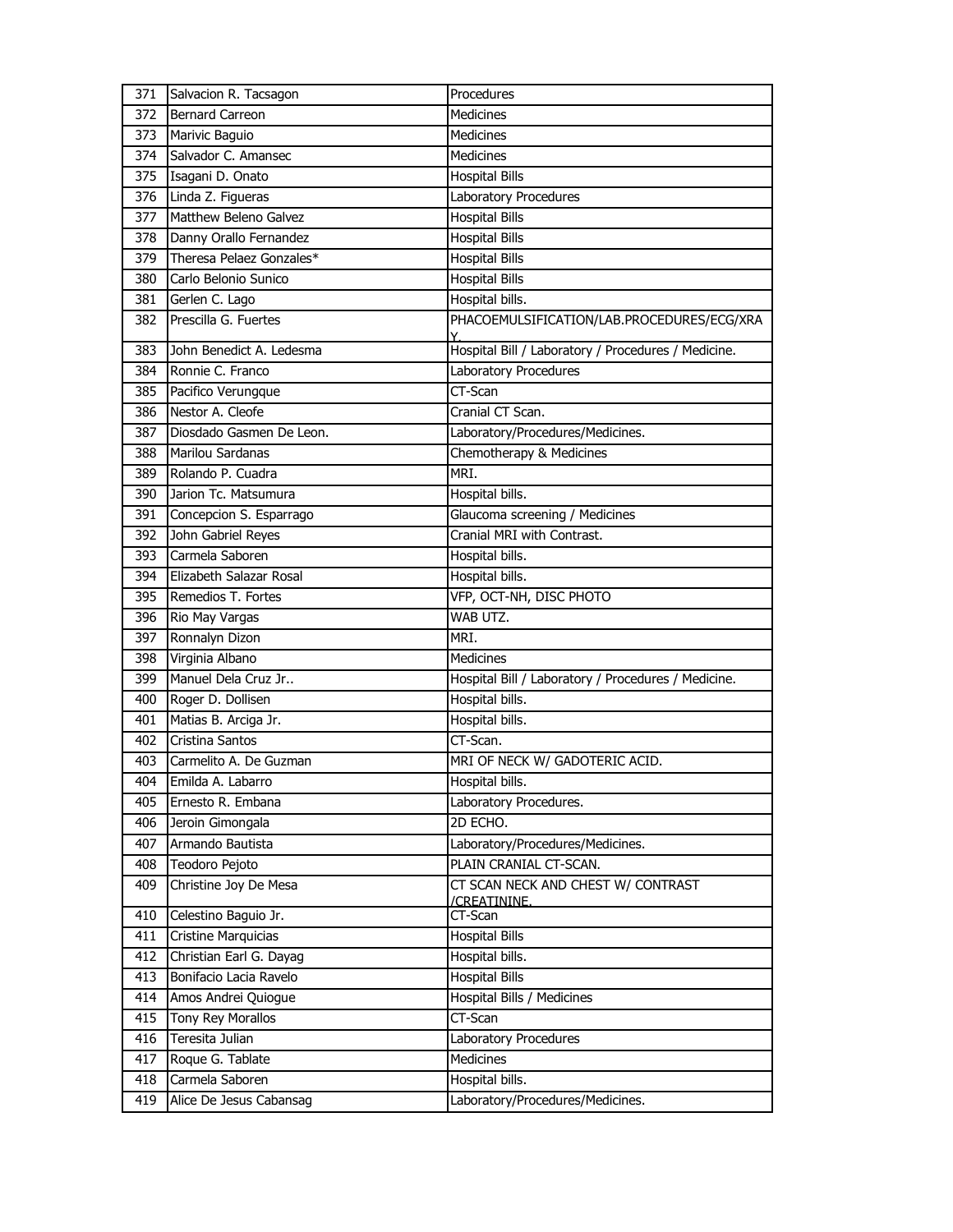| 371 | Salvacion R. Tacsagon    | Procedures                                          |
|-----|--------------------------|-----------------------------------------------------|
| 372 | <b>Bernard Carreon</b>   | <b>Medicines</b>                                    |
| 373 | Marivic Baguio           | <b>Medicines</b>                                    |
| 374 | Salvador C. Amansec      | <b>Medicines</b>                                    |
| 375 | Isagani D. Onato         | <b>Hospital Bills</b>                               |
| 376 | Linda Z. Figueras        | Laboratory Procedures                               |
| 377 | Matthew Beleno Galvez    | <b>Hospital Bills</b>                               |
| 378 | Danny Orallo Fernandez   | <b>Hospital Bills</b>                               |
| 379 | Theresa Pelaez Gonzales* | <b>Hospital Bills</b>                               |
| 380 | Carlo Belonio Sunico     | <b>Hospital Bills</b>                               |
| 381 | Gerlen C. Lago           | Hospital bills.                                     |
| 382 | Prescilla G. Fuertes     | PHACOEMULSIFICATION/LAB.PROCEDURES/ECG/XRA          |
| 383 | John Benedict A. Ledesma | Hospital Bill / Laboratory / Procedures / Medicine. |
| 384 | Ronnie C. Franco         | Laboratory Procedures                               |
| 385 | Pacifico Verungque       | CT-Scan                                             |
| 386 | Nestor A. Cleofe         | Cranial CT Scan.                                    |
| 387 | Diosdado Gasmen De Leon. | Laboratory/Procedures/Medicines.                    |
| 388 | Marilou Sardanas         | Chemotherapy & Medicines                            |
| 389 | Rolando P. Cuadra        | MRI.                                                |
| 390 | Jarion Tc. Matsumura     | Hospital bills.                                     |
| 391 | Concepcion S. Esparrago  | Glaucoma screening / Medicines                      |
| 392 | John Gabriel Reyes       | Cranial MRI with Contrast.                          |
| 393 | Carmela Saboren          | Hospital bills.                                     |
| 394 | Elizabeth Salazar Rosal  | Hospital bills.                                     |
| 395 | Remedios T. Fortes       | VFP, OCT-NH, DISC PHOTO                             |
| 396 | Rio May Vargas           | WAB UTZ.                                            |
|     |                          |                                                     |
| 397 | Ronnalyn Dizon           | MRI.                                                |
| 398 | Virginia Albano          | <b>Medicines</b>                                    |
| 399 | Manuel Dela Cruz Jr      | Hospital Bill / Laboratory / Procedures / Medicine. |
| 400 | Roger D. Dollisen        | Hospital bills.                                     |
| 401 | Matias B. Arciga Jr.     | Hospital bills.                                     |
| 402 | Cristina Santos          | CT-Scan.                                            |
| 403 | Carmelito A. De Guzman   | MRI OF NECK W/ GADOTERIC ACID.                      |
| 404 | Emilda A. Labarro        | Hospital bills.                                     |
| 405 | Ernesto R. Embana        | Laboratory Procedures.                              |
| 406 | Jeroin Gimongala         | 2D ECHO.                                            |
| 407 | Armando Bautista         | Laboratory/Procedures/Medicines.                    |
| 408 | Teodoro Pejoto           | PLAIN CRANIAL CT-SCAN.                              |
| 409 | Christine Joy De Mesa    | CT SCAN NECK AND CHEST W/ CONTRAST                  |
| 410 | Celestino Baguio Jr.     | /CREATININE.<br>CT-Scan                             |
| 411 | Cristine Marquicias      | <b>Hospital Bills</b>                               |
| 412 | Christian Earl G. Dayag  | Hospital bills.                                     |
| 413 | Bonifacio Lacia Ravelo   | <b>Hospital Bills</b>                               |
| 414 | Amos Andrei Quiogue      | Hospital Bills / Medicines                          |
| 415 | Tony Rey Morallos        | CT-Scan                                             |
| 416 | Teresita Julian          | Laboratory Procedures                               |
| 417 | Roque G. Tablate         | Medicines                                           |
| 418 | Carmela Saboren          | Hospital bills.                                     |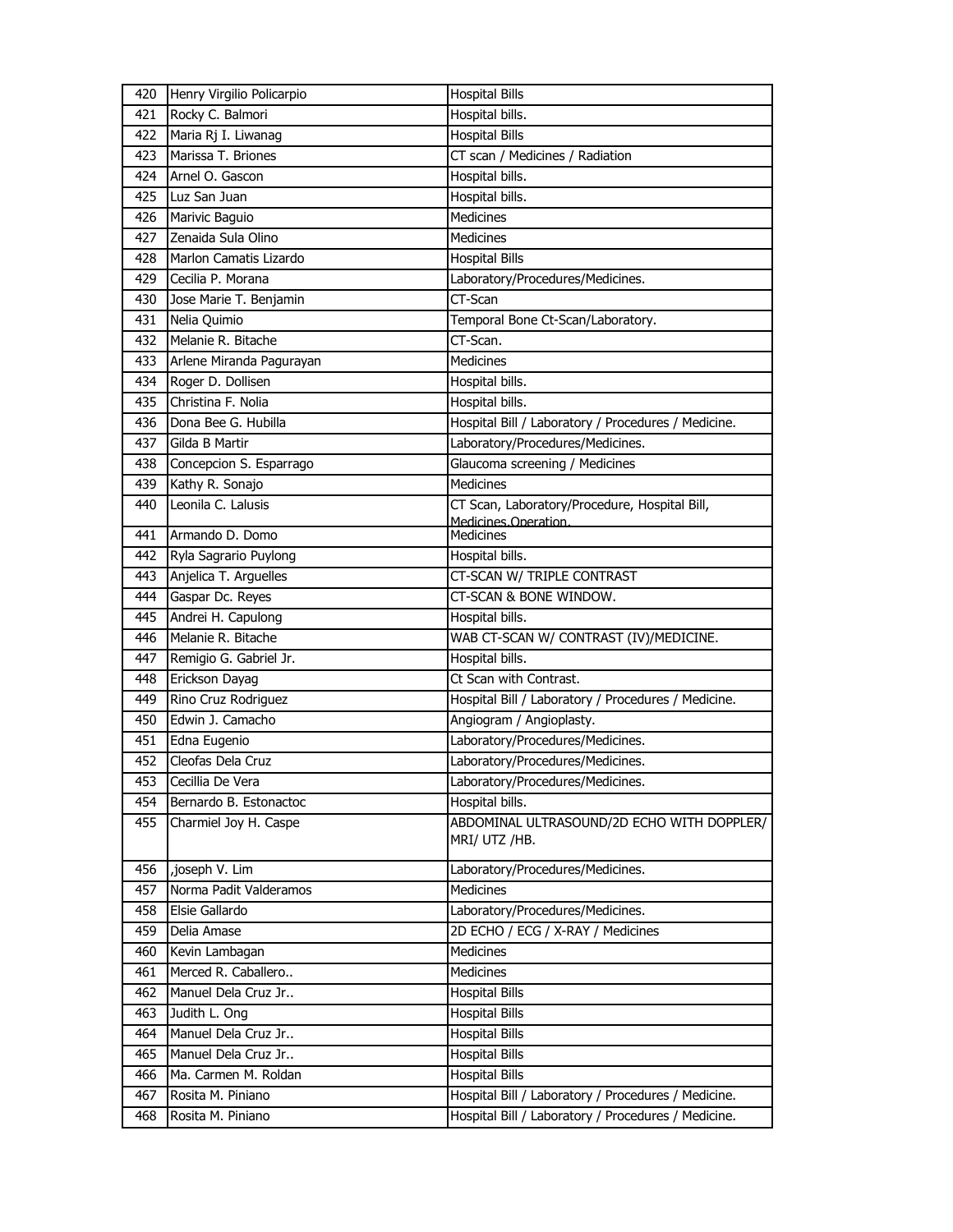| 420 | Henry Virgilio Policarpio | <b>Hospital Bills</b>                               |
|-----|---------------------------|-----------------------------------------------------|
| 421 | Rocky C. Balmori          | Hospital bills.                                     |
| 422 | Maria Rj I. Liwanag       | <b>Hospital Bills</b>                               |
| 423 | Marissa T. Briones        | CT scan / Medicines / Radiation                     |
| 424 | Arnel O. Gascon           | Hospital bills.                                     |
| 425 | Luz San Juan              | Hospital bills.                                     |
| 426 | Marivic Baguio            | <b>Medicines</b>                                    |
| 427 | Zenaida Sula Olino        | Medicines                                           |
| 428 | Marlon Camatis Lizardo    | <b>Hospital Bills</b>                               |
| 429 | Cecilia P. Morana         | Laboratory/Procedures/Medicines.                    |
| 430 | Jose Marie T. Benjamin    | CT-Scan                                             |
| 431 | Nelia Quimio              | Temporal Bone Ct-Scan/Laboratory.                   |
| 432 | Melanie R. Bitache        | CT-Scan.                                            |
| 433 | Arlene Miranda Pagurayan  | Medicines                                           |
| 434 | Roger D. Dollisen         | Hospital bills.                                     |
| 435 | Christina F. Nolia        | Hospital bills.                                     |
| 436 | Dona Bee G. Hubilla       | Hospital Bill / Laboratory / Procedures / Medicine. |
| 437 | Gilda B Martir            | Laboratory/Procedures/Medicines.                    |
| 438 | Concepcion S. Esparrago   | Glaucoma screening / Medicines                      |
| 439 | Kathy R. Sonajo           | <b>Medicines</b>                                    |
| 440 | Leonila C. Lalusis        | CT Scan, Laboratory/Procedure, Hospital Bill,       |
|     |                           | Medicines.Operation.                                |
| 441 | Armando D. Domo           | Medicines                                           |
| 442 | Ryla Sagrario Puylong     | Hospital bills.                                     |
| 443 | Anjelica T. Arguelles     | CT-SCAN W/ TRIPLE CONTRAST                          |
| 444 | Gaspar Dc. Reyes          | CT-SCAN & BONE WINDOW.                              |
| 445 | Andrei H. Capulong        | Hospital bills.                                     |
| 446 | Melanie R. Bitache        | WAB CT-SCAN W/ CONTRAST (IV)/MEDICINE.              |
| 447 | Remigio G. Gabriel Jr.    | Hospital bills.                                     |
| 448 | Erickson Dayag            | Ct Scan with Contrast.                              |
| 449 | Rino Cruz Rodriguez       | Hospital Bill / Laboratory / Procedures / Medicine. |
| 450 | Edwin J. Camacho          | Angiogram / Angioplasty.                            |
| 451 | Edna Eugenio              | Laboratory/Procedures/Medicines.                    |
| 452 | Cleofas Dela Cruz         | Laboratory/Procedures/Medicines.                    |
| 453 | Cecillia De Vera          | Laboratory/Procedures/Medicines.                    |
| 454 | Bernardo B. Estonactoc    | Hospital bills.                                     |
| 455 | Charmiel Joy H. Caspe     | ABDOMINAL ULTRASOUND/2D ECHO WITH DOPPLER/          |
|     |                           | MRI/ UTZ /HB.                                       |
| 456 | ,joseph V. Lim            | Laboratory/Procedures/Medicines.                    |
| 457 | Norma Padit Valderamos    | Medicines                                           |
| 458 | Elsie Gallardo            | Laboratory/Procedures/Medicines.                    |
| 459 | Delia Amase               | 2D ECHO / ECG / X-RAY / Medicines                   |
| 460 | Kevin Lambagan            | <b>Medicines</b>                                    |
| 461 | Merced R. Caballero       | <b>Medicines</b>                                    |
| 462 | Manuel Dela Cruz Jr       | <b>Hospital Bills</b>                               |
| 463 | Judith L. Ong             | <b>Hospital Bills</b>                               |
| 464 | Manuel Dela Cruz Jr       | <b>Hospital Bills</b>                               |
| 465 | Manuel Dela Cruz Jr       | <b>Hospital Bills</b>                               |
| 466 | Ma. Carmen M. Roldan      | <b>Hospital Bills</b>                               |
| 467 | Rosita M. Piniano         | Hospital Bill / Laboratory / Procedures / Medicine. |
| 468 | Rosita M. Piniano         | Hospital Bill / Laboratory / Procedures / Medicine. |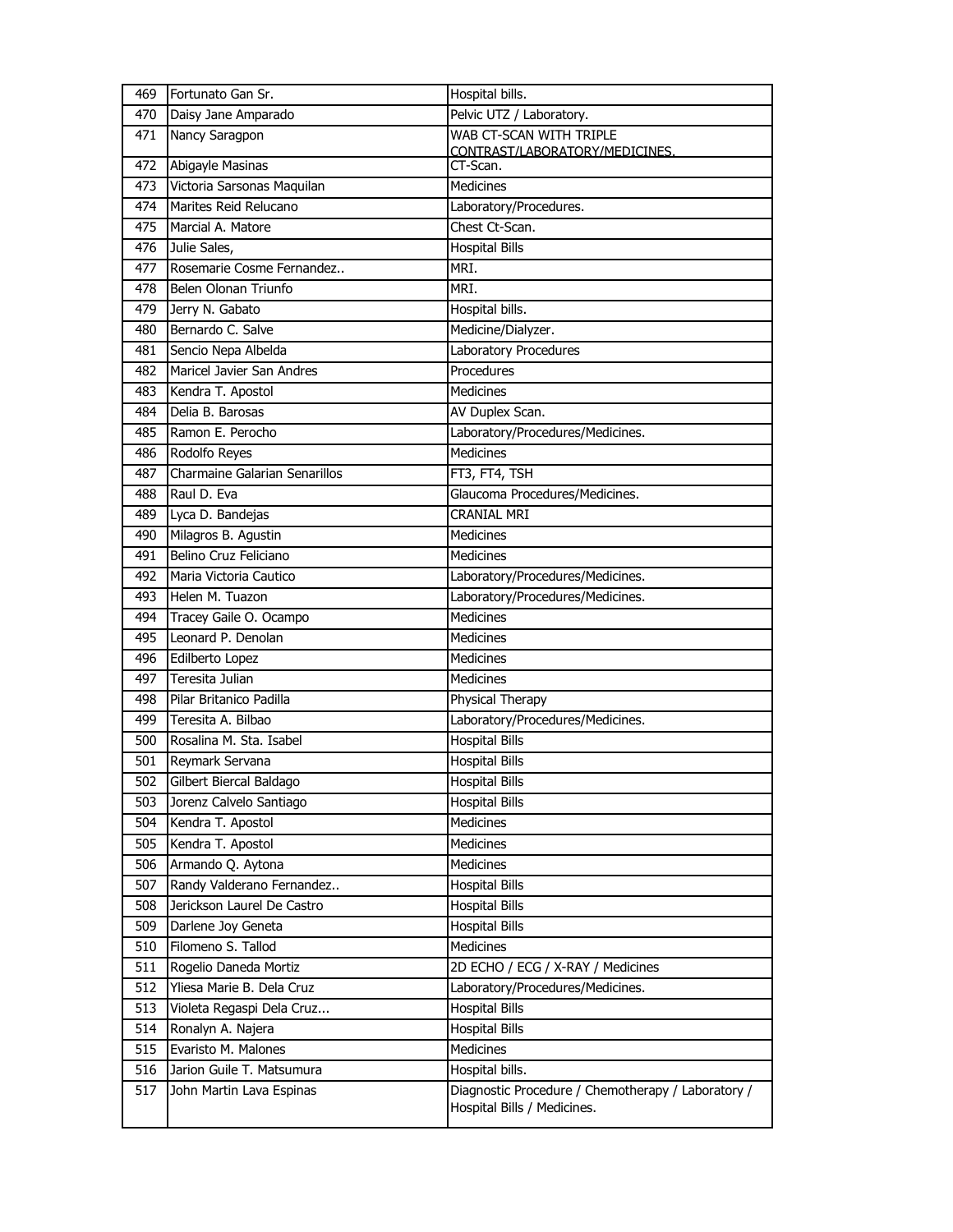| 469 | Fortunato Gan Sr.                    | Hospital bills.                                                                   |
|-----|--------------------------------------|-----------------------------------------------------------------------------------|
| 470 | Daisy Jane Amparado                  | Pelvic UTZ / Laboratory.                                                          |
| 471 | Nancy Saragpon                       | WAB CT-SCAN WITH TRIPLE                                                           |
| 472 | Abigayle Masinas                     | CONTRAST/LABORATORY/MEDICINES.<br>CT-Scan.                                        |
| 473 | Victoria Sarsonas Maquilan           | <b>Medicines</b>                                                                  |
| 474 | Marites Reid Relucano                | Laboratory/Procedures.                                                            |
| 475 | Marcial A. Matore                    | Chest Ct-Scan.                                                                    |
| 476 | Julie Sales,                         | <b>Hospital Bills</b>                                                             |
| 477 | Rosemarie Cosme Fernandez            | MRI.                                                                              |
| 478 | Belen Olonan Triunfo                 | MRI.                                                                              |
| 479 | Jerry N. Gabato                      | Hospital bills.                                                                   |
| 480 | Bernardo C. Salve                    | Medicine/Dialyzer.                                                                |
| 481 | Sencio Nepa Albelda                  | Laboratory Procedures                                                             |
| 482 | Maricel Javier San Andres            | Procedures                                                                        |
| 483 | Kendra T. Apostol                    | <b>Medicines</b>                                                                  |
| 484 | Delia B. Barosas                     | AV Duplex Scan.                                                                   |
| 485 | Ramon E. Perocho                     | Laboratory/Procedures/Medicines.                                                  |
| 486 | Rodolfo Reyes                        | <b>Medicines</b>                                                                  |
| 487 | <b>Charmaine Galarian Senarillos</b> | FT3, FT4, TSH                                                                     |
| 488 | Raul D. Eva                          | Glaucoma Procedures/Medicines.                                                    |
| 489 | Lyca D. Bandejas                     | <b>CRANIAL MRI</b>                                                                |
| 490 | Milagros B. Agustin                  | Medicines                                                                         |
| 491 | Belino Cruz Feliciano                | Medicines                                                                         |
| 492 | Maria Victoria Cautico               | Laboratory/Procedures/Medicines.                                                  |
| 493 | Helen M. Tuazon                      | Laboratory/Procedures/Medicines.                                                  |
| 494 | Tracey Gaile O. Ocampo               | <b>Medicines</b>                                                                  |
| 495 | Leonard P. Denolan                   | <b>Medicines</b>                                                                  |
| 496 | Edilberto Lopez                      | <b>Medicines</b>                                                                  |
| 497 | Teresita Julian                      | <b>Medicines</b>                                                                  |
| 498 | Pilar Britanico Padilla              | Physical Therapy                                                                  |
| 499 | Teresita A. Bilbao                   | Laboratory/Procedures/Medicines.                                                  |
| 500 | Rosalina M. Sta. Isabel              | <b>Hospital Bills</b>                                                             |
| 501 | Reymark Servana                      | <b>Hospital Bills</b>                                                             |
| 502 | Gilbert Biercal Baldago              | <b>Hospital Bills</b>                                                             |
| 503 | Jorenz Calvelo Santiago              | <b>Hospital Bills</b>                                                             |
| 504 | Kendra T. Apostol                    | Medicines                                                                         |
| 505 | Kendra T. Apostol                    | Medicines                                                                         |
| 506 | Armando Q. Aytona                    | Medicines                                                                         |
| 507 | Randy Valderano Fernandez            | <b>Hospital Bills</b>                                                             |
| 508 | Jerickson Laurel De Castro           | <b>Hospital Bills</b>                                                             |
| 509 | Darlene Joy Geneta                   | <b>Hospital Bills</b>                                                             |
| 510 | Filomeno S. Tallod                   | <b>Medicines</b>                                                                  |
| 511 | Rogelio Daneda Mortiz                | 2D ECHO / ECG / X-RAY / Medicines                                                 |
| 512 | Yliesa Marie B. Dela Cruz            | Laboratory/Procedures/Medicines.                                                  |
| 513 | Violeta Regaspi Dela Cruz            | <b>Hospital Bills</b>                                                             |
| 514 | Ronalyn A. Najera                    | <b>Hospital Bills</b>                                                             |
| 515 | Evaristo M. Malones                  | Medicines                                                                         |
| 516 | Jarion Guile T. Matsumura            | Hospital bills.                                                                   |
| 517 | John Martin Lava Espinas             | Diagnostic Procedure / Chemotherapy / Laboratory /<br>Hospital Bills / Medicines. |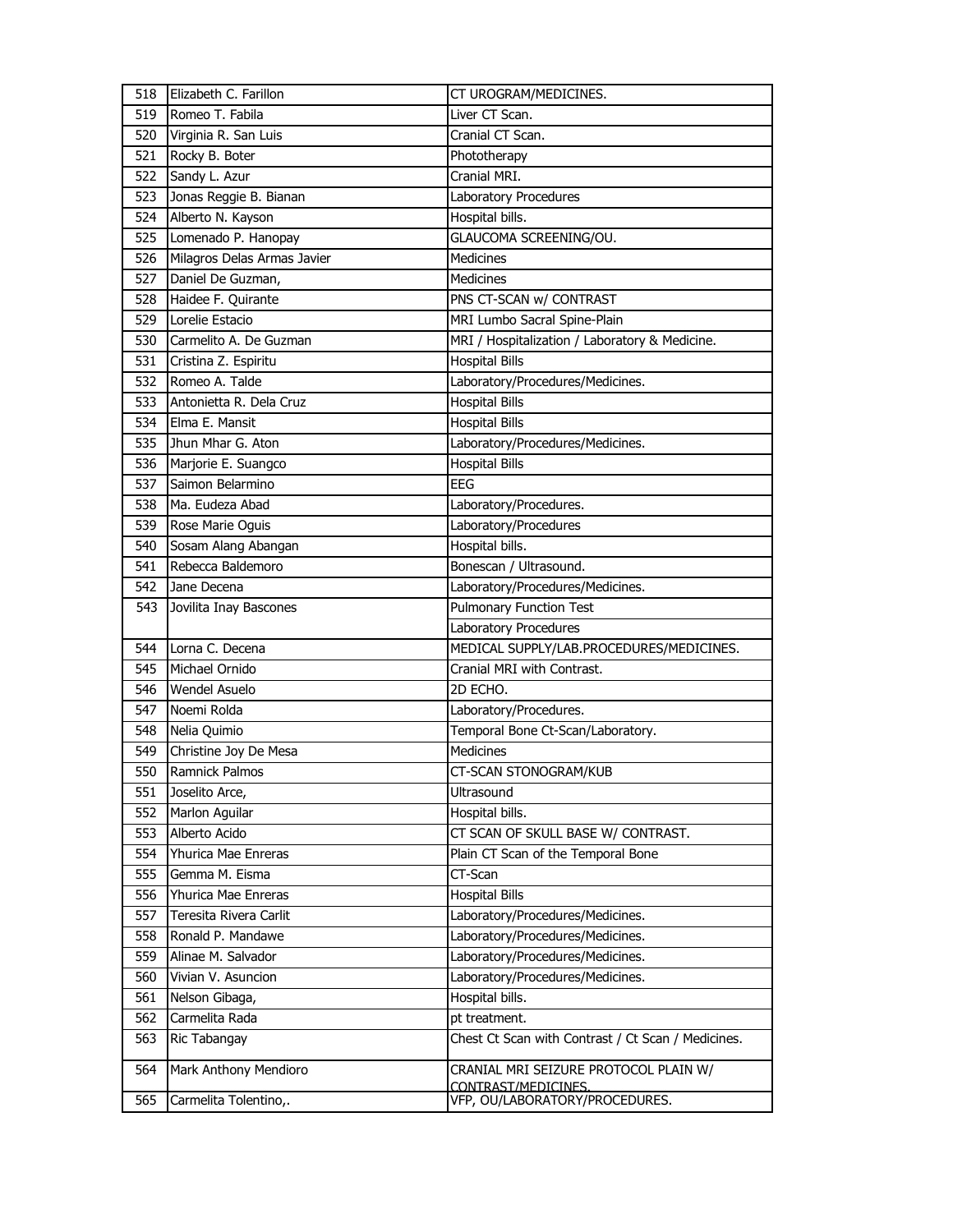| 518 | Elizabeth C. Farillon                   | CT UROGRAM/MEDICINES.                                        |
|-----|-----------------------------------------|--------------------------------------------------------------|
| 519 | Romeo T. Fabila                         | Liver CT Scan.                                               |
| 520 | Virginia R. San Luis                    | Cranial CT Scan.                                             |
| 521 | Rocky B. Boter                          | Phototherapy                                                 |
| 522 | Sandy L. Azur                           | Cranial MRI.                                                 |
| 523 | Jonas Reggie B. Bianan                  | Laboratory Procedures                                        |
| 524 | Alberto N. Kayson                       | Hospital bills.                                              |
| 525 | Lomenado P. Hanopay                     | GLAUCOMA SCREENING/OU.                                       |
| 526 | Milagros Delas Armas Javier             | <b>Medicines</b>                                             |
| 527 | Daniel De Guzman,                       | <b>Medicines</b>                                             |
| 528 | Haidee F. Quirante                      | PNS CT-SCAN w/ CONTRAST                                      |
| 529 | Lorelie Estacio                         | MRI Lumbo Sacral Spine-Plain                                 |
| 530 | Carmelito A. De Guzman                  | MRI / Hospitalization / Laboratory & Medicine.               |
| 531 | Cristina Z. Espiritu                    | <b>Hospital Bills</b>                                        |
| 532 | Romeo A. Talde                          | Laboratory/Procedures/Medicines.                             |
| 533 | Antonietta R. Dela Cruz                 | <b>Hospital Bills</b>                                        |
| 534 | Elma E. Mansit                          | <b>Hospital Bills</b>                                        |
| 535 | Jhun Mhar G. Aton                       | Laboratory/Procedures/Medicines.                             |
| 536 | Marjorie E. Suangco                     | <b>Hospital Bills</b>                                        |
| 537 | Saimon Belarmino                        | <b>EEG</b>                                                   |
| 538 | Ma. Eudeza Abad                         | Laboratory/Procedures.                                       |
| 539 | Rose Marie Oguis                        | Laboratory/Procedures                                        |
| 540 | Sosam Alang Abangan                     | Hospital bills.                                              |
| 541 | Rebecca Baldemoro                       | Bonescan / Ultrasound.                                       |
| 542 | Jane Decena                             | Laboratory/Procedures/Medicines.                             |
| 543 | Jovilita Inay Bascones                  | <b>Pulmonary Function Test</b>                               |
|     |                                         |                                                              |
|     |                                         | Laboratory Procedures                                        |
| 544 | Lorna C. Decena                         | MEDICAL SUPPLY/LAB.PROCEDURES/MEDICINES.                     |
| 545 | Michael Ornido                          | Cranial MRI with Contrast.                                   |
| 546 | <b>Wendel Asuelo</b>                    | 2D ECHO.                                                     |
| 547 | Noemi Rolda                             | Laboratory/Procedures.                                       |
| 548 | Nelia Quimio                            | Temporal Bone Ct-Scan/Laboratory.                            |
| 549 |                                         | <b>Medicines</b>                                             |
| 550 | Christine Joy De Mesa<br>Ramnick Palmos | CT-SCAN STONOGRAM/KUB                                        |
| 551 | Joselito Arce,                          | Ultrasound                                                   |
| 552 | Marlon Aguilar                          | Hospital bills.                                              |
| 553 | Alberto Acido                           | CT SCAN OF SKULL BASE W/ CONTRAST.                           |
| 554 | Yhurica Mae Enreras                     | Plain CT Scan of the Temporal Bone                           |
| 555 | Gemma M. Eisma                          | CT-Scan                                                      |
| 556 | Yhurica Mae Enreras                     | <b>Hospital Bills</b>                                        |
| 557 | Teresita Rivera Carlit                  | Laboratory/Procedures/Medicines.                             |
| 558 | Ronald P. Mandawe                       | Laboratory/Procedures/Medicines.                             |
| 559 | Alinae M. Salvador                      | Laboratory/Procedures/Medicines.                             |
| 560 | Vivian V. Asuncion                      | Laboratory/Procedures/Medicines.                             |
| 561 | Nelson Gibaga,                          | Hospital bills.                                              |
| 562 | Carmelita Rada                          | pt treatment.                                                |
| 563 | Ric Tabangay                            | Chest Ct Scan with Contrast / Ct Scan / Medicines.           |
|     |                                         |                                                              |
| 564 | Mark Anthony Mendioro                   | CRANIAL MRI SEIZURE PROTOCOL PLAIN W/<br>CONTRAST/MEDICINES. |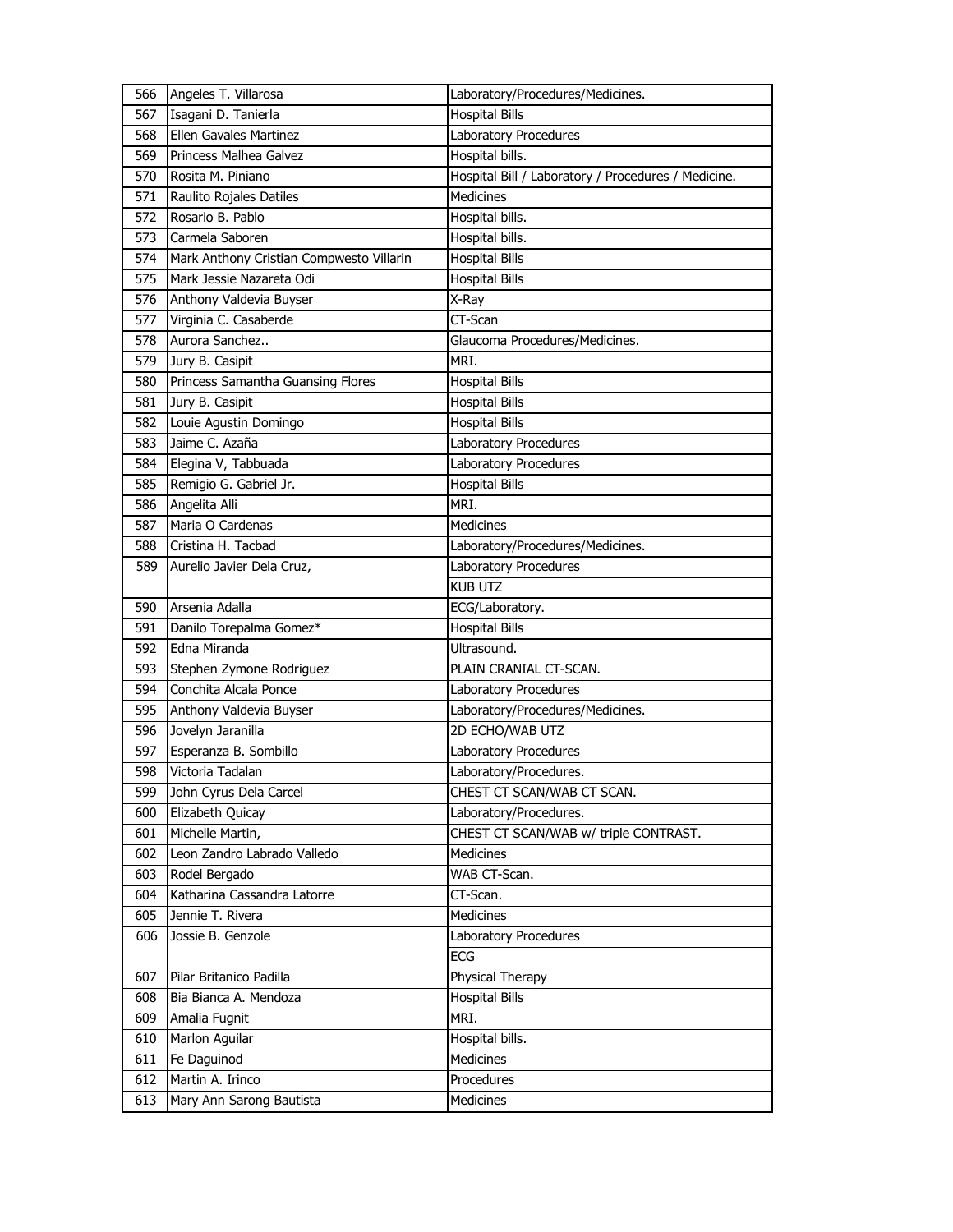| 566 | Angeles T. Villarosa                     | Laboratory/Procedures/Medicines.                    |
|-----|------------------------------------------|-----------------------------------------------------|
| 567 | Isagani D. Tanierla                      | <b>Hospital Bills</b>                               |
| 568 | Ellen Gavales Martinez                   | Laboratory Procedures                               |
| 569 | Princess Malhea Galvez                   | Hospital bills.                                     |
| 570 | Rosita M. Piniano                        | Hospital Bill / Laboratory / Procedures / Medicine. |
| 571 | Raulito Rojales Datiles                  | Medicines                                           |
| 572 | Rosario B. Pablo                         | Hospital bills.                                     |
| 573 | Carmela Saboren                          | Hospital bills.                                     |
| 574 | Mark Anthony Cristian Compwesto Villarin | <b>Hospital Bills</b>                               |
| 575 | Mark Jessie Nazareta Odi                 | <b>Hospital Bills</b>                               |
| 576 | Anthony Valdevia Buyser                  | X-Ray                                               |
| 577 | Virginia C. Casaberde                    | CT-Scan                                             |
| 578 | Aurora Sanchez                           | Glaucoma Procedures/Medicines.                      |
| 579 | Jury B. Casipit                          | MRI.                                                |
| 580 | Princess Samantha Guansing Flores        | <b>Hospital Bills</b>                               |
| 581 | Jury B. Casipit                          | <b>Hospital Bills</b>                               |
| 582 | Louie Agustin Domingo                    | <b>Hospital Bills</b>                               |
| 583 | Jaime C. Azaña                           | Laboratory Procedures                               |
| 584 | Elegina V, Tabbuada                      | Laboratory Procedures                               |
| 585 | Remigio G. Gabriel Jr.                   | <b>Hospital Bills</b>                               |
| 586 | Angelita Alli                            | MRI.                                                |
| 587 | Maria O Cardenas                         | <b>Medicines</b>                                    |
| 588 | Cristina H. Tacbad                       | Laboratory/Procedures/Medicines.                    |
| 589 | Aurelio Javier Dela Cruz,                | Laboratory Procedures                               |
|     |                                          | <b>KUB UTZ</b>                                      |
| 590 | Arsenia Adalla                           | ECG/Laboratory.                                     |
| 591 | Danilo Torepalma Gomez*                  | <b>Hospital Bills</b>                               |
| 592 | Edna Miranda                             | Ultrasound.                                         |
| 593 | Stephen Zymone Rodriguez                 | PLAIN CRANIAL CT-SCAN.                              |
| 594 | Conchita Alcala Ponce                    | Laboratory Procedures                               |
| 595 | Anthony Valdevia Buyser                  | Laboratory/Procedures/Medicines.                    |
| 596 | Jovelyn Jaranilla                        | 2D ECHO/WAB UTZ                                     |
| 597 | Esperanza B. Sombillo                    | Laboratory Procedures                               |
| 598 | Victoria Tadalan                         | Laboratory/Procedures.                              |
| 599 | John Cyrus Dela Carcel                   | CHEST CT SCAN/WAB CT SCAN.                          |
| 600 | Elizabeth Quicay                         | Laboratory/Procedures.                              |
| 601 | Michelle Martin,                         | CHEST CT SCAN/WAB w/ triple CONTRAST.               |
| 602 | Leon Zandro Labrado Valledo              | <b>Medicines</b>                                    |
| 603 | Rodel Bergado                            | WAB CT-Scan.                                        |
| 604 | Katharina Cassandra Latorre              | CT-Scan.                                            |
| 605 | Jennie T. Rivera                         | Medicines                                           |
| 606 | Jossie B. Genzole                        | Laboratory Procedures                               |
|     |                                          | ECG                                                 |
| 607 | Pilar Britanico Padilla                  | Physical Therapy                                    |
| 608 | Bia Bianca A. Mendoza                    | <b>Hospital Bills</b>                               |
| 609 | Amalia Fugnit                            | MRI.                                                |
| 610 | Marlon Aguilar                           | Hospital bills.                                     |
| 611 | Fe Daguinod                              | Medicines                                           |
| 612 | Martin A. Irinco                         | Procedures                                          |
| 613 | Mary Ann Sarong Bautista                 | Medicines                                           |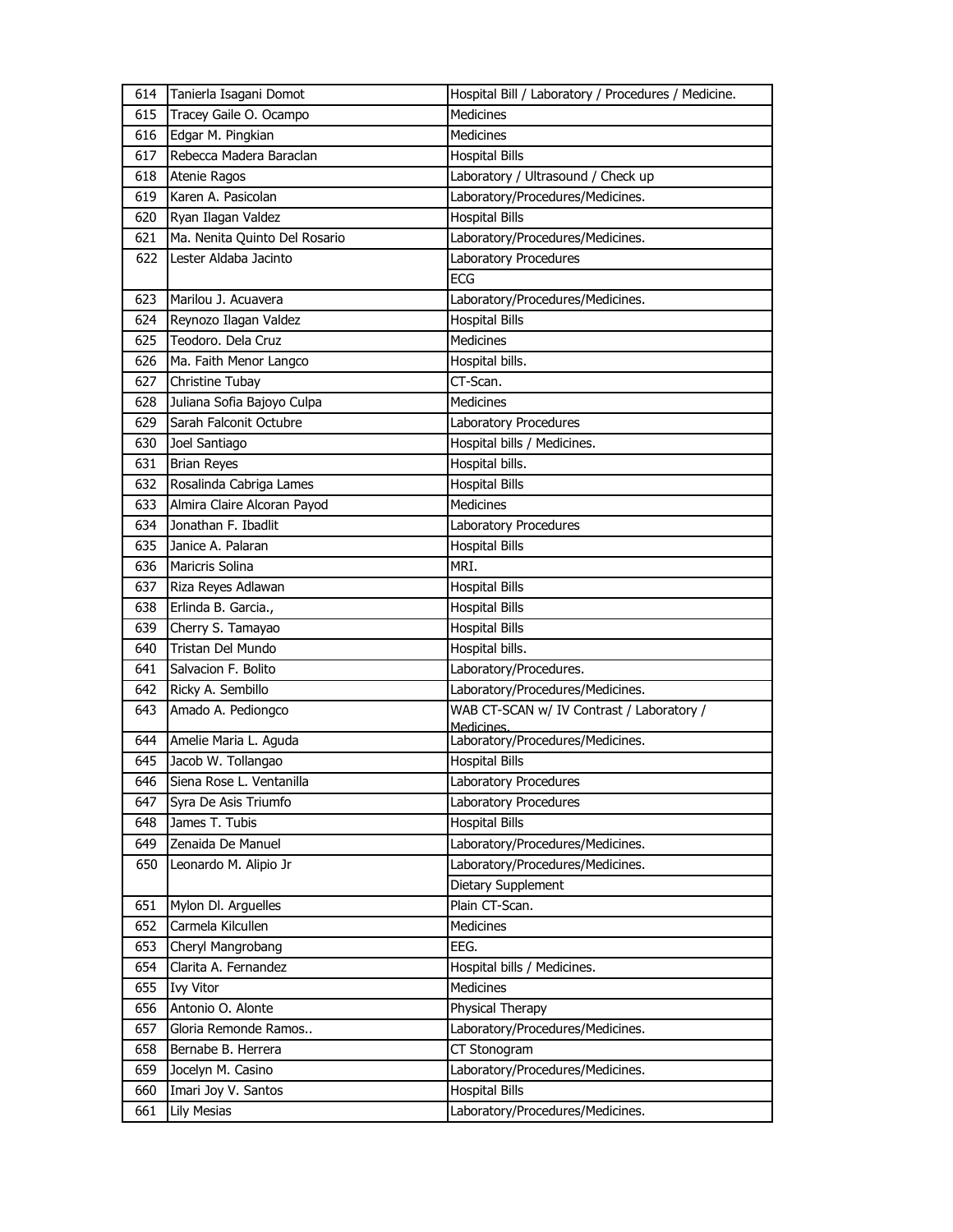| 614 | Tanierla Isagani Domot        | Hospital Bill / Laboratory / Procedures / Medicine.     |
|-----|-------------------------------|---------------------------------------------------------|
| 615 | Tracey Gaile O. Ocampo        | <b>Medicines</b>                                        |
| 616 | Edgar M. Pingkian             | <b>Medicines</b>                                        |
| 617 | Rebecca Madera Baraclan       | <b>Hospital Bills</b>                                   |
| 618 | Atenie Ragos                  | Laboratory / Ultrasound / Check up                      |
| 619 | Karen A. Pasicolan            | Laboratory/Procedures/Medicines.                        |
| 620 | Ryan Ilagan Valdez            | <b>Hospital Bills</b>                                   |
| 621 | Ma. Nenita Quinto Del Rosario | Laboratory/Procedures/Medicines.                        |
| 622 | Lester Aldaba Jacinto         | Laboratory Procedures                                   |
|     |                               | ECG                                                     |
| 623 | Marilou J. Acuavera           | Laboratory/Procedures/Medicines.                        |
| 624 | Reynozo Ilagan Valdez         | <b>Hospital Bills</b>                                   |
| 625 | Teodoro. Dela Cruz            | Medicines                                               |
| 626 | Ma. Faith Menor Langco        | Hospital bills.                                         |
| 627 | Christine Tubay               | CT-Scan.                                                |
| 628 | Juliana Sofia Bajoyo Culpa    | Medicines                                               |
| 629 | Sarah Falconit Octubre        | Laboratory Procedures                                   |
| 630 | Joel Santiago                 | Hospital bills / Medicines.                             |
| 631 | <b>Brian Reyes</b>            | Hospital bills.                                         |
| 632 | Rosalinda Cabriga Lames       | <b>Hospital Bills</b>                                   |
| 633 | Almira Claire Alcoran Payod   | <b>Medicines</b>                                        |
| 634 | Jonathan F. Ibadlit           | Laboratory Procedures                                   |
| 635 | Janice A. Palaran             | <b>Hospital Bills</b>                                   |
| 636 | <b>Maricris Solina</b>        | MRI.                                                    |
| 637 | Riza Reyes Adlawan            | <b>Hospital Bills</b>                                   |
| 638 | Erlinda B. Garcia.,           | <b>Hospital Bills</b>                                   |
| 639 | Cherry S. Tamayao             | <b>Hospital Bills</b>                                   |
| 640 | Tristan Del Mundo             | Hospital bills.                                         |
| 641 | Salvacion F. Bolito           | Laboratory/Procedures.                                  |
| 642 | Ricky A. Sembillo             | Laboratory/Procedures/Medicines.                        |
| 643 | Amado A. Pediongco            | WAB CT-SCAN w/ IV Contrast / Laboratory /<br>Medicines. |
| 644 | Amelie Maria L. Aguda         | Laboratory/Procedures/Medicines.                        |
| 645 | Jacob W. Tollangao            | <b>Hospital Bills</b>                                   |
| 646 | Siena Rose L. Ventanilla      | Laboratory Procedures                                   |
| 647 | Syra De Asis Triumfo          | Laboratory Procedures                                   |
| 648 | James T. Tubis                | <b>Hospital Bills</b>                                   |
| 649 | Zenaida De Manuel             | Laboratory/Procedures/Medicines.                        |
| 650 | Leonardo M. Alipio Jr         | Laboratory/Procedures/Medicines.                        |
|     |                               | Dietary Supplement                                      |
| 651 | Mylon Dl. Arguelles           | Plain CT-Scan.                                          |
| 652 | Carmela Kilcullen             | Medicines                                               |
| 653 | Cheryl Mangrobang             | EEG.                                                    |
| 654 | Clarita A. Fernandez          | Hospital bills / Medicines.                             |
| 655 | <b>Ivy Vitor</b>              | Medicines                                               |
| 656 | Antonio O. Alonte             | Physical Therapy                                        |
| 657 | Gloria Remonde Ramos          | Laboratory/Procedures/Medicines.                        |
| 658 | Bernabe B. Herrera            | CT Stonogram                                            |
| 659 | Jocelyn M. Casino             | Laboratory/Procedures/Medicines.                        |
| 660 | Imari Joy V. Santos           | <b>Hospital Bills</b>                                   |
| 661 | <b>Lily Mesias</b>            | Laboratory/Procedures/Medicines.                        |
|     |                               |                                                         |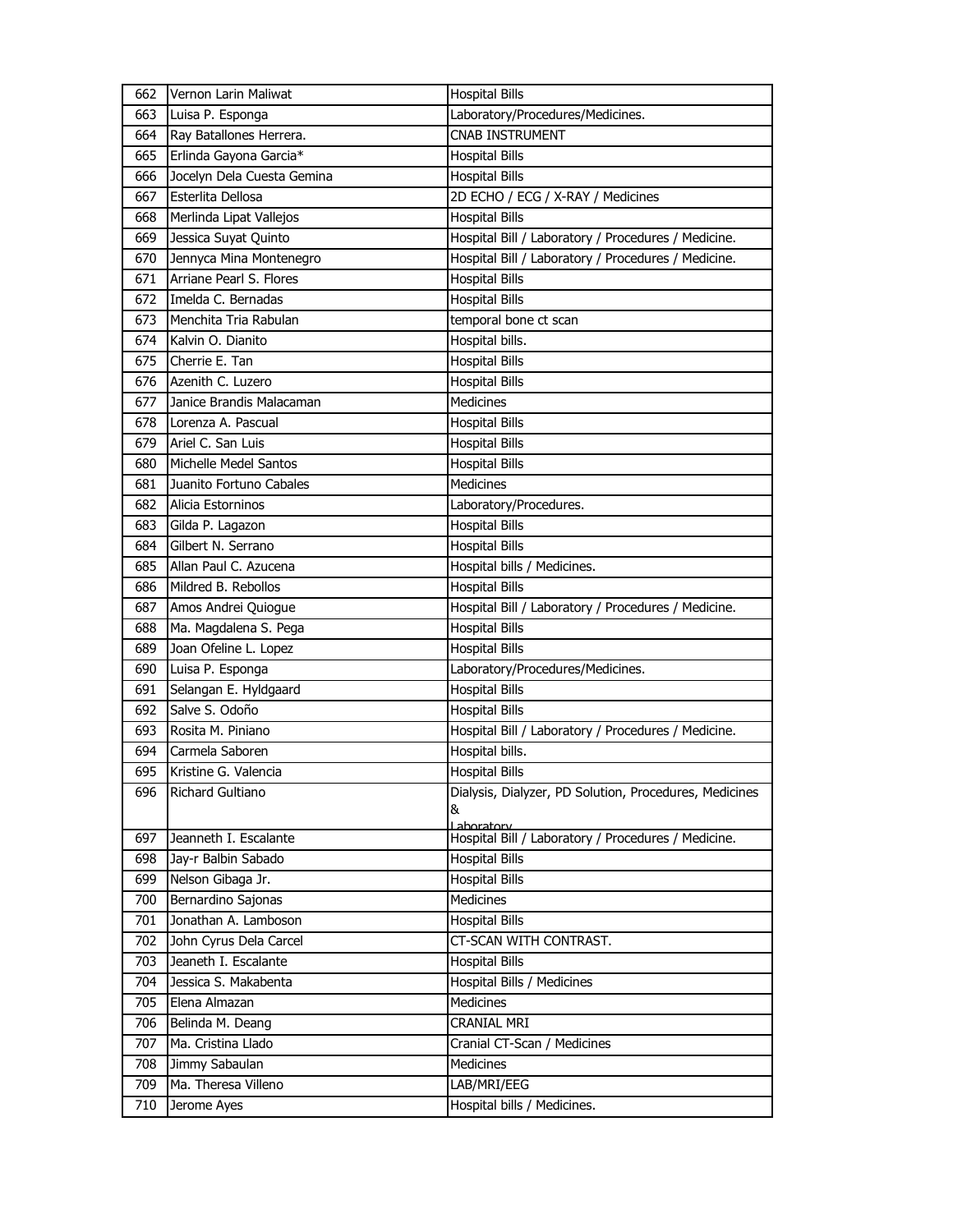| 662 | Vernon Larin Maliwat       | <b>Hospital Bills</b>                                       |
|-----|----------------------------|-------------------------------------------------------------|
| 663 | Luisa P. Esponga           | Laboratory/Procedures/Medicines.                            |
| 664 | Ray Batallones Herrera.    | <b>CNAB INSTRUMENT</b>                                      |
| 665 | Erlinda Gayona Garcia*     | <b>Hospital Bills</b>                                       |
| 666 | Jocelyn Dela Cuesta Gemina | <b>Hospital Bills</b>                                       |
| 667 | Esterlita Dellosa          | 2D ECHO / ECG / X-RAY / Medicines                           |
| 668 | Merlinda Lipat Vallejos    | <b>Hospital Bills</b>                                       |
| 669 | Jessica Suyat Quinto       | Hospital Bill / Laboratory / Procedures / Medicine.         |
| 670 | Jennyca Mina Montenegro    | Hospital Bill / Laboratory / Procedures / Medicine.         |
| 671 | Arriane Pearl S. Flores    | <b>Hospital Bills</b>                                       |
| 672 | Imelda C. Bernadas         | <b>Hospital Bills</b>                                       |
| 673 | Menchita Tria Rabulan      | temporal bone ct scan                                       |
| 674 | Kalvin O. Dianito          | Hospital bills.                                             |
| 675 | Cherrie E. Tan             | <b>Hospital Bills</b>                                       |
| 676 | Azenith C. Luzero          | <b>Hospital Bills</b>                                       |
| 677 | Janice Brandis Malacaman   | <b>Medicines</b>                                            |
| 678 | Lorenza A. Pascual         | <b>Hospital Bills</b>                                       |
| 679 | Ariel C. San Luis          | <b>Hospital Bills</b>                                       |
| 680 | Michelle Medel Santos      | <b>Hospital Bills</b>                                       |
| 681 | Juanito Fortuno Cabales    | Medicines                                                   |
| 682 | Alicia Estorninos          | Laboratory/Procedures.                                      |
| 683 | Gilda P. Lagazon           | <b>Hospital Bills</b>                                       |
| 684 | Gilbert N. Serrano         | <b>Hospital Bills</b>                                       |
| 685 | Allan Paul C. Azucena      | Hospital bills / Medicines.                                 |
| 686 | Mildred B. Rebollos        | <b>Hospital Bills</b>                                       |
| 687 | Amos Andrei Quiogue        | Hospital Bill / Laboratory / Procedures / Medicine.         |
| 688 | Ma. Magdalena S. Pega      | <b>Hospital Bills</b>                                       |
| 689 | Joan Ofeline L. Lopez      | <b>Hospital Bills</b>                                       |
| 690 | Luisa P. Esponga           | Laboratory/Procedures/Medicines.                            |
| 691 | Selangan E. Hyldgaard      | <b>Hospital Bills</b>                                       |
| 692 | Salve S. Odoño             | <b>Hospital Bills</b>                                       |
| 693 | Rosita M. Piniano          | Hospital Bill / Laboratory / Procedures / Medicine.         |
| 694 | Carmela Saboren            | Hospital bills.                                             |
| 695 | Kristine G. Valencia       | <b>Hospital Bills</b>                                       |
| 696 | Richard Gultiano           | Dialysis, Dialyzer, PD Solution, Procedures, Medicines<br>& |
|     |                            | Laboratory                                                  |
| 697 | Jeanneth I. Escalante      | Hospital Bill / Laboratory / Procedures / Medicine.         |
| 698 | Jay-r Balbin Sabado        | <b>Hospital Bills</b>                                       |
| 699 | Nelson Gibaga Jr.          | <b>Hospital Bills</b>                                       |
| 700 | Bernardino Sajonas         | Medicines                                                   |
| 701 | Jonathan A. Lamboson       | <b>Hospital Bills</b>                                       |
| 702 | John Cyrus Dela Carcel     | CT-SCAN WITH CONTRAST.                                      |
| 703 | Jeaneth I. Escalante       | <b>Hospital Bills</b>                                       |
| 704 | Jessica S. Makabenta       | Hospital Bills / Medicines                                  |
| 705 | Elena Almazan              | Medicines                                                   |
| 706 | Belinda M. Deang           | CRANIAL MRI                                                 |
| 707 | Ma. Cristina Llado         | Cranial CT-Scan / Medicines                                 |
| 708 | Jimmy Sabaulan             | Medicines                                                   |
| 709 | Ma. Theresa Villeno        | LAB/MRI/EEG                                                 |
| 710 | Jerome Ayes                | Hospital bills / Medicines.                                 |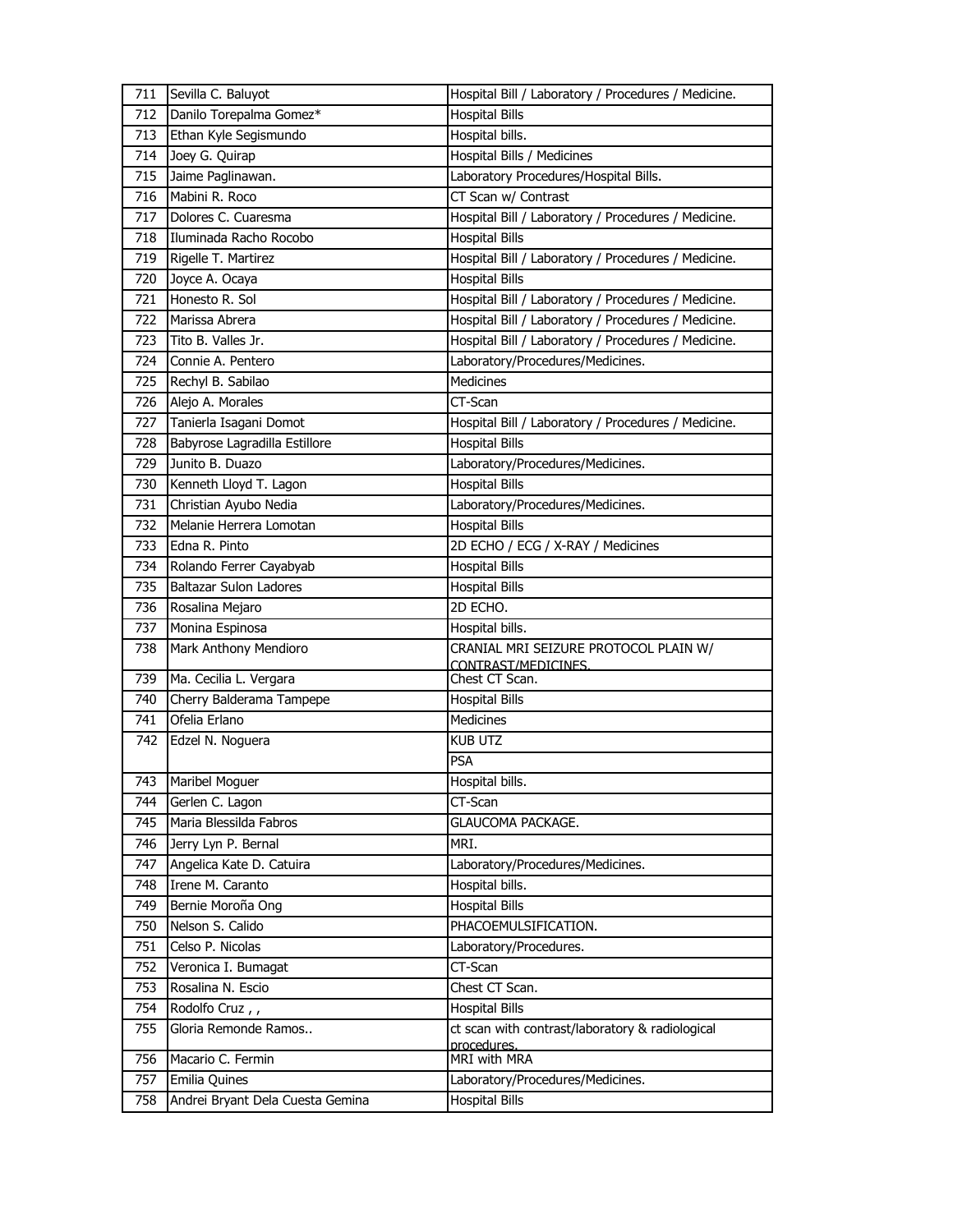| 711 | Sevilla C. Baluyot            | Hospital Bill / Laboratory / Procedures / Medicine. |
|-----|-------------------------------|-----------------------------------------------------|
| 712 | Danilo Torepalma Gomez*       | <b>Hospital Bills</b>                               |
| 713 | Ethan Kyle Segismundo         | Hospital bills.                                     |
| 714 | Joey G. Quirap                | Hospital Bills / Medicines                          |
| 715 | Jaime Paglinawan.             | Laboratory Procedures/Hospital Bills.               |
| 716 | Mabini R. Roco                | CT Scan w/ Contrast                                 |
| 717 | Dolores C. Cuaresma           | Hospital Bill / Laboratory / Procedures / Medicine. |
| 718 | Iluminada Racho Rocobo        | <b>Hospital Bills</b>                               |
| 719 | Rigelle T. Martirez           | Hospital Bill / Laboratory / Procedures / Medicine. |
| 720 | Joyce A. Ocaya                | <b>Hospital Bills</b>                               |
| 721 | Honesto R. Sol                | Hospital Bill / Laboratory / Procedures / Medicine. |
| 722 | Marissa Abrera                | Hospital Bill / Laboratory / Procedures / Medicine. |
| 723 | Tito B. Valles Jr.            | Hospital Bill / Laboratory / Procedures / Medicine. |
| 724 | Connie A. Pentero             | Laboratory/Procedures/Medicines.                    |
| 725 | Rechyl B. Sabilao             | Medicines                                           |
| 726 | Alejo A. Morales              | CT-Scan                                             |
| 727 | Tanierla Isagani Domot        | Hospital Bill / Laboratory / Procedures / Medicine. |
| 728 | Babyrose Lagradilla Estillore | <b>Hospital Bills</b>                               |
| 729 | Junito B. Duazo               | Laboratory/Procedures/Medicines.                    |
| 730 | Kenneth Lloyd T. Lagon        | <b>Hospital Bills</b>                               |
| 731 | Christian Ayubo Nedia         | Laboratory/Procedures/Medicines.                    |
| 732 | Melanie Herrera Lomotan       | <b>Hospital Bills</b>                               |
| 733 | Edna R. Pinto                 | 2D ECHO / ECG / X-RAY / Medicines                   |
| 734 | Rolando Ferrer Cayabyab       | <b>Hospital Bills</b>                               |
| 735 | <b>Baltazar Sulon Ladores</b> | <b>Hospital Bills</b>                               |
|     | Rosalina Mejaro               |                                                     |
| 736 |                               | 2D ECHO.                                            |
| 737 | Monina Espinosa               | Hospital bills.                                     |
| 738 | Mark Anthony Mendioro         | CRANIAL MRI SEIZURE PROTOCOL PLAIN W/               |
|     |                               | CONTRAST/MEDICINES.                                 |
| 739 | Ma. Cecilia L. Vergara        | Chest CT Scan.                                      |
| 740 | Cherry Balderama Tampepe      | <b>Hospital Bills</b>                               |
| 741 | Ofelia Erlano                 | Medicines                                           |
| 742 | Edzel N. Noguera              | <b>KUB UTZ</b>                                      |
|     |                               | <b>PSA</b>                                          |
| 743 | Maribel Moguer                | Hospital bills.                                     |
| 744 | Gerlen C. Lagon               | CT-Scan                                             |
| 745 | Maria Blessilda Fabros        | GLAUCOMA PACKAGE.                                   |
| 746 | Jerry Lyn P. Bernal           | MRI.                                                |
| 747 | Angelica Kate D. Catuira      | Laboratory/Procedures/Medicines.                    |
| 748 | Irene M. Caranto              | Hospital bills.                                     |
| 749 | Bernie Moroña Ong             | <b>Hospital Bills</b>                               |
| 750 | Nelson S. Calido              | PHACOEMULSIFICATION.                                |
| 751 | Celso P. Nicolas              | Laboratory/Procedures.                              |
| 752 | Veronica I. Bumagat           | CT-Scan                                             |
| 753 | Rosalina N. Escio             | Chest CT Scan.                                      |
| 754 | Rodolfo Cruz,,                | <b>Hospital Bills</b>                               |
| 755 | Gloria Remonde Ramos          | ct scan with contrast/laboratory & radiological     |
| 756 | Macario C. Fermin             | procedures.<br>MRI with MRA                         |
| 757 | Emilia Quines                 | Laboratory/Procedures/Medicines.                    |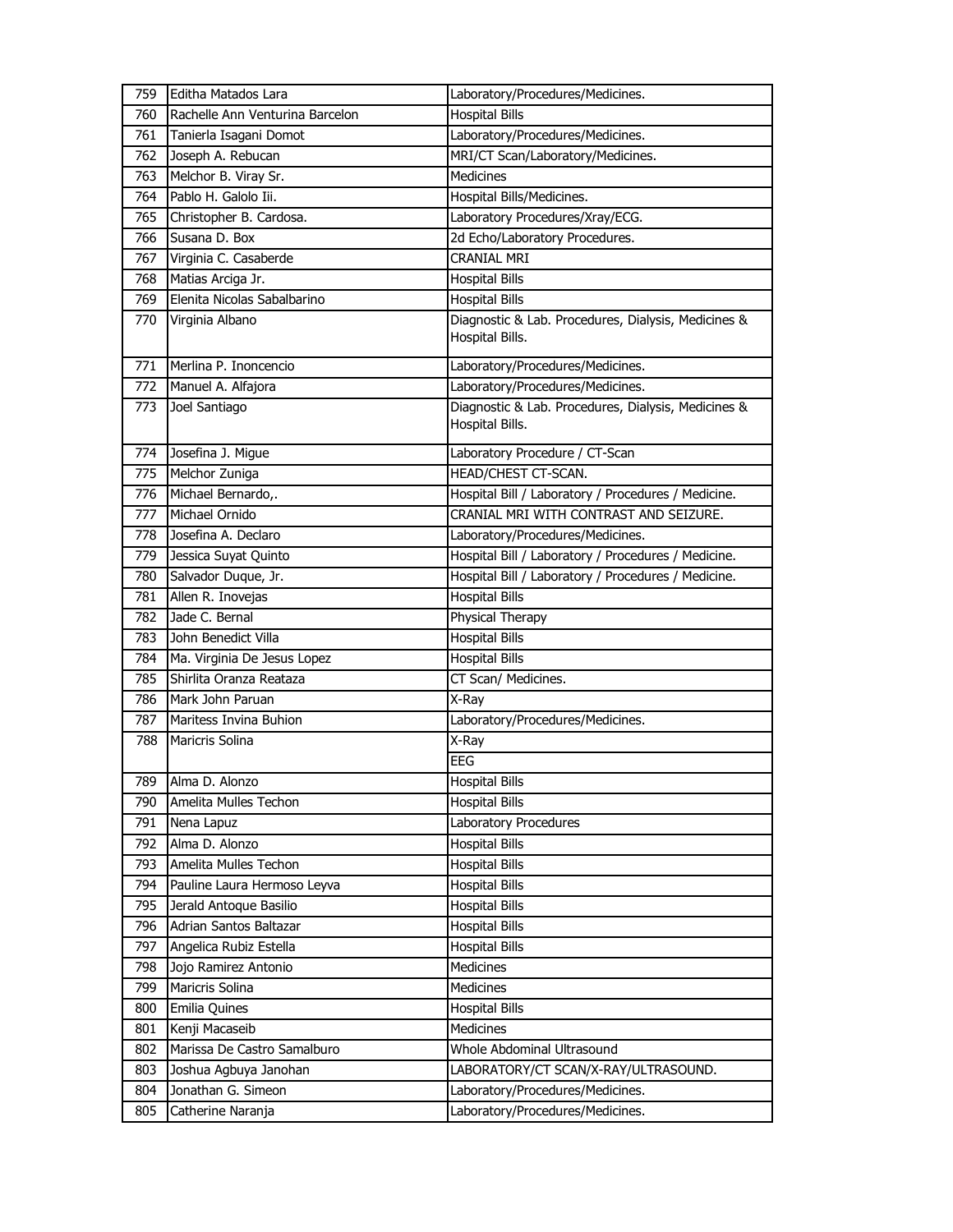| 759 | Editha Matados Lara             | Laboratory/Procedures/Medicines.                                       |
|-----|---------------------------------|------------------------------------------------------------------------|
| 760 | Rachelle Ann Venturina Barcelon | <b>Hospital Bills</b>                                                  |
| 761 | Tanierla Isagani Domot          | Laboratory/Procedures/Medicines.                                       |
| 762 | Joseph A. Rebucan               | MRI/CT Scan/Laboratory/Medicines.                                      |
| 763 | Melchor B. Viray Sr.            | <b>Medicines</b>                                                       |
| 764 | Pablo H. Galolo Iii.            | Hospital Bills/Medicines.                                              |
| 765 | Christopher B. Cardosa.         | Laboratory Procedures/Xray/ECG.                                        |
| 766 | Susana D. Box                   | 2d Echo/Laboratory Procedures.                                         |
| 767 | Virginia C. Casaberde           | <b>CRANIAL MRI</b>                                                     |
| 768 | Matias Arciga Jr.               | <b>Hospital Bills</b>                                                  |
| 769 | Elenita Nicolas Sabalbarino     | <b>Hospital Bills</b>                                                  |
| 770 | Virginia Albano                 | Diagnostic & Lab. Procedures, Dialysis, Medicines &<br>Hospital Bills. |
| 771 | Merlina P. Inoncencio           | Laboratory/Procedures/Medicines.                                       |
| 772 | Manuel A. Alfajora              | Laboratory/Procedures/Medicines.                                       |
| 773 | Joel Santiago                   | Diagnostic & Lab. Procedures, Dialysis, Medicines &<br>Hospital Bills. |
| 774 | Josefina J. Migue               | Laboratory Procedure / CT-Scan                                         |
| 775 | Melchor Zuniga                  | HEAD/CHEST CT-SCAN.                                                    |
| 776 | Michael Bernardo,.              | Hospital Bill / Laboratory / Procedures / Medicine.                    |
| 777 | Michael Ornido                  | CRANIAL MRI WITH CONTRAST AND SEIZURE.                                 |
| 778 | Josefina A. Declaro             | Laboratory/Procedures/Medicines.                                       |
| 779 | Jessica Suyat Quinto            | Hospital Bill / Laboratory / Procedures / Medicine.                    |
| 780 | Salvador Duque, Jr.             | Hospital Bill / Laboratory / Procedures / Medicine.                    |
| 781 | Allen R. Inovejas               | <b>Hospital Bills</b>                                                  |
| 782 | Jade C. Bernal                  | Physical Therapy                                                       |
| 783 | John Benedict Villa             | <b>Hospital Bills</b>                                                  |
| 784 | Ma. Virginia De Jesus Lopez     | <b>Hospital Bills</b>                                                  |
| 785 | Shirlita Oranza Reataza         | CT Scan/ Medicines.                                                    |
| 786 | Mark John Paruan                | X-Ray                                                                  |
| 787 | Maritess Invina Buhion          | Laboratory/Procedures/Medicines.                                       |
| 788 | Maricris Solina                 | X-Ray                                                                  |
|     |                                 | <b>EEG</b>                                                             |
|     | 789 Alma D. Alonzo              | <b>Hospital Bills</b>                                                  |
| 790 | Amelita Mulles Techon           | <b>Hospital Bills</b>                                                  |
| 791 | Nena Lapuz                      | Laboratory Procedures                                                  |
| 792 | Alma D. Alonzo                  | <b>Hospital Bills</b>                                                  |
| 793 | Amelita Mulles Techon           | <b>Hospital Bills</b>                                                  |
| 794 | Pauline Laura Hermoso Leyva     | <b>Hospital Bills</b>                                                  |
| 795 | Jerald Antoque Basilio          | <b>Hospital Bills</b>                                                  |
| 796 | Adrian Santos Baltazar          | <b>Hospital Bills</b>                                                  |
| 797 | Angelica Rubiz Estella          | <b>Hospital Bills</b>                                                  |
| 798 | Jojo Ramirez Antonio            | Medicines                                                              |
| 799 | Maricris Solina                 | Medicines                                                              |
| 800 | Emilia Quines                   | <b>Hospital Bills</b>                                                  |
| 801 | Kenji Macaseib                  | Medicines                                                              |
| 802 | Marissa De Castro Samalburo     | Whole Abdominal Ultrasound                                             |
| 803 | Joshua Agbuya Janohan           | LABORATORY/CT SCAN/X-RAY/ULTRASOUND.                                   |
| 804 | Jonathan G. Simeon              | Laboratory/Procedures/Medicines.                                       |
| 805 | Catherine Naranja               | Laboratory/Procedures/Medicines.                                       |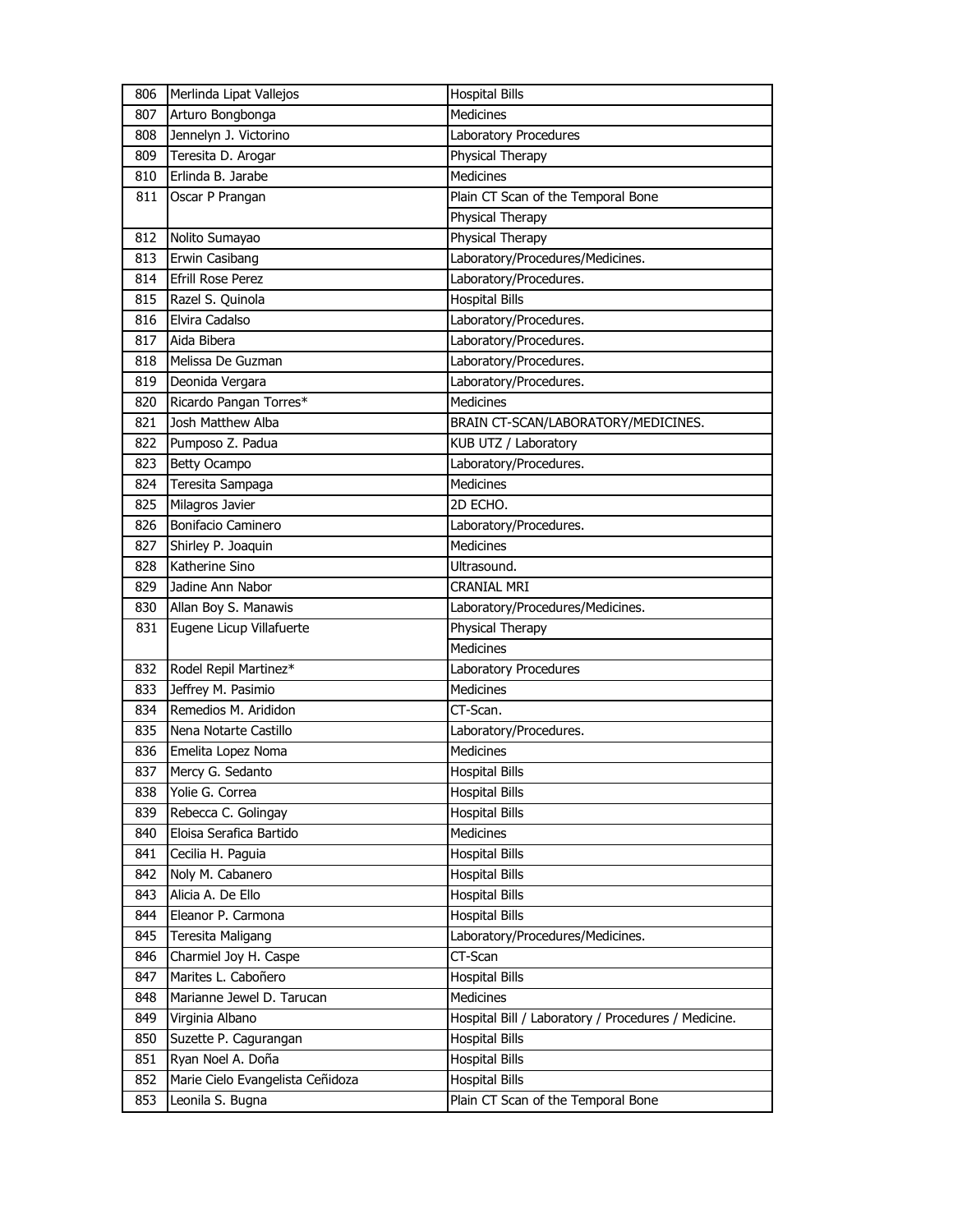| 806        | Merlinda Lipat Vallejos                              | <b>Hospital Bills</b>                               |
|------------|------------------------------------------------------|-----------------------------------------------------|
| 807        | Arturo Bongbonga                                     | Medicines                                           |
| 808        | Jennelyn J. Victorino                                | Laboratory Procedures                               |
| 809        | Teresita D. Arogar                                   | Physical Therapy                                    |
| 810        | Erlinda B. Jarabe                                    | <b>Medicines</b>                                    |
| 811        | Oscar P Prangan                                      | Plain CT Scan of the Temporal Bone                  |
|            |                                                      | Physical Therapy                                    |
| 812        | Nolito Sumayao                                       | Physical Therapy                                    |
| 813        | Erwin Casibang                                       | Laboratory/Procedures/Medicines.                    |
| 814        | <b>Efrill Rose Perez</b>                             | Laboratory/Procedures.                              |
| 815        | Razel S. Quinola                                     | <b>Hospital Bills</b>                               |
| 816        | Elvira Cadalso                                       | Laboratory/Procedures.                              |
| 817        | Aida Bibera                                          | Laboratory/Procedures.                              |
| 818        | Melissa De Guzman                                    | Laboratory/Procedures.                              |
| 819        | Deonida Vergara                                      | Laboratory/Procedures.                              |
| 820        | Ricardo Pangan Torres*                               | <b>Medicines</b>                                    |
| 821        | Josh Matthew Alba                                    | BRAIN CT-SCAN/LABORATORY/MEDICINES.                 |
| 822        | Pumposo Z. Padua                                     | KUB UTZ / Laboratory                                |
| 823        | <b>Betty Ocampo</b>                                  | Laboratory/Procedures.                              |
| 824        | Teresita Sampaga                                     | <b>Medicines</b>                                    |
| 825        | Milagros Javier                                      | 2D ECHO.                                            |
| 826        | Bonifacio Caminero                                   | Laboratory/Procedures.                              |
| 827        | Shirley P. Joaquin                                   | <b>Medicines</b>                                    |
| 828        | Katherine Sino                                       | Ultrasound.                                         |
| 829        | Jadine Ann Nabor                                     | <b>CRANIAL MRI</b>                                  |
| 830        | Allan Boy S. Manawis                                 | Laboratory/Procedures/Medicines.                    |
|            |                                                      |                                                     |
| 831        |                                                      | Physical Therapy                                    |
|            | Eugene Licup Villafuerte                             |                                                     |
| 832        |                                                      | Medicines                                           |
| 833        | Rodel Repil Martinez*<br>Jeffrey M. Pasimio          | Laboratory Procedures<br><b>Medicines</b>           |
| 834        | Remedios M. Arididon                                 | CT-Scan.                                            |
| 835        | Nena Notarte Castillo                                |                                                     |
| 836        |                                                      | Laboratory/Procedures.<br>Medicines                 |
| 837        | Emelita Lopez Noma<br>Mercy G. Sedanto               | <b>Hospital Bills</b>                               |
| 838        | Yolie G. Correa                                      |                                                     |
| 839        | Rebecca C. Golingay                                  | <b>Hospital Bills</b><br><b>Hospital Bills</b>      |
| 840        | Eloisa Serafica Bartido                              | Medicines                                           |
| 841        | Cecilia H. Paguia                                    | <b>Hospital Bills</b>                               |
| 842        |                                                      | <b>Hospital Bills</b>                               |
| 843        | Noly M. Cabanero                                     | <b>Hospital Bills</b>                               |
| 844        | Alicia A. De Ello<br>Eleanor P. Carmona              | <b>Hospital Bills</b>                               |
|            |                                                      |                                                     |
| 845<br>846 | Teresita Maligang                                    | Laboratory/Procedures/Medicines.<br>CT-Scan         |
| 847        | Charmiel Joy H. Caspe<br>Marites L. Caboñero         | <b>Hospital Bills</b>                               |
| 848        | Marianne Jewel D. Tarucan                            | Medicines                                           |
| 849        | Virginia Albano                                      | Hospital Bill / Laboratory / Procedures / Medicine. |
| 850        |                                                      | <b>Hospital Bills</b>                               |
| 851        | Suzette P. Cagurangan<br>Ryan Noel A. Doña           |                                                     |
| 852        |                                                      | <b>Hospital Bills</b><br><b>Hospital Bills</b>      |
| 853        | Marie Cielo Evangelista Ceñidoza<br>Leonila S. Bugna | Plain CT Scan of the Temporal Bone                  |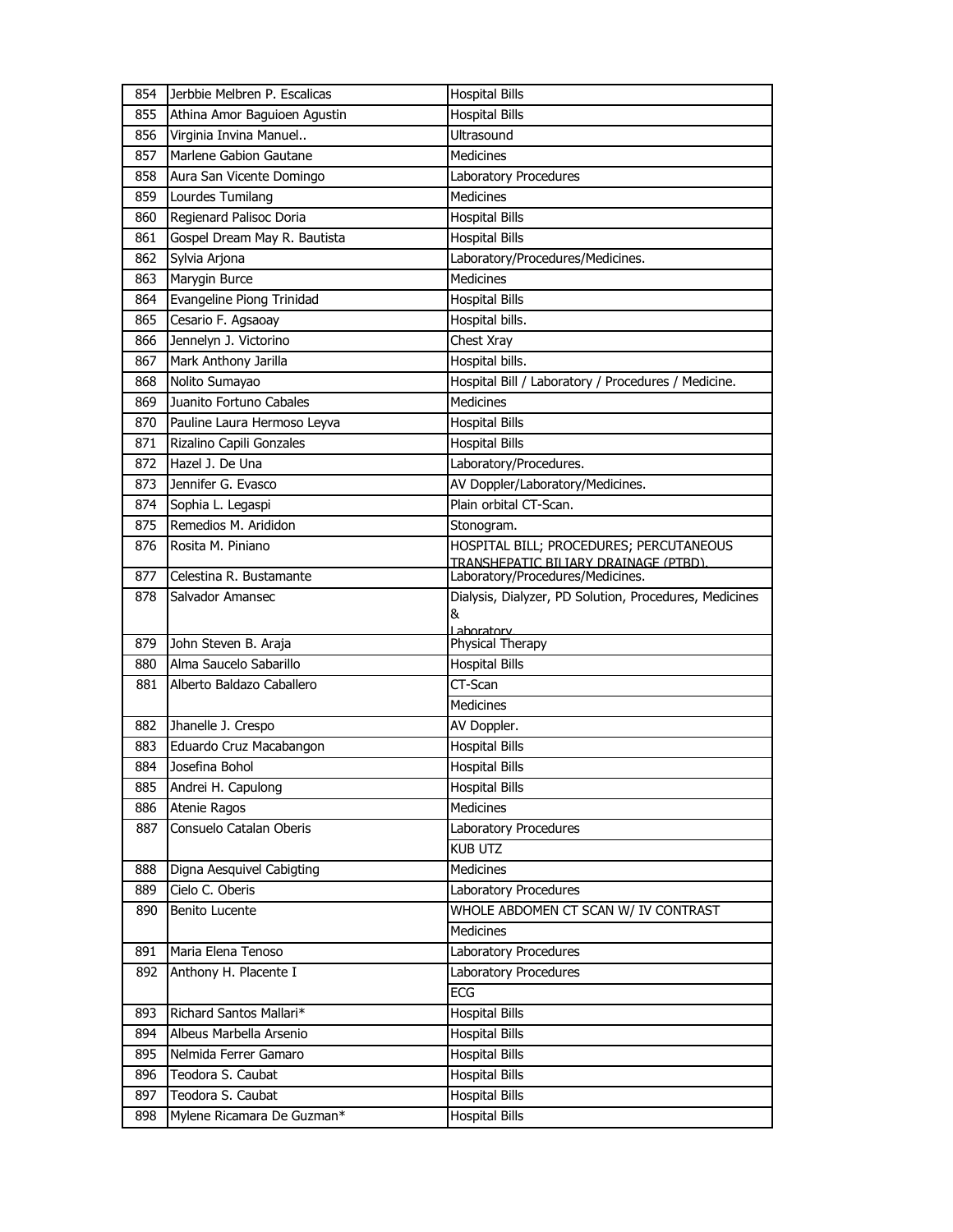| 854 | Jerbbie Melbren P. Escalicas | <b>Hospital Bills</b>                                       |
|-----|------------------------------|-------------------------------------------------------------|
| 855 | Athina Amor Baguioen Agustin | <b>Hospital Bills</b>                                       |
| 856 | Virginia Invina Manuel       | Ultrasound                                                  |
| 857 | Marlene Gabion Gautane       | Medicines                                                   |
| 858 | Aura San Vicente Domingo     | Laboratory Procedures                                       |
| 859 | Lourdes Tumilang             | <b>Medicines</b>                                            |
| 860 | Regienard Palisoc Doria      | <b>Hospital Bills</b>                                       |
| 861 | Gospel Dream May R. Bautista | <b>Hospital Bills</b>                                       |
| 862 | Sylvia Arjona                | Laboratory/Procedures/Medicines.                            |
| 863 | Marygin Burce                | <b>Medicines</b>                                            |
| 864 | Evangeline Piong Trinidad    | <b>Hospital Bills</b>                                       |
| 865 | Cesario F. Agsaoay           | Hospital bills.                                             |
| 866 | Jennelyn J. Victorino        | Chest Xray                                                  |
| 867 | Mark Anthony Jarilla         | Hospital bills.                                             |
| 868 | Nolito Sumayao               | Hospital Bill / Laboratory / Procedures / Medicine.         |
| 869 | Juanito Fortuno Cabales      | <b>Medicines</b>                                            |
| 870 | Pauline Laura Hermoso Leyva  | <b>Hospital Bills</b>                                       |
| 871 | Rizalino Capili Gonzales     | <b>Hospital Bills</b>                                       |
| 872 | Hazel J. De Una              | Laboratory/Procedures.                                      |
| 873 | Jennifer G. Evasco           | AV Doppler/Laboratory/Medicines.                            |
| 874 | Sophia L. Legaspi            | Plain orbital CT-Scan.                                      |
| 875 | Remedios M. Arididon         | Stonogram.                                                  |
| 876 | Rosita M. Piniano            | HOSPITAL BILL; PROCEDURES; PERCUTANEOUS                     |
|     |                              | TRANSHEPATIC BILIARY DRAINAGE (PTBD).                       |
| 877 | Celestina R. Bustamante      | Laboratory/Procedures/Medicines.                            |
| 878 | Salvador Amansec             | Dialysis, Dialyzer, PD Solution, Procedures, Medicines<br>& |
|     |                              | <u>l aboratory</u>                                          |
| 879 | John Steven B. Araja         | Physical Therapy                                            |
| 880 | Alma Saucelo Sabarillo       | <b>Hospital Bills</b>                                       |
| 881 | Alberto Baldazo Caballero    | CT-Scan                                                     |
|     |                              | <b>Medicines</b>                                            |
| 882 | Jhanelle J. Crespo           | AV Doppler.                                                 |
| 883 | Eduardo Cruz Macabangon      | <b>Hospital Bills</b>                                       |
| 884 | Josefina Bohol               | <b>Hospital Bills</b>                                       |
| 885 | Andrei H. Capulong           | Hospital Bills                                              |
| 886 | Atenie Ragos                 | Medicines                                                   |
| 887 | Consuelo Catalan Oberis      | Laboratory Procedures                                       |
|     |                              | <b>KUB UTZ</b>                                              |
| 888 | Digna Aesquivel Cabigting    | Medicines                                                   |
| 889 | Cielo C. Oberis              | Laboratory Procedures                                       |
| 890 | <b>Benito Lucente</b>        | WHOLE ABDOMEN CT SCAN W/ IV CONTRAST                        |
|     |                              | Medicines                                                   |
| 891 | Maria Elena Tenoso           | Laboratory Procedures                                       |
| 892 | Anthony H. Placente I        | Laboratory Procedures                                       |
|     |                              | ECG                                                         |
| 893 | Richard Santos Mallari*      | <b>Hospital Bills</b>                                       |
| 894 | Albeus Marbella Arsenio      | <b>Hospital Bills</b>                                       |
| 895 | Nelmida Ferrer Gamaro        | <b>Hospital Bills</b>                                       |
| 896 | Teodora S. Caubat            | <b>Hospital Bills</b>                                       |
| 897 | Teodora S. Caubat            | <b>Hospital Bills</b>                                       |
|     |                              |                                                             |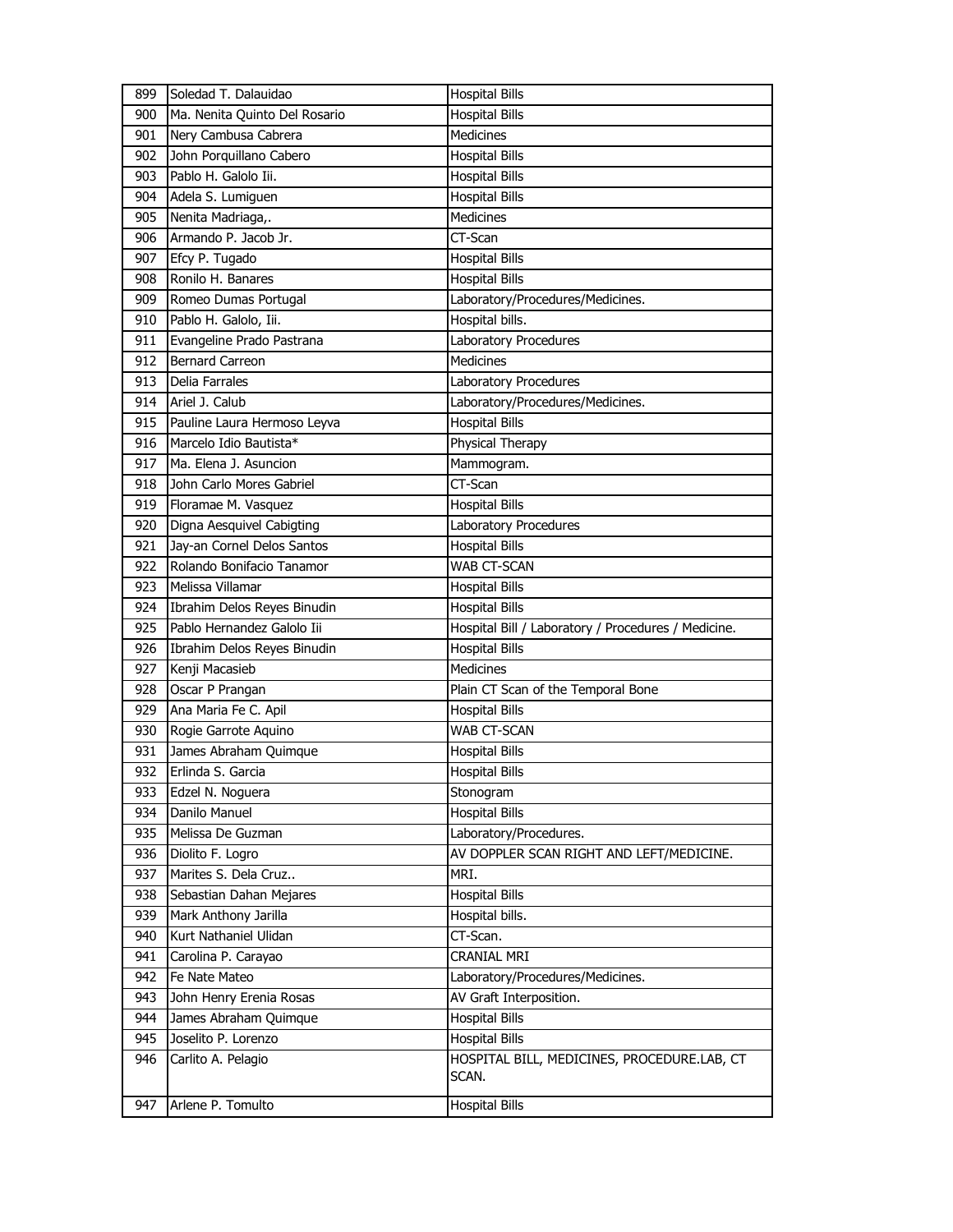| 899 | Soledad T. Dalauidao          | <b>Hospital Bills</b>                                |
|-----|-------------------------------|------------------------------------------------------|
| 900 | Ma. Nenita Quinto Del Rosario | <b>Hospital Bills</b>                                |
| 901 | Nery Cambusa Cabrera          | Medicines                                            |
| 902 | John Porquillano Cabero       | <b>Hospital Bills</b>                                |
| 903 | Pablo H. Galolo Iii.          | <b>Hospital Bills</b>                                |
| 904 | Adela S. Lumiguen             | <b>Hospital Bills</b>                                |
| 905 | Nenita Madriaga,.             | <b>Medicines</b>                                     |
| 906 | Armando P. Jacob Jr.          | CT-Scan                                              |
| 907 | Efcy P. Tugado                | <b>Hospital Bills</b>                                |
| 908 | Ronilo H. Banares             | <b>Hospital Bills</b>                                |
| 909 | Romeo Dumas Portugal          | Laboratory/Procedures/Medicines.                     |
| 910 | Pablo H. Galolo, Iii.         | Hospital bills.                                      |
| 911 | Evangeline Prado Pastrana     | Laboratory Procedures                                |
| 912 | <b>Bernard Carreon</b>        | Medicines                                            |
| 913 | Delia Farrales                | Laboratory Procedures                                |
| 914 | Ariel J. Calub                | Laboratory/Procedures/Medicines.                     |
| 915 | Pauline Laura Hermoso Leyva   | <b>Hospital Bills</b>                                |
| 916 | Marcelo Idio Bautista*        | Physical Therapy                                     |
| 917 | Ma. Elena J. Asuncion         | Mammogram.                                           |
| 918 | John Carlo Mores Gabriel      | CT-Scan                                              |
| 919 | Floramae M. Vasquez           | <b>Hospital Bills</b>                                |
| 920 | Digna Aesquivel Cabigting     | Laboratory Procedures                                |
| 921 | Jay-an Cornel Delos Santos    | <b>Hospital Bills</b>                                |
| 922 | Rolando Bonifacio Tanamor     | WAB CT-SCAN                                          |
| 923 | Melissa Villamar              | <b>Hospital Bills</b>                                |
| 924 | Ibrahim Delos Reyes Binudin   | <b>Hospital Bills</b>                                |
| 925 | Pablo Hernandez Galolo Iii    | Hospital Bill / Laboratory / Procedures / Medicine.  |
| 926 | Ibrahim Delos Reyes Binudin   | <b>Hospital Bills</b>                                |
| 927 | Kenji Macasieb                | <b>Medicines</b>                                     |
| 928 | Oscar P Prangan               | Plain CT Scan of the Temporal Bone                   |
| 929 | Ana Maria Fe C. Apil          | <b>Hospital Bills</b>                                |
| 930 | Rogie Garrote Aquino          | WAB CT-SCAN                                          |
| 931 | James Abraham Quimque         | <b>Hospital Bills</b>                                |
| 932 | Erlinda S. Garcia             | <b>Hospital Bills</b>                                |
| 933 | Edzel N. Noguera              | Stonogram                                            |
| 934 | Danilo Manuel                 | <b>Hospital Bills</b>                                |
| 935 | Melissa De Guzman             | Laboratory/Procedures.                               |
| 936 | Diolito F. Logro              | AV DOPPLER SCAN RIGHT AND LEFT/MEDICINE.             |
| 937 | Marites S. Dela Cruz          | MRI.                                                 |
| 938 | Sebastian Dahan Mejares       | <b>Hospital Bills</b>                                |
| 939 | Mark Anthony Jarilla          | Hospital bills.                                      |
| 940 | Kurt Nathaniel Ulidan         | CT-Scan.                                             |
| 941 | Carolina P. Carayao           | <b>CRANIAL MRI</b>                                   |
| 942 | Fe Nate Mateo                 | Laboratory/Procedures/Medicines.                     |
| 943 | John Henry Erenia Rosas       | AV Graft Interposition.                              |
| 944 | James Abraham Quimque         | <b>Hospital Bills</b>                                |
| 945 | Joselito P. Lorenzo           | <b>Hospital Bills</b>                                |
| 946 | Carlito A. Pelagio            | HOSPITAL BILL, MEDICINES, PROCEDURE.LAB, CT<br>SCAN. |
| 947 | Arlene P. Tomulto             | <b>Hospital Bills</b>                                |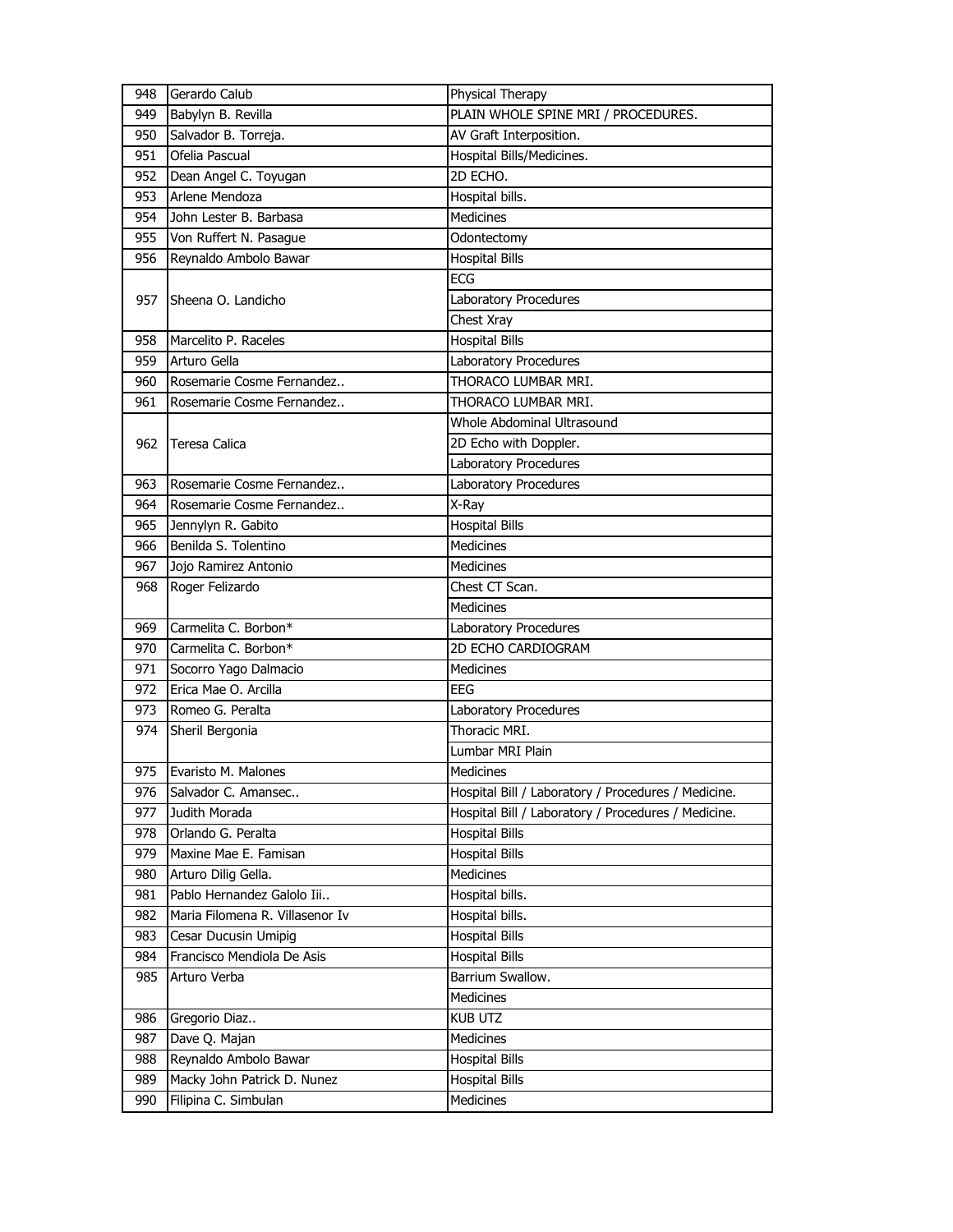| 948 | Gerardo Calub                   | Physical Therapy                                    |
|-----|---------------------------------|-----------------------------------------------------|
| 949 | Babylyn B. Revilla              | PLAIN WHOLE SPINE MRI / PROCEDURES.                 |
| 950 | Salvador B. Torreja.            | AV Graft Interposition.                             |
| 951 | Ofelia Pascual                  | Hospital Bills/Medicines.                           |
| 952 | Dean Angel C. Toyugan           | 2D ECHO.                                            |
| 953 | Arlene Mendoza                  | Hospital bills.                                     |
| 954 | John Lester B. Barbasa          | Medicines                                           |
| 955 | Von Ruffert N. Pasague          | Odontectomy                                         |
| 956 | Reynaldo Ambolo Bawar           | <b>Hospital Bills</b>                               |
|     |                                 | <b>ECG</b>                                          |
| 957 | Sheena O. Landicho              | Laboratory Procedures                               |
|     |                                 | Chest Xray                                          |
| 958 | Marcelito P. Raceles            | <b>Hospital Bills</b>                               |
| 959 | Arturo Gella                    | Laboratory Procedures                               |
| 960 | Rosemarie Cosme Fernandez       | THORACO LUMBAR MRI.                                 |
| 961 | Rosemarie Cosme Fernandez       | THORACO LUMBAR MRI.                                 |
|     |                                 | Whole Abdominal Ultrasound                          |
| 962 | <b>Teresa Calica</b>            | 2D Echo with Doppler.                               |
|     |                                 | <b>Laboratory Procedures</b>                        |
| 963 | Rosemarie Cosme Fernandez       | Laboratory Procedures                               |
| 964 | Rosemarie Cosme Fernandez       | X-Ray                                               |
| 965 | Jennylyn R. Gabito              | <b>Hospital Bills</b>                               |
| 966 | Benilda S. Tolentino            | <b>Medicines</b>                                    |
| 967 | Jojo Ramirez Antonio            | <b>Medicines</b>                                    |
| 968 | Roger Felizardo                 | Chest CT Scan.                                      |
|     |                                 | <b>Medicines</b>                                    |
| 969 | Carmelita C. Borbon*            | Laboratory Procedures                               |
| 970 | Carmelita C. Borbon*            | 2D ECHO CARDIOGRAM                                  |
| 971 | Socorro Yago Dalmacio           | <b>Medicines</b>                                    |
| 972 | Erica Mae O. Arcilla            | EEG                                                 |
| 973 | Romeo G. Peralta                |                                                     |
|     |                                 | Laboratory Procedures<br>Thoracic MRI.              |
| 974 | Sheril Bergonia                 |                                                     |
|     |                                 | Lumbar MRI Plain                                    |
| 975 | Evaristo M. Malones             | Medicines                                           |
| 976 | Salvador C. Amansec             | Hospital Bill / Laboratory / Procedures / Medicine. |
| 977 | Judith Morada                   | Hospital Bill / Laboratory / Procedures / Medicine. |
| 978 | Orlando G. Peralta              | <b>Hospital Bills</b>                               |
| 979 | Maxine Mae E. Famisan           | <b>Hospital Bills</b>                               |
| 980 | Arturo Dilig Gella.             | <b>Medicines</b>                                    |
| 981 | Pablo Hernandez Galolo Iii      | Hospital bills.                                     |
| 982 | Maria Filomena R. Villasenor Iv | Hospital bills.                                     |
| 983 | Cesar Ducusin Umipig            | <b>Hospital Bills</b>                               |
| 984 | Francisco Mendiola De Asis      | <b>Hospital Bills</b>                               |
| 985 | Arturo Verba                    | Barrium Swallow.                                    |
|     |                                 | Medicines                                           |
| 986 | Gregorio Diaz                   | KUB UTZ                                             |
| 987 | Dave Q. Majan                   | Medicines                                           |
| 988 | Reynaldo Ambolo Bawar           | <b>Hospital Bills</b>                               |
| 989 | Macky John Patrick D. Nunez     | <b>Hospital Bills</b>                               |
| 990 | Filipina C. Simbulan            | Medicines                                           |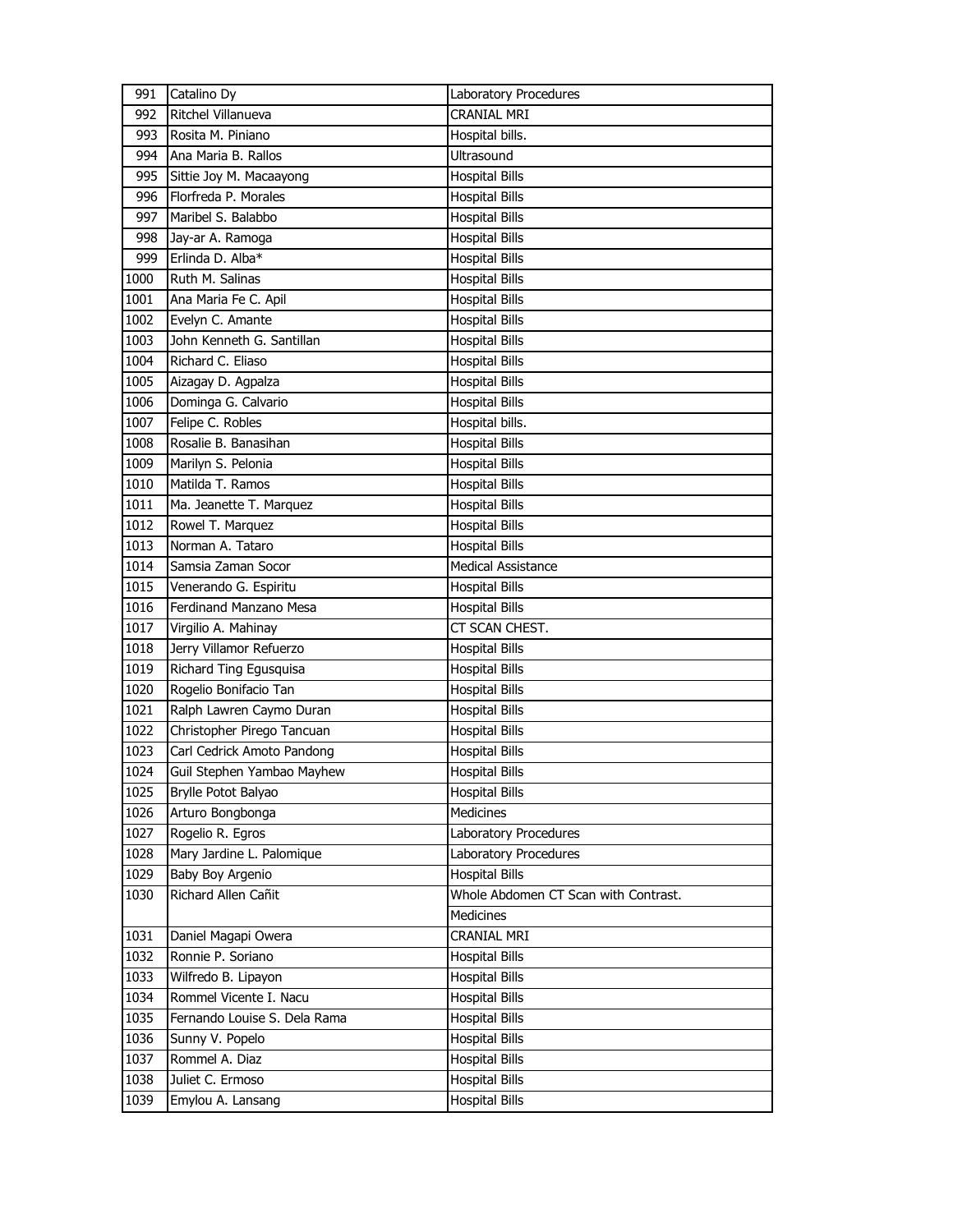| 991  | Catalino Dy                  | Laboratory Procedures                |
|------|------------------------------|--------------------------------------|
| 992  | Ritchel Villanueva           | <b>CRANIAL MRI</b>                   |
| 993  | Rosita M. Piniano            | Hospital bills.                      |
| 994  | Ana Maria B. Rallos          | <b>Ultrasound</b>                    |
| 995  | Sittie Joy M. Macaayong      | <b>Hospital Bills</b>                |
| 996  | Florfreda P. Morales         | <b>Hospital Bills</b>                |
| 997  | Maribel S. Balabbo           | <b>Hospital Bills</b>                |
| 998  | Jay-ar A. Ramoga             | <b>Hospital Bills</b>                |
| 999  | Erlinda D. Alba*             | <b>Hospital Bills</b>                |
| 1000 | Ruth M. Salinas              | <b>Hospital Bills</b>                |
| 1001 | Ana Maria Fe C. Apil         | <b>Hospital Bills</b>                |
| 1002 | Evelyn C. Amante             | <b>Hospital Bills</b>                |
| 1003 | John Kenneth G. Santillan    | <b>Hospital Bills</b>                |
| 1004 | Richard C. Eliaso            | <b>Hospital Bills</b>                |
| 1005 | Aizagay D. Agpalza           | <b>Hospital Bills</b>                |
| 1006 | Dominga G. Calvario          | <b>Hospital Bills</b>                |
| 1007 | Felipe C. Robles             | Hospital bills.                      |
| 1008 | Rosalie B. Banasihan         | <b>Hospital Bills</b>                |
| 1009 | Marilyn S. Pelonia           | <b>Hospital Bills</b>                |
| 1010 | Matilda T. Ramos             | <b>Hospital Bills</b>                |
| 1011 | Ma. Jeanette T. Marquez      | <b>Hospital Bills</b>                |
| 1012 | Rowel T. Marquez             | <b>Hospital Bills</b>                |
| 1013 | Norman A. Tataro             | <b>Hospital Bills</b>                |
| 1014 | Samsia Zaman Socor           | Medical Assistance                   |
| 1015 | Venerando G. Espiritu        | <b>Hospital Bills</b>                |
| 1016 | Ferdinand Manzano Mesa       | <b>Hospital Bills</b>                |
| 1017 | Virgilio A. Mahinay          | CT SCAN CHEST.                       |
| 1018 | Jerry Villamor Refuerzo      | <b>Hospital Bills</b>                |
| 1019 | Richard Ting Egusquisa       | <b>Hospital Bills</b>                |
| 1020 | Rogelio Bonifacio Tan        | <b>Hospital Bills</b>                |
| 1021 | Ralph Lawren Caymo Duran     | <b>Hospital Bills</b>                |
| 1022 | Christopher Pirego Tancuan   | <b>Hospital Bills</b>                |
| 1023 | Carl Cedrick Amoto Pandong   | <b>Hospital Bills</b>                |
| 1024 | Guil Stephen Yambao Mayhew   | <b>Hospital Bills</b>                |
| 1025 | Brylle Potot Balyao          | <b>Hospital Bills</b>                |
| 1026 | Arturo Bongbonga             | Medicines                            |
| 1027 | Rogelio R. Egros             | Laboratory Procedures                |
| 1028 | Mary Jardine L. Palomique    | Laboratory Procedures                |
| 1029 | Baby Boy Argenio             | <b>Hospital Bills</b>                |
| 1030 | Richard Allen Cañit          | Whole Abdomen CT Scan with Contrast. |
|      |                              | Medicines                            |
| 1031 | Daniel Magapi Owera          | CRANIAL MRI                          |
| 1032 | Ronnie P. Soriano            | <b>Hospital Bills</b>                |
| 1033 | Wilfredo B. Lipayon          | <b>Hospital Bills</b>                |
| 1034 | Rommel Vicente I. Nacu       | <b>Hospital Bills</b>                |
| 1035 | Fernando Louise S. Dela Rama | <b>Hospital Bills</b>                |
| 1036 | Sunny V. Popelo              | <b>Hospital Bills</b>                |
| 1037 | Rommel A. Diaz               | <b>Hospital Bills</b>                |
| 1038 | Juliet C. Ermoso             | <b>Hospital Bills</b>                |
| 1039 | Emylou A. Lansang            | <b>Hospital Bills</b>                |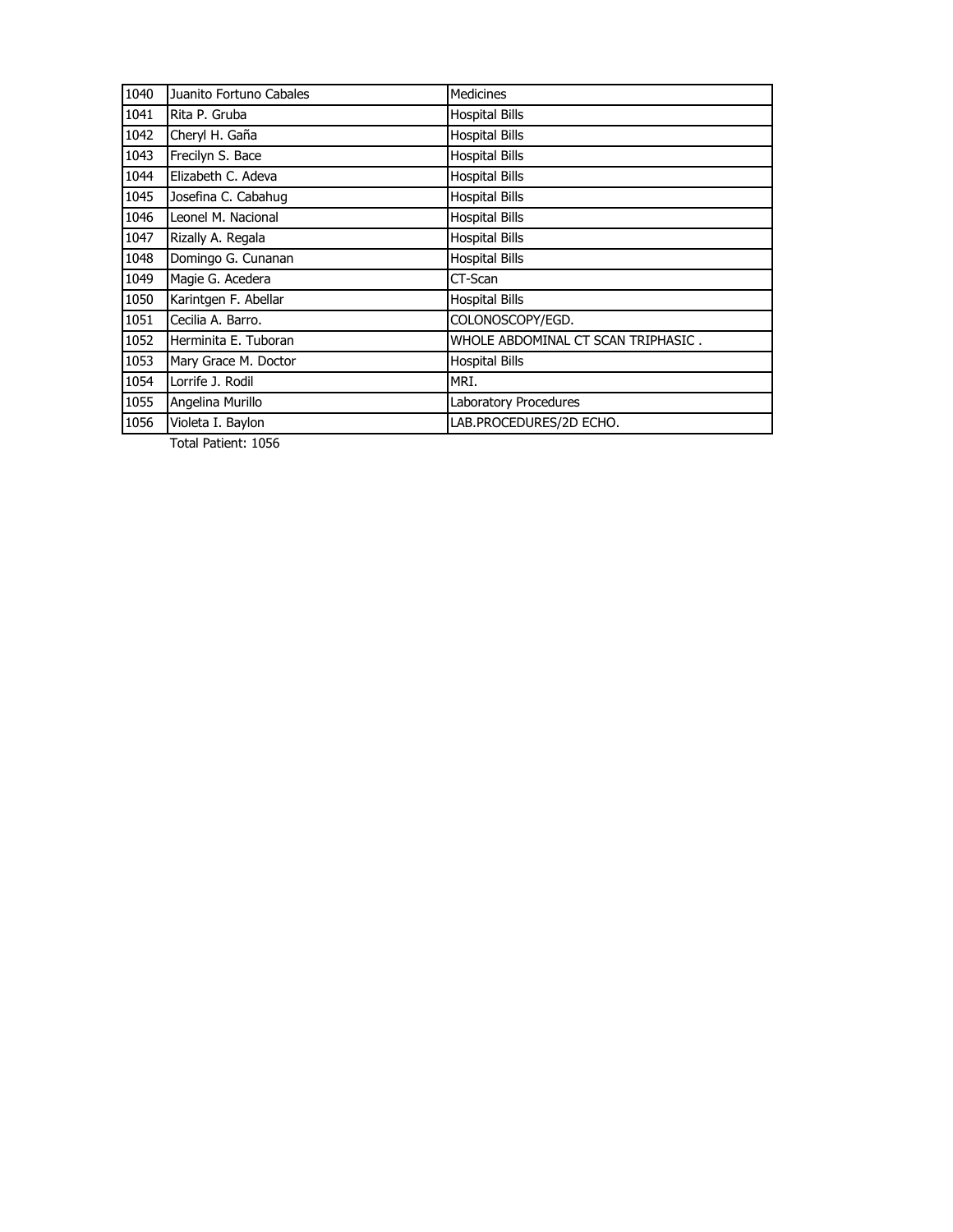| 1040 | Juanito Fortuno Cabales | Medicines                          |
|------|-------------------------|------------------------------------|
| 1041 | Rita P. Gruba           | <b>Hospital Bills</b>              |
| 1042 | Cheryl H. Gaña          | <b>Hospital Bills</b>              |
| 1043 | Frecilyn S. Bace        | <b>Hospital Bills</b>              |
| 1044 | Elizabeth C. Adeva      | <b>Hospital Bills</b>              |
| 1045 | Josefina C. Cabahug     | <b>Hospital Bills</b>              |
| 1046 | Leonel M. Nacional      | <b>Hospital Bills</b>              |
| 1047 | Rizally A. Regala       | <b>Hospital Bills</b>              |
| 1048 | Domingo G. Cunanan      | <b>Hospital Bills</b>              |
| 1049 | Magie G. Acedera        | CT-Scan                            |
| 1050 | Karintgen F. Abellar    | <b>Hospital Bills</b>              |
| 1051 | Cecilia A. Barro.       | COLONOSCOPY/EGD.                   |
| 1052 | Herminita E. Tuboran    | WHOLE ABDOMINAL CT SCAN TRIPHASIC. |
| 1053 | Mary Grace M. Doctor    | <b>Hospital Bills</b>              |
| 1054 | Lorrife J. Rodil        | MRI.                               |
| 1055 | Angelina Murillo        | Laboratory Procedures              |
| 1056 | Violeta I. Baylon       | LAB.PROCEDURES/2D ECHO.            |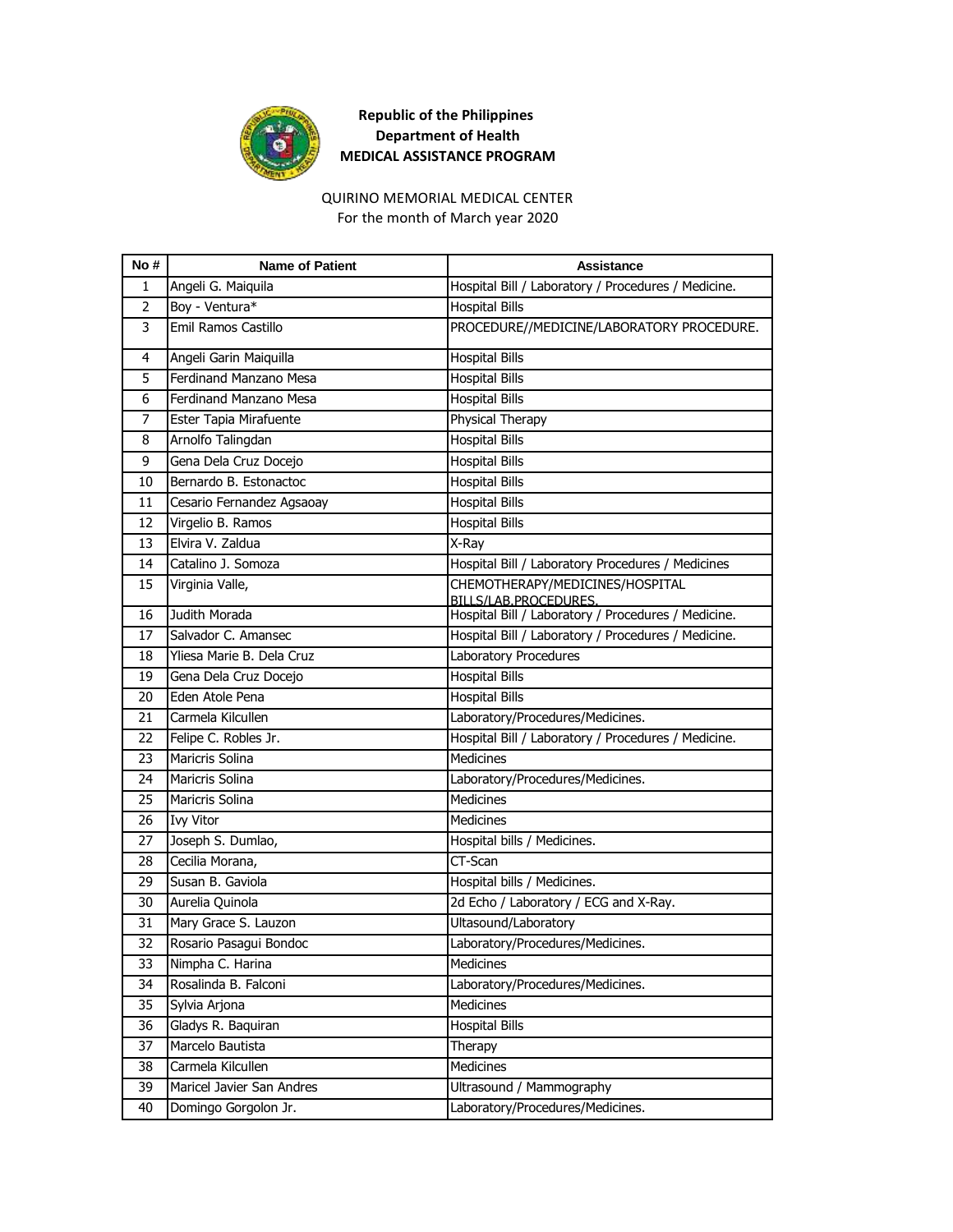

### QUIRINO MEMORIAL MEDICAL CENTER

For the month of March year 2020

| No#            | <b>Name of Patient</b>    | <b>Assistance</b>                                        |
|----------------|---------------------------|----------------------------------------------------------|
| 1              | Angeli G. Maiquila        | Hospital Bill / Laboratory / Procedures / Medicine.      |
| $\overline{2}$ | Boy - Ventura*            | <b>Hospital Bills</b>                                    |
| 3              | Emil Ramos Castillo       | PROCEDURE//MEDICINE/LABORATORY PROCEDURE.                |
| 4              | Angeli Garin Maiquilla    | <b>Hospital Bills</b>                                    |
| 5              | Ferdinand Manzano Mesa    | <b>Hospital Bills</b>                                    |
| 6              | Ferdinand Manzano Mesa    | <b>Hospital Bills</b>                                    |
| 7              | Ester Tapia Mirafuente    | Physical Therapy                                         |
| 8              | Arnolfo Talingdan         | <b>Hospital Bills</b>                                    |
| 9              | Gena Dela Cruz Docejo     | <b>Hospital Bills</b>                                    |
| 10             | Bernardo B. Estonactoc    | <b>Hospital Bills</b>                                    |
| 11             | Cesario Fernandez Agsaoay | <b>Hospital Bills</b>                                    |
| 12             | Virgelio B. Ramos         | <b>Hospital Bills</b>                                    |
| 13             | Elvira V. Zaldua          | X-Ray                                                    |
| 14             | Catalino J. Somoza        | Hospital Bill / Laboratory Procedures / Medicines        |
| 15             | Virginia Valle,           | CHEMOTHERAPY/MEDICINES/HOSPITAL<br>BILLS/LAB.PROCEDURES. |
| 16             | Judith Morada             | Hospital Bill / Laboratory / Procedures / Medicine.      |
| 17             | Salvador C. Amansec       | Hospital Bill / Laboratory / Procedures / Medicine.      |
| 18             | Yliesa Marie B. Dela Cruz | Laboratory Procedures                                    |
| 19             | Gena Dela Cruz Docejo     | <b>Hospital Bills</b>                                    |
| 20             | Eden Atole Pena           | <b>Hospital Bills</b>                                    |
| 21             | Carmela Kilcullen         | Laboratory/Procedures/Medicines.                         |
| 22             | Felipe C. Robles Jr.      | Hospital Bill / Laboratory / Procedures / Medicine.      |
| 23             | <b>Maricris Solina</b>    | <b>Medicines</b>                                         |
| 24             | Maricris Solina           | Laboratory/Procedures/Medicines.                         |
| 25             | Maricris Solina           | <b>Medicines</b>                                         |
| 26             | <b>Ivy Vitor</b>          | <b>Medicines</b>                                         |
| 27             | Joseph S. Dumlao,         | Hospital bills / Medicines.                              |
| 28             | Cecilia Morana,           | CT-Scan                                                  |
| 29             | Susan B. Gaviola          | Hospital bills / Medicines.                              |
| 30             | Aurelia Quinola           | 2d Echo / Laboratory / ECG and X-Ray.                    |
| 31             | Mary Grace S. Lauzon      | Ultasound/Laboratory                                     |
| 32             | Rosario Pasagui Bondoc    | Laboratory/Procedures/Medicines.                         |
| 33             | Nimpha C. Harina          | Medicines                                                |
| 34             | Rosalinda B. Falconi      | Laboratory/Procedures/Medicines.                         |
| 35             | Sylvia Arjona             | Medicines                                                |
| 36             | Gladys R. Baquiran        | <b>Hospital Bills</b>                                    |
| 37             | Marcelo Bautista          | Therapy                                                  |
| 38             | Carmela Kilcullen         | Medicines                                                |
| 39             | Maricel Javier San Andres | Ultrasound / Mammography                                 |
| 40             | Domingo Gorgolon Jr.      | Laboratory/Procedures/Medicines.                         |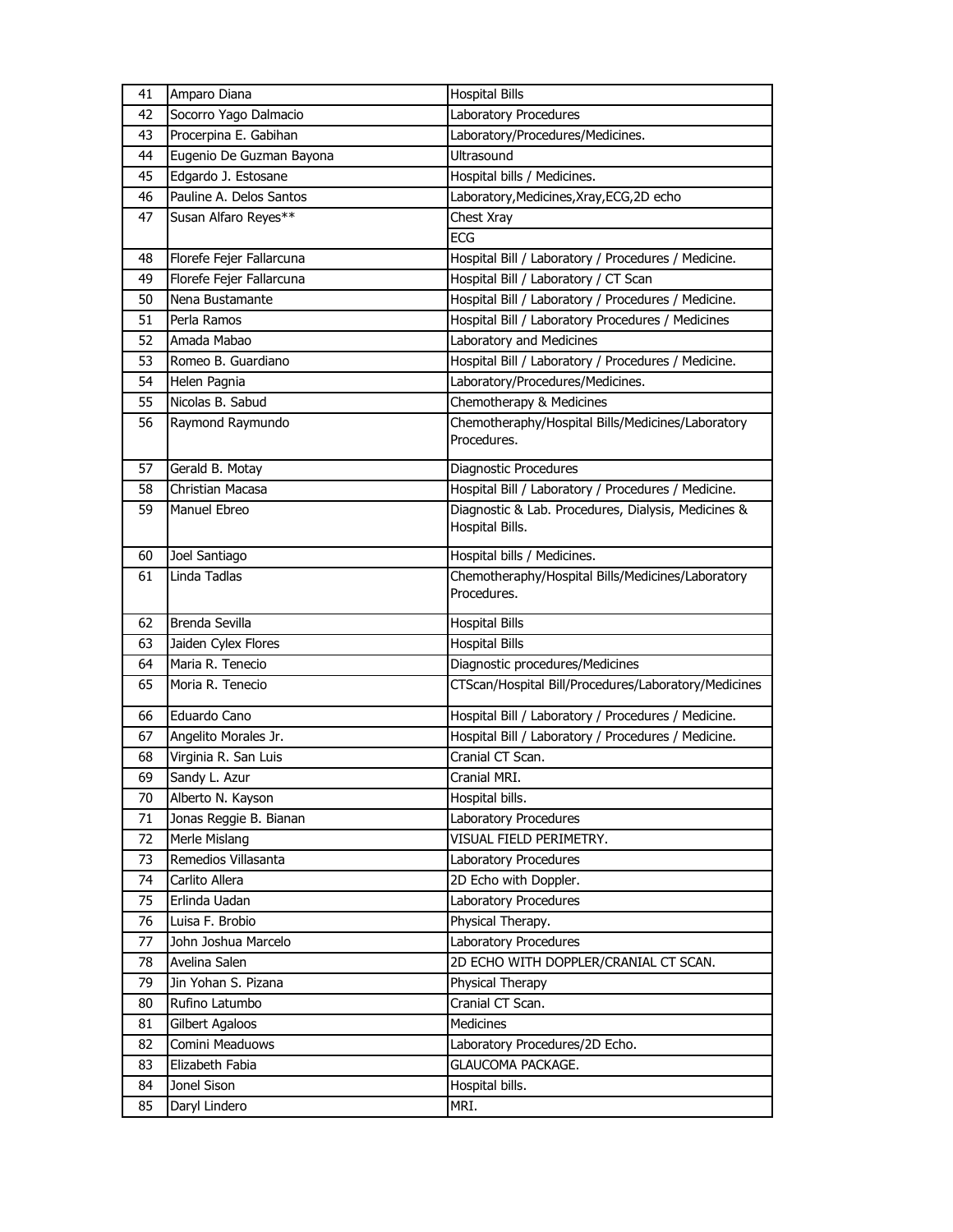| 41 | Amparo Diana             | <b>Hospital Bills</b>                                            |
|----|--------------------------|------------------------------------------------------------------|
| 42 | Socorro Yago Dalmacio    | Laboratory Procedures                                            |
| 43 | Procerpina E. Gabihan    | Laboratory/Procedures/Medicines.                                 |
| 44 | Eugenio De Guzman Bayona | Ultrasound                                                       |
| 45 | Edgardo J. Estosane      | Hospital bills / Medicines.                                      |
| 46 | Pauline A. Delos Santos  | Laboratory, Medicines, Xray, ECG, 2D echo                        |
| 47 | Susan Alfaro Reyes**     | Chest Xray                                                       |
|    |                          | ECG                                                              |
| 48 | Florefe Fejer Fallarcuna | Hospital Bill / Laboratory / Procedures / Medicine.              |
| 49 | Florefe Fejer Fallarcuna | Hospital Bill / Laboratory / CT Scan                             |
| 50 | Nena Bustamante          | Hospital Bill / Laboratory / Procedures / Medicine.              |
| 51 | Perla Ramos              | Hospital Bill / Laboratory Procedures / Medicines                |
| 52 | Amada Mabao              | Laboratory and Medicines                                         |
| 53 | Romeo B. Guardiano       | Hospital Bill / Laboratory / Procedures / Medicine.              |
| 54 | Helen Pagnia             | Laboratory/Procedures/Medicines.                                 |
| 55 | Nicolas B. Sabud         | Chemotherapy & Medicines                                         |
| 56 | Raymond Raymundo         | Chemotheraphy/Hospital Bills/Medicines/Laboratory                |
|    |                          | Procedures.                                                      |
| 57 | Gerald B. Motay          | Diagnostic Procedures                                            |
| 58 | Christian Macasa         | Hospital Bill / Laboratory / Procedures / Medicine.              |
| 59 | Manuel Ebreo             | Diagnostic & Lab. Procedures, Dialysis, Medicines &              |
|    |                          | Hospital Bills.                                                  |
|    |                          |                                                                  |
| 60 | Joel Santiago            | Hospital bills / Medicines.                                      |
| 61 | Linda Tadlas             | Chemotheraphy/Hospital Bills/Medicines/Laboratory<br>Procedures. |
|    |                          |                                                                  |
| 62 | Brenda Sevilla           | <b>Hospital Bills</b>                                            |
| 63 | Jaiden Cylex Flores      | <b>Hospital Bills</b>                                            |
| 64 | Maria R. Tenecio         | Diagnostic procedures/Medicines                                  |
| 65 | Moria R. Tenecio         | CTScan/Hospital Bill/Procedures/Laboratory/Medicines             |
| 66 | Eduardo Cano             | Hospital Bill / Laboratory / Procedures / Medicine.              |
| 67 | Angelito Morales Jr.     | Hospital Bill / Laboratory / Procedures / Medicine.              |
| 68 | Virginia R. San Luis     | Cranial CT Scan.                                                 |
| 69 | Sandy L. Azur            | Cranial MRI.                                                     |
| 70 | Alberto N. Kayson        | Hospital bills.                                                  |
| 71 | Jonas Reggie B. Bianan   | Laboratory Procedures                                            |
| 72 | Merle Mislang            | VISUAL FIELD PERIMETRY.                                          |
| 73 | Remedios Villasanta      | Laboratory Procedures                                            |
| 74 | Carlito Allera           | 2D Echo with Doppler.                                            |
| 75 | Erlinda Uadan            | Laboratory Procedures                                            |
| 76 | Luisa F. Brobio          | Physical Therapy.                                                |
| 77 | John Joshua Marcelo      | Laboratory Procedures                                            |
| 78 | Avelina Salen            | 2D ECHO WITH DOPPLER/CRANIAL CT SCAN.                            |
| 79 | Jin Yohan S. Pizana      | Physical Therapy                                                 |
| 80 | Rufino Latumbo           | Cranial CT Scan.                                                 |
| 81 | Gilbert Agaloos          | Medicines                                                        |
| 82 | Comini Meaduows          | Laboratory Procedures/2D Echo.                                   |
| 83 | Elizabeth Fabia          | GLAUCOMA PACKAGE.                                                |
| 84 | Jonel Sison              | Hospital bills.                                                  |
| 85 | Daryl Lindero            | MRI.                                                             |
|    |                          |                                                                  |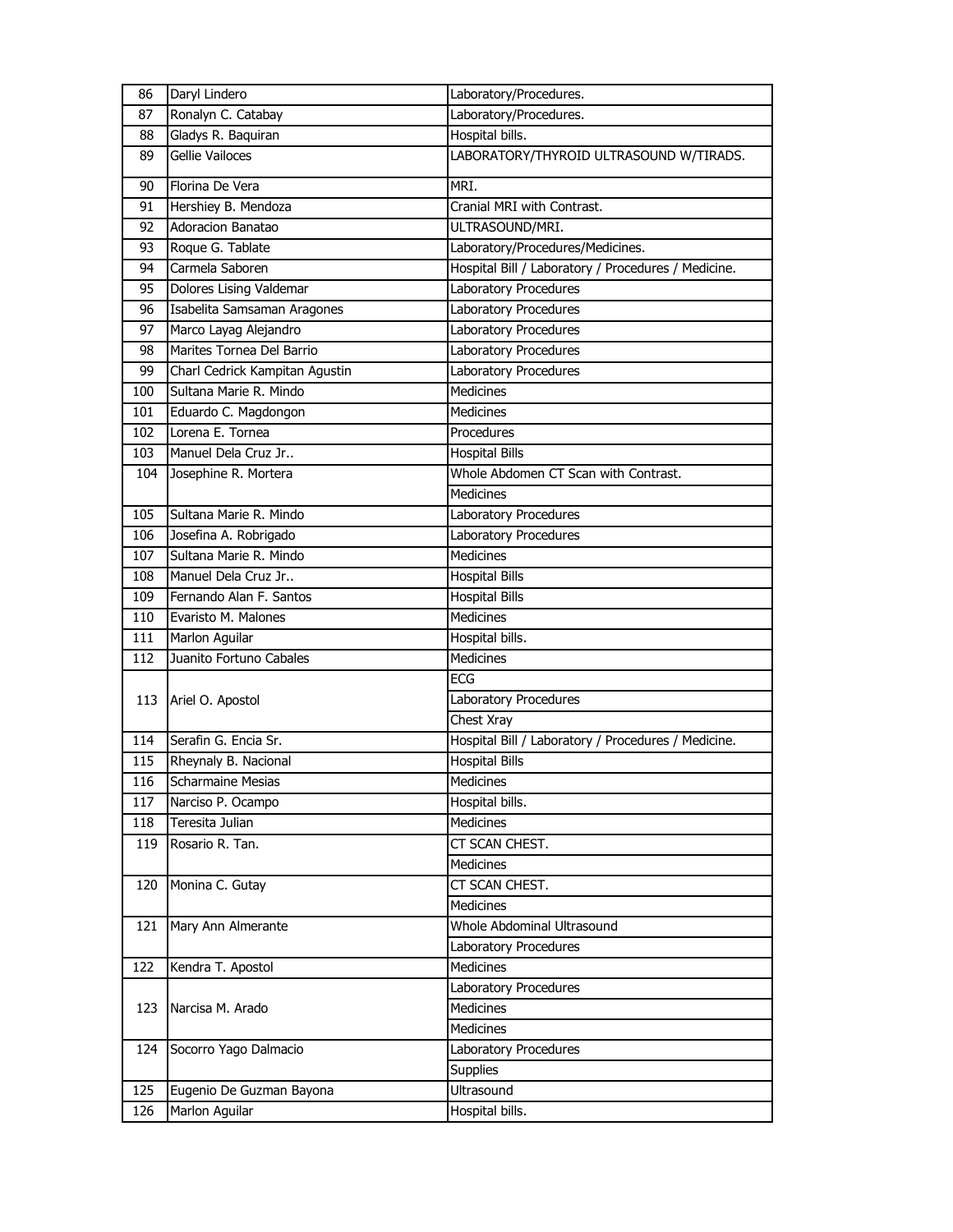| 86  | Daryl Lindero                  | Laboratory/Procedures.                              |
|-----|--------------------------------|-----------------------------------------------------|
| 87  | Ronalyn C. Catabay             | Laboratory/Procedures.                              |
| 88  | Gladys R. Baquiran             | Hospital bills.                                     |
| 89  | Gellie Vailoces                | LABORATORY/THYROID ULTRASOUND W/TIRADS.             |
| 90  | Florina De Vera                | MRI.                                                |
| 91  | Hershiey B. Mendoza            | Cranial MRI with Contrast.                          |
| 92  | Adoracion Banatao              | ULTRASOUND/MRI.                                     |
| 93  | Roque G. Tablate               | Laboratory/Procedures/Medicines.                    |
| 94  | Carmela Saboren                | Hospital Bill / Laboratory / Procedures / Medicine. |
| 95  | Dolores Lising Valdemar        | Laboratory Procedures                               |
| 96  | Isabelita Samsaman Aragones    | Laboratory Procedures                               |
| 97  | Marco Layag Alejandro          | Laboratory Procedures                               |
| 98  | Marites Tornea Del Barrio      | Laboratory Procedures                               |
| 99  | Charl Cedrick Kampitan Agustin | Laboratory Procedures                               |
| 100 | Sultana Marie R. Mindo         | <b>Medicines</b>                                    |
| 101 | Eduardo C. Magdongon           | Medicines                                           |
| 102 | Lorena E. Tornea               | Procedures                                          |
| 103 | Manuel Dela Cruz Jr            | <b>Hospital Bills</b>                               |
| 104 | Josephine R. Mortera           | Whole Abdomen CT Scan with Contrast.                |
|     |                                | Medicines                                           |
| 105 | Sultana Marie R. Mindo         | Laboratory Procedures                               |
| 106 | Josefina A. Robrigado          | Laboratory Procedures                               |
| 107 | Sultana Marie R. Mindo         | Medicines                                           |
| 108 | Manuel Dela Cruz Jr            | <b>Hospital Bills</b>                               |
| 109 | Fernando Alan F. Santos        | <b>Hospital Bills</b>                               |
| 110 | Evaristo M. Malones            | <b>Medicines</b>                                    |
| 111 | Marlon Aguilar                 | Hospital bills.                                     |
| 112 | Juanito Fortuno Cabales        | <b>Medicines</b>                                    |
|     |                                | ECG                                                 |
| 113 | Ariel O. Apostol               | Laboratory Procedures                               |
|     |                                | Chest Xray                                          |
| 114 | Serafin G. Encia Sr.           | Hospital Bill / Laboratory / Procedures / Medicine. |
| 115 | Rheynaly B. Nacional           | <b>Hospital Bills</b>                               |
| 116 | <b>Scharmaine Mesias</b>       | Medicines                                           |
| 117 | Narciso P. Ocampo              | Hospital bills.                                     |
| 118 | Teresita Julian                | Medicines                                           |
| 119 | Rosario R. Tan.                | CT SCAN CHEST.                                      |
|     |                                | Medicines                                           |
| 120 | Monina C. Gutay                | CT SCAN CHEST.                                      |
|     |                                | Medicines                                           |
| 121 | Mary Ann Almerante             | <b>Whole Abdominal Ultrasound</b>                   |
|     |                                | Laboratory Procedures                               |
| 122 | Kendra T. Apostol              | <b>Medicines</b>                                    |
|     |                                | Laboratory Procedures                               |
| 123 | Narcisa M. Arado               | Medicines                                           |
|     |                                | Medicines                                           |
| 124 | Socorro Yago Dalmacio          | Laboratory Procedures                               |
|     |                                | <b>Supplies</b>                                     |
| 125 | Eugenio De Guzman Bayona       | Ultrasound                                          |
| 126 | Marlon Aguilar                 | Hospital bills.                                     |
|     |                                |                                                     |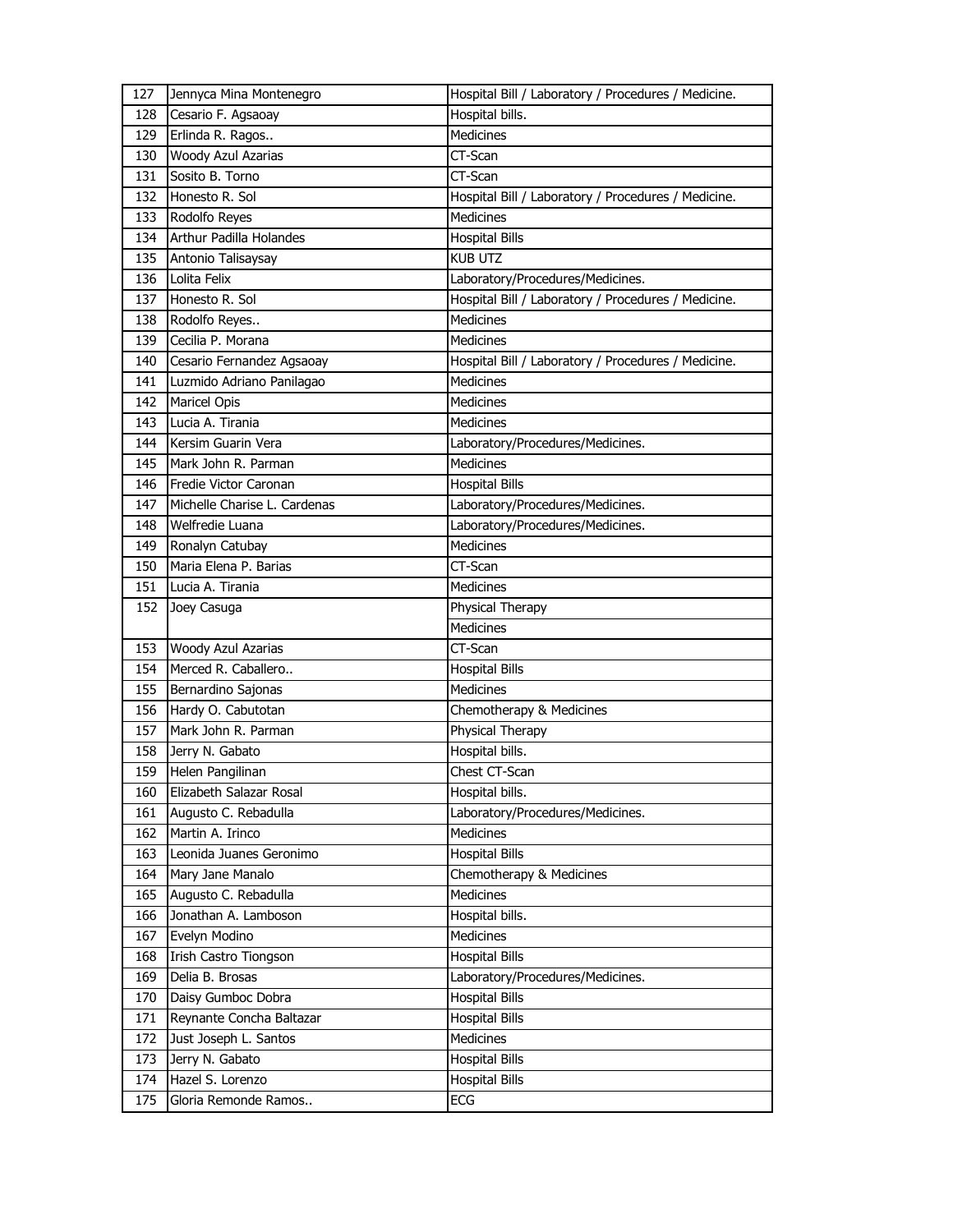| 127 | Jennyca Mina Montenegro        | Hospital Bill / Laboratory / Procedures / Medicine. |
|-----|--------------------------------|-----------------------------------------------------|
| 128 | Cesario F. Agsaoay             | Hospital bills.                                     |
| 129 | Erlinda R. Ragos               | Medicines                                           |
| 130 | Woody Azul Azarias             | CT-Scan                                             |
| 131 | Sosito B. Torno                | CT-Scan                                             |
| 132 | Honesto R. Sol                 | Hospital Bill / Laboratory / Procedures / Medicine. |
| 133 | Rodolfo Reyes                  | <b>Medicines</b>                                    |
| 134 | <b>Arthur Padilla Holandes</b> | <b>Hospital Bills</b>                               |
| 135 | Antonio Talisaysay             | <b>KUB UTZ</b>                                      |
| 136 | Lolita Felix                   | Laboratory/Procedures/Medicines.                    |
| 137 | Honesto R. Sol                 | Hospital Bill / Laboratory / Procedures / Medicine. |
| 138 | Rodolfo Reyes                  | <b>Medicines</b>                                    |
| 139 | Cecilia P. Morana              | <b>Medicines</b>                                    |
| 140 | Cesario Fernandez Agsaoay      | Hospital Bill / Laboratory / Procedures / Medicine. |
| 141 | Luzmido Adriano Panilagao      | <b>Medicines</b>                                    |
| 142 | <b>Maricel Opis</b>            | <b>Medicines</b>                                    |
| 143 | Lucia A. Tirania               | <b>Medicines</b>                                    |
| 144 | Kersim Guarin Vera             | Laboratory/Procedures/Medicines.                    |
| 145 | Mark John R. Parman            | <b>Medicines</b>                                    |
| 146 | Fredie Victor Caronan          | <b>Hospital Bills</b>                               |
| 147 | Michelle Charise L. Cardenas   | Laboratory/Procedures/Medicines.                    |
| 148 | Welfredie Luana                | Laboratory/Procedures/Medicines.                    |
| 149 | Ronalyn Catubay                | <b>Medicines</b>                                    |
| 150 | Maria Elena P. Barias          | CT-Scan                                             |
| 151 | Lucia A. Tirania               | <b>Medicines</b>                                    |
| 152 | Joey Casuga                    | Physical Therapy                                    |
|     |                                |                                                     |
|     |                                | <b>Medicines</b>                                    |
| 153 | Woody Azul Azarias             | CT-Scan                                             |
| 154 | Merced R. Caballero            | <b>Hospital Bills</b>                               |
| 155 | Bernardino Sajonas             | <b>Medicines</b>                                    |
| 156 | Hardy O. Cabutotan             | Chemotherapy & Medicines                            |
| 157 | Mark John R. Parman            | Physical Therapy                                    |
| 158 | Jerry N. Gabato                | Hospital bills.                                     |
| 159 | Helen Pangilinan               | Chest CT-Scan                                       |
| 160 | Elizabeth Salazar Rosal        | Hospital bills.                                     |
| 161 | Augusto C. Rebadulla           | Laboratory/Procedures/Medicines.                    |
| 162 | Martin A. Irinco               | Medicines                                           |
| 163 | Leonida Juanes Geronimo        | <b>Hospital Bills</b>                               |
| 164 | Mary Jane Manalo               | Chemotherapy & Medicines                            |
| 165 | Augusto C. Rebadulla           | <b>Medicines</b>                                    |
| 166 | Jonathan A. Lamboson           | Hospital bills.                                     |
| 167 | Evelyn Modino                  | Medicines                                           |
| 168 | Irish Castro Tiongson          | <b>Hospital Bills</b>                               |
| 169 | Delia B. Brosas                | Laboratory/Procedures/Medicines.                    |
| 170 | Daisy Gumboc Dobra             | <b>Hospital Bills</b>                               |
| 171 | Reynante Concha Baltazar       | <b>Hospital Bills</b>                               |
| 172 | Just Joseph L. Santos          | Medicines                                           |
| 173 | Jerry N. Gabato                | <b>Hospital Bills</b>                               |
| 174 | Hazel S. Lorenzo               | <b>Hospital Bills</b>                               |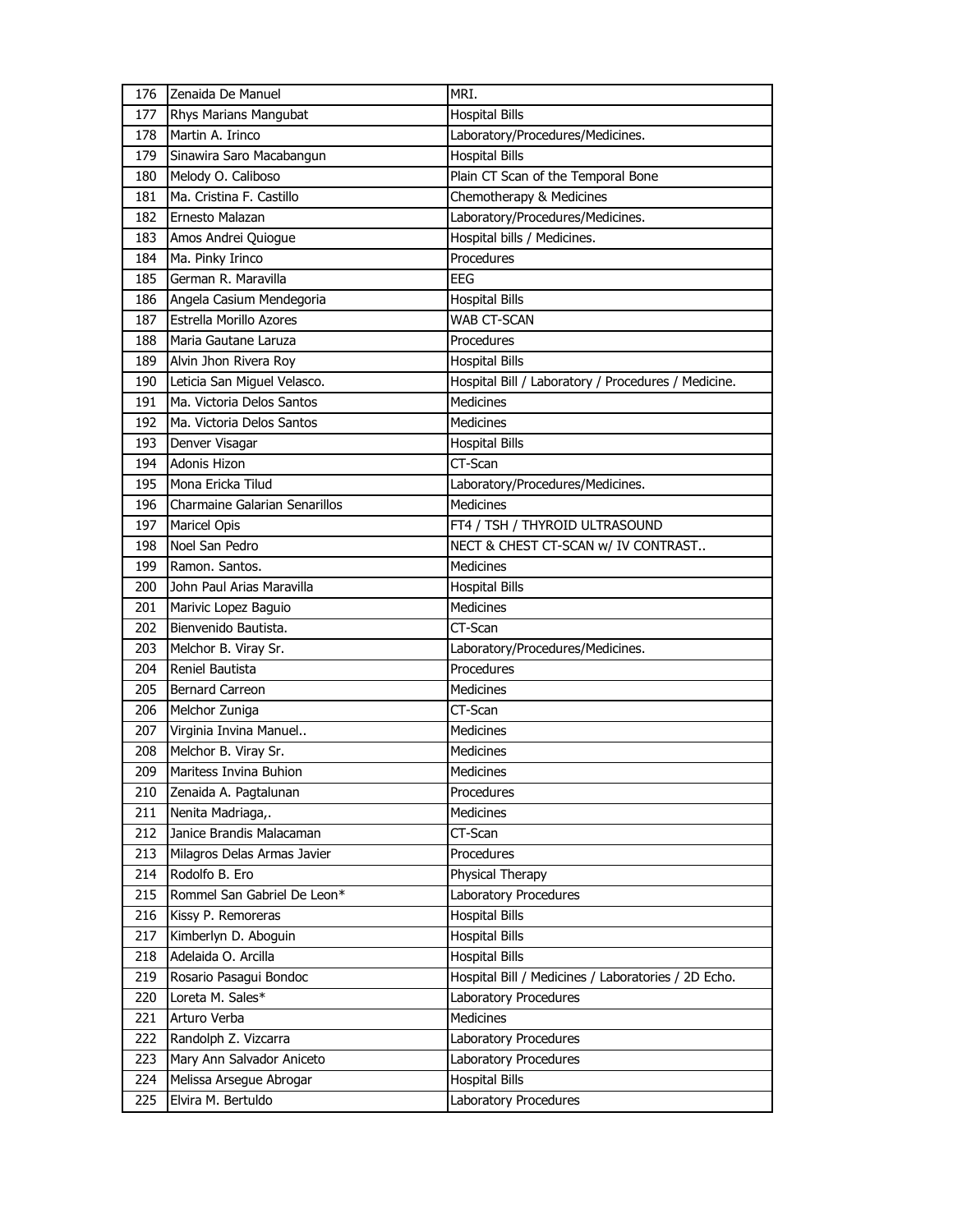| 177 | Zenaida De Manuel                    | MRI.                                                |
|-----|--------------------------------------|-----------------------------------------------------|
|     | Rhys Marians Mangubat                | <b>Hospital Bills</b>                               |
| 178 | Martin A. Irinco                     | Laboratory/Procedures/Medicines.                    |
| 179 | Sinawira Saro Macabangun             | <b>Hospital Bills</b>                               |
| 180 | Melody O. Caliboso                   | Plain CT Scan of the Temporal Bone                  |
| 181 | Ma. Cristina F. Castillo             | Chemotherapy & Medicines                            |
| 182 | Ernesto Malazan                      | Laboratory/Procedures/Medicines.                    |
| 183 | Amos Andrei Quiogue                  | Hospital bills / Medicines.                         |
| 184 | Ma. Pinky Irinco                     | Procedures                                          |
| 185 | German R. Maravilla                  | <b>EEG</b>                                          |
| 186 | Angela Casium Mendegoria             | <b>Hospital Bills</b>                               |
| 187 | <b>Estrella Morillo Azores</b>       | <b>WAB CT-SCAN</b>                                  |
| 188 | Maria Gautane Laruza                 | Procedures                                          |
| 189 | Alvin Jhon Rivera Roy                | <b>Hospital Bills</b>                               |
| 190 | Leticia San Miguel Velasco.          | Hospital Bill / Laboratory / Procedures / Medicine. |
| 191 | Ma. Victoria Delos Santos            | <b>Medicines</b>                                    |
| 192 | Ma. Victoria Delos Santos            | Medicines                                           |
| 193 | Denver Visagar                       | <b>Hospital Bills</b>                               |
| 194 | Adonis Hizon                         | CT-Scan                                             |
| 195 | Mona Ericka Tilud                    | Laboratory/Procedures/Medicines.                    |
| 196 | <b>Charmaine Galarian Senarillos</b> | Medicines                                           |
| 197 | Maricel Opis                         | FT4 / TSH / THYROID ULTRASOUND                      |
| 198 | Noel San Pedro                       | NECT & CHEST CT-SCAN w/ IV CONTRAST                 |
| 199 | Ramon. Santos.                       | <b>Medicines</b>                                    |
| 200 | John Paul Arias Maravilla            | <b>Hospital Bills</b>                               |
| 201 | Marivic Lopez Baguio                 | Medicines                                           |
| 202 | Bienvenido Bautista.                 | CT-Scan                                             |
|     |                                      |                                                     |
| 203 | Melchor B. Viray Sr.                 | Laboratory/Procedures/Medicines.                    |
| 204 | Reniel Bautista                      | Procedures                                          |
| 205 | <b>Bernard Carreon</b>               | <b>Medicines</b>                                    |
| 206 | Melchor Zuniga                       | CT-Scan                                             |
| 207 | Virginia Invina Manuel               | <b>Medicines</b>                                    |
| 208 | Melchor B. Viray Sr.                 | <b>Medicines</b>                                    |
| 209 | Maritess Invina Buhion               | Medicines                                           |
| 210 | Zenaida A. Pagtalunan                | Procedures                                          |
| 211 | Nenita Madriaga,.                    | <b>Medicines</b>                                    |
| 212 | Janice Brandis Malacaman             | CT-Scan                                             |
| 213 | Milagros Delas Armas Javier          | Procedures                                          |
| 214 | Rodolfo B. Ero                       | Physical Therapy                                    |
| 215 | Rommel San Gabriel De Leon*          | Laboratory Procedures                               |
| 216 | Kissy P. Remoreras                   | <b>Hospital Bills</b>                               |
| 217 | Kimberlyn D. Aboguin                 | <b>Hospital Bills</b>                               |
| 218 | Adelaida O. Arcilla                  | <b>Hospital Bills</b>                               |
| 219 | Rosario Pasagui Bondoc               | Hospital Bill / Medicines / Laboratories / 2D Echo. |
| 220 | Loreta M. Sales*                     | Laboratory Procedures                               |
| 221 | Arturo Verba                         | Medicines                                           |
| 222 | Randolph Z. Vizcarra                 | Laboratory Procedures                               |
| 223 | Mary Ann Salvador Aniceto            | Laboratory Procedures                               |
| 224 | Melissa Arsegue Abrogar              | <b>Hospital Bills</b>                               |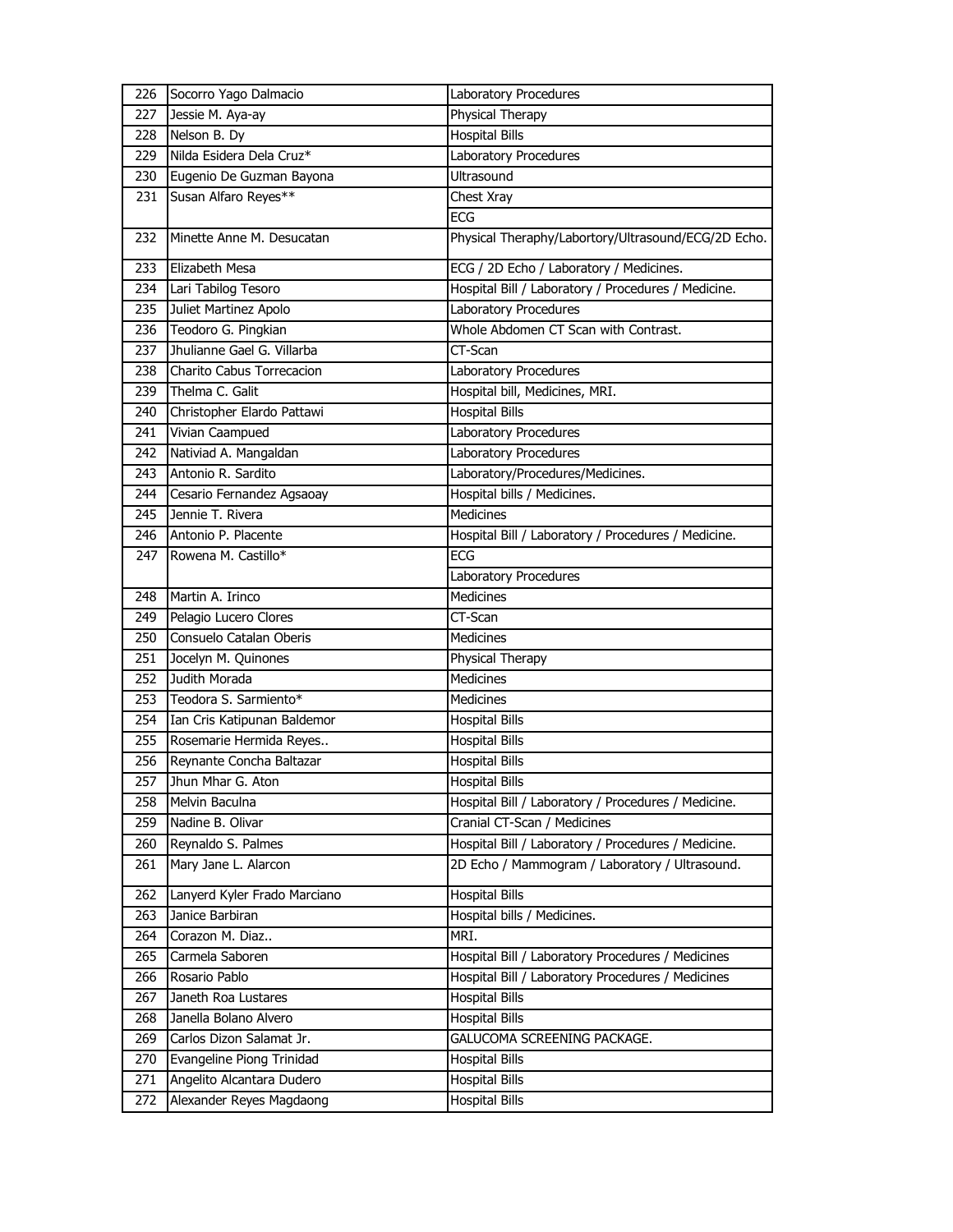| 226 | Socorro Yago Dalmacio        | Laboratory Procedures                               |
|-----|------------------------------|-----------------------------------------------------|
| 227 | Jessie M. Aya-ay             | Physical Therapy                                    |
| 228 | Nelson B. Dy                 | <b>Hospital Bills</b>                               |
| 229 | Nilda Esidera Dela Cruz*     | Laboratory Procedures                               |
| 230 | Eugenio De Guzman Bayona     | Ultrasound                                          |
| 231 | Susan Alfaro Reyes**         | Chest Xray                                          |
|     |                              | ECG                                                 |
| 232 | Minette Anne M. Desucatan    | Physical Theraphy/Labortory/Ultrasound/ECG/2D Echo. |
| 233 | Elizabeth Mesa               | ECG / 2D Echo / Laboratory / Medicines.             |
| 234 | Lari Tabilog Tesoro          | Hospital Bill / Laboratory / Procedures / Medicine. |
| 235 | Juliet Martinez Apolo        | Laboratory Procedures                               |
| 236 | Teodoro G. Pingkian          | Whole Abdomen CT Scan with Contrast.                |
| 237 | Jhulianne Gael G. Villarba   | CT-Scan                                             |
| 238 | Charito Cabus Torrecacion    | Laboratory Procedures                               |
| 239 | Thelma C. Galit              | Hospital bill, Medicines, MRI.                      |
| 240 | Christopher Elardo Pattawi   | <b>Hospital Bills</b>                               |
| 241 | Vivian Caampued              | Laboratory Procedures                               |
| 242 | Nativiad A. Mangaldan        | Laboratory Procedures                               |
| 243 | Antonio R. Sardito           | Laboratory/Procedures/Medicines.                    |
| 244 | Cesario Fernandez Agsaoay    | Hospital bills / Medicines.                         |
| 245 | Jennie T. Rivera             | Medicines                                           |
| 246 | Antonio P. Placente          | Hospital Bill / Laboratory / Procedures / Medicine. |
| 247 | Rowena M. Castillo*          | <b>ECG</b>                                          |
|     |                              | Laboratory Procedures                               |
| 248 | Martin A. Irinco             | <b>Medicines</b>                                    |
| 249 | Pelagio Lucero Clores        | CT-Scan                                             |
| 250 | Consuelo Catalan Oberis      | Medicines                                           |
| 251 | Jocelyn M. Quinones          | Physical Therapy                                    |
| 252 | Judith Morada                | <b>Medicines</b>                                    |
| 253 | Teodora S. Sarmiento*        | <b>Medicines</b>                                    |
| 254 | Ian Cris Katipunan Baldemor  | <b>Hospital Bills</b>                               |
| 255 | Rosemarie Hermida Reyes      | <b>Hospital Bills</b>                               |
| 256 | Reynante Concha Baltazar     | <b>Hospital Bills</b>                               |
| 257 | Jhun Mhar G. Aton            | <b>Hospital Bills</b>                               |
| 258 | Melvin Baculna               | Hospital Bill / Laboratory / Procedures / Medicine. |
| 259 |                              |                                                     |
|     | Nadine B. Olivar             | Cranial CT-Scan / Medicines                         |
| 260 | Reynaldo S. Palmes           | Hospital Bill / Laboratory / Procedures / Medicine. |
| 261 | Mary Jane L. Alarcon         | 2D Echo / Mammogram / Laboratory / Ultrasound.      |
| 262 | Lanyerd Kyler Frado Marciano | <b>Hospital Bills</b>                               |
| 263 | Janice Barbiran              | Hospital bills / Medicines.                         |
| 264 | Corazon M. Diaz              | MRI.                                                |
| 265 | Carmela Saboren              | Hospital Bill / Laboratory Procedures / Medicines   |
| 266 | Rosario Pablo                | Hospital Bill / Laboratory Procedures / Medicines   |
| 267 | Janeth Roa Lustares          | <b>Hospital Bills</b>                               |
| 268 | Janella Bolano Alvero        | <b>Hospital Bills</b>                               |
| 269 | Carlos Dizon Salamat Jr.     | GALUCOMA SCREENING PACKAGE.                         |
| 270 | Evangeline Piong Trinidad    | <b>Hospital Bills</b>                               |
| 271 | Angelito Alcantara Dudero    | <b>Hospital Bills</b>                               |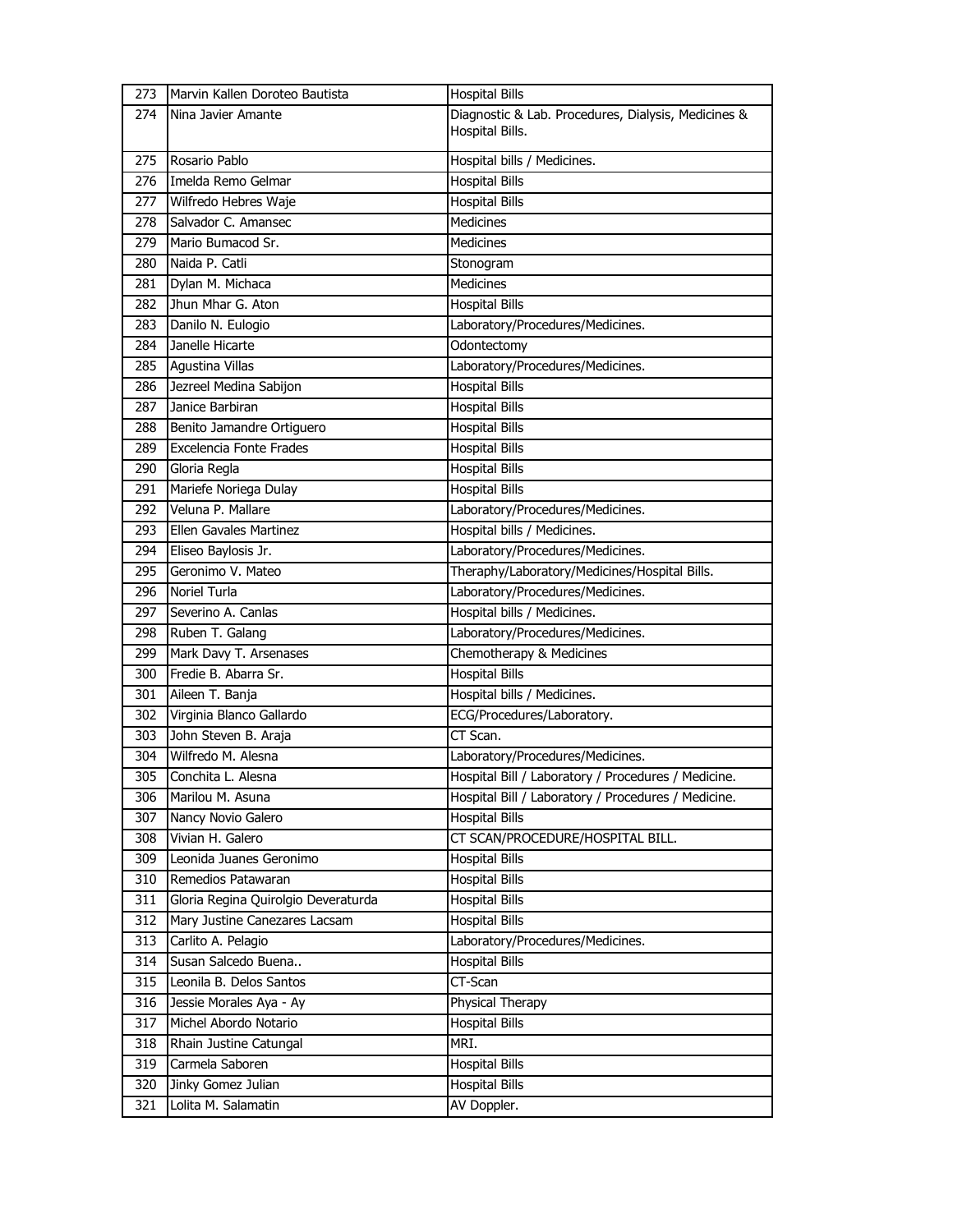| 273 | Marvin Kallen Doroteo Bautista      | <b>Hospital Bills</b>                               |
|-----|-------------------------------------|-----------------------------------------------------|
| 274 | Nina Javier Amante                  | Diagnostic & Lab. Procedures, Dialysis, Medicines & |
|     |                                     | Hospital Bills.                                     |
| 275 | Rosario Pablo                       | Hospital bills / Medicines.                         |
| 276 | Imelda Remo Gelmar                  | <b>Hospital Bills</b>                               |
| 277 | Wilfredo Hebres Waje                | <b>Hospital Bills</b>                               |
| 278 | Salvador C. Amansec                 | <b>Medicines</b>                                    |
| 279 | Mario Bumacod Sr.                   | <b>Medicines</b>                                    |
| 280 | Naida P. Catli                      | Stonogram                                           |
| 281 | Dylan M. Michaca                    | Medicines                                           |
| 282 | Jhun Mhar G. Aton                   | <b>Hospital Bills</b>                               |
| 283 | Danilo N. Eulogio                   | Laboratory/Procedures/Medicines.                    |
| 284 | Janelle Hicarte                     | Odontectomy                                         |
| 285 | <b>Agustina Villas</b>              | Laboratory/Procedures/Medicines.                    |
| 286 | Jezreel Medina Sabijon              | <b>Hospital Bills</b>                               |
| 287 | Janice Barbiran                     | <b>Hospital Bills</b>                               |
| 288 | Benito Jamandre Ortiguero           | <b>Hospital Bills</b>                               |
| 289 | Excelencia Fonte Frades             | <b>Hospital Bills</b>                               |
| 290 | Gloria Regla                        | <b>Hospital Bills</b>                               |
| 291 | Mariefe Noriega Dulay               | <b>Hospital Bills</b>                               |
| 292 | Veluna P. Mallare                   | Laboratory/Procedures/Medicines.                    |
| 293 | Ellen Gavales Martinez              | Hospital bills / Medicines.                         |
| 294 | Eliseo Baylosis Jr.                 | Laboratory/Procedures/Medicines.                    |
| 295 | Geronimo V. Mateo                   | Theraphy/Laboratory/Medicines/Hospital Bills.       |
| 296 | Noriel Turla                        | Laboratory/Procedures/Medicines.                    |
| 297 | Severino A. Canlas                  | Hospital bills / Medicines.                         |
| 298 | Ruben T. Galang                     | Laboratory/Procedures/Medicines.                    |
| 299 | Mark Davy T. Arsenases              | Chemotherapy & Medicines                            |
| 300 | Fredie B. Abarra Sr.                | <b>Hospital Bills</b>                               |
| 301 | Aileen T. Banja                     | Hospital bills / Medicines.                         |
| 302 | Virginia Blanco Gallardo            | ECG/Procedures/Laboratory.                          |
| 303 | John Steven B. Araja                | CT Scan.                                            |
| 304 | Wilfredo M. Alesna                  | Laboratory/Procedures/Medicines.                    |
| 305 | Conchita L. Alesna                  | Hospital Bill / Laboratory / Procedures / Medicine. |
| 306 | Marilou M. Asuna                    | Hospital Bill / Laboratory / Procedures / Medicine. |
| 307 | Nancy Novio Galero                  | <b>Hospital Bills</b>                               |
| 308 | Vivian H. Galero                    | CT SCAN/PROCEDURE/HOSPITAL BILL.                    |
| 309 | Leonida Juanes Geronimo             | <b>Hospital Bills</b>                               |
| 310 | Remedios Patawaran                  | <b>Hospital Bills</b>                               |
| 311 | Gloria Regina Quirolgio Deveraturda | <b>Hospital Bills</b>                               |
| 312 | Mary Justine Canezares Lacsam       | <b>Hospital Bills</b>                               |
| 313 | Carlito A. Pelagio                  | Laboratory/Procedures/Medicines.                    |
| 314 | Susan Salcedo Buena                 | <b>Hospital Bills</b>                               |
| 315 | Leonila B. Delos Santos             | CT-Scan                                             |
| 316 | Jessie Morales Aya - Ay             | Physical Therapy                                    |
| 317 | Michel Abordo Notario               | <b>Hospital Bills</b>                               |
| 318 | Rhain Justine Catungal              | MRI.                                                |
| 319 | Carmela Saboren                     | <b>Hospital Bills</b>                               |
| 320 | Jinky Gomez Julian                  | <b>Hospital Bills</b>                               |
| 321 | Lolita M. Salamatin                 | AV Doppler.                                         |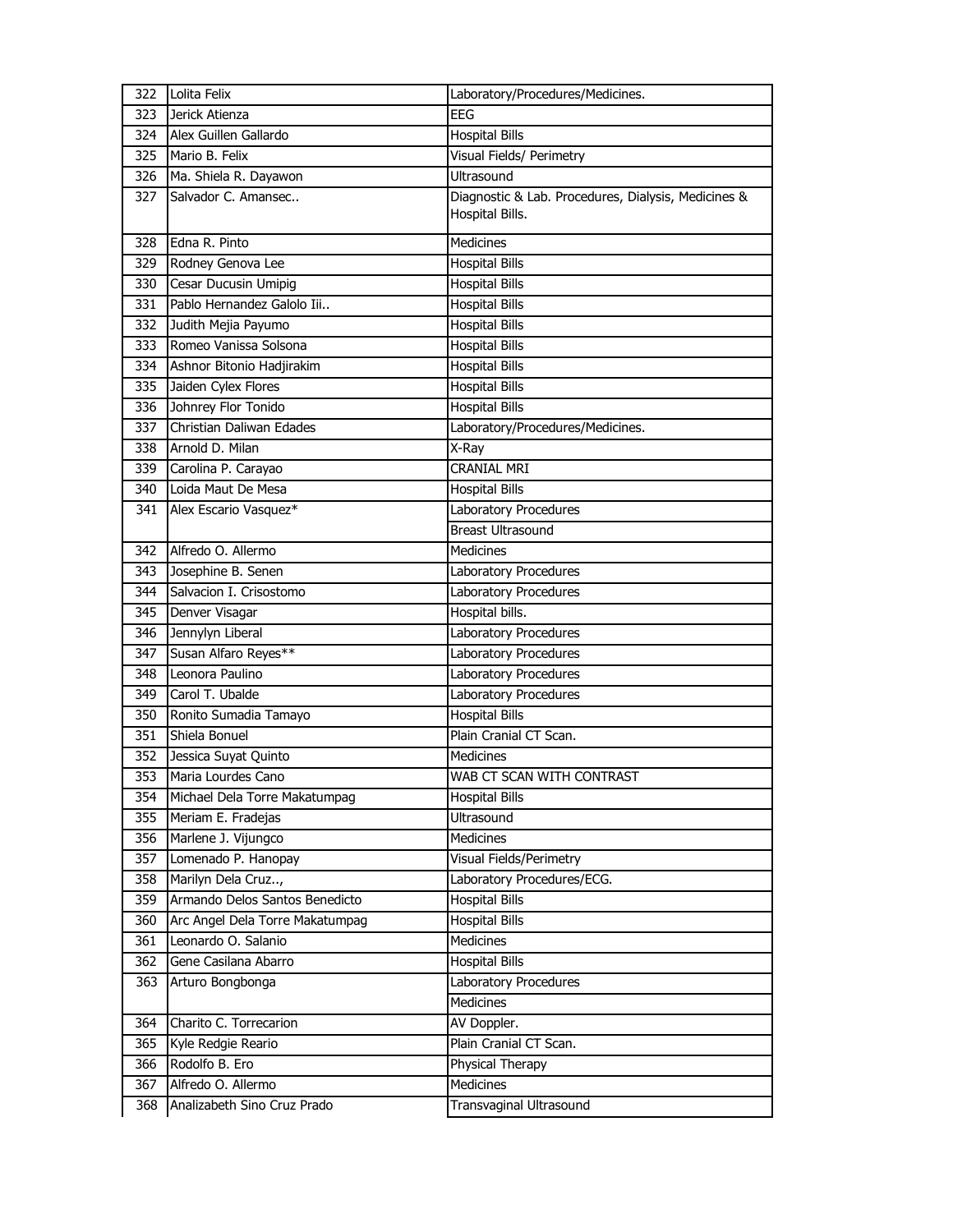| 322 | Lolita Felix                    | Laboratory/Procedures/Medicines.                                       |
|-----|---------------------------------|------------------------------------------------------------------------|
| 323 | Jerick Atienza                  | EEG                                                                    |
| 324 | Alex Guillen Gallardo           | <b>Hospital Bills</b>                                                  |
| 325 | Mario B. Felix                  | Visual Fields/ Perimetry                                               |
| 326 | Ma. Shiela R. Dayawon           | <b>Ultrasound</b>                                                      |
| 327 | Salvador C. Amansec             | Diagnostic & Lab. Procedures, Dialysis, Medicines &<br>Hospital Bills. |
| 328 | Edna R. Pinto                   | Medicines                                                              |
| 329 | Rodney Genova Lee               | <b>Hospital Bills</b>                                                  |
| 330 | Cesar Ducusin Umipig            | <b>Hospital Bills</b>                                                  |
| 331 | Pablo Hernandez Galolo Iii      | <b>Hospital Bills</b>                                                  |
| 332 | Judith Mejia Payumo             | <b>Hospital Bills</b>                                                  |
| 333 | Romeo Vanissa Solsona           | <b>Hospital Bills</b>                                                  |
| 334 | Ashnor Bitonio Hadjirakim       | <b>Hospital Bills</b>                                                  |
| 335 | Jaiden Cylex Flores             | <b>Hospital Bills</b>                                                  |
| 336 | Johnrey Flor Tonido             | <b>Hospital Bills</b>                                                  |
| 337 | Christian Daliwan Edades        | Laboratory/Procedures/Medicines.                                       |
| 338 | Arnold D. Milan                 | X-Ray                                                                  |
| 339 | Carolina P. Carayao             | <b>CRANIAL MRI</b>                                                     |
| 340 | Loida Maut De Mesa              | <b>Hospital Bills</b>                                                  |
| 341 | Alex Escario Vasquez*           | Laboratory Procedures                                                  |
|     |                                 | <b>Breast Ultrasound</b>                                               |
| 342 | Alfredo O. Allermo              | <b>Medicines</b>                                                       |
| 343 | Josephine B. Senen              | Laboratory Procedures                                                  |
| 344 | Salvacion I. Crisostomo         | Laboratory Procedures                                                  |
| 345 | Denver Visagar                  | Hospital bills.                                                        |
| 346 | Jennylyn Liberal                | Laboratory Procedures                                                  |
| 347 | Susan Alfaro Reyes**            | Laboratory Procedures                                                  |
| 348 | Leonora Paulino                 | Laboratory Procedures                                                  |
| 349 | Carol T. Ubalde                 | Laboratory Procedures                                                  |
| 350 | Ronito Sumadia Tamayo           | <b>Hospital Bills</b>                                                  |
| 351 | Shiela Bonuel                   | Plain Cranial CT Scan.                                                 |
| 352 | Jessica Suyat Quinto            | Medicines                                                              |
| 353 | Maria Lourdes Cano              | WAB CT SCAN WITH CONTRAST                                              |
| 354 | Michael Dela Torre Makatumpag   | <b>Hospital Bills</b>                                                  |
| 355 | Meriam E. Fradejas              | Ultrasound                                                             |
| 356 | Marlene J. Vijungco             | <b>Medicines</b>                                                       |
| 357 | Lomenado P. Hanopay             | Visual Fields/Perimetry                                                |
| 358 | Marilyn Dela Cruz,              | Laboratory Procedures/ECG.                                             |
| 359 | Armando Delos Santos Benedicto  | <b>Hospital Bills</b>                                                  |
| 360 | Arc Angel Dela Torre Makatumpag | <b>Hospital Bills</b>                                                  |
| 361 | Leonardo O. Salanio             | Medicines                                                              |
| 362 | Gene Casilana Abarro            | <b>Hospital Bills</b>                                                  |
| 363 | Arturo Bongbonga                | Laboratory Procedures                                                  |
|     |                                 | Medicines                                                              |
| 364 | Charito C. Torrecarion          | AV Doppler.                                                            |
| 365 | Kyle Redgie Reario              | Plain Cranial CT Scan.                                                 |
| 366 | Rodolfo B. Ero                  | Physical Therapy                                                       |
| 367 | Alfredo O. Allermo              | Medicines                                                              |
| 368 | Analizabeth Sino Cruz Prado     | Transvaginal Ultrasound                                                |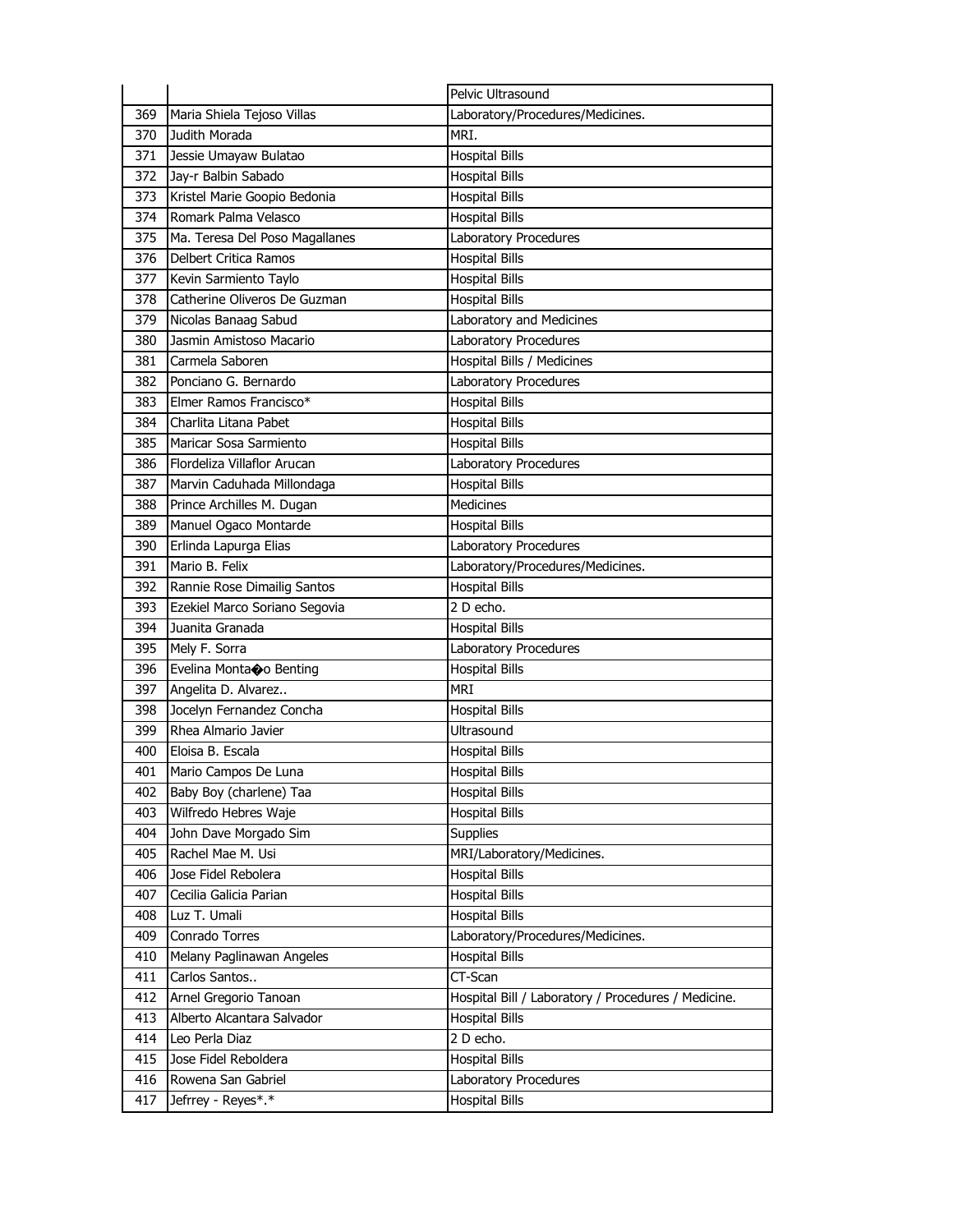|     |                                | Pelvic Ultrasound                                   |
|-----|--------------------------------|-----------------------------------------------------|
| 369 | Maria Shiela Tejoso Villas     | Laboratory/Procedures/Medicines.                    |
| 370 | Judith Morada                  | MRI.                                                |
| 371 | Jessie Umayaw Bulatao          | <b>Hospital Bills</b>                               |
| 372 | Jay-r Balbin Sabado            | <b>Hospital Bills</b>                               |
| 373 | Kristel Marie Goopio Bedonia   | <b>Hospital Bills</b>                               |
| 374 | Romark Palma Velasco           | <b>Hospital Bills</b>                               |
| 375 | Ma. Teresa Del Poso Magallanes | Laboratory Procedures                               |
| 376 | <b>Delbert Critica Ramos</b>   | <b>Hospital Bills</b>                               |
| 377 | Kevin Sarmiento Taylo          | <b>Hospital Bills</b>                               |
| 378 | Catherine Oliveros De Guzman   | <b>Hospital Bills</b>                               |
| 379 | Nicolas Banaag Sabud           | Laboratory and Medicines                            |
| 380 | Jasmin Amistoso Macario        | Laboratory Procedures                               |
| 381 | Carmela Saboren                | Hospital Bills / Medicines                          |
| 382 | Ponciano G. Bernardo           | Laboratory Procedures                               |
| 383 | Elmer Ramos Francisco*         | <b>Hospital Bills</b>                               |
| 384 | Charlita Litana Pabet          | <b>Hospital Bills</b>                               |
| 385 | Maricar Sosa Sarmiento         | <b>Hospital Bills</b>                               |
| 386 | Flordeliza Villaflor Arucan    | Laboratory Procedures                               |
| 387 | Marvin Caduhada Millondaga     | <b>Hospital Bills</b>                               |
| 388 | Prince Archilles M. Dugan      | <b>Medicines</b>                                    |
| 389 | Manuel Ogaco Montarde          | <b>Hospital Bills</b>                               |
| 390 | Erlinda Lapurga Elias          | Laboratory Procedures                               |
| 391 | Mario B. Felix                 | Laboratory/Procedures/Medicines.                    |
| 392 | Rannie Rose Dimailig Santos    | <b>Hospital Bills</b>                               |
| 393 | Ezekiel Marco Soriano Segovia  | 2 D echo.                                           |
| 394 | Juanita Granada                | <b>Hospital Bills</b>                               |
| 395 | Mely F. Sorra                  | Laboratory Procedures                               |
| 396 | Evelina Montaco Benting        | <b>Hospital Bills</b>                               |
| 397 | Angelita D. Alvarez            | <b>MRI</b>                                          |
| 398 | Jocelyn Fernandez Concha       | <b>Hospital Bills</b>                               |
| 399 | Rhea Almario Javier            | Ultrasound                                          |
| 400 | Eloisa B. Escala               | <b>Hospital Bills</b>                               |
| 401 | Mario Campos De Luna           | <b>Hospital Bills</b>                               |
| 402 | Baby Boy (charlene) Taa        | <b>Hospital Bills</b>                               |
| 403 | Wilfredo Hebres Waje           | <b>Hospital Bills</b>                               |
| 404 | John Dave Morgado Sim          | Supplies                                            |
| 405 | Rachel Mae M. Usi              | MRI/Laboratory/Medicines.                           |
| 406 | Jose Fidel Rebolera            | <b>Hospital Bills</b>                               |
| 407 | Cecilia Galicia Parian         | <b>Hospital Bills</b>                               |
| 408 | Luz T. Umali                   | <b>Hospital Bills</b>                               |
| 409 | Conrado Torres                 | Laboratory/Procedures/Medicines.                    |
| 410 | Melany Paglinawan Angeles      | <b>Hospital Bills</b>                               |
| 411 | Carlos Santos                  | CT-Scan                                             |
| 412 | Arnel Gregorio Tanoan          | Hospital Bill / Laboratory / Procedures / Medicine. |
| 413 | Alberto Alcantara Salvador     | <b>Hospital Bills</b>                               |
| 414 | Leo Perla Diaz                 | 2 D echo.                                           |
| 415 | Jose Fidel Reboldera           | <b>Hospital Bills</b>                               |
| 416 | Rowena San Gabriel             | Laboratory Procedures                               |
| 417 | Jefrrey - Reyes*.*             | <b>Hospital Bills</b>                               |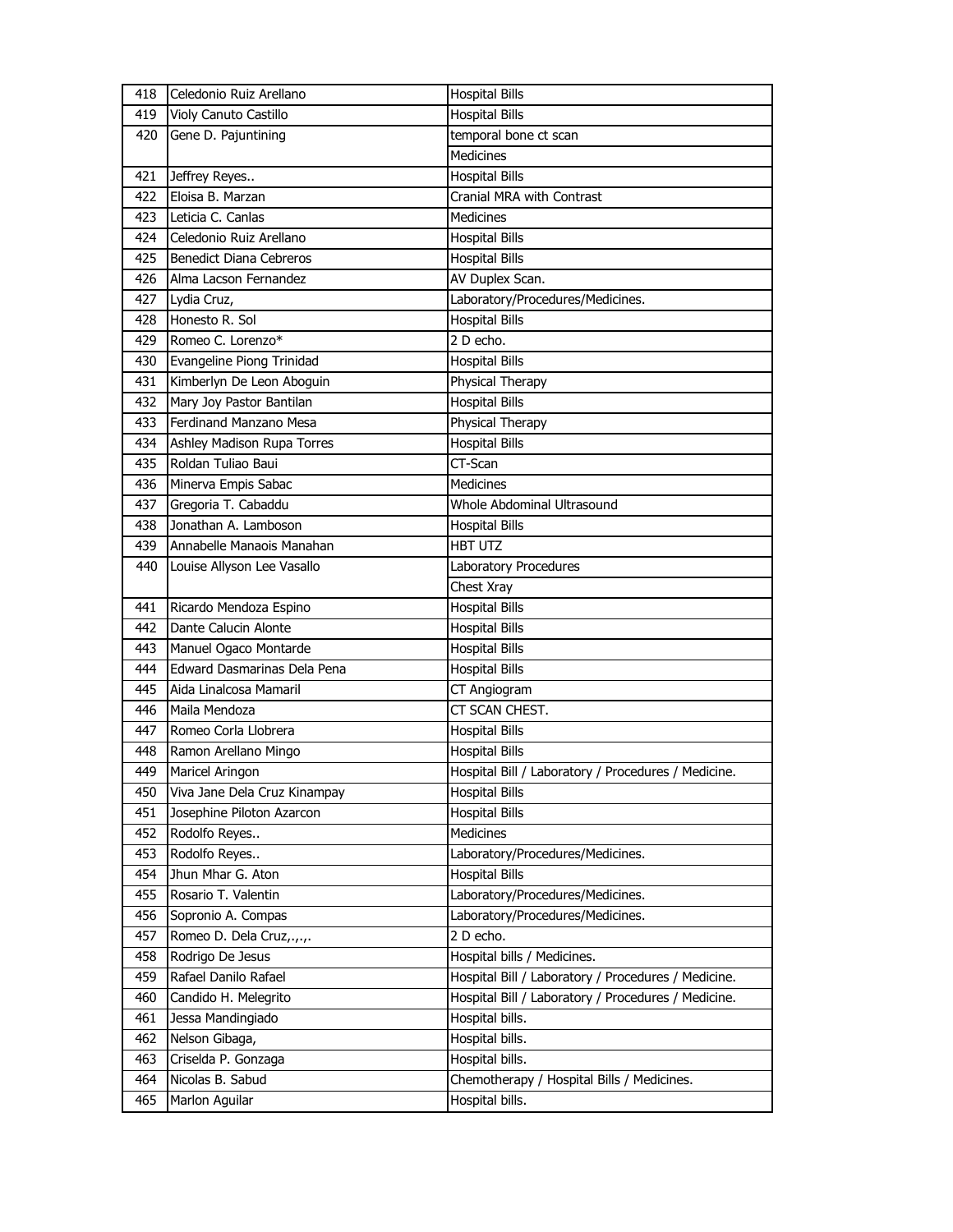| <b>Hospital Bills</b><br>419<br>Violy Canuto Castillo<br>temporal bone ct scan<br>Gene D. Pajuntining<br>420<br><b>Medicines</b><br>Jeffrey Reyes<br><b>Hospital Bills</b><br>421<br>Eloisa B. Marzan<br>Cranial MRA with Contrast<br>422<br><b>Medicines</b><br>423<br>Leticia C. Canlas<br>Celedonio Ruiz Arellano<br>424<br><b>Hospital Bills</b><br><b>Benedict Diana Cebreros</b><br>425<br><b>Hospital Bills</b><br>AV Duplex Scan.<br>Alma Lacson Fernandez<br>426<br>Laboratory/Procedures/Medicines.<br>427<br>Lydia Cruz,<br>Honesto R. Sol<br><b>Hospital Bills</b><br>428<br>Romeo C. Lorenzo*<br>429<br>2 D echo.<br>Evangeline Piong Trinidad<br>430<br><b>Hospital Bills</b><br>Kimberlyn De Leon Aboguin<br>Physical Therapy<br>431<br>Mary Joy Pastor Bantilan<br><b>Hospital Bills</b><br>432<br>Ferdinand Manzano Mesa<br>Physical Therapy<br>433<br>434<br><b>Hospital Bills</b><br>Ashley Madison Rupa Torres<br>Roldan Tuliao Baui<br>CT-Scan<br>435<br>Minerva Empis Sabac<br><b>Medicines</b><br>436<br>Gregoria T. Cabaddu<br>Whole Abdominal Ultrasound<br>437<br>Jonathan A. Lamboson<br><b>Hospital Bills</b><br>438<br>439<br>Annabelle Manaois Manahan<br><b>HBT UTZ</b><br>440<br>Louise Allyson Lee Vasallo<br>Laboratory Procedures<br>Chest Xray<br><b>Hospital Bills</b><br>Ricardo Mendoza Espino<br>441<br>Dante Calucin Alonte<br>442<br>Hospital Bills<br>443<br>Manuel Ogaco Montarde<br>Hospital Bills<br>Edward Dasmarinas Dela Pena<br>444<br><b>Hospital Bills</b><br>Aida Linalcosa Mamaril<br>CT Angiogram<br>445<br>Maila Mendoza<br>CT SCAN CHEST.<br>446<br>447<br>Romeo Corla Llobrera<br><b>Hospital Bills</b><br>448<br>Ramon Arellano Mingo<br><b>Hospital Bills</b><br>449<br>Hospital Bill / Laboratory / Procedures / Medicine.<br>Maricel Aringon<br><b>Hospital Bills</b><br>450<br>Viva Jane Dela Cruz Kinampay<br><b>Hospital Bills</b><br>451<br>Josephine Piloton Azarcon<br>Rodolfo Reyes<br>Medicines<br>452<br>Rodolfo Reyes<br>Laboratory/Procedures/Medicines.<br>453<br>454<br>Jhun Mhar G. Aton<br><b>Hospital Bills</b><br>Laboratory/Procedures/Medicines.<br>Rosario T. Valentin<br>455<br>Laboratory/Procedures/Medicines.<br>456<br>Sopronio A. Compas<br>2 D echo.<br>457<br>Romeo D. Dela Cruz,.,.,.<br>Hospital bills / Medicines.<br>Rodrigo De Jesus<br>458<br>459<br>Rafael Danilo Rafael<br>Hospital Bill / Laboratory / Procedures / Medicine.<br>Hospital Bill / Laboratory / Procedures / Medicine.<br>Candido H. Melegrito<br>460<br>Hospital bills.<br>Jessa Mandingiado<br>461<br>Hospital bills.<br>462<br>Nelson Gibaga,<br>Hospital bills.<br>Criselda P. Gonzaga<br>463<br>Nicolas B. Sabud<br>Chemotherapy / Hospital Bills / Medicines.<br>464<br>Hospital bills.<br>Marlon Aguilar<br>465 | 418 | Celedonio Ruiz Arellano | <b>Hospital Bills</b> |
|-----------------------------------------------------------------------------------------------------------------------------------------------------------------------------------------------------------------------------------------------------------------------------------------------------------------------------------------------------------------------------------------------------------------------------------------------------------------------------------------------------------------------------------------------------------------------------------------------------------------------------------------------------------------------------------------------------------------------------------------------------------------------------------------------------------------------------------------------------------------------------------------------------------------------------------------------------------------------------------------------------------------------------------------------------------------------------------------------------------------------------------------------------------------------------------------------------------------------------------------------------------------------------------------------------------------------------------------------------------------------------------------------------------------------------------------------------------------------------------------------------------------------------------------------------------------------------------------------------------------------------------------------------------------------------------------------------------------------------------------------------------------------------------------------------------------------------------------------------------------------------------------------------------------------------------------------------------------------------------------------------------------------------------------------------------------------------------------------------------------------------------------------------------------------------------------------------------------------------------------------------------------------------------------------------------------------------------------------------------------------------------------------------------------------------------------------------------------------------------------------------------------------------------------------------------------------------------------------------------------------------------------------------------------------------------------------------------------------------------------------------------------------------------------|-----|-------------------------|-----------------------|
|                                                                                                                                                                                                                                                                                                                                                                                                                                                                                                                                                                                                                                                                                                                                                                                                                                                                                                                                                                                                                                                                                                                                                                                                                                                                                                                                                                                                                                                                                                                                                                                                                                                                                                                                                                                                                                                                                                                                                                                                                                                                                                                                                                                                                                                                                                                                                                                                                                                                                                                                                                                                                                                                                                                                                                                         |     |                         |                       |
|                                                                                                                                                                                                                                                                                                                                                                                                                                                                                                                                                                                                                                                                                                                                                                                                                                                                                                                                                                                                                                                                                                                                                                                                                                                                                                                                                                                                                                                                                                                                                                                                                                                                                                                                                                                                                                                                                                                                                                                                                                                                                                                                                                                                                                                                                                                                                                                                                                                                                                                                                                                                                                                                                                                                                                                         |     |                         |                       |
|                                                                                                                                                                                                                                                                                                                                                                                                                                                                                                                                                                                                                                                                                                                                                                                                                                                                                                                                                                                                                                                                                                                                                                                                                                                                                                                                                                                                                                                                                                                                                                                                                                                                                                                                                                                                                                                                                                                                                                                                                                                                                                                                                                                                                                                                                                                                                                                                                                                                                                                                                                                                                                                                                                                                                                                         |     |                         |                       |
|                                                                                                                                                                                                                                                                                                                                                                                                                                                                                                                                                                                                                                                                                                                                                                                                                                                                                                                                                                                                                                                                                                                                                                                                                                                                                                                                                                                                                                                                                                                                                                                                                                                                                                                                                                                                                                                                                                                                                                                                                                                                                                                                                                                                                                                                                                                                                                                                                                                                                                                                                                                                                                                                                                                                                                                         |     |                         |                       |
|                                                                                                                                                                                                                                                                                                                                                                                                                                                                                                                                                                                                                                                                                                                                                                                                                                                                                                                                                                                                                                                                                                                                                                                                                                                                                                                                                                                                                                                                                                                                                                                                                                                                                                                                                                                                                                                                                                                                                                                                                                                                                                                                                                                                                                                                                                                                                                                                                                                                                                                                                                                                                                                                                                                                                                                         |     |                         |                       |
|                                                                                                                                                                                                                                                                                                                                                                                                                                                                                                                                                                                                                                                                                                                                                                                                                                                                                                                                                                                                                                                                                                                                                                                                                                                                                                                                                                                                                                                                                                                                                                                                                                                                                                                                                                                                                                                                                                                                                                                                                                                                                                                                                                                                                                                                                                                                                                                                                                                                                                                                                                                                                                                                                                                                                                                         |     |                         |                       |
|                                                                                                                                                                                                                                                                                                                                                                                                                                                                                                                                                                                                                                                                                                                                                                                                                                                                                                                                                                                                                                                                                                                                                                                                                                                                                                                                                                                                                                                                                                                                                                                                                                                                                                                                                                                                                                                                                                                                                                                                                                                                                                                                                                                                                                                                                                                                                                                                                                                                                                                                                                                                                                                                                                                                                                                         |     |                         |                       |
|                                                                                                                                                                                                                                                                                                                                                                                                                                                                                                                                                                                                                                                                                                                                                                                                                                                                                                                                                                                                                                                                                                                                                                                                                                                                                                                                                                                                                                                                                                                                                                                                                                                                                                                                                                                                                                                                                                                                                                                                                                                                                                                                                                                                                                                                                                                                                                                                                                                                                                                                                                                                                                                                                                                                                                                         |     |                         |                       |
|                                                                                                                                                                                                                                                                                                                                                                                                                                                                                                                                                                                                                                                                                                                                                                                                                                                                                                                                                                                                                                                                                                                                                                                                                                                                                                                                                                                                                                                                                                                                                                                                                                                                                                                                                                                                                                                                                                                                                                                                                                                                                                                                                                                                                                                                                                                                                                                                                                                                                                                                                                                                                                                                                                                                                                                         |     |                         |                       |
|                                                                                                                                                                                                                                                                                                                                                                                                                                                                                                                                                                                                                                                                                                                                                                                                                                                                                                                                                                                                                                                                                                                                                                                                                                                                                                                                                                                                                                                                                                                                                                                                                                                                                                                                                                                                                                                                                                                                                                                                                                                                                                                                                                                                                                                                                                                                                                                                                                                                                                                                                                                                                                                                                                                                                                                         |     |                         |                       |
|                                                                                                                                                                                                                                                                                                                                                                                                                                                                                                                                                                                                                                                                                                                                                                                                                                                                                                                                                                                                                                                                                                                                                                                                                                                                                                                                                                                                                                                                                                                                                                                                                                                                                                                                                                                                                                                                                                                                                                                                                                                                                                                                                                                                                                                                                                                                                                                                                                                                                                                                                                                                                                                                                                                                                                                         |     |                         |                       |
|                                                                                                                                                                                                                                                                                                                                                                                                                                                                                                                                                                                                                                                                                                                                                                                                                                                                                                                                                                                                                                                                                                                                                                                                                                                                                                                                                                                                                                                                                                                                                                                                                                                                                                                                                                                                                                                                                                                                                                                                                                                                                                                                                                                                                                                                                                                                                                                                                                                                                                                                                                                                                                                                                                                                                                                         |     |                         |                       |
|                                                                                                                                                                                                                                                                                                                                                                                                                                                                                                                                                                                                                                                                                                                                                                                                                                                                                                                                                                                                                                                                                                                                                                                                                                                                                                                                                                                                                                                                                                                                                                                                                                                                                                                                                                                                                                                                                                                                                                                                                                                                                                                                                                                                                                                                                                                                                                                                                                                                                                                                                                                                                                                                                                                                                                                         |     |                         |                       |
|                                                                                                                                                                                                                                                                                                                                                                                                                                                                                                                                                                                                                                                                                                                                                                                                                                                                                                                                                                                                                                                                                                                                                                                                                                                                                                                                                                                                                                                                                                                                                                                                                                                                                                                                                                                                                                                                                                                                                                                                                                                                                                                                                                                                                                                                                                                                                                                                                                                                                                                                                                                                                                                                                                                                                                                         |     |                         |                       |
|                                                                                                                                                                                                                                                                                                                                                                                                                                                                                                                                                                                                                                                                                                                                                                                                                                                                                                                                                                                                                                                                                                                                                                                                                                                                                                                                                                                                                                                                                                                                                                                                                                                                                                                                                                                                                                                                                                                                                                                                                                                                                                                                                                                                                                                                                                                                                                                                                                                                                                                                                                                                                                                                                                                                                                                         |     |                         |                       |
|                                                                                                                                                                                                                                                                                                                                                                                                                                                                                                                                                                                                                                                                                                                                                                                                                                                                                                                                                                                                                                                                                                                                                                                                                                                                                                                                                                                                                                                                                                                                                                                                                                                                                                                                                                                                                                                                                                                                                                                                                                                                                                                                                                                                                                                                                                                                                                                                                                                                                                                                                                                                                                                                                                                                                                                         |     |                         |                       |
|                                                                                                                                                                                                                                                                                                                                                                                                                                                                                                                                                                                                                                                                                                                                                                                                                                                                                                                                                                                                                                                                                                                                                                                                                                                                                                                                                                                                                                                                                                                                                                                                                                                                                                                                                                                                                                                                                                                                                                                                                                                                                                                                                                                                                                                                                                                                                                                                                                                                                                                                                                                                                                                                                                                                                                                         |     |                         |                       |
|                                                                                                                                                                                                                                                                                                                                                                                                                                                                                                                                                                                                                                                                                                                                                                                                                                                                                                                                                                                                                                                                                                                                                                                                                                                                                                                                                                                                                                                                                                                                                                                                                                                                                                                                                                                                                                                                                                                                                                                                                                                                                                                                                                                                                                                                                                                                                                                                                                                                                                                                                                                                                                                                                                                                                                                         |     |                         |                       |
|                                                                                                                                                                                                                                                                                                                                                                                                                                                                                                                                                                                                                                                                                                                                                                                                                                                                                                                                                                                                                                                                                                                                                                                                                                                                                                                                                                                                                                                                                                                                                                                                                                                                                                                                                                                                                                                                                                                                                                                                                                                                                                                                                                                                                                                                                                                                                                                                                                                                                                                                                                                                                                                                                                                                                                                         |     |                         |                       |
|                                                                                                                                                                                                                                                                                                                                                                                                                                                                                                                                                                                                                                                                                                                                                                                                                                                                                                                                                                                                                                                                                                                                                                                                                                                                                                                                                                                                                                                                                                                                                                                                                                                                                                                                                                                                                                                                                                                                                                                                                                                                                                                                                                                                                                                                                                                                                                                                                                                                                                                                                                                                                                                                                                                                                                                         |     |                         |                       |
|                                                                                                                                                                                                                                                                                                                                                                                                                                                                                                                                                                                                                                                                                                                                                                                                                                                                                                                                                                                                                                                                                                                                                                                                                                                                                                                                                                                                                                                                                                                                                                                                                                                                                                                                                                                                                                                                                                                                                                                                                                                                                                                                                                                                                                                                                                                                                                                                                                                                                                                                                                                                                                                                                                                                                                                         |     |                         |                       |
|                                                                                                                                                                                                                                                                                                                                                                                                                                                                                                                                                                                                                                                                                                                                                                                                                                                                                                                                                                                                                                                                                                                                                                                                                                                                                                                                                                                                                                                                                                                                                                                                                                                                                                                                                                                                                                                                                                                                                                                                                                                                                                                                                                                                                                                                                                                                                                                                                                                                                                                                                                                                                                                                                                                                                                                         |     |                         |                       |
|                                                                                                                                                                                                                                                                                                                                                                                                                                                                                                                                                                                                                                                                                                                                                                                                                                                                                                                                                                                                                                                                                                                                                                                                                                                                                                                                                                                                                                                                                                                                                                                                                                                                                                                                                                                                                                                                                                                                                                                                                                                                                                                                                                                                                                                                                                                                                                                                                                                                                                                                                                                                                                                                                                                                                                                         |     |                         |                       |
|                                                                                                                                                                                                                                                                                                                                                                                                                                                                                                                                                                                                                                                                                                                                                                                                                                                                                                                                                                                                                                                                                                                                                                                                                                                                                                                                                                                                                                                                                                                                                                                                                                                                                                                                                                                                                                                                                                                                                                                                                                                                                                                                                                                                                                                                                                                                                                                                                                                                                                                                                                                                                                                                                                                                                                                         |     |                         |                       |
|                                                                                                                                                                                                                                                                                                                                                                                                                                                                                                                                                                                                                                                                                                                                                                                                                                                                                                                                                                                                                                                                                                                                                                                                                                                                                                                                                                                                                                                                                                                                                                                                                                                                                                                                                                                                                                                                                                                                                                                                                                                                                                                                                                                                                                                                                                                                                                                                                                                                                                                                                                                                                                                                                                                                                                                         |     |                         |                       |
|                                                                                                                                                                                                                                                                                                                                                                                                                                                                                                                                                                                                                                                                                                                                                                                                                                                                                                                                                                                                                                                                                                                                                                                                                                                                                                                                                                                                                                                                                                                                                                                                                                                                                                                                                                                                                                                                                                                                                                                                                                                                                                                                                                                                                                                                                                                                                                                                                                                                                                                                                                                                                                                                                                                                                                                         |     |                         |                       |
|                                                                                                                                                                                                                                                                                                                                                                                                                                                                                                                                                                                                                                                                                                                                                                                                                                                                                                                                                                                                                                                                                                                                                                                                                                                                                                                                                                                                                                                                                                                                                                                                                                                                                                                                                                                                                                                                                                                                                                                                                                                                                                                                                                                                                                                                                                                                                                                                                                                                                                                                                                                                                                                                                                                                                                                         |     |                         |                       |
|                                                                                                                                                                                                                                                                                                                                                                                                                                                                                                                                                                                                                                                                                                                                                                                                                                                                                                                                                                                                                                                                                                                                                                                                                                                                                                                                                                                                                                                                                                                                                                                                                                                                                                                                                                                                                                                                                                                                                                                                                                                                                                                                                                                                                                                                                                                                                                                                                                                                                                                                                                                                                                                                                                                                                                                         |     |                         |                       |
|                                                                                                                                                                                                                                                                                                                                                                                                                                                                                                                                                                                                                                                                                                                                                                                                                                                                                                                                                                                                                                                                                                                                                                                                                                                                                                                                                                                                                                                                                                                                                                                                                                                                                                                                                                                                                                                                                                                                                                                                                                                                                                                                                                                                                                                                                                                                                                                                                                                                                                                                                                                                                                                                                                                                                                                         |     |                         |                       |
|                                                                                                                                                                                                                                                                                                                                                                                                                                                                                                                                                                                                                                                                                                                                                                                                                                                                                                                                                                                                                                                                                                                                                                                                                                                                                                                                                                                                                                                                                                                                                                                                                                                                                                                                                                                                                                                                                                                                                                                                                                                                                                                                                                                                                                                                                                                                                                                                                                                                                                                                                                                                                                                                                                                                                                                         |     |                         |                       |
|                                                                                                                                                                                                                                                                                                                                                                                                                                                                                                                                                                                                                                                                                                                                                                                                                                                                                                                                                                                                                                                                                                                                                                                                                                                                                                                                                                                                                                                                                                                                                                                                                                                                                                                                                                                                                                                                                                                                                                                                                                                                                                                                                                                                                                                                                                                                                                                                                                                                                                                                                                                                                                                                                                                                                                                         |     |                         |                       |
|                                                                                                                                                                                                                                                                                                                                                                                                                                                                                                                                                                                                                                                                                                                                                                                                                                                                                                                                                                                                                                                                                                                                                                                                                                                                                                                                                                                                                                                                                                                                                                                                                                                                                                                                                                                                                                                                                                                                                                                                                                                                                                                                                                                                                                                                                                                                                                                                                                                                                                                                                                                                                                                                                                                                                                                         |     |                         |                       |
|                                                                                                                                                                                                                                                                                                                                                                                                                                                                                                                                                                                                                                                                                                                                                                                                                                                                                                                                                                                                                                                                                                                                                                                                                                                                                                                                                                                                                                                                                                                                                                                                                                                                                                                                                                                                                                                                                                                                                                                                                                                                                                                                                                                                                                                                                                                                                                                                                                                                                                                                                                                                                                                                                                                                                                                         |     |                         |                       |
|                                                                                                                                                                                                                                                                                                                                                                                                                                                                                                                                                                                                                                                                                                                                                                                                                                                                                                                                                                                                                                                                                                                                                                                                                                                                                                                                                                                                                                                                                                                                                                                                                                                                                                                                                                                                                                                                                                                                                                                                                                                                                                                                                                                                                                                                                                                                                                                                                                                                                                                                                                                                                                                                                                                                                                                         |     |                         |                       |
|                                                                                                                                                                                                                                                                                                                                                                                                                                                                                                                                                                                                                                                                                                                                                                                                                                                                                                                                                                                                                                                                                                                                                                                                                                                                                                                                                                                                                                                                                                                                                                                                                                                                                                                                                                                                                                                                                                                                                                                                                                                                                                                                                                                                                                                                                                                                                                                                                                                                                                                                                                                                                                                                                                                                                                                         |     |                         |                       |
|                                                                                                                                                                                                                                                                                                                                                                                                                                                                                                                                                                                                                                                                                                                                                                                                                                                                                                                                                                                                                                                                                                                                                                                                                                                                                                                                                                                                                                                                                                                                                                                                                                                                                                                                                                                                                                                                                                                                                                                                                                                                                                                                                                                                                                                                                                                                                                                                                                                                                                                                                                                                                                                                                                                                                                                         |     |                         |                       |
|                                                                                                                                                                                                                                                                                                                                                                                                                                                                                                                                                                                                                                                                                                                                                                                                                                                                                                                                                                                                                                                                                                                                                                                                                                                                                                                                                                                                                                                                                                                                                                                                                                                                                                                                                                                                                                                                                                                                                                                                                                                                                                                                                                                                                                                                                                                                                                                                                                                                                                                                                                                                                                                                                                                                                                                         |     |                         |                       |
|                                                                                                                                                                                                                                                                                                                                                                                                                                                                                                                                                                                                                                                                                                                                                                                                                                                                                                                                                                                                                                                                                                                                                                                                                                                                                                                                                                                                                                                                                                                                                                                                                                                                                                                                                                                                                                                                                                                                                                                                                                                                                                                                                                                                                                                                                                                                                                                                                                                                                                                                                                                                                                                                                                                                                                                         |     |                         |                       |
|                                                                                                                                                                                                                                                                                                                                                                                                                                                                                                                                                                                                                                                                                                                                                                                                                                                                                                                                                                                                                                                                                                                                                                                                                                                                                                                                                                                                                                                                                                                                                                                                                                                                                                                                                                                                                                                                                                                                                                                                                                                                                                                                                                                                                                                                                                                                                                                                                                                                                                                                                                                                                                                                                                                                                                                         |     |                         |                       |
|                                                                                                                                                                                                                                                                                                                                                                                                                                                                                                                                                                                                                                                                                                                                                                                                                                                                                                                                                                                                                                                                                                                                                                                                                                                                                                                                                                                                                                                                                                                                                                                                                                                                                                                                                                                                                                                                                                                                                                                                                                                                                                                                                                                                                                                                                                                                                                                                                                                                                                                                                                                                                                                                                                                                                                                         |     |                         |                       |
|                                                                                                                                                                                                                                                                                                                                                                                                                                                                                                                                                                                                                                                                                                                                                                                                                                                                                                                                                                                                                                                                                                                                                                                                                                                                                                                                                                                                                                                                                                                                                                                                                                                                                                                                                                                                                                                                                                                                                                                                                                                                                                                                                                                                                                                                                                                                                                                                                                                                                                                                                                                                                                                                                                                                                                                         |     |                         |                       |
|                                                                                                                                                                                                                                                                                                                                                                                                                                                                                                                                                                                                                                                                                                                                                                                                                                                                                                                                                                                                                                                                                                                                                                                                                                                                                                                                                                                                                                                                                                                                                                                                                                                                                                                                                                                                                                                                                                                                                                                                                                                                                                                                                                                                                                                                                                                                                                                                                                                                                                                                                                                                                                                                                                                                                                                         |     |                         |                       |
|                                                                                                                                                                                                                                                                                                                                                                                                                                                                                                                                                                                                                                                                                                                                                                                                                                                                                                                                                                                                                                                                                                                                                                                                                                                                                                                                                                                                                                                                                                                                                                                                                                                                                                                                                                                                                                                                                                                                                                                                                                                                                                                                                                                                                                                                                                                                                                                                                                                                                                                                                                                                                                                                                                                                                                                         |     |                         |                       |
|                                                                                                                                                                                                                                                                                                                                                                                                                                                                                                                                                                                                                                                                                                                                                                                                                                                                                                                                                                                                                                                                                                                                                                                                                                                                                                                                                                                                                                                                                                                                                                                                                                                                                                                                                                                                                                                                                                                                                                                                                                                                                                                                                                                                                                                                                                                                                                                                                                                                                                                                                                                                                                                                                                                                                                                         |     |                         |                       |
|                                                                                                                                                                                                                                                                                                                                                                                                                                                                                                                                                                                                                                                                                                                                                                                                                                                                                                                                                                                                                                                                                                                                                                                                                                                                                                                                                                                                                                                                                                                                                                                                                                                                                                                                                                                                                                                                                                                                                                                                                                                                                                                                                                                                                                                                                                                                                                                                                                                                                                                                                                                                                                                                                                                                                                                         |     |                         |                       |
|                                                                                                                                                                                                                                                                                                                                                                                                                                                                                                                                                                                                                                                                                                                                                                                                                                                                                                                                                                                                                                                                                                                                                                                                                                                                                                                                                                                                                                                                                                                                                                                                                                                                                                                                                                                                                                                                                                                                                                                                                                                                                                                                                                                                                                                                                                                                                                                                                                                                                                                                                                                                                                                                                                                                                                                         |     |                         |                       |
|                                                                                                                                                                                                                                                                                                                                                                                                                                                                                                                                                                                                                                                                                                                                                                                                                                                                                                                                                                                                                                                                                                                                                                                                                                                                                                                                                                                                                                                                                                                                                                                                                                                                                                                                                                                                                                                                                                                                                                                                                                                                                                                                                                                                                                                                                                                                                                                                                                                                                                                                                                                                                                                                                                                                                                                         |     |                         |                       |
|                                                                                                                                                                                                                                                                                                                                                                                                                                                                                                                                                                                                                                                                                                                                                                                                                                                                                                                                                                                                                                                                                                                                                                                                                                                                                                                                                                                                                                                                                                                                                                                                                                                                                                                                                                                                                                                                                                                                                                                                                                                                                                                                                                                                                                                                                                                                                                                                                                                                                                                                                                                                                                                                                                                                                                                         |     |                         |                       |
|                                                                                                                                                                                                                                                                                                                                                                                                                                                                                                                                                                                                                                                                                                                                                                                                                                                                                                                                                                                                                                                                                                                                                                                                                                                                                                                                                                                                                                                                                                                                                                                                                                                                                                                                                                                                                                                                                                                                                                                                                                                                                                                                                                                                                                                                                                                                                                                                                                                                                                                                                                                                                                                                                                                                                                                         |     |                         |                       |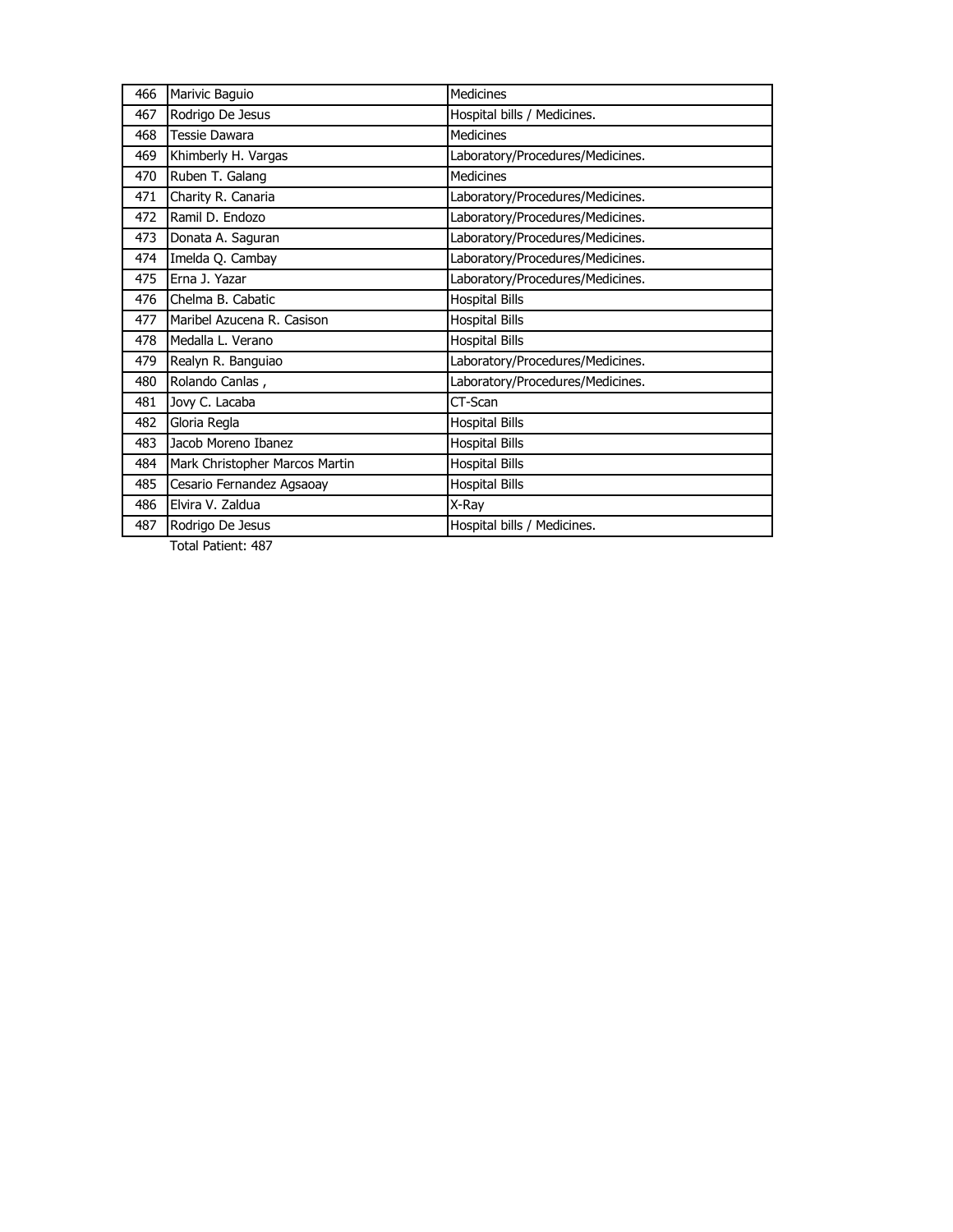| 466 | Marivic Baguio                 | <b>Medicines</b>                 |
|-----|--------------------------------|----------------------------------|
| 467 | Rodrigo De Jesus               | Hospital bills / Medicines.      |
| 468 | <b>Tessie Dawara</b>           | <b>Medicines</b>                 |
| 469 | Khimberly H. Vargas            | Laboratory/Procedures/Medicines. |
| 470 | Ruben T. Galang                | Medicines                        |
| 471 | Charity R. Canaria             | Laboratory/Procedures/Medicines. |
| 472 | Ramil D. Endozo                | Laboratory/Procedures/Medicines. |
| 473 | Donata A. Saguran              | Laboratory/Procedures/Medicines. |
| 474 | Imelda Q. Cambay               | Laboratory/Procedures/Medicines. |
| 475 | Erna J. Yazar                  | Laboratory/Procedures/Medicines. |
| 476 | Chelma B. Cabatic              | <b>Hospital Bills</b>            |
| 477 | Maribel Azucena R. Casison     | <b>Hospital Bills</b>            |
| 478 | Medalla L. Verano              | <b>Hospital Bills</b>            |
| 479 | Realyn R. Banguiao             | Laboratory/Procedures/Medicines. |
| 480 | Rolando Canlas,                | Laboratory/Procedures/Medicines. |
| 481 | Jovy C. Lacaba                 | CT-Scan                          |
| 482 | Gloria Regla                   | <b>Hospital Bills</b>            |
| 483 | Jacob Moreno Ibanez            | <b>Hospital Bills</b>            |
| 484 | Mark Christopher Marcos Martin | <b>Hospital Bills</b>            |
| 485 | Cesario Fernandez Agsaoay      | <b>Hospital Bills</b>            |
| 486 | Elvira V. Zaldua               | X-Ray                            |
| 487 | Rodrigo De Jesus               | Hospital bills / Medicines.      |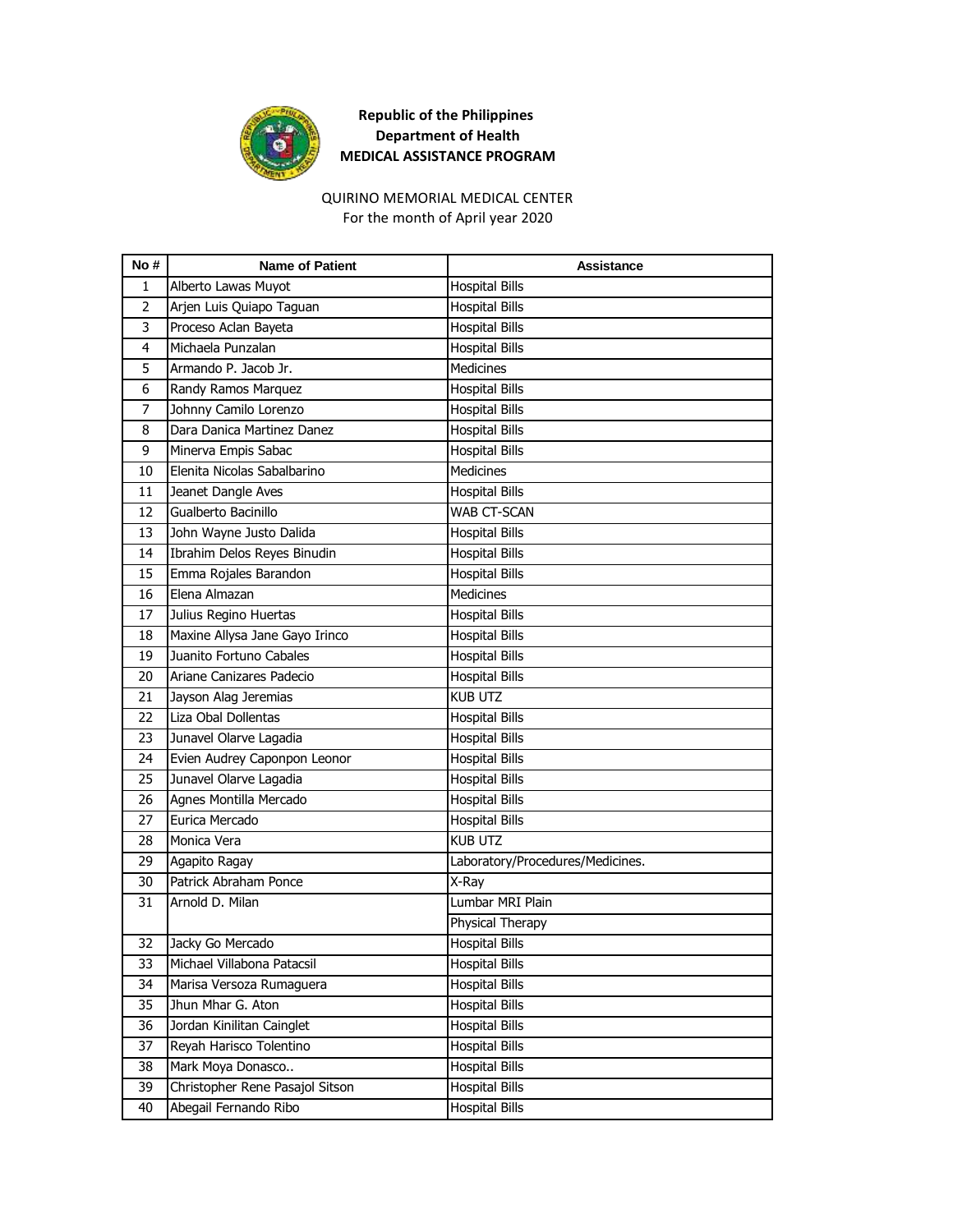

#### For the month of April year 2020 QUIRINO MEMORIAL MEDICAL CENTER

| No #           | <b>Name of Patient</b>          | <b>Assistance</b>                |
|----------------|---------------------------------|----------------------------------|
| 1              | Alberto Lawas Muyot             | <b>Hospital Bills</b>            |
| $\overline{2}$ | Arjen Luis Quiapo Taguan        | <b>Hospital Bills</b>            |
| 3              | Proceso Aclan Bayeta            | <b>Hospital Bills</b>            |
| 4              | Michaela Punzalan               | <b>Hospital Bills</b>            |
| 5              | Armando P. Jacob Jr.            | <b>Medicines</b>                 |
| 6              | Randy Ramos Marquez             | <b>Hospital Bills</b>            |
| 7              | Johnny Camilo Lorenzo           | <b>Hospital Bills</b>            |
| 8              | Dara Danica Martinez Danez      | <b>Hospital Bills</b>            |
| 9              | Minerva Empis Sabac             | <b>Hospital Bills</b>            |
| 10             | Elenita Nicolas Sabalbarino     | <b>Medicines</b>                 |
| 11             | Jeanet Dangle Aves              | <b>Hospital Bills</b>            |
| 12             | Gualberto Bacinillo             | WAB CT-SCAN                      |
| 13             | John Wayne Justo Dalida         | <b>Hospital Bills</b>            |
| 14             | Ibrahim Delos Reyes Binudin     | <b>Hospital Bills</b>            |
| 15             | Emma Rojales Barandon           | <b>Hospital Bills</b>            |
| 16             | Elena Almazan                   | <b>Medicines</b>                 |
| 17             | Julius Regino Huertas           | <b>Hospital Bills</b>            |
| 18             | Maxine Allysa Jane Gayo Irinco  | <b>Hospital Bills</b>            |
| 19             | Juanito Fortuno Cabales         | <b>Hospital Bills</b>            |
| 20             | Ariane Canizares Padecio        | <b>Hospital Bills</b>            |
| 21             | Jayson Alag Jeremias            | <b>KUB UTZ</b>                   |
| 22             | Liza Obal Dollentas             | <b>Hospital Bills</b>            |
| 23             | Junavel Olarve Lagadia          | <b>Hospital Bills</b>            |
| 24             | Evien Audrey Caponpon Leonor    | <b>Hospital Bills</b>            |
| 25             | Junavel Olarve Lagadia          | <b>Hospital Bills</b>            |
| 26             | Agnes Montilla Mercado          | <b>Hospital Bills</b>            |
| 27             | Eurica Mercado                  | <b>Hospital Bills</b>            |
| 28             | Monica Vera                     | <b>KUB UTZ</b>                   |
| 29             | Agapito Ragay                   | Laboratory/Procedures/Medicines. |
| 30             | Patrick Abraham Ponce           | X-Ray                            |
| 31             | Arnold D. Milan                 | Lumbar MRI Plain                 |
|                |                                 | Physical Therapy                 |
| 32             | Jacky Go Mercado                | <b>Hospital Bills</b>            |
| 33             | Michael Villabona Patacsil      | <b>Hospital Bills</b>            |
| 34             | Marisa Versoza Rumaguera        | <b>Hospital Bills</b>            |
| 35             | Jhun Mhar G. Aton               | <b>Hospital Bills</b>            |
| 36             | Jordan Kinilitan Cainglet       | <b>Hospital Bills</b>            |
| 37             | Reyah Harisco Tolentino         | <b>Hospital Bills</b>            |
| 38             | Mark Moya Donasco               | Hospital Bills                   |
| 39             | Christopher Rene Pasajol Sitson | <b>Hospital Bills</b>            |
| 40             | Abegail Fernando Ribo           | <b>Hospital Bills</b>            |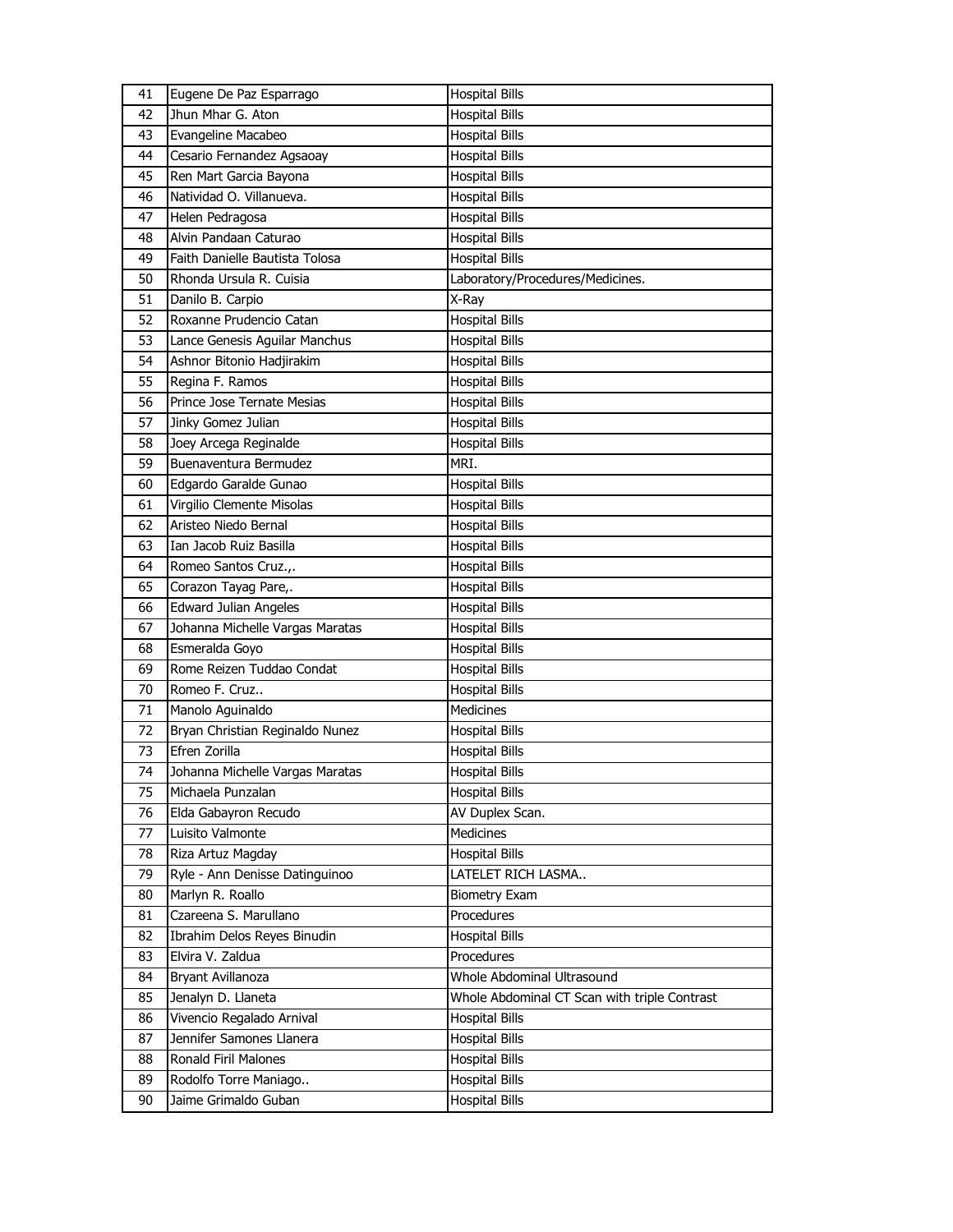| 41 | Eugene De Paz Esparrago         | <b>Hospital Bills</b>                        |
|----|---------------------------------|----------------------------------------------|
| 42 | Jhun Mhar G. Aton               | <b>Hospital Bills</b>                        |
| 43 | Evangeline Macabeo              | <b>Hospital Bills</b>                        |
| 44 | Cesario Fernandez Agsaoay       | <b>Hospital Bills</b>                        |
| 45 | Ren Mart Garcia Bayona          | <b>Hospital Bills</b>                        |
| 46 | Natividad O. Villanueva.        | <b>Hospital Bills</b>                        |
| 47 | Helen Pedragosa                 | <b>Hospital Bills</b>                        |
| 48 | Alvin Pandaan Caturao           | <b>Hospital Bills</b>                        |
| 49 | Faith Danielle Bautista Tolosa  | <b>Hospital Bills</b>                        |
| 50 | Rhonda Ursula R. Cuisia         | Laboratory/Procedures/Medicines.             |
| 51 | Danilo B. Carpio                | X-Ray                                        |
| 52 | Roxanne Prudencio Catan         | <b>Hospital Bills</b>                        |
| 53 | Lance Genesis Aguilar Manchus   | <b>Hospital Bills</b>                        |
| 54 | Ashnor Bitonio Hadjirakim       | <b>Hospital Bills</b>                        |
| 55 | Regina F. Ramos                 | <b>Hospital Bills</b>                        |
| 56 | Prince Jose Ternate Mesias      | <b>Hospital Bills</b>                        |
| 57 | Jinky Gomez Julian              | <b>Hospital Bills</b>                        |
| 58 | Joey Arcega Reginalde           | <b>Hospital Bills</b>                        |
| 59 | Buenaventura Bermudez           | MRI.                                         |
| 60 | Edgardo Garalde Gunao           | <b>Hospital Bills</b>                        |
| 61 | Virgilio Clemente Misolas       | <b>Hospital Bills</b>                        |
| 62 | Aristeo Niedo Bernal            | <b>Hospital Bills</b>                        |
| 63 | Ian Jacob Ruiz Basilla          | <b>Hospital Bills</b>                        |
| 64 | Romeo Santos Cruz.,.            | <b>Hospital Bills</b>                        |
| 65 | Corazon Tayag Pare,.            | <b>Hospital Bills</b>                        |
| 66 | Edward Julian Angeles           | <b>Hospital Bills</b>                        |
| 67 | Johanna Michelle Vargas Maratas | <b>Hospital Bills</b>                        |
| 68 | Esmeralda Goyo                  | <b>Hospital Bills</b>                        |
| 69 | Rome Reizen Tuddao Condat       | Hospital Bills                               |
| 70 | Romeo F. Cruz                   | <b>Hospital Bills</b>                        |
| 71 | Manolo Aguinaldo                | Medicines                                    |
| 72 | Bryan Christian Reginaldo Nunez | <b>Hospital Bills</b>                        |
| 73 | Efren Zorilla                   | <b>Hospital Bills</b>                        |
| 74 | Johanna Michelle Vargas Maratas | <b>Hospital Bills</b>                        |
| 75 | Michaela Punzalan               | <b>Hospital Bills</b>                        |
| 76 | Elda Gabayron Recudo            | AV Duplex Scan.                              |
| 77 | Luisito Valmonte                | <b>Medicines</b>                             |
| 78 | Riza Artuz Magday               | <b>Hospital Bills</b>                        |
| 79 | Ryle - Ann Denisse Datinguinoo  | LATELET RICH LASMA                           |
| 80 | Marlyn R. Roallo                | <b>Biometry Exam</b>                         |
| 81 | Czareena S. Marullano           | Procedures                                   |
| 82 | Ibrahim Delos Reyes Binudin     | <b>Hospital Bills</b>                        |
| 83 | Elvira V. Zaldua                | Procedures                                   |
| 84 | Bryant Avillanoza               | Whole Abdominal Ultrasound                   |
| 85 | Jenalyn D. Llaneta              | Whole Abdominal CT Scan with triple Contrast |
| 86 | Vivencio Regalado Arnival       | <b>Hospital Bills</b>                        |
| 87 | Jennifer Samones Llanera        | <b>Hospital Bills</b>                        |
| 88 | Ronald Firil Malones            | <b>Hospital Bills</b>                        |
| 89 | Rodolfo Torre Maniago           | <b>Hospital Bills</b>                        |
| 90 | Jaime Grimaldo Guban            | <b>Hospital Bills</b>                        |
|    |                                 |                                              |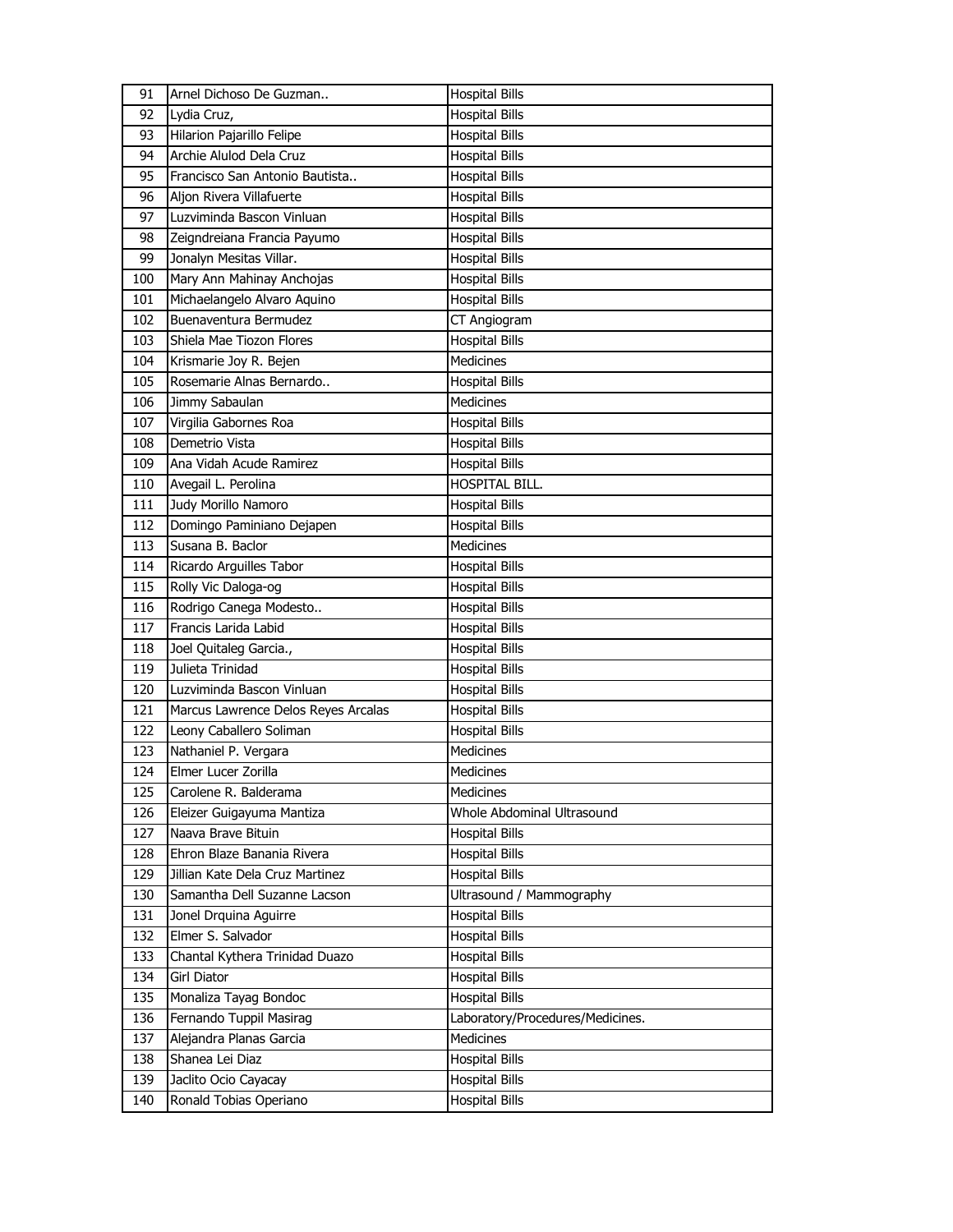| 91  | Arnel Dichoso De Guzman             | <b>Hospital Bills</b>            |
|-----|-------------------------------------|----------------------------------|
| 92  | Lydia Cruz,                         | <b>Hospital Bills</b>            |
| 93  | Hilarion Pajarillo Felipe           | <b>Hospital Bills</b>            |
| 94  | Archie Alulod Dela Cruz             | <b>Hospital Bills</b>            |
| 95  | Francisco San Antonio Bautista      | <b>Hospital Bills</b>            |
| 96  | Aljon Rivera Villafuerte            | <b>Hospital Bills</b>            |
| 97  | Luzviminda Bascon Vinluan           | <b>Hospital Bills</b>            |
| 98  | Zeigndreiana Francia Payumo         | <b>Hospital Bills</b>            |
| 99  | Jonalyn Mesitas Villar.             | <b>Hospital Bills</b>            |
| 100 | Mary Ann Mahinay Anchojas           | <b>Hospital Bills</b>            |
| 101 | Michaelangelo Alvaro Aquino         | <b>Hospital Bills</b>            |
| 102 | Buenaventura Bermudez               | CT Angiogram                     |
| 103 | Shiela Mae Tiozon Flores            | <b>Hospital Bills</b>            |
| 104 | Krismarie Joy R. Bejen              | <b>Medicines</b>                 |
| 105 | Rosemarie Alnas Bernardo            | <b>Hospital Bills</b>            |
| 106 | Jimmy Sabaulan                      | <b>Medicines</b>                 |
| 107 | Virgilia Gabornes Roa               | <b>Hospital Bills</b>            |
| 108 | Demetrio Vista                      | <b>Hospital Bills</b>            |
| 109 | Ana Vidah Acude Ramirez             | <b>Hospital Bills</b>            |
| 110 | Avegail L. Perolina                 | <b>HOSPITAL BILL.</b>            |
| 111 | Judy Morillo Namoro                 | <b>Hospital Bills</b>            |
| 112 | Domingo Paminiano Dejapen           | <b>Hospital Bills</b>            |
| 113 | Susana B. Baclor                    | <b>Medicines</b>                 |
| 114 | Ricardo Arguilles Tabor             | <b>Hospital Bills</b>            |
| 115 | Rolly Vic Daloga-og                 | <b>Hospital Bills</b>            |
| 116 | Rodrigo Canega Modesto              | <b>Hospital Bills</b>            |
| 117 | Francis Larida Labid                | <b>Hospital Bills</b>            |
| 118 | Joel Quitaleg Garcia.,              | <b>Hospital Bills</b>            |
| 119 | Julieta Trinidad                    | Hospital Bills                   |
| 120 | Luzviminda Bascon Vinluan           | <b>Hospital Bills</b>            |
| 121 | Marcus Lawrence Delos Reyes Arcalas | <b>Hospital Bills</b>            |
| 122 | Leony Caballero Soliman             | <b>Hospital Bills</b>            |
| 123 | Nathaniel P. Vergara                | Medicines                        |
| 124 | Elmer Lucer Zorilla                 | <b>Medicines</b>                 |
| 125 | Carolene R. Balderama               | Medicines                        |
| 126 | Eleizer Guigayuma Mantiza           | Whole Abdominal Ultrasound       |
| 127 | Naava Brave Bituin                  | <b>Hospital Bills</b>            |
| 128 | Ehron Blaze Banania Rivera          | <b>Hospital Bills</b>            |
| 129 | Jillian Kate Dela Cruz Martinez     | <b>Hospital Bills</b>            |
| 130 | Samantha Dell Suzanne Lacson        | Ultrasound / Mammography         |
| 131 | Jonel Drquina Aguirre               | <b>Hospital Bills</b>            |
| 132 | Elmer S. Salvador                   | Hospital Bills                   |
| 133 | Chantal Kythera Trinidad Duazo      | <b>Hospital Bills</b>            |
| 134 | Girl Diator                         | <b>Hospital Bills</b>            |
| 135 | Monaliza Tayag Bondoc               | <b>Hospital Bills</b>            |
| 136 | Fernando Tuppil Masirag             | Laboratory/Procedures/Medicines. |
| 137 | Alejandra Planas Garcia             | Medicines                        |
| 138 | Shanea Lei Diaz                     | <b>Hospital Bills</b>            |
| 139 | Jaclito Ocio Cayacay                | <b>Hospital Bills</b>            |
| 140 | Ronald Tobias Operiano              | <b>Hospital Bills</b>            |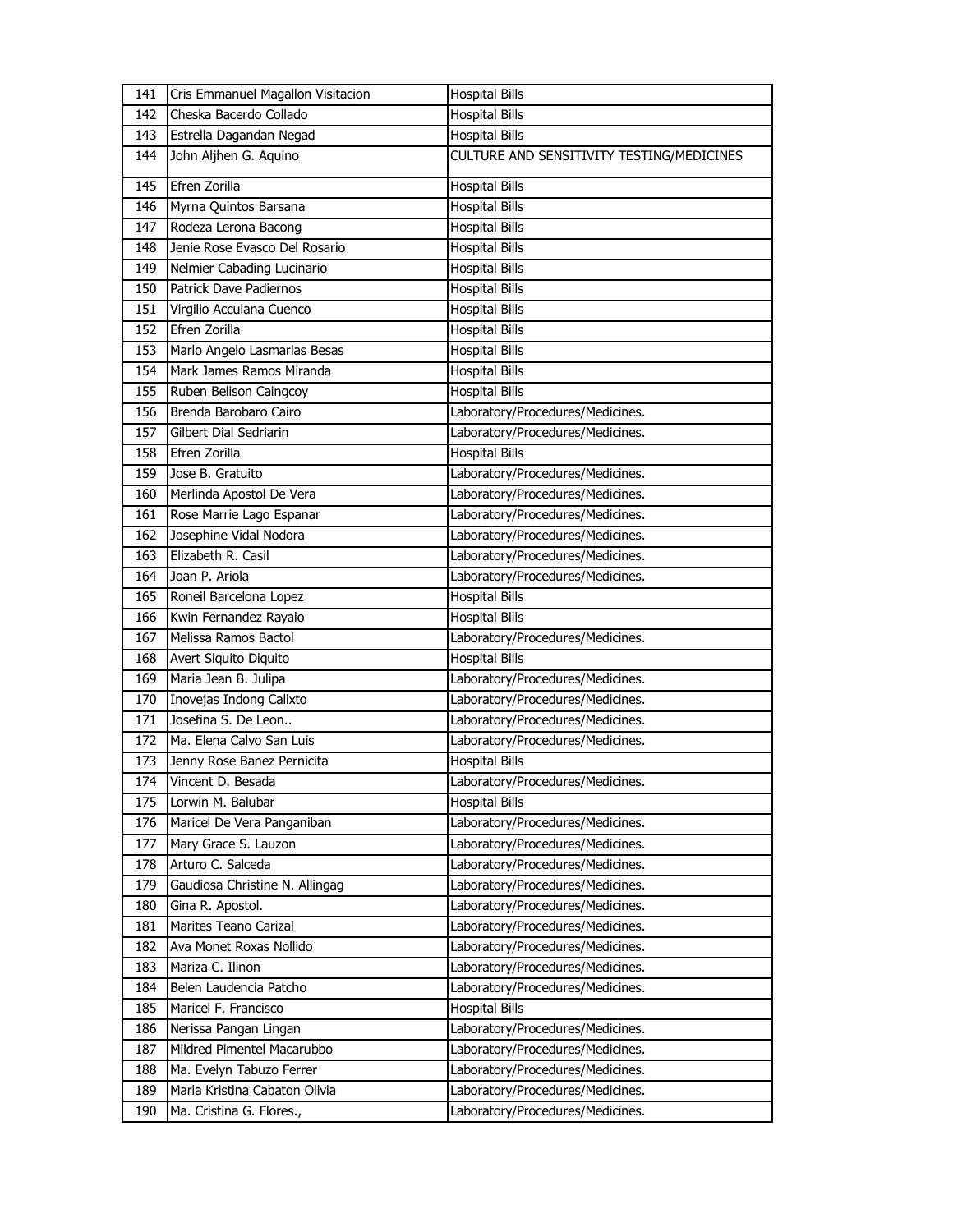| 141 | Cris Emmanuel Magallon Visitacion | <b>Hospital Bills</b>                     |
|-----|-----------------------------------|-------------------------------------------|
| 142 | Cheska Bacerdo Collado            | <b>Hospital Bills</b>                     |
| 143 | Estrella Dagandan Negad           | <b>Hospital Bills</b>                     |
| 144 | John Aljhen G. Aquino             | CULTURE AND SENSITIVITY TESTING/MEDICINES |
| 145 | Efren Zorilla                     | <b>Hospital Bills</b>                     |
| 146 | Myrna Quintos Barsana             | <b>Hospital Bills</b>                     |
| 147 | Rodeza Lerona Bacong              | <b>Hospital Bills</b>                     |
| 148 | Jenie Rose Evasco Del Rosario     | <b>Hospital Bills</b>                     |
| 149 | Nelmier Cabading Lucinario        | <b>Hospital Bills</b>                     |
| 150 | <b>Patrick Dave Padiernos</b>     | <b>Hospital Bills</b>                     |
| 151 | Virgilio Acculana Cuenco          | <b>Hospital Bills</b>                     |
| 152 | Efren Zorilla                     | <b>Hospital Bills</b>                     |
| 153 | Marlo Angelo Lasmarias Besas      | <b>Hospital Bills</b>                     |
| 154 | Mark James Ramos Miranda          | <b>Hospital Bills</b>                     |
| 155 | Ruben Belison Caingcoy            | <b>Hospital Bills</b>                     |
| 156 | Brenda Barobaro Cairo             | Laboratory/Procedures/Medicines.          |
| 157 | Gilbert Dial Sedriarin            | Laboratory/Procedures/Medicines.          |
| 158 | Efren Zorilla                     | <b>Hospital Bills</b>                     |
| 159 | Jose B. Gratuito                  | Laboratory/Procedures/Medicines.          |
| 160 | Merlinda Apostol De Vera          | Laboratory/Procedures/Medicines.          |
| 161 | Rose Marrie Lago Espanar          | Laboratory/Procedures/Medicines.          |
| 162 | Josephine Vidal Nodora            | Laboratory/Procedures/Medicines.          |
| 163 | Elizabeth R. Casil                | Laboratory/Procedures/Medicines.          |
| 164 | Joan P. Ariola                    | Laboratory/Procedures/Medicines.          |
| 165 | Roneil Barcelona Lopez            | <b>Hospital Bills</b>                     |
| 166 | Kwin Fernandez Rayalo             | <b>Hospital Bills</b>                     |
| 167 | Melissa Ramos Bactol              | Laboratory/Procedures/Medicines.          |
| 168 | Avert Siquito Diquito             | <b>Hospital Bills</b>                     |
| 169 | Maria Jean B. Julipa              | Laboratory/Procedures/Medicines.          |
| 170 | Inovejas Indong Calixto           | Laboratory/Procedures/Medicines.          |
| 171 | Josefina S. De Leon               | Laboratory/Procedures/Medicines.          |
| 172 | Ma. Elena Calvo San Luis          | Laboratory/Procedures/Medicines.          |
| 173 | Jenny Rose Banez Pernicita        | <b>Hospital Bills</b>                     |
| 174 | Vincent D. Besada                 | Laboratory/Procedures/Medicines.          |
| 175 | Lorwin M. Balubar                 | <b>Hospital Bills</b>                     |
| 176 | Maricel De Vera Panganiban        | Laboratory/Procedures/Medicines.          |
| 177 | Mary Grace S. Lauzon              | Laboratory/Procedures/Medicines.          |
| 178 | Arturo C. Salceda                 | Laboratory/Procedures/Medicines.          |
| 179 | Gaudiosa Christine N. Allingag    | Laboratory/Procedures/Medicines.          |
| 180 | Gina R. Apostol.                  | Laboratory/Procedures/Medicines.          |
| 181 | Marites Teano Carizal             | Laboratory/Procedures/Medicines.          |
| 182 | Ava Monet Roxas Nollido           | Laboratory/Procedures/Medicines.          |
| 183 | Mariza C. Ilinon                  | Laboratory/Procedures/Medicines.          |
| 184 | Belen Laudencia Patcho            | Laboratory/Procedures/Medicines.          |
| 185 | Maricel F. Francisco              | <b>Hospital Bills</b>                     |
| 186 | Nerissa Pangan Lingan             | Laboratory/Procedures/Medicines.          |
| 187 | Mildred Pimentel Macarubbo        | Laboratory/Procedures/Medicines.          |
| 188 | Ma. Evelyn Tabuzo Ferrer          | Laboratory/Procedures/Medicines.          |
| 189 | Maria Kristina Cabaton Olivia     | Laboratory/Procedures/Medicines.          |
| 190 | Ma. Cristina G. Flores.,          | Laboratory/Procedures/Medicines.          |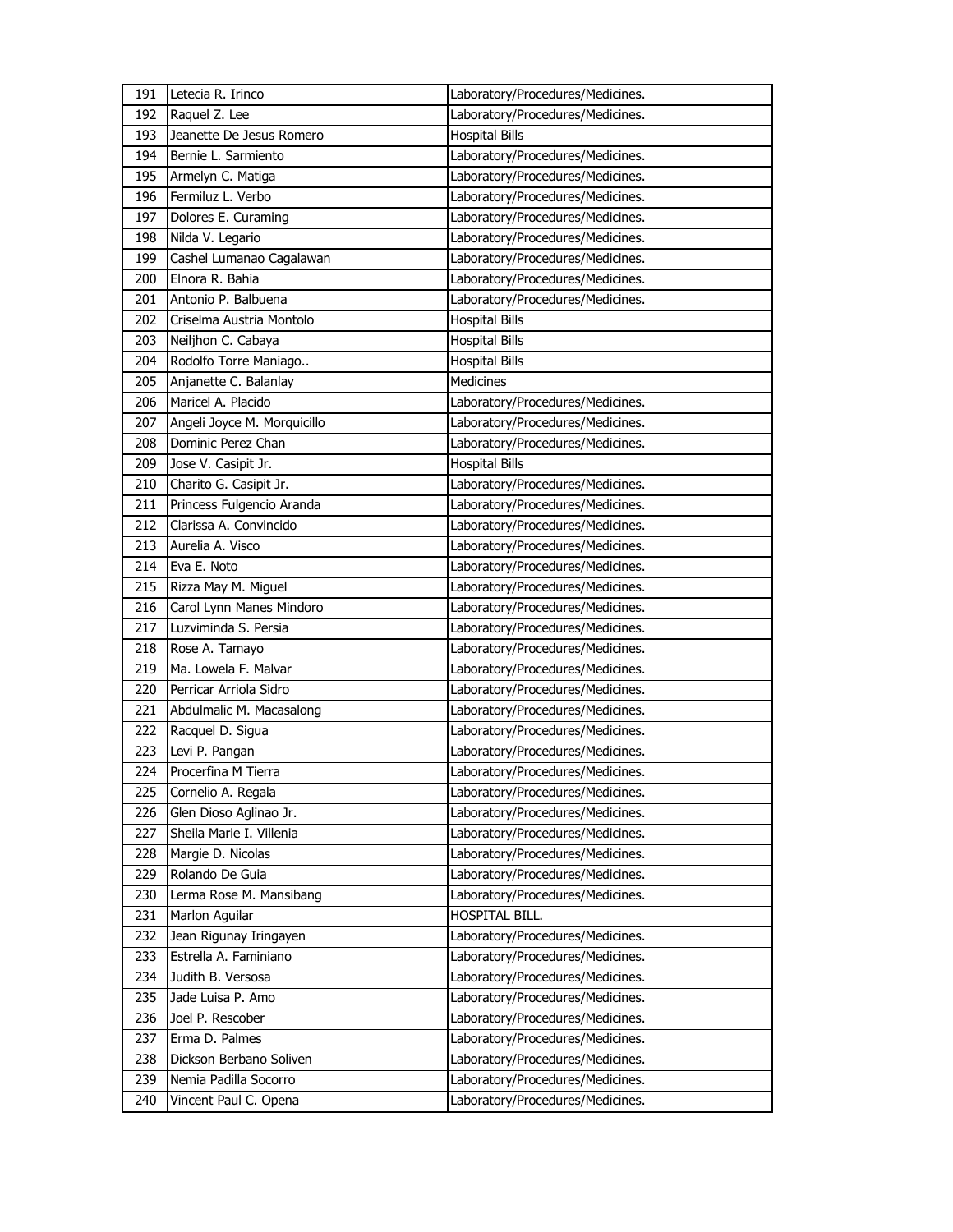| 191 | Letecia R. Irinco           | Laboratory/Procedures/Medicines. |
|-----|-----------------------------|----------------------------------|
| 192 | Raquel Z. Lee               | Laboratory/Procedures/Medicines. |
| 193 | Jeanette De Jesus Romero    | <b>Hospital Bills</b>            |
| 194 | Bernie L. Sarmiento         | Laboratory/Procedures/Medicines. |
| 195 | Armelyn C. Matiga           | Laboratory/Procedures/Medicines. |
| 196 | Fermiluz L. Verbo           | Laboratory/Procedures/Medicines. |
| 197 | Dolores E. Curaming         | Laboratory/Procedures/Medicines. |
| 198 | Nilda V. Legario            | Laboratory/Procedures/Medicines. |
| 199 | Cashel Lumanao Cagalawan    | Laboratory/Procedures/Medicines. |
| 200 | Elnora R. Bahia             | Laboratory/Procedures/Medicines. |
| 201 | Antonio P. Balbuena         | Laboratory/Procedures/Medicines. |
| 202 | Criselma Austria Montolo    | <b>Hospital Bills</b>            |
| 203 | Neiljhon C. Cabaya          | <b>Hospital Bills</b>            |
| 204 | Rodolfo Torre Maniago       | <b>Hospital Bills</b>            |
| 205 | Anjanette C. Balanlay       | <b>Medicines</b>                 |
| 206 | Maricel A. Placido          | Laboratory/Procedures/Medicines. |
| 207 | Angeli Joyce M. Morquicillo | Laboratory/Procedures/Medicines. |
| 208 | Dominic Perez Chan          | Laboratory/Procedures/Medicines. |
| 209 | Jose V. Casipit Jr.         | <b>Hospital Bills</b>            |
| 210 | Charito G. Casipit Jr.      | Laboratory/Procedures/Medicines. |
| 211 | Princess Fulgencio Aranda   | Laboratory/Procedures/Medicines. |
| 212 | Clarissa A. Convincido      | Laboratory/Procedures/Medicines. |
| 213 | Aurelia A. Visco            | Laboratory/Procedures/Medicines. |
| 214 | Eva E. Noto                 | Laboratory/Procedures/Medicines. |
| 215 | Rizza May M. Miguel         | Laboratory/Procedures/Medicines. |
| 216 | Carol Lynn Manes Mindoro    | Laboratory/Procedures/Medicines. |
| 217 | Luzviminda S. Persia        | Laboratory/Procedures/Medicines. |
| 218 | Rose A. Tamayo              | Laboratory/Procedures/Medicines. |
| 219 | Ma. Lowela F. Malvar        | Laboratory/Procedures/Medicines. |
| 220 | Perricar Arriola Sidro      | Laboratory/Procedures/Medicines. |
| 221 | Abdulmalic M. Macasalong    | Laboratory/Procedures/Medicines. |
| 222 | Racquel D. Sigua            | Laboratory/Procedures/Medicines. |
| 223 | Levi P. Pangan              | Laboratory/Procedures/Medicines. |
| 224 | Procerfina M Tierra         | Laboratory/Procedures/Medicines. |
| 225 | Cornelio A. Regala          | Laboratory/Procedures/Medicines. |
| 226 | Glen Dioso Aglinao Jr.      | Laboratory/Procedures/Medicines. |
| 227 | Sheila Marie I. Villenia    | Laboratory/Procedures/Medicines. |
| 228 | Margie D. Nicolas           | Laboratory/Procedures/Medicines. |
| 229 | Rolando De Guia             | Laboratory/Procedures/Medicines. |
| 230 | Lerma Rose M. Mansibang     | Laboratory/Procedures/Medicines. |
| 231 | Marlon Aguilar              | HOSPITAL BILL.                   |
| 232 | Jean Rigunay Iringayen      | Laboratory/Procedures/Medicines. |
| 233 | Estrella A. Faminiano       | Laboratory/Procedures/Medicines. |
| 234 | Judith B. Versosa           | Laboratory/Procedures/Medicines. |
| 235 | Jade Luisa P. Amo           | Laboratory/Procedures/Medicines. |
| 236 | Joel P. Rescober            | Laboratory/Procedures/Medicines. |
| 237 | Erma D. Palmes              | Laboratory/Procedures/Medicines. |
| 238 | Dickson Berbano Soliven     | Laboratory/Procedures/Medicines. |
| 239 | Nemia Padilla Socorro       | Laboratory/Procedures/Medicines. |
| 240 | Vincent Paul C. Opena       | Laboratory/Procedures/Medicines. |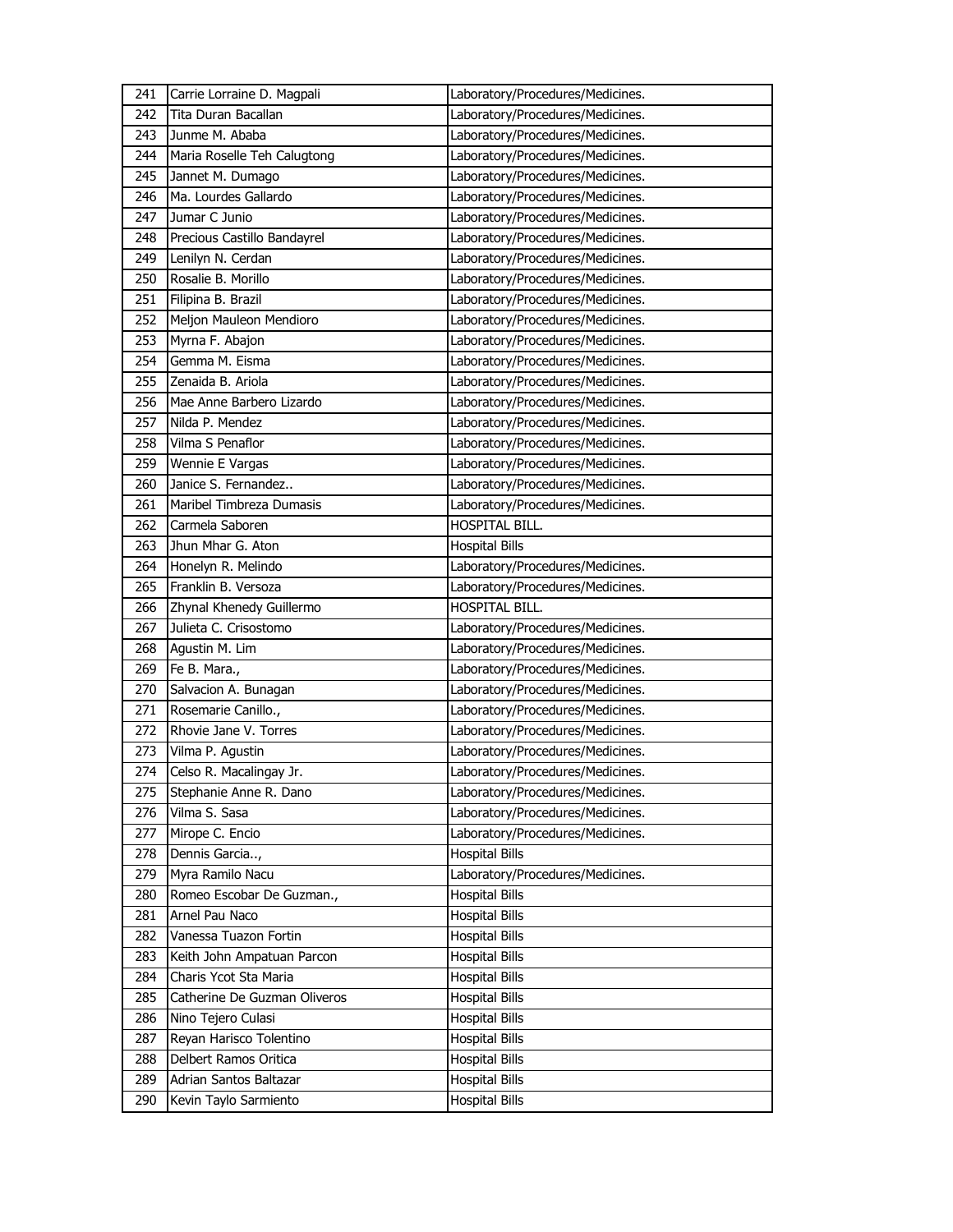| 241        | Carrie Lorraine D. Magpali                      | Laboratory/Procedures/Medicines.               |
|------------|-------------------------------------------------|------------------------------------------------|
| 242        | Tita Duran Bacallan                             | Laboratory/Procedures/Medicines.               |
| 243        | Junme M. Ababa                                  | Laboratory/Procedures/Medicines.               |
| 244        | Maria Roselle Teh Calugtong                     | Laboratory/Procedures/Medicines.               |
| 245        | Jannet M. Dumago                                | Laboratory/Procedures/Medicines.               |
| 246        | Ma. Lourdes Gallardo                            | Laboratory/Procedures/Medicines.               |
| 247        | Jumar C Junio                                   | Laboratory/Procedures/Medicines.               |
| 248        | Precious Castillo Bandayrel                     | Laboratory/Procedures/Medicines.               |
| 249        | Lenilyn N. Cerdan                               | Laboratory/Procedures/Medicines.               |
| 250        | Rosalie B. Morillo                              | Laboratory/Procedures/Medicines.               |
| 251        | Filipina B. Brazil                              | Laboratory/Procedures/Medicines.               |
| 252        | Meljon Mauleon Mendioro                         | Laboratory/Procedures/Medicines.               |
| 253        | Myrna F. Abajon                                 | Laboratory/Procedures/Medicines.               |
| 254        | Gemma M. Eisma                                  | Laboratory/Procedures/Medicines.               |
| 255        | Zenaida B. Ariola                               | Laboratory/Procedures/Medicines.               |
| 256        | Mae Anne Barbero Lizardo                        | Laboratory/Procedures/Medicines.               |
| 257        | Nilda P. Mendez                                 | Laboratory/Procedures/Medicines.               |
| 258        | Vilma S Penaflor                                | Laboratory/Procedures/Medicines.               |
| 259        | Wennie E Vargas                                 | Laboratory/Procedures/Medicines.               |
| 260        | Janice S. Fernandez                             | Laboratory/Procedures/Medicines.               |
| 261        | Maribel Timbreza Dumasis                        | Laboratory/Procedures/Medicines.               |
| 262        | Carmela Saboren                                 | HOSPITAL BILL.                                 |
| 263        | Jhun Mhar G. Aton                               | <b>Hospital Bills</b>                          |
| 264        | Honelyn R. Melindo                              | Laboratory/Procedures/Medicines.               |
| 265        | Franklin B. Versoza                             | Laboratory/Procedures/Medicines.               |
| 266        | Zhynal Khenedy Guillermo                        | HOSPITAL BILL.                                 |
| 267        | Julieta C. Crisostomo                           | Laboratory/Procedures/Medicines.               |
| 268        | Agustin M. Lim                                  | Laboratory/Procedures/Medicines.               |
| 269        | Fe B. Mara.,                                    | Laboratory/Procedures/Medicines.               |
| 270        | Salvacion A. Bunagan                            | Laboratory/Procedures/Medicines.               |
| 271        | Rosemarie Canillo.,                             |                                                |
|            |                                                 | Laboratory/Procedures/Medicines.               |
| 272        | Rhovie Jane V. Torres                           | Laboratory/Procedures/Medicines.               |
| 273        | Vilma P. Agustin                                | Laboratory/Procedures/Medicines.               |
| 274        | Celso R. Macalingay Jr.                         | Laboratory/Procedures/Medicines.               |
| 275        | Stephanie Anne R. Dano                          | Laboratory/Procedures/Medicines.               |
| 276        | Vilma S. Sasa                                   | Laboratory/Procedures/Medicines.               |
| 277        | Mirope C. Encio                                 | Laboratory/Procedures/Medicines.               |
| 278        | Dennis Garcia,                                  | <b>Hospital Bills</b>                          |
| 279        | Myra Ramilo Nacu                                | Laboratory/Procedures/Medicines.               |
| 280        | Romeo Escobar De Guzman.,                       | <b>Hospital Bills</b>                          |
| 281        | Arnel Pau Naco                                  | <b>Hospital Bills</b>                          |
| 282        | Vanessa Tuazon Fortin                           | <b>Hospital Bills</b>                          |
| 283        | Keith John Ampatuan Parcon                      | <b>Hospital Bills</b>                          |
| 284        | Charis Ycot Sta Maria                           | <b>Hospital Bills</b>                          |
| 285        | Catherine De Guzman Oliveros                    | <b>Hospital Bills</b>                          |
| 286        | Nino Tejero Culasi                              | <b>Hospital Bills</b>                          |
| 287        | Reyan Harisco Tolentino                         | <b>Hospital Bills</b>                          |
| 288        | Delbert Ramos Oritica                           | <b>Hospital Bills</b>                          |
| 289<br>290 | Adrian Santos Baltazar<br>Kevin Taylo Sarmiento | <b>Hospital Bills</b><br><b>Hospital Bills</b> |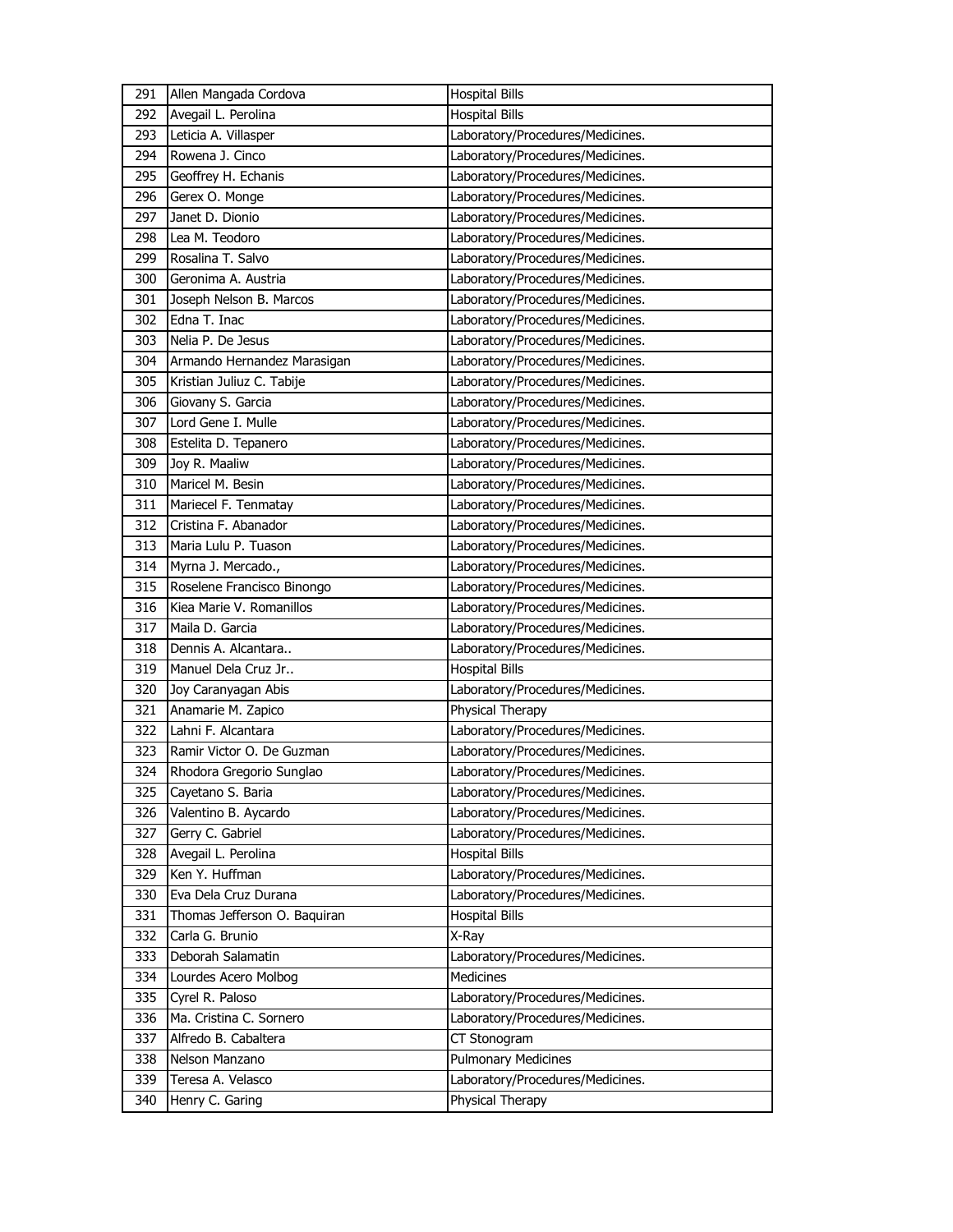| 291 | Allen Mangada Cordova        | <b>Hospital Bills</b>            |
|-----|------------------------------|----------------------------------|
| 292 | Avegail L. Perolina          | <b>Hospital Bills</b>            |
| 293 | Leticia A. Villasper         | Laboratory/Procedures/Medicines. |
| 294 | Rowena J. Cinco              | Laboratory/Procedures/Medicines. |
| 295 | Geoffrey H. Echanis          | Laboratory/Procedures/Medicines. |
| 296 | Gerex O. Monge               | Laboratory/Procedures/Medicines. |
| 297 | Janet D. Dionio              | Laboratory/Procedures/Medicines. |
| 298 | Lea M. Teodoro               | Laboratory/Procedures/Medicines. |
| 299 | Rosalina T. Salvo            | Laboratory/Procedures/Medicines. |
| 300 | Geronima A. Austria          | Laboratory/Procedures/Medicines. |
| 301 | Joseph Nelson B. Marcos      | Laboratory/Procedures/Medicines. |
| 302 | Edna T. Inac                 | Laboratory/Procedures/Medicines. |
| 303 | Nelia P. De Jesus            | Laboratory/Procedures/Medicines. |
| 304 | Armando Hernandez Marasigan  | Laboratory/Procedures/Medicines. |
| 305 | Kristian Juliuz C. Tabije    | Laboratory/Procedures/Medicines. |
| 306 | Giovany S. Garcia            | Laboratory/Procedures/Medicines. |
| 307 | Lord Gene I. Mulle           | Laboratory/Procedures/Medicines. |
| 308 | Estelita D. Tepanero         | Laboratory/Procedures/Medicines. |
| 309 | Joy R. Maaliw                | Laboratory/Procedures/Medicines. |
| 310 | Maricel M. Besin             | Laboratory/Procedures/Medicines. |
| 311 | Mariecel F. Tenmatay         | Laboratory/Procedures/Medicines. |
| 312 | Cristina F. Abanador         | Laboratory/Procedures/Medicines. |
| 313 | Maria Lulu P. Tuason         | Laboratory/Procedures/Medicines. |
| 314 | Myrna J. Mercado.,           | Laboratory/Procedures/Medicines. |
| 315 | Roselene Francisco Binongo   | Laboratory/Procedures/Medicines. |
| 316 | Kiea Marie V. Romanillos     | Laboratory/Procedures/Medicines. |
| 317 | Maila D. Garcia              | Laboratory/Procedures/Medicines. |
| 318 | Dennis A. Alcantara          | Laboratory/Procedures/Medicines. |
| 319 | Manuel Dela Cruz Jr          | <b>Hospital Bills</b>            |
| 320 | Joy Caranyagan Abis          | Laboratory/Procedures/Medicines. |
| 321 | Anamarie M. Zapico           | Physical Therapy                 |
| 322 | Lahni F. Alcantara           | Laboratory/Procedures/Medicines. |
| 323 | Ramir Victor O. De Guzman    | Laboratory/Procedures/Medicines. |
| 324 | Rhodora Gregorio Sunglao     | Laboratory/Procedures/Medicines. |
| 325 | Cayetano S. Baria            | Laboratory/Procedures/Medicines. |
| 326 | Valentino B. Aycardo         | Laboratory/Procedures/Medicines. |
| 327 | Gerry C. Gabriel             | Laboratory/Procedures/Medicines. |
| 328 | Avegail L. Perolina          | <b>Hospital Bills</b>            |
| 329 | Ken Y. Huffman               | Laboratory/Procedures/Medicines. |
| 330 | Eva Dela Cruz Durana         | Laboratory/Procedures/Medicines. |
| 331 | Thomas Jefferson O. Baquiran | <b>Hospital Bills</b>            |
| 332 | Carla G. Brunio              | X-Ray                            |
| 333 | Deborah Salamatin            | Laboratory/Procedures/Medicines. |
| 334 | Lourdes Acero Molbog         | Medicines                        |
| 335 | Cyrel R. Paloso              | Laboratory/Procedures/Medicines. |
| 336 | Ma. Cristina C. Sornero      | Laboratory/Procedures/Medicines. |
| 337 | Alfredo B. Cabaltera         | CT Stonogram                     |
| 338 | Nelson Manzano               | <b>Pulmonary Medicines</b>       |
| 339 | Teresa A. Velasco            | Laboratory/Procedures/Medicines. |
| 340 | Henry C. Garing              | Physical Therapy                 |
|     |                              |                                  |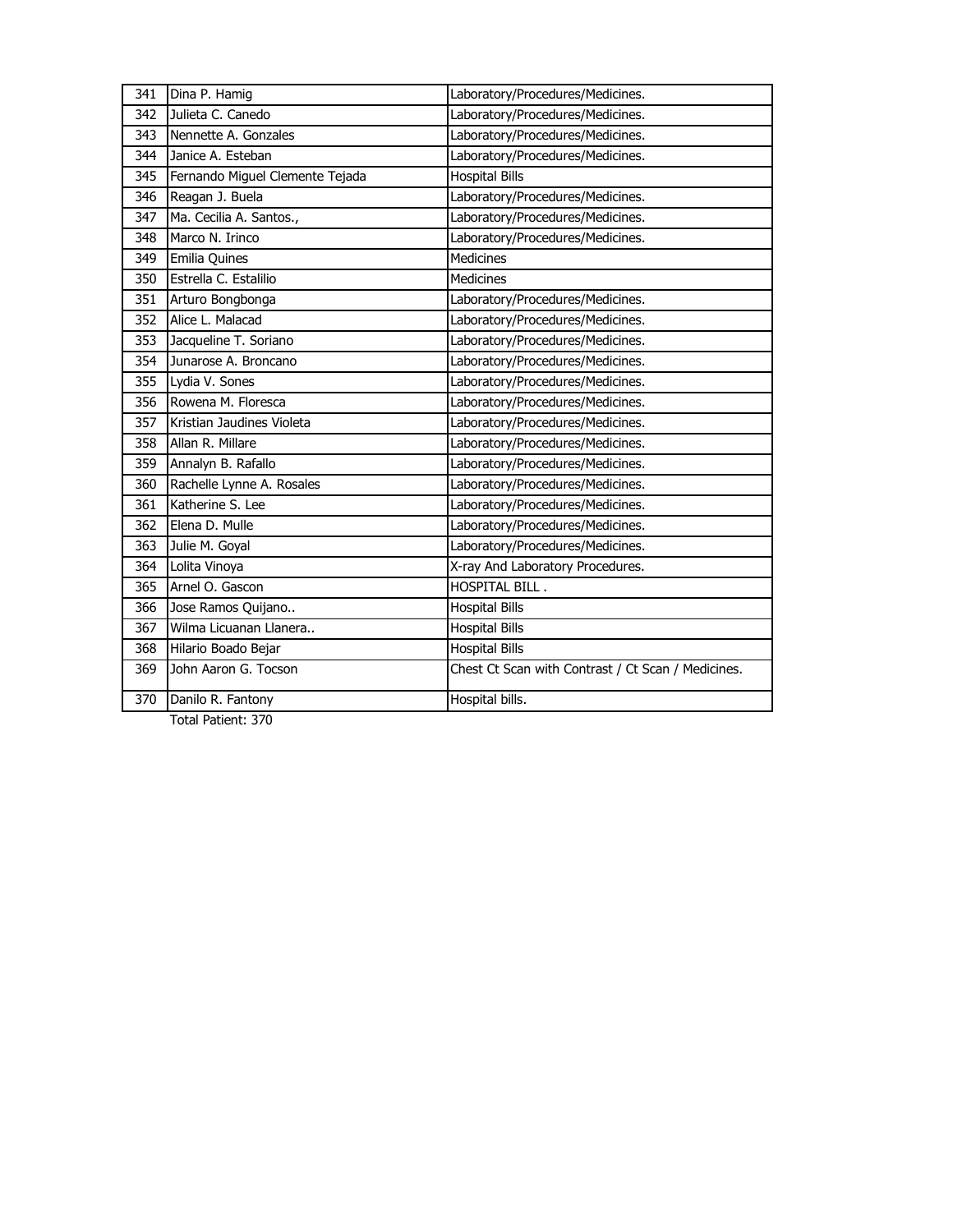| 341 | Dina P. Hamig                   | Laboratory/Procedures/Medicines.                   |
|-----|---------------------------------|----------------------------------------------------|
| 342 | Julieta C. Canedo               | Laboratory/Procedures/Medicines.                   |
| 343 | Nennette A. Gonzales            | Laboratory/Procedures/Medicines.                   |
| 344 | Janice A. Esteban               | Laboratory/Procedures/Medicines.                   |
| 345 | Fernando Miguel Clemente Tejada | <b>Hospital Bills</b>                              |
| 346 | Reagan J. Buela                 | Laboratory/Procedures/Medicines.                   |
| 347 | Ma. Cecilia A. Santos.,         | Laboratory/Procedures/Medicines.                   |
| 348 | Marco N. Irinco                 | Laboratory/Procedures/Medicines.                   |
| 349 | Emilia Quines                   | <b>Medicines</b>                                   |
| 350 | Estrella C. Estalilio           | <b>Medicines</b>                                   |
| 351 | Arturo Bongbonga                | Laboratory/Procedures/Medicines.                   |
| 352 | Alice L. Malacad                | Laboratory/Procedures/Medicines.                   |
| 353 | Jacqueline T. Soriano           | Laboratory/Procedures/Medicines.                   |
| 354 | Junarose A. Broncano            | Laboratory/Procedures/Medicines.                   |
| 355 | Lydia V. Sones                  | Laboratory/Procedures/Medicines.                   |
| 356 | Rowena M. Floresca              | Laboratory/Procedures/Medicines.                   |
| 357 | Kristian Jaudines Violeta       | Laboratory/Procedures/Medicines.                   |
| 358 | Allan R. Millare                | Laboratory/Procedures/Medicines.                   |
| 359 | Annalyn B. Rafallo              | Laboratory/Procedures/Medicines.                   |
| 360 | Rachelle Lynne A. Rosales       | Laboratory/Procedures/Medicines.                   |
| 361 | Katherine S. Lee                | Laboratory/Procedures/Medicines.                   |
| 362 | Elena D. Mulle                  | Laboratory/Procedures/Medicines.                   |
| 363 | Julie M. Goyal                  | Laboratory/Procedures/Medicines.                   |
| 364 | Lolita Vinoya                   | X-ray And Laboratory Procedures.                   |
| 365 | Arnel O. Gascon                 | <b>HOSPITAL BILL.</b>                              |
| 366 | Jose Ramos Quijano              | <b>Hospital Bills</b>                              |
| 367 | Wilma Licuanan Llanera          | <b>Hospital Bills</b>                              |
| 368 | Hilario Boado Bejar             | <b>Hospital Bills</b>                              |
| 369 | John Aaron G. Tocson            | Chest Ct Scan with Contrast / Ct Scan / Medicines. |
| 370 | Danilo R. Fantony               | Hospital bills.                                    |
|     |                                 |                                                    |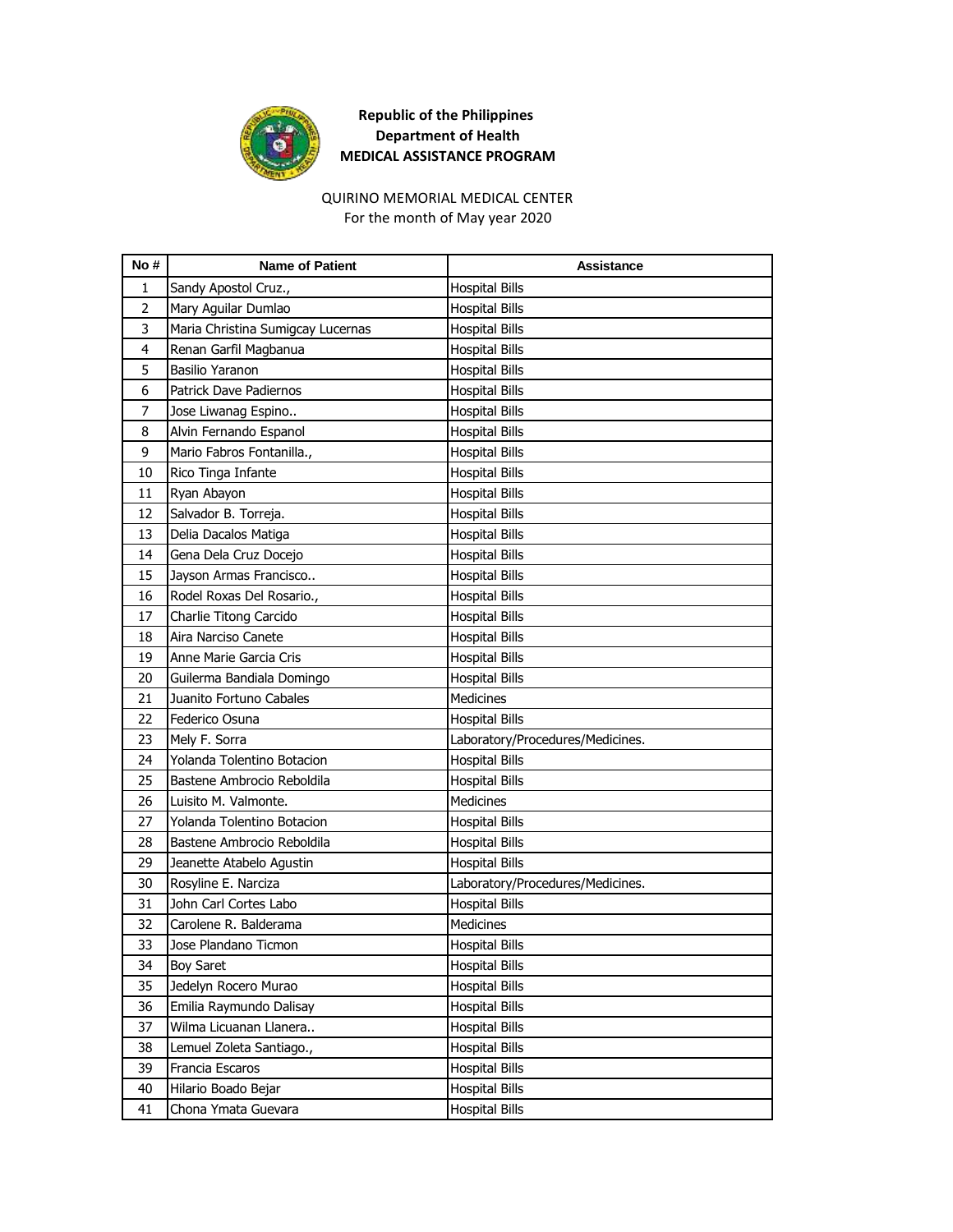

# QUIRINO MEMORIAL MEDICAL CENTER

For the month of May year 2020

| No#            | <b>Name of Patient</b>            | Assistance                       |
|----------------|-----------------------------------|----------------------------------|
| 1              | Sandy Apostol Cruz.,              | <b>Hospital Bills</b>            |
| $\overline{2}$ | Mary Aguilar Dumlao               | <b>Hospital Bills</b>            |
| 3              | Maria Christina Sumigcay Lucernas | <b>Hospital Bills</b>            |
| $\overline{4}$ | Renan Garfil Magbanua             | <b>Hospital Bills</b>            |
| 5              | <b>Basilio Yaranon</b>            | <b>Hospital Bills</b>            |
| 6              | Patrick Dave Padiernos            | <b>Hospital Bills</b>            |
| 7              | Jose Liwanag Espino               | <b>Hospital Bills</b>            |
| 8              | Alvin Fernando Espanol            | <b>Hospital Bills</b>            |
| 9              | Mario Fabros Fontanilla.,         | <b>Hospital Bills</b>            |
| 10             | Rico Tinga Infante                | <b>Hospital Bills</b>            |
| 11             | Ryan Abayon                       | <b>Hospital Bills</b>            |
| 12             | Salvador B. Torreja.              | <b>Hospital Bills</b>            |
| 13             | Delia Dacalos Matiga              | <b>Hospital Bills</b>            |
| 14             | Gena Dela Cruz Docejo             | <b>Hospital Bills</b>            |
| 15             | Jayson Armas Francisco            | <b>Hospital Bills</b>            |
| 16             | Rodel Roxas Del Rosario.,         | <b>Hospital Bills</b>            |
| 17             | Charlie Titong Carcido            | <b>Hospital Bills</b>            |
| 18             | Aira Narciso Canete               | <b>Hospital Bills</b>            |
| 19             | Anne Marie Garcia Cris            | <b>Hospital Bills</b>            |
| 20             | Guilerma Bandiala Domingo         | <b>Hospital Bills</b>            |
| 21             | Juanito Fortuno Cabales           | <b>Medicines</b>                 |
| 22             | Federico Osuna                    | <b>Hospital Bills</b>            |
| 23             | Mely F. Sorra                     | Laboratory/Procedures/Medicines. |
| 24             | Yolanda Tolentino Botacion        | <b>Hospital Bills</b>            |
| 25             | Bastene Ambrocio Reboldila        | <b>Hospital Bills</b>            |
| 26             | Luisito M. Valmonte.              | <b>Medicines</b>                 |
| 27             | Yolanda Tolentino Botacion        | <b>Hospital Bills</b>            |
| 28             | Bastene Ambrocio Reboldila        | <b>Hospital Bills</b>            |
| 29             | Jeanette Atabelo Agustin          | <b>Hospital Bills</b>            |
| 30             | Rosyline E. Narciza               | Laboratory/Procedures/Medicines. |
| 31             | John Carl Cortes Labo             | <b>Hospital Bills</b>            |
| 32             | Carolene R. Balderama             | <b>Medicines</b>                 |
| 33             | Jose Plandano Ticmon              | <b>Hospital Bills</b>            |
| 34             | <b>Boy Saret</b>                  | <b>Hospital Bills</b>            |
| 35             | Jedelyn Rocero Murao              | <b>Hospital Bills</b>            |
| 36             | Emilia Raymundo Dalisay           | <b>Hospital Bills</b>            |
| 37             | Wilma Licuanan Llanera            | <b>Hospital Bills</b>            |
| 38             | Lemuel Zoleta Santiago.,          | <b>Hospital Bills</b>            |
| 39             | Francia Escaros                   | <b>Hospital Bills</b>            |
| 40             | Hilario Boado Bejar               | <b>Hospital Bills</b>            |
| 41             | Chona Ymata Guevara               | <b>Hospital Bills</b>            |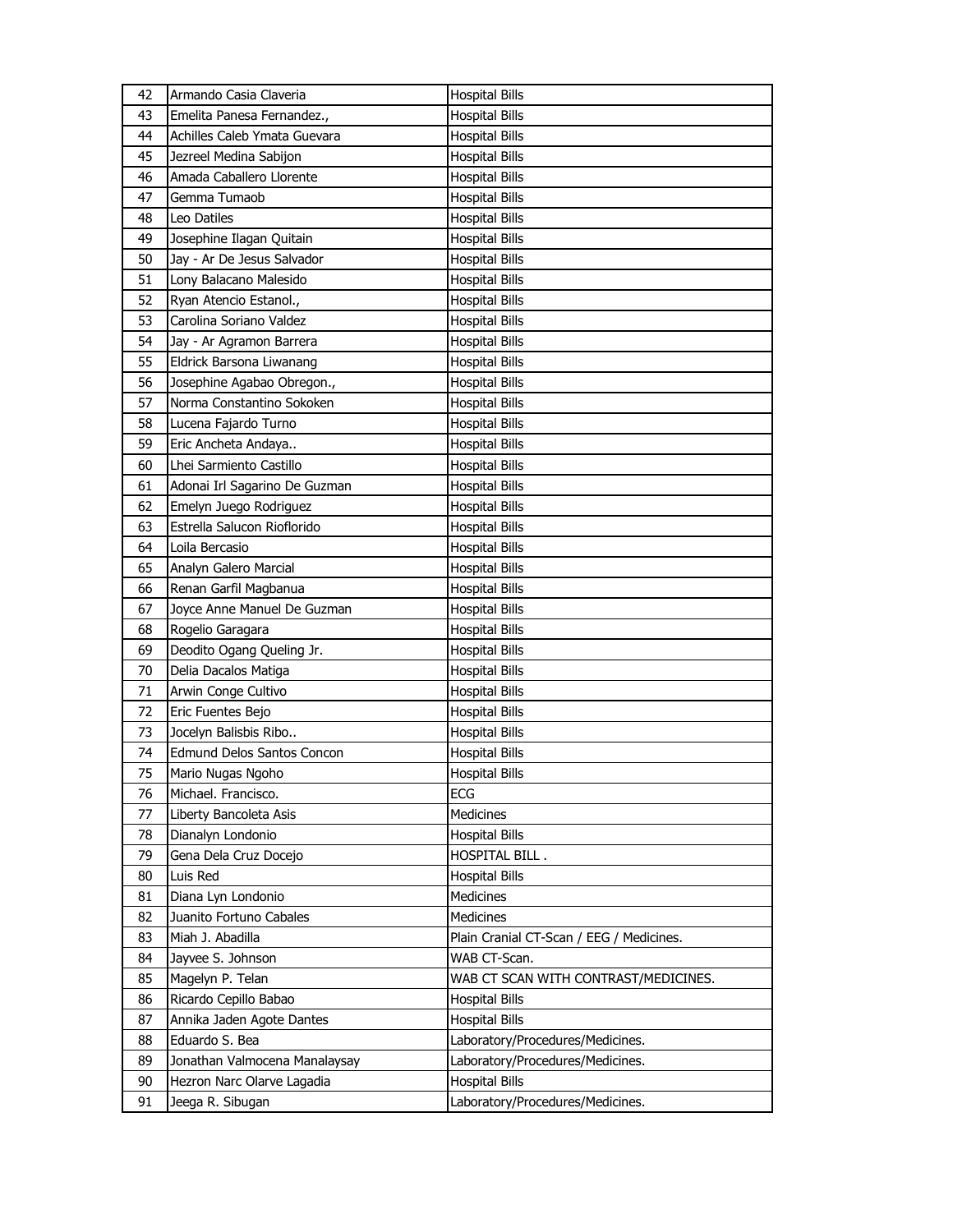| 42       | Armando Casia Claveria                         | <b>Hospital Bills</b>                                     |
|----------|------------------------------------------------|-----------------------------------------------------------|
| 43       | Emelita Panesa Fernandez.,                     | <b>Hospital Bills</b>                                     |
| 44       | Achilles Caleb Ymata Guevara                   | <b>Hospital Bills</b>                                     |
| 45       | Jezreel Medina Sabijon                         | <b>Hospital Bills</b>                                     |
| 46       | Amada Caballero Llorente                       | <b>Hospital Bills</b>                                     |
| 47       | Gemma Tumaob                                   | <b>Hospital Bills</b>                                     |
| 48       | Leo Datiles                                    | <b>Hospital Bills</b>                                     |
| 49       | Josephine Ilagan Quitain                       | <b>Hospital Bills</b>                                     |
| 50       | Jay - Ar De Jesus Salvador                     | <b>Hospital Bills</b>                                     |
| 51       | Lony Balacano Malesido                         | <b>Hospital Bills</b>                                     |
| 52       | Ryan Atencio Estanol.,                         | <b>Hospital Bills</b>                                     |
| 53       | Carolina Soriano Valdez                        | <b>Hospital Bills</b>                                     |
| 54       | Jay - Ar Agramon Barrera                       | <b>Hospital Bills</b>                                     |
| 55       | Eldrick Barsona Liwanang                       | <b>Hospital Bills</b>                                     |
| 56       | Josephine Agabao Obregon.,                     | <b>Hospital Bills</b>                                     |
| 57       | Norma Constantino Sokoken                      | <b>Hospital Bills</b>                                     |
| 58       | Lucena Fajardo Turno                           | <b>Hospital Bills</b>                                     |
| 59       | Eric Ancheta Andaya                            | <b>Hospital Bills</b>                                     |
| 60       | Lhei Sarmiento Castillo                        | <b>Hospital Bills</b>                                     |
| 61       | Adonai Irl Sagarino De Guzman                  | <b>Hospital Bills</b>                                     |
| 62       | Emelyn Juego Rodriguez                         | <b>Hospital Bills</b>                                     |
| 63       | Estrella Salucon Rioflorido                    | <b>Hospital Bills</b>                                     |
| 64       | Loila Bercasio                                 | <b>Hospital Bills</b>                                     |
| 65       | Analyn Galero Marcial                          | <b>Hospital Bills</b>                                     |
| 66       | Renan Garfil Magbanua                          | <b>Hospital Bills</b>                                     |
| 67       | Joyce Anne Manuel De Guzman                    | <b>Hospital Bills</b>                                     |
|          |                                                |                                                           |
|          |                                                |                                                           |
| 68       | Rogelio Garagara                               | <b>Hospital Bills</b>                                     |
| 69       | Deodito Ogang Queling Jr.                      | <b>Hospital Bills</b>                                     |
| 70       | Delia Dacalos Matiga                           | <b>Hospital Bills</b>                                     |
| 71       | Arwin Conge Cultivo                            | <b>Hospital Bills</b>                                     |
| 72       | Eric Fuentes Bejo                              | <b>Hospital Bills</b>                                     |
| 73       | Jocelyn Balisbis Ribo                          | <b>Hospital Bills</b>                                     |
| 74       | <b>Edmund Delos Santos Concon</b>              | <b>Hospital Bills</b>                                     |
| 75       | Mario Nugas Ngoho                              | <b>Hospital Bills</b>                                     |
| 76       | Michael. Francisco.                            | ECG                                                       |
| 77       | Liberty Bancoleta Asis                         | Medicines                                                 |
| 78       | Dianalyn Londonio                              | <b>Hospital Bills</b>                                     |
| 79       | Gena Dela Cruz Docejo                          | HOSPITAL BILL.                                            |
| 80       | Luis Red                                       | <b>Hospital Bills</b>                                     |
| 81       | Diana Lyn Londonio                             | <b>Medicines</b>                                          |
| 82       | Juanito Fortuno Cabales                        | Medicines                                                 |
| 83       | Miah J. Abadilla                               | Plain Cranial CT-Scan / EEG / Medicines.                  |
| 84       | Jayvee S. Johnson                              | WAB CT-Scan.                                              |
| 85       | Magelyn P. Telan                               | WAB CT SCAN WITH CONTRAST/MEDICINES.                      |
| 86       | Ricardo Cepillo Babao                          | <b>Hospital Bills</b>                                     |
| 87       | Annika Jaden Agote Dantes                      | <b>Hospital Bills</b>                                     |
| 88       | Eduardo S. Bea                                 | Laboratory/Procedures/Medicines.                          |
| 89       | Jonathan Valmocena Manalaysay                  | Laboratory/Procedures/Medicines.                          |
| 90<br>91 | Hezron Narc Olarve Lagadia<br>Jeega R. Sibugan | <b>Hospital Bills</b><br>Laboratory/Procedures/Medicines. |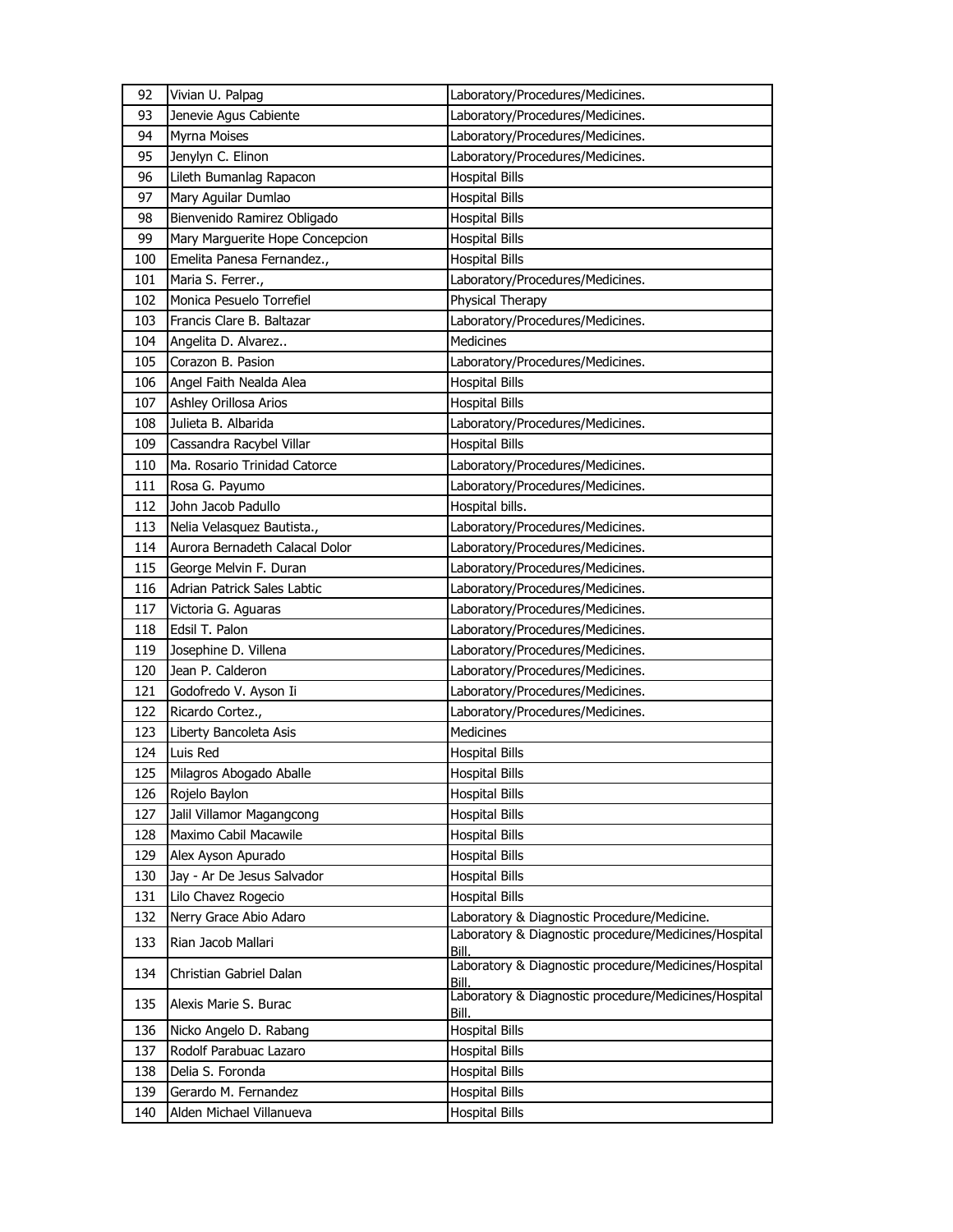| Jenevie Agus Cabiente<br>93<br>Laboratory/Procedures/Medicines.<br>Laboratory/Procedures/Medicines.<br>94<br>Myrna Moises<br>Laboratory/Procedures/Medicines.<br>95<br>Jenylyn C. Elinon<br>96<br>Lileth Bumanlag Rapacon<br><b>Hospital Bills</b><br>97<br>Mary Aguilar Dumlao<br><b>Hospital Bills</b><br>Bienvenido Ramirez Obligado<br>98<br><b>Hospital Bills</b><br>99<br>Mary Marguerite Hope Concepcion<br><b>Hospital Bills</b><br>Emelita Panesa Fernandez.,<br><b>Hospital Bills</b><br>100<br>Laboratory/Procedures/Medicines.<br>101<br>Maria S. Ferrer.,<br>Monica Pesuelo Torrefiel<br>Physical Therapy<br>102<br>Laboratory/Procedures/Medicines.<br>103<br>Francis Clare B. Baltazar<br><b>Medicines</b><br>104<br>Angelita D. Alvarez<br>Laboratory/Procedures/Medicines.<br>105<br>Corazon B. Pasion<br>106<br>Angel Faith Nealda Alea<br><b>Hospital Bills</b><br>Ashley Orillosa Arios<br>107<br><b>Hospital Bills</b><br>Julieta B. Albarida<br>Laboratory/Procedures/Medicines.<br>108<br>109<br>Cassandra Racybel Villar<br><b>Hospital Bills</b><br>110<br>Ma. Rosario Trinidad Catorce<br>Laboratory/Procedures/Medicines.<br>Laboratory/Procedures/Medicines.<br>111<br>Rosa G. Payumo<br>John Jacob Padullo<br>Hospital bills.<br>112<br>113<br>Nelia Velasquez Bautista.,<br>Laboratory/Procedures/Medicines.<br>114<br>Aurora Bernadeth Calacal Dolor<br>Laboratory/Procedures/Medicines.<br>George Melvin F. Duran<br>Laboratory/Procedures/Medicines.<br>115<br>116<br>Adrian Patrick Sales Labtic<br>Laboratory/Procedures/Medicines.<br>117<br>Victoria G. Aguaras<br>Laboratory/Procedures/Medicines.<br>118<br>Edsil T. Palon<br>Laboratory/Procedures/Medicines.<br>119<br>Josephine D. Villena<br>Laboratory/Procedures/Medicines.<br>Jean P. Calderon<br>120<br>Laboratory/Procedures/Medicines.<br>Laboratory/Procedures/Medicines.<br>121<br>Godofredo V. Ayson Ii<br>Laboratory/Procedures/Medicines.<br>122<br>Ricardo Cortez.,<br>123<br>Liberty Bancoleta Asis<br><b>Medicines</b><br>124<br>Luis Red<br><b>Hospital Bills</b><br>125<br>Milagros Abogado Aballe<br><b>Hospital Bills</b><br>126<br>Rojelo Baylon<br><b>Hospital Bills</b><br>Jalil Villamor Magangcong<br><b>Hospital Bills</b><br>127<br>Maximo Cabil Macawile<br><b>Hospital Bills</b><br>128<br>129<br><b>Hospital Bills</b><br>Alex Ayson Apurado<br>Jay - Ar De Jesus Salvador<br>130<br><b>Hospital Bills</b><br>131<br><b>Hospital Bills</b><br>Lilo Chavez Rogecio<br>Nerry Grace Abio Adaro<br>Laboratory & Diagnostic Procedure/Medicine.<br>132<br>Laboratory & Diagnostic procedure/Medicines/Hospital<br>133<br>Rian Jacob Mallari<br>Bill.<br>Laboratory & Diagnostic procedure/Medicines/Hospital<br>134<br>Christian Gabriel Dalan<br>Bill.<br>Laboratory & Diagnostic procedure/Medicines/Hospital<br>135<br>Alexis Marie S. Burac<br>Bill.<br><b>Hospital Bills</b><br>136<br>Nicko Angelo D. Rabang<br>137<br>Rodolf Parabuac Lazaro<br><b>Hospital Bills</b><br>Delia S. Foronda<br>138<br><b>Hospital Bills</b><br>Gerardo M. Fernandez<br><b>Hospital Bills</b><br>139<br><b>Hospital Bills</b><br>Alden Michael Villanueva<br>140 | 92 | Vivian U. Palpag | Laboratory/Procedures/Medicines. |
|------------------------------------------------------------------------------------------------------------------------------------------------------------------------------------------------------------------------------------------------------------------------------------------------------------------------------------------------------------------------------------------------------------------------------------------------------------------------------------------------------------------------------------------------------------------------------------------------------------------------------------------------------------------------------------------------------------------------------------------------------------------------------------------------------------------------------------------------------------------------------------------------------------------------------------------------------------------------------------------------------------------------------------------------------------------------------------------------------------------------------------------------------------------------------------------------------------------------------------------------------------------------------------------------------------------------------------------------------------------------------------------------------------------------------------------------------------------------------------------------------------------------------------------------------------------------------------------------------------------------------------------------------------------------------------------------------------------------------------------------------------------------------------------------------------------------------------------------------------------------------------------------------------------------------------------------------------------------------------------------------------------------------------------------------------------------------------------------------------------------------------------------------------------------------------------------------------------------------------------------------------------------------------------------------------------------------------------------------------------------------------------------------------------------------------------------------------------------------------------------------------------------------------------------------------------------------------------------------------------------------------------------------------------------------------------------------------------------------------------------------------------------------------------------------------------------------------------------------------------------------------------------------------------------------------------------------------------------------------------------------------------------------------------------------------------------------------------------------------------------------------------------------------------------|----|------------------|----------------------------------|
|                                                                                                                                                                                                                                                                                                                                                                                                                                                                                                                                                                                                                                                                                                                                                                                                                                                                                                                                                                                                                                                                                                                                                                                                                                                                                                                                                                                                                                                                                                                                                                                                                                                                                                                                                                                                                                                                                                                                                                                                                                                                                                                                                                                                                                                                                                                                                                                                                                                                                                                                                                                                                                                                                                                                                                                                                                                                                                                                                                                                                                                                                                                                                                        |    |                  |                                  |
|                                                                                                                                                                                                                                                                                                                                                                                                                                                                                                                                                                                                                                                                                                                                                                                                                                                                                                                                                                                                                                                                                                                                                                                                                                                                                                                                                                                                                                                                                                                                                                                                                                                                                                                                                                                                                                                                                                                                                                                                                                                                                                                                                                                                                                                                                                                                                                                                                                                                                                                                                                                                                                                                                                                                                                                                                                                                                                                                                                                                                                                                                                                                                                        |    |                  |                                  |
|                                                                                                                                                                                                                                                                                                                                                                                                                                                                                                                                                                                                                                                                                                                                                                                                                                                                                                                                                                                                                                                                                                                                                                                                                                                                                                                                                                                                                                                                                                                                                                                                                                                                                                                                                                                                                                                                                                                                                                                                                                                                                                                                                                                                                                                                                                                                                                                                                                                                                                                                                                                                                                                                                                                                                                                                                                                                                                                                                                                                                                                                                                                                                                        |    |                  |                                  |
|                                                                                                                                                                                                                                                                                                                                                                                                                                                                                                                                                                                                                                                                                                                                                                                                                                                                                                                                                                                                                                                                                                                                                                                                                                                                                                                                                                                                                                                                                                                                                                                                                                                                                                                                                                                                                                                                                                                                                                                                                                                                                                                                                                                                                                                                                                                                                                                                                                                                                                                                                                                                                                                                                                                                                                                                                                                                                                                                                                                                                                                                                                                                                                        |    |                  |                                  |
|                                                                                                                                                                                                                                                                                                                                                                                                                                                                                                                                                                                                                                                                                                                                                                                                                                                                                                                                                                                                                                                                                                                                                                                                                                                                                                                                                                                                                                                                                                                                                                                                                                                                                                                                                                                                                                                                                                                                                                                                                                                                                                                                                                                                                                                                                                                                                                                                                                                                                                                                                                                                                                                                                                                                                                                                                                                                                                                                                                                                                                                                                                                                                                        |    |                  |                                  |
|                                                                                                                                                                                                                                                                                                                                                                                                                                                                                                                                                                                                                                                                                                                                                                                                                                                                                                                                                                                                                                                                                                                                                                                                                                                                                                                                                                                                                                                                                                                                                                                                                                                                                                                                                                                                                                                                                                                                                                                                                                                                                                                                                                                                                                                                                                                                                                                                                                                                                                                                                                                                                                                                                                                                                                                                                                                                                                                                                                                                                                                                                                                                                                        |    |                  |                                  |
|                                                                                                                                                                                                                                                                                                                                                                                                                                                                                                                                                                                                                                                                                                                                                                                                                                                                                                                                                                                                                                                                                                                                                                                                                                                                                                                                                                                                                                                                                                                                                                                                                                                                                                                                                                                                                                                                                                                                                                                                                                                                                                                                                                                                                                                                                                                                                                                                                                                                                                                                                                                                                                                                                                                                                                                                                                                                                                                                                                                                                                                                                                                                                                        |    |                  |                                  |
|                                                                                                                                                                                                                                                                                                                                                                                                                                                                                                                                                                                                                                                                                                                                                                                                                                                                                                                                                                                                                                                                                                                                                                                                                                                                                                                                                                                                                                                                                                                                                                                                                                                                                                                                                                                                                                                                                                                                                                                                                                                                                                                                                                                                                                                                                                                                                                                                                                                                                                                                                                                                                                                                                                                                                                                                                                                                                                                                                                                                                                                                                                                                                                        |    |                  |                                  |
|                                                                                                                                                                                                                                                                                                                                                                                                                                                                                                                                                                                                                                                                                                                                                                                                                                                                                                                                                                                                                                                                                                                                                                                                                                                                                                                                                                                                                                                                                                                                                                                                                                                                                                                                                                                                                                                                                                                                                                                                                                                                                                                                                                                                                                                                                                                                                                                                                                                                                                                                                                                                                                                                                                                                                                                                                                                                                                                                                                                                                                                                                                                                                                        |    |                  |                                  |
|                                                                                                                                                                                                                                                                                                                                                                                                                                                                                                                                                                                                                                                                                                                                                                                                                                                                                                                                                                                                                                                                                                                                                                                                                                                                                                                                                                                                                                                                                                                                                                                                                                                                                                                                                                                                                                                                                                                                                                                                                                                                                                                                                                                                                                                                                                                                                                                                                                                                                                                                                                                                                                                                                                                                                                                                                                                                                                                                                                                                                                                                                                                                                                        |    |                  |                                  |
|                                                                                                                                                                                                                                                                                                                                                                                                                                                                                                                                                                                                                                                                                                                                                                                                                                                                                                                                                                                                                                                                                                                                                                                                                                                                                                                                                                                                                                                                                                                                                                                                                                                                                                                                                                                                                                                                                                                                                                                                                                                                                                                                                                                                                                                                                                                                                                                                                                                                                                                                                                                                                                                                                                                                                                                                                                                                                                                                                                                                                                                                                                                                                                        |    |                  |                                  |
|                                                                                                                                                                                                                                                                                                                                                                                                                                                                                                                                                                                                                                                                                                                                                                                                                                                                                                                                                                                                                                                                                                                                                                                                                                                                                                                                                                                                                                                                                                                                                                                                                                                                                                                                                                                                                                                                                                                                                                                                                                                                                                                                                                                                                                                                                                                                                                                                                                                                                                                                                                                                                                                                                                                                                                                                                                                                                                                                                                                                                                                                                                                                                                        |    |                  |                                  |
|                                                                                                                                                                                                                                                                                                                                                                                                                                                                                                                                                                                                                                                                                                                                                                                                                                                                                                                                                                                                                                                                                                                                                                                                                                                                                                                                                                                                                                                                                                                                                                                                                                                                                                                                                                                                                                                                                                                                                                                                                                                                                                                                                                                                                                                                                                                                                                                                                                                                                                                                                                                                                                                                                                                                                                                                                                                                                                                                                                                                                                                                                                                                                                        |    |                  |                                  |
|                                                                                                                                                                                                                                                                                                                                                                                                                                                                                                                                                                                                                                                                                                                                                                                                                                                                                                                                                                                                                                                                                                                                                                                                                                                                                                                                                                                                                                                                                                                                                                                                                                                                                                                                                                                                                                                                                                                                                                                                                                                                                                                                                                                                                                                                                                                                                                                                                                                                                                                                                                                                                                                                                                                                                                                                                                                                                                                                                                                                                                                                                                                                                                        |    |                  |                                  |
|                                                                                                                                                                                                                                                                                                                                                                                                                                                                                                                                                                                                                                                                                                                                                                                                                                                                                                                                                                                                                                                                                                                                                                                                                                                                                                                                                                                                                                                                                                                                                                                                                                                                                                                                                                                                                                                                                                                                                                                                                                                                                                                                                                                                                                                                                                                                                                                                                                                                                                                                                                                                                                                                                                                                                                                                                                                                                                                                                                                                                                                                                                                                                                        |    |                  |                                  |
|                                                                                                                                                                                                                                                                                                                                                                                                                                                                                                                                                                                                                                                                                                                                                                                                                                                                                                                                                                                                                                                                                                                                                                                                                                                                                                                                                                                                                                                                                                                                                                                                                                                                                                                                                                                                                                                                                                                                                                                                                                                                                                                                                                                                                                                                                                                                                                                                                                                                                                                                                                                                                                                                                                                                                                                                                                                                                                                                                                                                                                                                                                                                                                        |    |                  |                                  |
|                                                                                                                                                                                                                                                                                                                                                                                                                                                                                                                                                                                                                                                                                                                                                                                                                                                                                                                                                                                                                                                                                                                                                                                                                                                                                                                                                                                                                                                                                                                                                                                                                                                                                                                                                                                                                                                                                                                                                                                                                                                                                                                                                                                                                                                                                                                                                                                                                                                                                                                                                                                                                                                                                                                                                                                                                                                                                                                                                                                                                                                                                                                                                                        |    |                  |                                  |
|                                                                                                                                                                                                                                                                                                                                                                                                                                                                                                                                                                                                                                                                                                                                                                                                                                                                                                                                                                                                                                                                                                                                                                                                                                                                                                                                                                                                                                                                                                                                                                                                                                                                                                                                                                                                                                                                                                                                                                                                                                                                                                                                                                                                                                                                                                                                                                                                                                                                                                                                                                                                                                                                                                                                                                                                                                                                                                                                                                                                                                                                                                                                                                        |    |                  |                                  |
|                                                                                                                                                                                                                                                                                                                                                                                                                                                                                                                                                                                                                                                                                                                                                                                                                                                                                                                                                                                                                                                                                                                                                                                                                                                                                                                                                                                                                                                                                                                                                                                                                                                                                                                                                                                                                                                                                                                                                                                                                                                                                                                                                                                                                                                                                                                                                                                                                                                                                                                                                                                                                                                                                                                                                                                                                                                                                                                                                                                                                                                                                                                                                                        |    |                  |                                  |
|                                                                                                                                                                                                                                                                                                                                                                                                                                                                                                                                                                                                                                                                                                                                                                                                                                                                                                                                                                                                                                                                                                                                                                                                                                                                                                                                                                                                                                                                                                                                                                                                                                                                                                                                                                                                                                                                                                                                                                                                                                                                                                                                                                                                                                                                                                                                                                                                                                                                                                                                                                                                                                                                                                                                                                                                                                                                                                                                                                                                                                                                                                                                                                        |    |                  |                                  |
|                                                                                                                                                                                                                                                                                                                                                                                                                                                                                                                                                                                                                                                                                                                                                                                                                                                                                                                                                                                                                                                                                                                                                                                                                                                                                                                                                                                                                                                                                                                                                                                                                                                                                                                                                                                                                                                                                                                                                                                                                                                                                                                                                                                                                                                                                                                                                                                                                                                                                                                                                                                                                                                                                                                                                                                                                                                                                                                                                                                                                                                                                                                                                                        |    |                  |                                  |
|                                                                                                                                                                                                                                                                                                                                                                                                                                                                                                                                                                                                                                                                                                                                                                                                                                                                                                                                                                                                                                                                                                                                                                                                                                                                                                                                                                                                                                                                                                                                                                                                                                                                                                                                                                                                                                                                                                                                                                                                                                                                                                                                                                                                                                                                                                                                                                                                                                                                                                                                                                                                                                                                                                                                                                                                                                                                                                                                                                                                                                                                                                                                                                        |    |                  |                                  |
|                                                                                                                                                                                                                                                                                                                                                                                                                                                                                                                                                                                                                                                                                                                                                                                                                                                                                                                                                                                                                                                                                                                                                                                                                                                                                                                                                                                                                                                                                                                                                                                                                                                                                                                                                                                                                                                                                                                                                                                                                                                                                                                                                                                                                                                                                                                                                                                                                                                                                                                                                                                                                                                                                                                                                                                                                                                                                                                                                                                                                                                                                                                                                                        |    |                  |                                  |
|                                                                                                                                                                                                                                                                                                                                                                                                                                                                                                                                                                                                                                                                                                                                                                                                                                                                                                                                                                                                                                                                                                                                                                                                                                                                                                                                                                                                                                                                                                                                                                                                                                                                                                                                                                                                                                                                                                                                                                                                                                                                                                                                                                                                                                                                                                                                                                                                                                                                                                                                                                                                                                                                                                                                                                                                                                                                                                                                                                                                                                                                                                                                                                        |    |                  |                                  |
|                                                                                                                                                                                                                                                                                                                                                                                                                                                                                                                                                                                                                                                                                                                                                                                                                                                                                                                                                                                                                                                                                                                                                                                                                                                                                                                                                                                                                                                                                                                                                                                                                                                                                                                                                                                                                                                                                                                                                                                                                                                                                                                                                                                                                                                                                                                                                                                                                                                                                                                                                                                                                                                                                                                                                                                                                                                                                                                                                                                                                                                                                                                                                                        |    |                  |                                  |
|                                                                                                                                                                                                                                                                                                                                                                                                                                                                                                                                                                                                                                                                                                                                                                                                                                                                                                                                                                                                                                                                                                                                                                                                                                                                                                                                                                                                                                                                                                                                                                                                                                                                                                                                                                                                                                                                                                                                                                                                                                                                                                                                                                                                                                                                                                                                                                                                                                                                                                                                                                                                                                                                                                                                                                                                                                                                                                                                                                                                                                                                                                                                                                        |    |                  |                                  |
|                                                                                                                                                                                                                                                                                                                                                                                                                                                                                                                                                                                                                                                                                                                                                                                                                                                                                                                                                                                                                                                                                                                                                                                                                                                                                                                                                                                                                                                                                                                                                                                                                                                                                                                                                                                                                                                                                                                                                                                                                                                                                                                                                                                                                                                                                                                                                                                                                                                                                                                                                                                                                                                                                                                                                                                                                                                                                                                                                                                                                                                                                                                                                                        |    |                  |                                  |
|                                                                                                                                                                                                                                                                                                                                                                                                                                                                                                                                                                                                                                                                                                                                                                                                                                                                                                                                                                                                                                                                                                                                                                                                                                                                                                                                                                                                                                                                                                                                                                                                                                                                                                                                                                                                                                                                                                                                                                                                                                                                                                                                                                                                                                                                                                                                                                                                                                                                                                                                                                                                                                                                                                                                                                                                                                                                                                                                                                                                                                                                                                                                                                        |    |                  |                                  |
|                                                                                                                                                                                                                                                                                                                                                                                                                                                                                                                                                                                                                                                                                                                                                                                                                                                                                                                                                                                                                                                                                                                                                                                                                                                                                                                                                                                                                                                                                                                                                                                                                                                                                                                                                                                                                                                                                                                                                                                                                                                                                                                                                                                                                                                                                                                                                                                                                                                                                                                                                                                                                                                                                                                                                                                                                                                                                                                                                                                                                                                                                                                                                                        |    |                  |                                  |
|                                                                                                                                                                                                                                                                                                                                                                                                                                                                                                                                                                                                                                                                                                                                                                                                                                                                                                                                                                                                                                                                                                                                                                                                                                                                                                                                                                                                                                                                                                                                                                                                                                                                                                                                                                                                                                                                                                                                                                                                                                                                                                                                                                                                                                                                                                                                                                                                                                                                                                                                                                                                                                                                                                                                                                                                                                                                                                                                                                                                                                                                                                                                                                        |    |                  |                                  |
|                                                                                                                                                                                                                                                                                                                                                                                                                                                                                                                                                                                                                                                                                                                                                                                                                                                                                                                                                                                                                                                                                                                                                                                                                                                                                                                                                                                                                                                                                                                                                                                                                                                                                                                                                                                                                                                                                                                                                                                                                                                                                                                                                                                                                                                                                                                                                                                                                                                                                                                                                                                                                                                                                                                                                                                                                                                                                                                                                                                                                                                                                                                                                                        |    |                  |                                  |
|                                                                                                                                                                                                                                                                                                                                                                                                                                                                                                                                                                                                                                                                                                                                                                                                                                                                                                                                                                                                                                                                                                                                                                                                                                                                                                                                                                                                                                                                                                                                                                                                                                                                                                                                                                                                                                                                                                                                                                                                                                                                                                                                                                                                                                                                                                                                                                                                                                                                                                                                                                                                                                                                                                                                                                                                                                                                                                                                                                                                                                                                                                                                                                        |    |                  |                                  |
|                                                                                                                                                                                                                                                                                                                                                                                                                                                                                                                                                                                                                                                                                                                                                                                                                                                                                                                                                                                                                                                                                                                                                                                                                                                                                                                                                                                                                                                                                                                                                                                                                                                                                                                                                                                                                                                                                                                                                                                                                                                                                                                                                                                                                                                                                                                                                                                                                                                                                                                                                                                                                                                                                                                                                                                                                                                                                                                                                                                                                                                                                                                                                                        |    |                  |                                  |
|                                                                                                                                                                                                                                                                                                                                                                                                                                                                                                                                                                                                                                                                                                                                                                                                                                                                                                                                                                                                                                                                                                                                                                                                                                                                                                                                                                                                                                                                                                                                                                                                                                                                                                                                                                                                                                                                                                                                                                                                                                                                                                                                                                                                                                                                                                                                                                                                                                                                                                                                                                                                                                                                                                                                                                                                                                                                                                                                                                                                                                                                                                                                                                        |    |                  |                                  |
|                                                                                                                                                                                                                                                                                                                                                                                                                                                                                                                                                                                                                                                                                                                                                                                                                                                                                                                                                                                                                                                                                                                                                                                                                                                                                                                                                                                                                                                                                                                                                                                                                                                                                                                                                                                                                                                                                                                                                                                                                                                                                                                                                                                                                                                                                                                                                                                                                                                                                                                                                                                                                                                                                                                                                                                                                                                                                                                                                                                                                                                                                                                                                                        |    |                  |                                  |
|                                                                                                                                                                                                                                                                                                                                                                                                                                                                                                                                                                                                                                                                                                                                                                                                                                                                                                                                                                                                                                                                                                                                                                                                                                                                                                                                                                                                                                                                                                                                                                                                                                                                                                                                                                                                                                                                                                                                                                                                                                                                                                                                                                                                                                                                                                                                                                                                                                                                                                                                                                                                                                                                                                                                                                                                                                                                                                                                                                                                                                                                                                                                                                        |    |                  |                                  |
|                                                                                                                                                                                                                                                                                                                                                                                                                                                                                                                                                                                                                                                                                                                                                                                                                                                                                                                                                                                                                                                                                                                                                                                                                                                                                                                                                                                                                                                                                                                                                                                                                                                                                                                                                                                                                                                                                                                                                                                                                                                                                                                                                                                                                                                                                                                                                                                                                                                                                                                                                                                                                                                                                                                                                                                                                                                                                                                                                                                                                                                                                                                                                                        |    |                  |                                  |
|                                                                                                                                                                                                                                                                                                                                                                                                                                                                                                                                                                                                                                                                                                                                                                                                                                                                                                                                                                                                                                                                                                                                                                                                                                                                                                                                                                                                                                                                                                                                                                                                                                                                                                                                                                                                                                                                                                                                                                                                                                                                                                                                                                                                                                                                                                                                                                                                                                                                                                                                                                                                                                                                                                                                                                                                                                                                                                                                                                                                                                                                                                                                                                        |    |                  |                                  |
|                                                                                                                                                                                                                                                                                                                                                                                                                                                                                                                                                                                                                                                                                                                                                                                                                                                                                                                                                                                                                                                                                                                                                                                                                                                                                                                                                                                                                                                                                                                                                                                                                                                                                                                                                                                                                                                                                                                                                                                                                                                                                                                                                                                                                                                                                                                                                                                                                                                                                                                                                                                                                                                                                                                                                                                                                                                                                                                                                                                                                                                                                                                                                                        |    |                  |                                  |
|                                                                                                                                                                                                                                                                                                                                                                                                                                                                                                                                                                                                                                                                                                                                                                                                                                                                                                                                                                                                                                                                                                                                                                                                                                                                                                                                                                                                                                                                                                                                                                                                                                                                                                                                                                                                                                                                                                                                                                                                                                                                                                                                                                                                                                                                                                                                                                                                                                                                                                                                                                                                                                                                                                                                                                                                                                                                                                                                                                                                                                                                                                                                                                        |    |                  |                                  |
|                                                                                                                                                                                                                                                                                                                                                                                                                                                                                                                                                                                                                                                                                                                                                                                                                                                                                                                                                                                                                                                                                                                                                                                                                                                                                                                                                                                                                                                                                                                                                                                                                                                                                                                                                                                                                                                                                                                                                                                                                                                                                                                                                                                                                                                                                                                                                                                                                                                                                                                                                                                                                                                                                                                                                                                                                                                                                                                                                                                                                                                                                                                                                                        |    |                  |                                  |
|                                                                                                                                                                                                                                                                                                                                                                                                                                                                                                                                                                                                                                                                                                                                                                                                                                                                                                                                                                                                                                                                                                                                                                                                                                                                                                                                                                                                                                                                                                                                                                                                                                                                                                                                                                                                                                                                                                                                                                                                                                                                                                                                                                                                                                                                                                                                                                                                                                                                                                                                                                                                                                                                                                                                                                                                                                                                                                                                                                                                                                                                                                                                                                        |    |                  |                                  |
|                                                                                                                                                                                                                                                                                                                                                                                                                                                                                                                                                                                                                                                                                                                                                                                                                                                                                                                                                                                                                                                                                                                                                                                                                                                                                                                                                                                                                                                                                                                                                                                                                                                                                                                                                                                                                                                                                                                                                                                                                                                                                                                                                                                                                                                                                                                                                                                                                                                                                                                                                                                                                                                                                                                                                                                                                                                                                                                                                                                                                                                                                                                                                                        |    |                  |                                  |
|                                                                                                                                                                                                                                                                                                                                                                                                                                                                                                                                                                                                                                                                                                                                                                                                                                                                                                                                                                                                                                                                                                                                                                                                                                                                                                                                                                                                                                                                                                                                                                                                                                                                                                                                                                                                                                                                                                                                                                                                                                                                                                                                                                                                                                                                                                                                                                                                                                                                                                                                                                                                                                                                                                                                                                                                                                                                                                                                                                                                                                                                                                                                                                        |    |                  |                                  |
|                                                                                                                                                                                                                                                                                                                                                                                                                                                                                                                                                                                                                                                                                                                                                                                                                                                                                                                                                                                                                                                                                                                                                                                                                                                                                                                                                                                                                                                                                                                                                                                                                                                                                                                                                                                                                                                                                                                                                                                                                                                                                                                                                                                                                                                                                                                                                                                                                                                                                                                                                                                                                                                                                                                                                                                                                                                                                                                                                                                                                                                                                                                                                                        |    |                  |                                  |
|                                                                                                                                                                                                                                                                                                                                                                                                                                                                                                                                                                                                                                                                                                                                                                                                                                                                                                                                                                                                                                                                                                                                                                                                                                                                                                                                                                                                                                                                                                                                                                                                                                                                                                                                                                                                                                                                                                                                                                                                                                                                                                                                                                                                                                                                                                                                                                                                                                                                                                                                                                                                                                                                                                                                                                                                                                                                                                                                                                                                                                                                                                                                                                        |    |                  |                                  |
|                                                                                                                                                                                                                                                                                                                                                                                                                                                                                                                                                                                                                                                                                                                                                                                                                                                                                                                                                                                                                                                                                                                                                                                                                                                                                                                                                                                                                                                                                                                                                                                                                                                                                                                                                                                                                                                                                                                                                                                                                                                                                                                                                                                                                                                                                                                                                                                                                                                                                                                                                                                                                                                                                                                                                                                                                                                                                                                                                                                                                                                                                                                                                                        |    |                  |                                  |
|                                                                                                                                                                                                                                                                                                                                                                                                                                                                                                                                                                                                                                                                                                                                                                                                                                                                                                                                                                                                                                                                                                                                                                                                                                                                                                                                                                                                                                                                                                                                                                                                                                                                                                                                                                                                                                                                                                                                                                                                                                                                                                                                                                                                                                                                                                                                                                                                                                                                                                                                                                                                                                                                                                                                                                                                                                                                                                                                                                                                                                                                                                                                                                        |    |                  |                                  |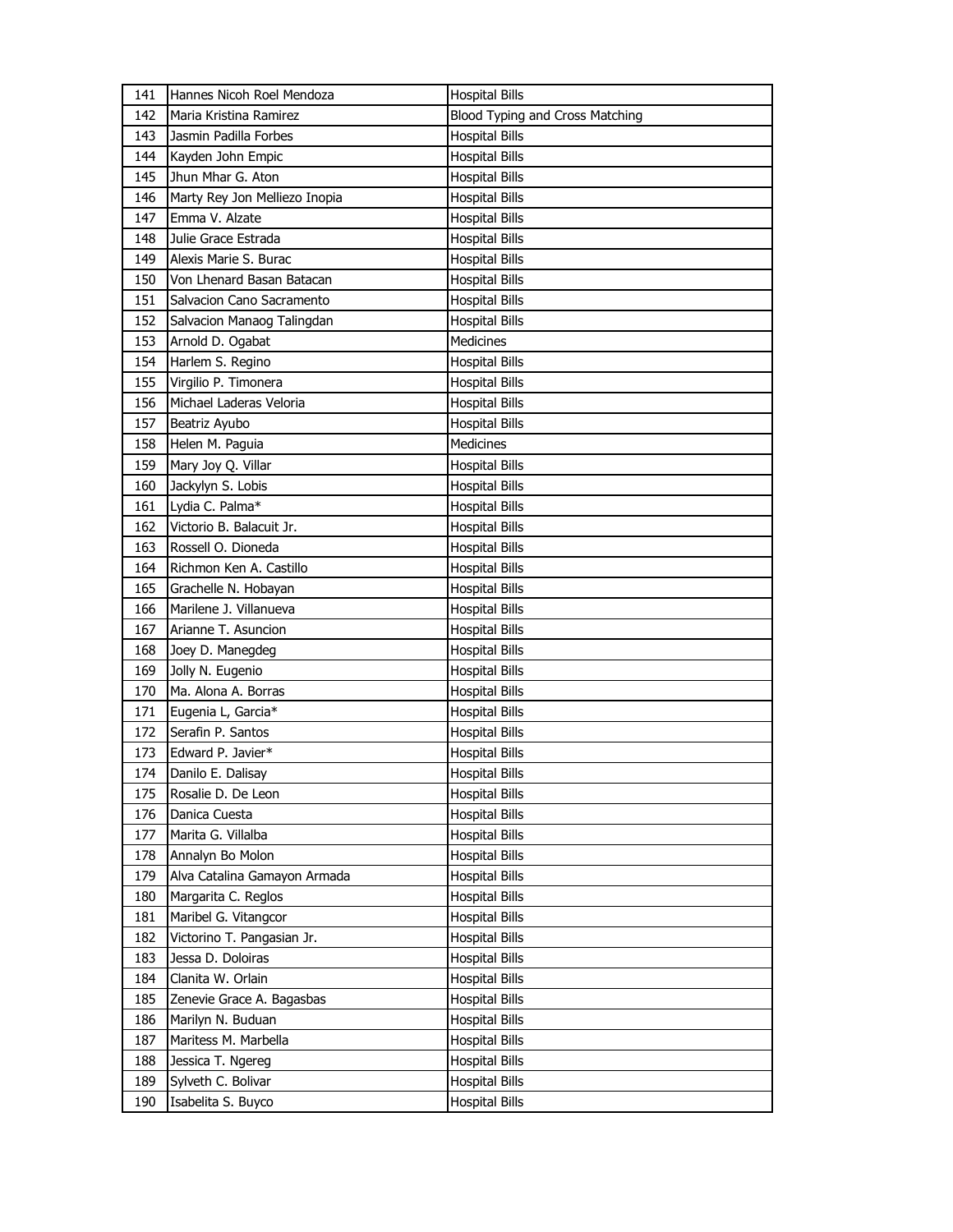| 141 | Hannes Nicoh Roel Mendoza     | <b>Hospital Bills</b>           |
|-----|-------------------------------|---------------------------------|
| 142 | Maria Kristina Ramirez        | Blood Typing and Cross Matching |
| 143 | Jasmin Padilla Forbes         | <b>Hospital Bills</b>           |
| 144 | Kayden John Empic             | <b>Hospital Bills</b>           |
| 145 | Jhun Mhar G. Aton             | <b>Hospital Bills</b>           |
| 146 | Marty Rey Jon Melliezo Inopia | <b>Hospital Bills</b>           |
| 147 | Emma V. Alzate                | Hospital Bills                  |
| 148 | Julie Grace Estrada           | Hospital Bills                  |
| 149 | Alexis Marie S. Burac         | <b>Hospital Bills</b>           |
| 150 | Von Lhenard Basan Batacan     | <b>Hospital Bills</b>           |
| 151 | Salvacion Cano Sacramento     | <b>Hospital Bills</b>           |
| 152 | Salvacion Manaog Talingdan    | <b>Hospital Bills</b>           |
| 153 | Arnold D. Ogabat              | Medicines                       |
| 154 | Harlem S. Regino              | <b>Hospital Bills</b>           |
| 155 | Virgilio P. Timonera          | <b>Hospital Bills</b>           |
| 156 | Michael Laderas Veloria       | <b>Hospital Bills</b>           |
| 157 | Beatriz Ayubo                 | <b>Hospital Bills</b>           |
| 158 | Helen M. Paguia               | Medicines                       |
| 159 | Mary Joy Q. Villar            | <b>Hospital Bills</b>           |
| 160 | Jackylyn S. Lobis             | <b>Hospital Bills</b>           |
| 161 | Lydia C. Palma*               | <b>Hospital Bills</b>           |
| 162 | Victorio B. Balacuit Jr.      | Hospital Bills                  |
| 163 | Rossell O. Dioneda            | Hospital Bills                  |
| 164 | Richmon Ken A. Castillo       | <b>Hospital Bills</b>           |
| 165 | Grachelle N. Hobayan          | <b>Hospital Bills</b>           |
| 166 | Marilene J. Villanueva        | Hospital Bills                  |
| 167 | Arianne T. Asuncion           | <b>Hospital Bills</b>           |
| 168 | Joey D. Manegdeg              | Hospital Bills                  |
| 169 | Jolly N. Eugenio              | <b>Hospital Bills</b>           |
| 170 | Ma. Alona A. Borras           | <b>Hospital Bills</b>           |
| 171 | Eugenia L, Garcia*            | Hospital Bills                  |
| 172 | Serafin P. Santos             | Hospital Bills                  |
| 173 | Edward P. Javier*             | Hospital Bills                  |
| 174 | Danilo E. Dalisay             | <b>Hospital Bills</b>           |
| 175 | Rosalie D. De Leon            | <b>Hospital Bills</b>           |
| 176 | Danica Cuesta                 | <b>Hospital Bills</b>           |
| 177 | Marita G. Villalba            | Hospital Bills                  |
| 178 | Annalyn Bo Molon              | <b>Hospital Bills</b>           |
| 179 | Alva Catalina Gamayon Armada  | Hospital Bills                  |
| 180 | Margarita C. Reglos           | Hospital Bills                  |
| 181 | Maribel G. Vitangcor          | <b>Hospital Bills</b>           |
| 182 | Victorino T. Pangasian Jr.    | <b>Hospital Bills</b>           |
| 183 | Jessa D. Doloiras             | <b>Hospital Bills</b>           |
| 184 | Clanita W. Orlain             | Hospital Bills                  |
| 185 | Zenevie Grace A. Bagasbas     | Hospital Bills                  |
| 186 | Marilyn N. Buduan             | <b>Hospital Bills</b>           |
| 187 | Maritess M. Marbella          | Hospital Bills                  |
| 188 | Jessica T. Ngereg             | <b>Hospital Bills</b>           |
| 189 | Sylveth C. Bolivar            | <b>Hospital Bills</b>           |
| 190 | Isabelita S. Buyco            | Hospital Bills                  |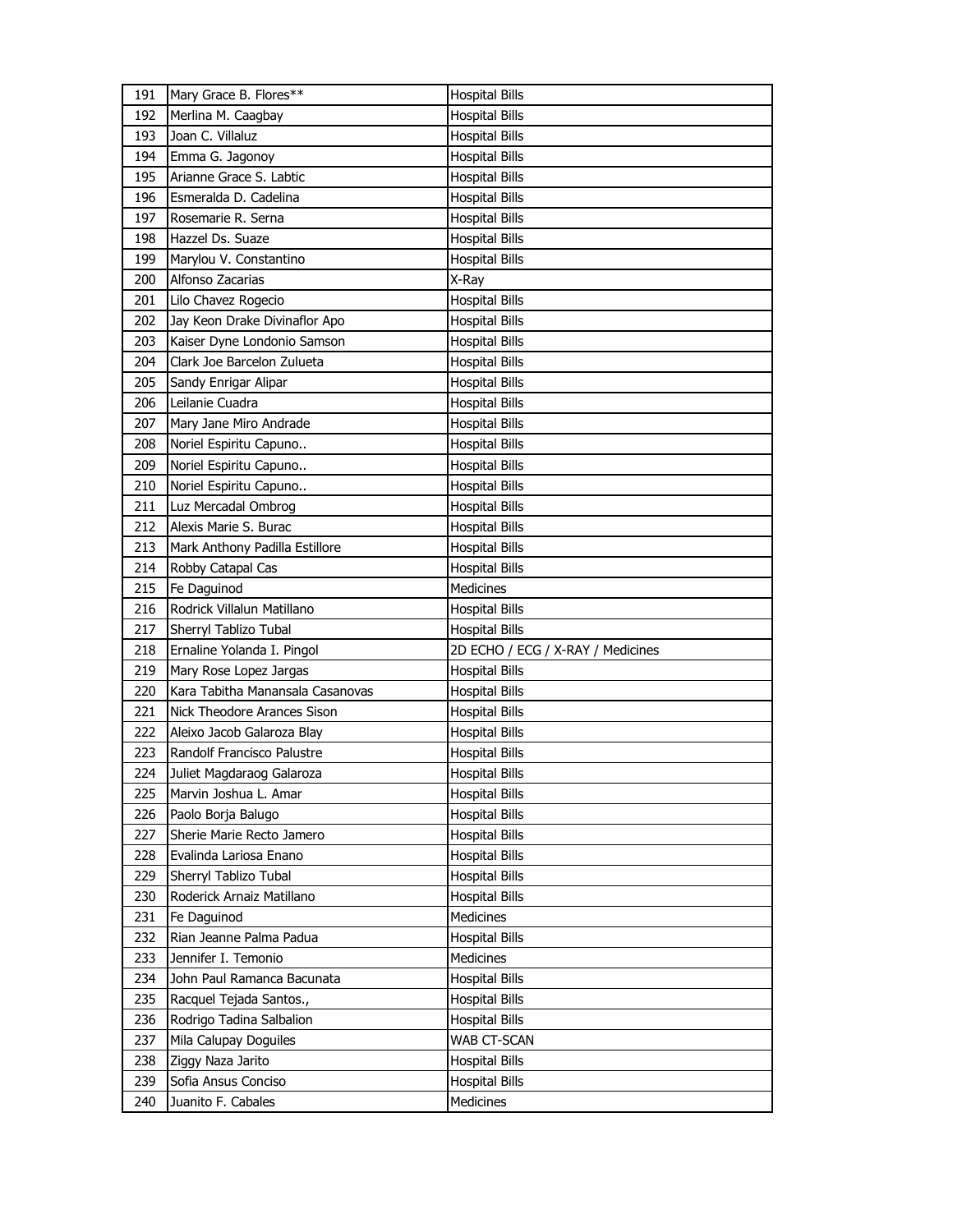| 191 | Mary Grace B. Flores**           | <b>Hospital Bills</b>             |
|-----|----------------------------------|-----------------------------------|
| 192 | Merlina M. Caagbay               | <b>Hospital Bills</b>             |
| 193 | Joan C. Villaluz                 | <b>Hospital Bills</b>             |
| 194 | Emma G. Jagonoy                  | <b>Hospital Bills</b>             |
| 195 | Arianne Grace S. Labtic          | <b>Hospital Bills</b>             |
| 196 | Esmeralda D. Cadelina            | <b>Hospital Bills</b>             |
| 197 | Rosemarie R. Serna               | Hospital Bills                    |
| 198 | Hazzel Ds. Suaze                 | <b>Hospital Bills</b>             |
| 199 | Marylou V. Constantino           | <b>Hospital Bills</b>             |
| 200 | Alfonso Zacarias                 | X-Ray                             |
| 201 | Lilo Chavez Rogecio              | <b>Hospital Bills</b>             |
| 202 | Jay Keon Drake Divinaflor Apo    | <b>Hospital Bills</b>             |
| 203 | Kaiser Dyne Londonio Samson      | <b>Hospital Bills</b>             |
| 204 | Clark Joe Barcelon Zulueta       | <b>Hospital Bills</b>             |
| 205 | Sandy Enrigar Alipar             | <b>Hospital Bills</b>             |
| 206 | Leilanie Cuadra                  | <b>Hospital Bills</b>             |
| 207 | Mary Jane Miro Andrade           | Hospital Bills                    |
| 208 | Noriel Espiritu Capuno           | <b>Hospital Bills</b>             |
| 209 | Noriel Espiritu Capuno           | <b>Hospital Bills</b>             |
| 210 | Noriel Espiritu Capuno           | <b>Hospital Bills</b>             |
| 211 | Luz Mercadal Ombrog              | <b>Hospital Bills</b>             |
| 212 | Alexis Marie S. Burac            | <b>Hospital Bills</b>             |
| 213 | Mark Anthony Padilla Estillore   | <b>Hospital Bills</b>             |
| 214 | Robby Catapal Cas                | <b>Hospital Bills</b>             |
| 215 | Fe Daguinod                      | Medicines                         |
|     |                                  |                                   |
| 216 | Rodrick Villalun Matillano       | <b>Hospital Bills</b>             |
| 217 | Sherryl Tablizo Tubal            | <b>Hospital Bills</b>             |
| 218 | Ernaline Yolanda I. Pingol       | 2D ECHO / ECG / X-RAY / Medicines |
| 219 | Mary Rose Lopez Jargas           | <b>Hospital Bills</b>             |
| 220 | Kara Tabitha Manansala Casanovas | <b>Hospital Bills</b>             |
| 221 | Nick Theodore Arances Sison      | Hospital Bills                    |
| 222 | Aleixo Jacob Galaroza Blay       | Hospital Bills                    |
| 223 | Randolf Francisco Palustre       | Hospital Bills                    |
| 224 | Juliet Magdaraog Galaroza        | <b>Hospital Bills</b>             |
| 225 | Marvin Joshua L. Amar            | <b>Hospital Bills</b>             |
| 226 | Paolo Borja Balugo               | <b>Hospital Bills</b>             |
| 227 | Sherie Marie Recto Jamero        | <b>Hospital Bills</b>             |
| 228 | Evalinda Lariosa Enano           | <b>Hospital Bills</b>             |
| 229 | Sherryl Tablizo Tubal            | <b>Hospital Bills</b>             |
| 230 | Roderick Arnaiz Matillano        | <b>Hospital Bills</b>             |
| 231 | Fe Daguinod                      | Medicines                         |
| 232 | Rian Jeanne Palma Padua          | <b>Hospital Bills</b>             |
| 233 | Jennifer I. Temonio              | Medicines                         |
| 234 | John Paul Ramanca Bacunata       | <b>Hospital Bills</b>             |
| 235 | Racquel Tejada Santos.,          | <b>Hospital Bills</b>             |
| 236 | Rodrigo Tadina Salbalion         | <b>Hospital Bills</b>             |
| 237 | Mila Calupay Doguiles            | WAB CT-SCAN                       |
| 238 | Ziggy Naza Jarito                | <b>Hospital Bills</b>             |
| 239 | Sofia Ansus Conciso              | <b>Hospital Bills</b>             |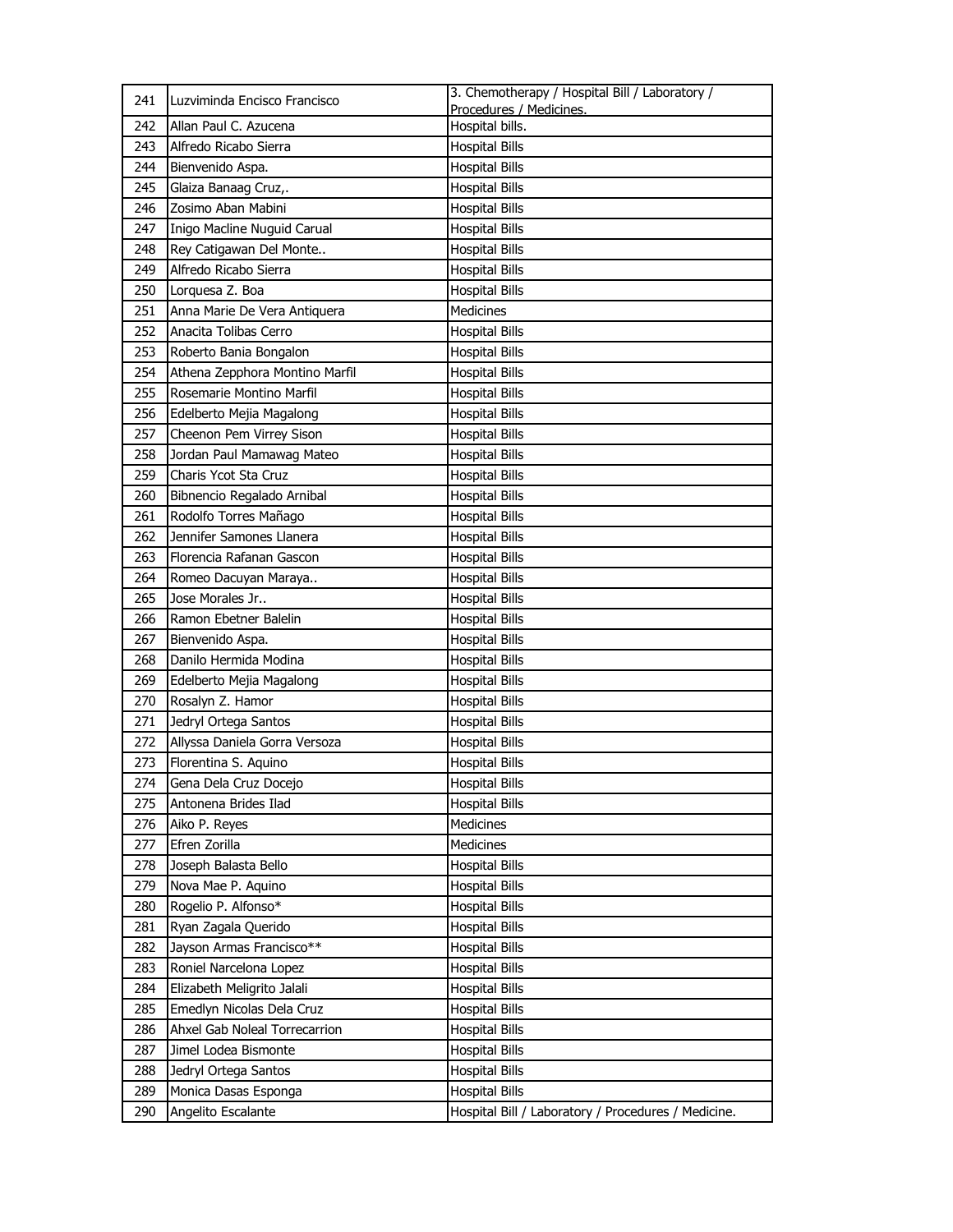| 241 | Luzviminda Encisco Francisco   | 3. Chemotherapy / Hospital Bill / Laboratory /<br>Procedures / Medicines. |
|-----|--------------------------------|---------------------------------------------------------------------------|
| 242 | Allan Paul C. Azucena          | Hospital bills.                                                           |
| 243 | Alfredo Ricabo Sierra          | <b>Hospital Bills</b>                                                     |
| 244 | Bienvenido Aspa.               | <b>Hospital Bills</b>                                                     |
| 245 | Glaiza Banaag Cruz,.           | <b>Hospital Bills</b>                                                     |
| 246 | Zosimo Aban Mabini             | <b>Hospital Bills</b>                                                     |
| 247 | Inigo Macline Nuguid Carual    | <b>Hospital Bills</b>                                                     |
| 248 | Rey Catigawan Del Monte        | <b>Hospital Bills</b>                                                     |
| 249 | Alfredo Ricabo Sierra          | <b>Hospital Bills</b>                                                     |
| 250 | Lorquesa Z. Boa                | <b>Hospital Bills</b>                                                     |
| 251 | Anna Marie De Vera Antiquera   | Medicines                                                                 |
| 252 | Anacita Tolibas Cerro          | <b>Hospital Bills</b>                                                     |
| 253 | Roberto Bania Bongalon         | <b>Hospital Bills</b>                                                     |
| 254 | Athena Zepphora Montino Marfil | <b>Hospital Bills</b>                                                     |
| 255 | Rosemarie Montino Marfil       | <b>Hospital Bills</b>                                                     |
| 256 | Edelberto Mejia Magalong       | <b>Hospital Bills</b>                                                     |
| 257 | Cheenon Pem Virrey Sison       | <b>Hospital Bills</b>                                                     |
| 258 | Jordan Paul Mamawag Mateo      | <b>Hospital Bills</b>                                                     |
| 259 | Charis Ycot Sta Cruz           | <b>Hospital Bills</b>                                                     |
| 260 | Bibnencio Regalado Arnibal     | <b>Hospital Bills</b>                                                     |
| 261 | Rodolfo Torres Mañago          | <b>Hospital Bills</b>                                                     |
| 262 | Jennifer Samones Llanera       | <b>Hospital Bills</b>                                                     |
| 263 | Florencia Rafanan Gascon       | <b>Hospital Bills</b>                                                     |
| 264 | Romeo Dacuyan Maraya           | <b>Hospital Bills</b>                                                     |
| 265 | Jose Morales Jr                | <b>Hospital Bills</b>                                                     |
| 266 | Ramon Ebetner Balelin          | <b>Hospital Bills</b>                                                     |
| 267 | Bienvenido Aspa.               | <b>Hospital Bills</b>                                                     |
| 268 | Danilo Hermida Modina          | <b>Hospital Bills</b>                                                     |
| 269 | Edelberto Mejia Magalong       | <b>Hospital Bills</b>                                                     |
| 270 | Rosalyn Z. Hamor               | <b>Hospital Bills</b>                                                     |
| 271 | Jedryl Ortega Santos           | <b>Hospital Bills</b>                                                     |
| 272 | Allyssa Daniela Gorra Versoza  | <b>Hospital Bills</b>                                                     |
| 273 | Florentina S. Aquino           | <b>Hospital Bills</b>                                                     |
| 274 | Gena Dela Cruz Docejo          | <b>Hospital Bills</b>                                                     |
| 275 | Antonena Brides Ilad           | <b>Hospital Bills</b>                                                     |
| 276 | Aiko P. Reyes                  | Medicines                                                                 |
| 277 | Efren Zorilla                  | Medicines                                                                 |
| 278 | Joseph Balasta Bello           | <b>Hospital Bills</b>                                                     |
| 279 | Nova Mae P. Aquino             | <b>Hospital Bills</b>                                                     |
| 280 | Rogelio P. Alfonso*            | <b>Hospital Bills</b>                                                     |
| 281 | Ryan Zagala Querido            | <b>Hospital Bills</b>                                                     |
| 282 | Jayson Armas Francisco**       | <b>Hospital Bills</b>                                                     |
| 283 | Roniel Narcelona Lopez         | <b>Hospital Bills</b>                                                     |
| 284 | Elizabeth Meligrito Jalali     | <b>Hospital Bills</b>                                                     |
| 285 | Emedlyn Nicolas Dela Cruz      | <b>Hospital Bills</b>                                                     |
| 286 | Ahxel Gab Noleal Torrecarrion  | <b>Hospital Bills</b>                                                     |
| 287 | Jimel Lodea Bismonte           | <b>Hospital Bills</b>                                                     |
| 288 | Jedryl Ortega Santos           | <b>Hospital Bills</b>                                                     |
| 289 | Monica Dasas Esponga           | <b>Hospital Bills</b>                                                     |
| 290 | Angelito Escalante             | Hospital Bill / Laboratory / Procedures / Medicine.                       |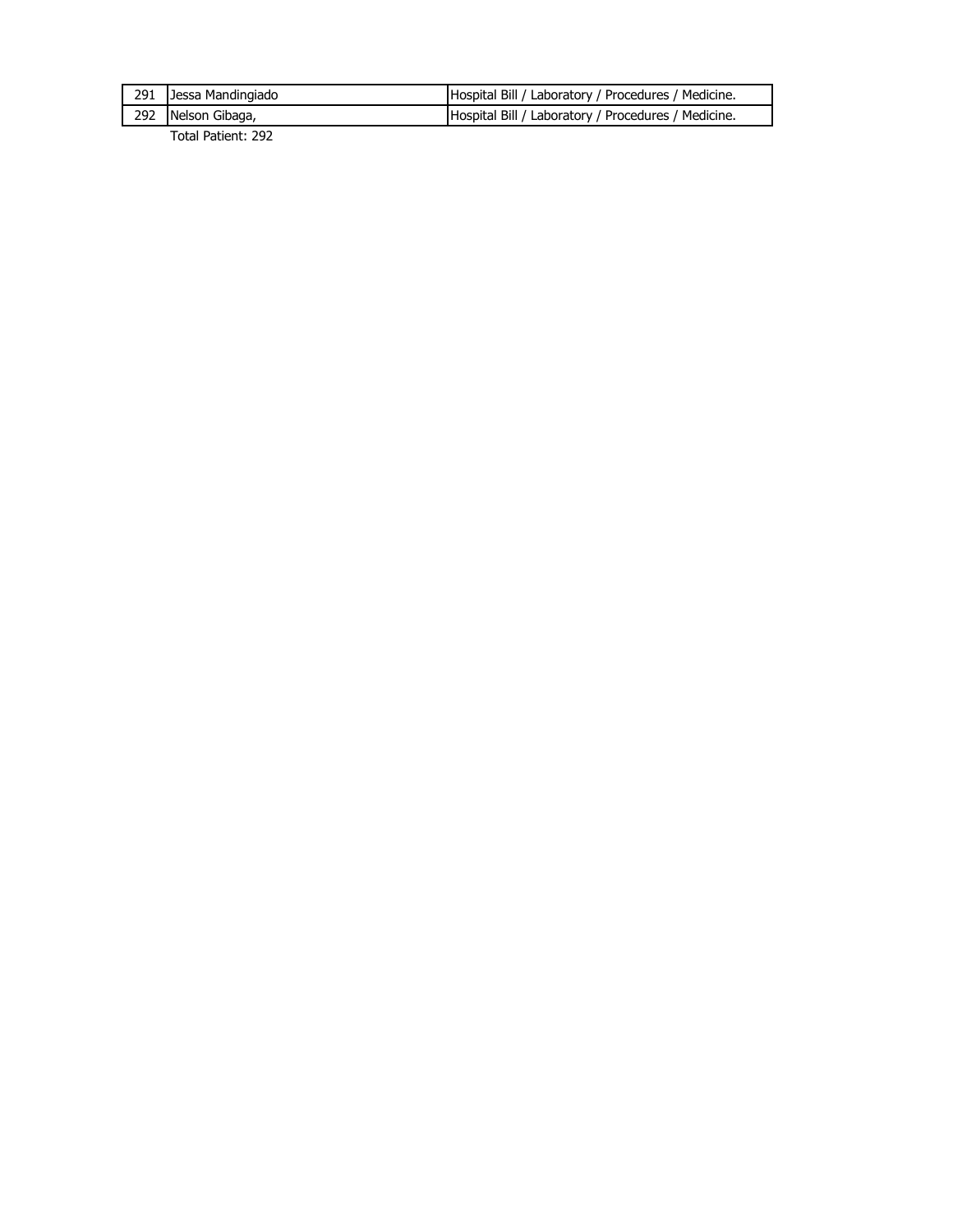| 291 Jessa Mandingiado | Hospital Bill / Laboratory / Procedures / Medicine. |
|-----------------------|-----------------------------------------------------|
| 292 Nelson Gibaga,    | Hospital Bill / Laboratory / Procedures / Medicine. |
|                       |                                                     |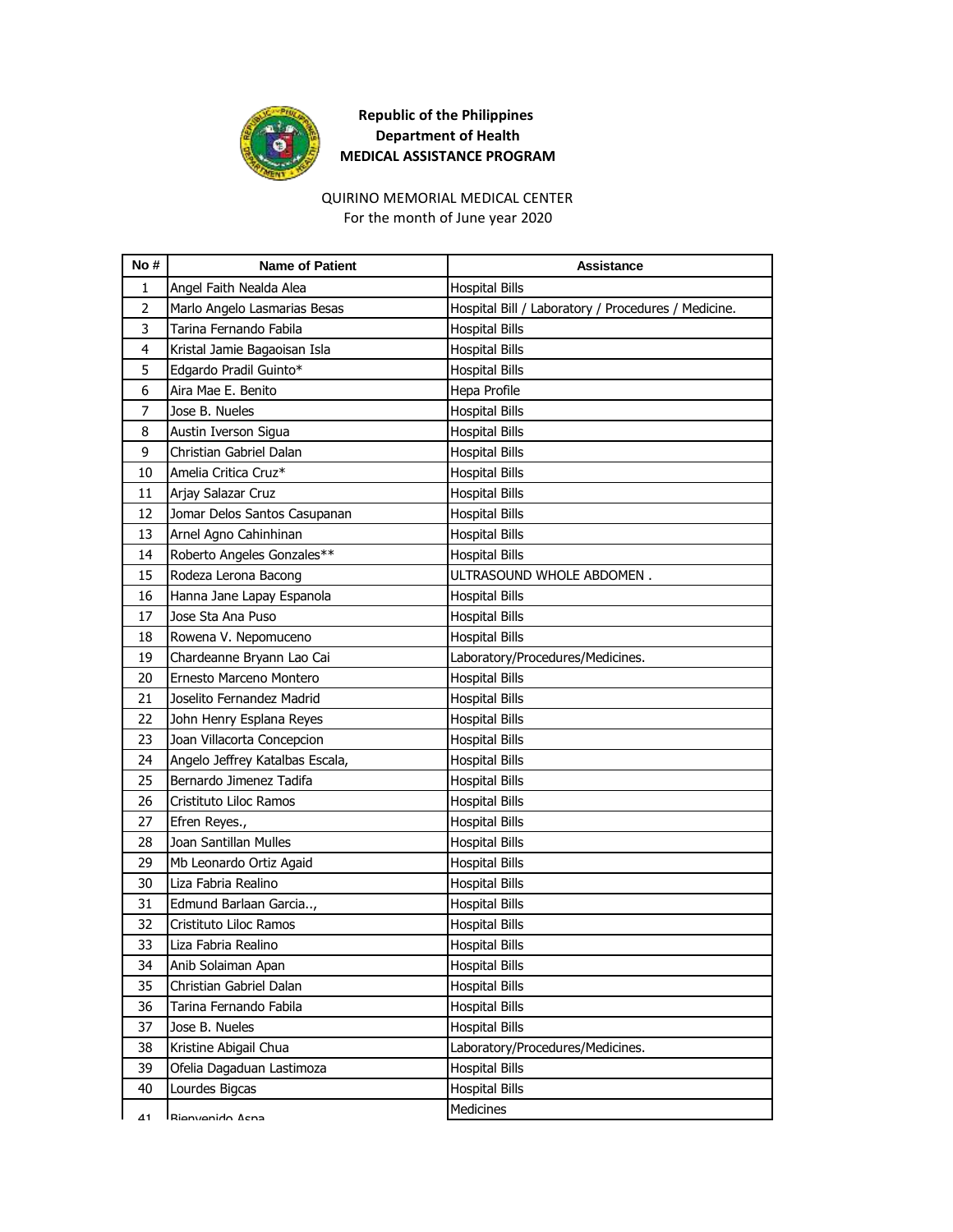

## QUIRINO MEMORIAL MEDICAL CENTER

For the month of June year 2020

| No #           | <b>Name of Patient</b>          | Assistance                                          |
|----------------|---------------------------------|-----------------------------------------------------|
| 1              | Angel Faith Nealda Alea         | <b>Hospital Bills</b>                               |
| $\overline{2}$ | Marlo Angelo Lasmarias Besas    | Hospital Bill / Laboratory / Procedures / Medicine. |
| 3              | Tarina Fernando Fabila          | <b>Hospital Bills</b>                               |
| 4              | Kristal Jamie Bagaoisan Isla    | <b>Hospital Bills</b>                               |
| 5              | Edgardo Pradil Guinto*          | <b>Hospital Bills</b>                               |
| 6              | Aira Mae E. Benito              | Hepa Profile                                        |
| 7              | Jose B. Nueles                  | <b>Hospital Bills</b>                               |
| 8              | Austin Iverson Sigua            | <b>Hospital Bills</b>                               |
| 9              | Christian Gabriel Dalan         | <b>Hospital Bills</b>                               |
| 10             | Amelia Critica Cruz*            | <b>Hospital Bills</b>                               |
| 11             | Arjay Salazar Cruz              | Hospital Bills                                      |
| 12             | Jomar Delos Santos Casupanan    | <b>Hospital Bills</b>                               |
| 13             | Arnel Agno Cahinhinan           | <b>Hospital Bills</b>                               |
| 14             | Roberto Angeles Gonzales**      | <b>Hospital Bills</b>                               |
| 15             | Rodeza Lerona Bacong            | ULTRASOUND WHOLE ABDOMEN.                           |
| 16             | Hanna Jane Lapay Espanola       | <b>Hospital Bills</b>                               |
| 17             | Jose Sta Ana Puso               | <b>Hospital Bills</b>                               |
| 18             | Rowena V. Nepomuceno            | <b>Hospital Bills</b>                               |
| 19             | Chardeanne Bryann Lao Cai       | Laboratory/Procedures/Medicines.                    |
| 20             | Ernesto Marceno Montero         | <b>Hospital Bills</b>                               |
| 21             | Joselito Fernandez Madrid       | <b>Hospital Bills</b>                               |
| 22             | John Henry Esplana Reyes        | <b>Hospital Bills</b>                               |
| 23             | Joan Villacorta Concepcion      | <b>Hospital Bills</b>                               |
| 24             | Angelo Jeffrey Katalbas Escala, | <b>Hospital Bills</b>                               |
| 25             | Bernardo Jimenez Tadifa         | <b>Hospital Bills</b>                               |
| 26             | Cristituto Liloc Ramos          | <b>Hospital Bills</b>                               |
| 27             | Efren Reyes.,                   | <b>Hospital Bills</b>                               |
| 28             | Joan Santillan Mulles           | <b>Hospital Bills</b>                               |
| 29             | Mb Leonardo Ortiz Agaid         | <b>Hospital Bills</b>                               |
| 30             | Liza Fabria Realino             | <b>Hospital Bills</b>                               |
| 31             | Edmund Barlaan Garcia,          | Hospital Bills                                      |
| 32             | Cristituto Liloc Ramos          | Hospital Bills                                      |
| 33             | Liza Fabria Realino             | <b>Hospital Bills</b>                               |
| 34             | Anib Solaiman Apan              | <b>Hospital Bills</b>                               |
| 35             | Christian Gabriel Dalan         | <b>Hospital Bills</b>                               |
| 36             | Tarina Fernando Fabila          | <b>Hospital Bills</b>                               |
| 37             | Jose B. Nueles                  | <b>Hospital Bills</b>                               |
| 38             | Kristine Abigail Chua           | Laboratory/Procedures/Medicines.                    |
| 39             | Ofelia Dagaduan Lastimoza       | <b>Hospital Bills</b>                               |
| 40             | Lourdes Bigcas                  | <b>Hospital Bills</b>                               |
| 41             | Rianvanido Acna                 | Medicines                                           |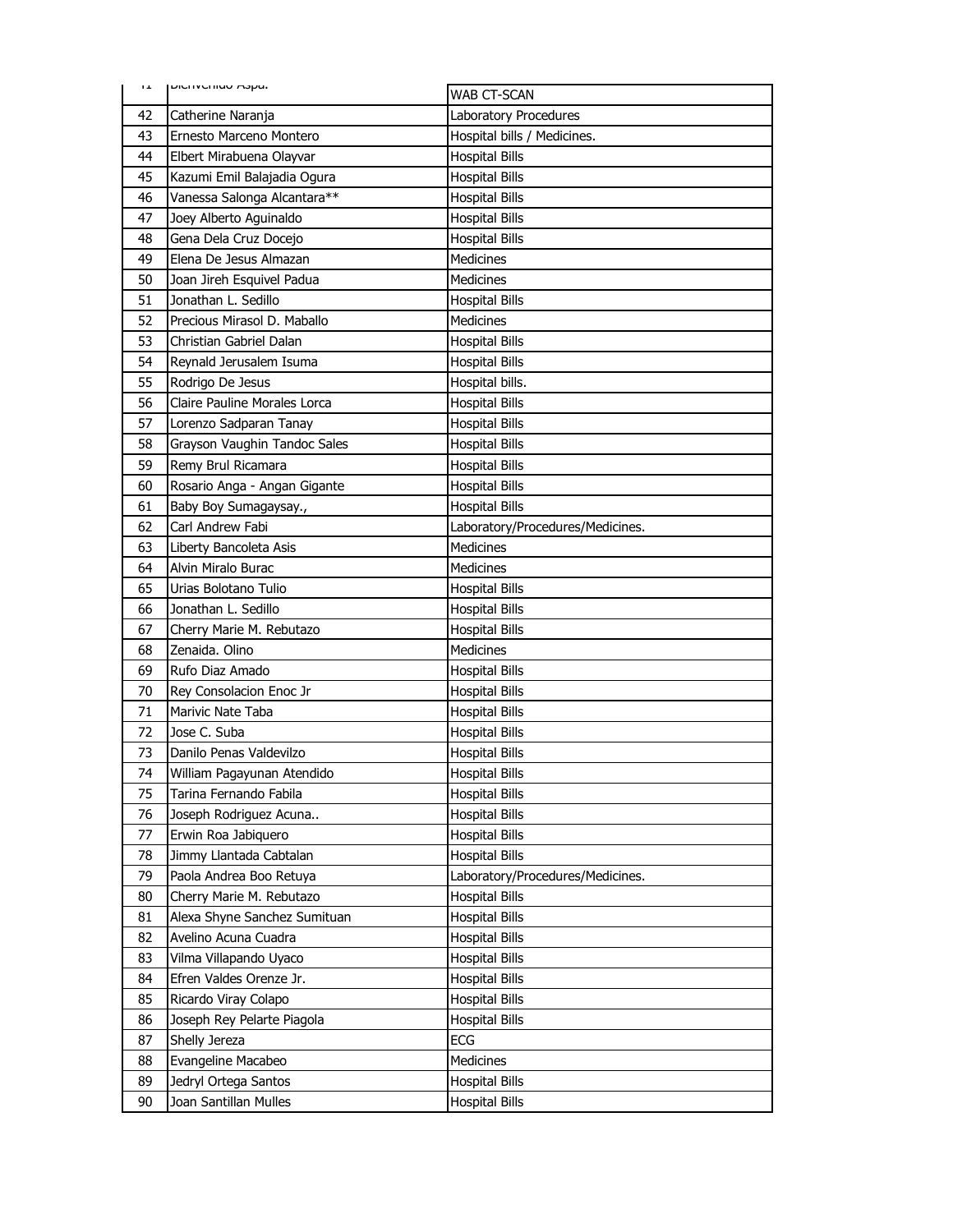| ᅚ  | DICITION WORLD               | WAB CT-SCAN                      |
|----|------------------------------|----------------------------------|
| 42 | Catherine Naranja            | Laboratory Procedures            |
| 43 | Ernesto Marceno Montero      | Hospital bills / Medicines.      |
| 44 | Elbert Mirabuena Olayvar     | <b>Hospital Bills</b>            |
| 45 | Kazumi Emil Balajadia Ogura  | <b>Hospital Bills</b>            |
| 46 | Vanessa Salonga Alcantara**  | <b>Hospital Bills</b>            |
| 47 | Joey Alberto Aguinaldo       | <b>Hospital Bills</b>            |
| 48 | Gena Dela Cruz Docejo        | <b>Hospital Bills</b>            |
| 49 | Elena De Jesus Almazan       | <b>Medicines</b>                 |
| 50 | Joan Jireh Esquivel Padua    | <b>Medicines</b>                 |
| 51 | Jonathan L. Sedillo          | <b>Hospital Bills</b>            |
| 52 | Precious Mirasol D. Maballo  | Medicines                        |
| 53 | Christian Gabriel Dalan      | <b>Hospital Bills</b>            |
| 54 | Reynald Jerusalem Isuma      | <b>Hospital Bills</b>            |
| 55 | Rodrigo De Jesus             | Hospital bills.                  |
| 56 | Claire Pauline Morales Lorca | <b>Hospital Bills</b>            |
| 57 | Lorenzo Sadparan Tanay       | <b>Hospital Bills</b>            |
| 58 | Grayson Vaughin Tandoc Sales | <b>Hospital Bills</b>            |
| 59 | Remy Brul Ricamara           | <b>Hospital Bills</b>            |
| 60 | Rosario Anga - Angan Gigante | <b>Hospital Bills</b>            |
| 61 | Baby Boy Sumagaysay.,        | <b>Hospital Bills</b>            |
| 62 | Carl Andrew Fabi             | Laboratory/Procedures/Medicines. |
| 63 | Liberty Bancoleta Asis       | Medicines                        |
| 64 | Alvin Miralo Burac           | Medicines                        |
| 65 | Urias Bolotano Tulio         | <b>Hospital Bills</b>            |
| 66 | Jonathan L. Sedillo          | <b>Hospital Bills</b>            |
| 67 | Cherry Marie M. Rebutazo     | <b>Hospital Bills</b>            |
| 68 | Zenaida. Olino               | Medicines                        |
| 69 | Rufo Diaz Amado              | <b>Hospital Bills</b>            |
| 70 | Rey Consolacion Enoc Jr      | <b>Hospital Bills</b>            |
| 71 | Marivic Nate Taba            | <b>Hospital Bills</b>            |
| 72 | Jose C. Suba                 | <b>Hospital Bills</b>            |
| 73 | Danilo Penas Valdevilzo      | <b>Hospital Bills</b>            |
| 74 | William Pagayunan Atendido   | <b>Hospital Bills</b>            |
| 75 | Tarina Fernando Fabila       | <b>Hospital Bills</b>            |
| 76 | Joseph Rodriguez Acuna       | <b>Hospital Bills</b>            |
| 77 | Erwin Roa Jabiquero          | <b>Hospital Bills</b>            |
| 78 | Jimmy Llantada Cabtalan      | <b>Hospital Bills</b>            |
| 79 | Paola Andrea Boo Retuya      | Laboratory/Procedures/Medicines. |
| 80 | Cherry Marie M. Rebutazo     | <b>Hospital Bills</b>            |
| 81 | Alexa Shyne Sanchez Sumituan | <b>Hospital Bills</b>            |
| 82 | Avelino Acuna Cuadra         | <b>Hospital Bills</b>            |
| 83 | Vilma Villapando Uyaco       | <b>Hospital Bills</b>            |
| 84 | Efren Valdes Orenze Jr.      | <b>Hospital Bills</b>            |
| 85 | Ricardo Viray Colapo         | <b>Hospital Bills</b>            |
| 86 | Joseph Rey Pelarte Piagola   | <b>Hospital Bills</b>            |
| 87 | Shelly Jereza                | <b>ECG</b>                       |
| 88 | Evangeline Macabeo           | Medicines                        |
| 89 | Jedryl Ortega Santos         | <b>Hospital Bills</b>            |
| 90 | Joan Santillan Mulles        | <b>Hospital Bills</b>            |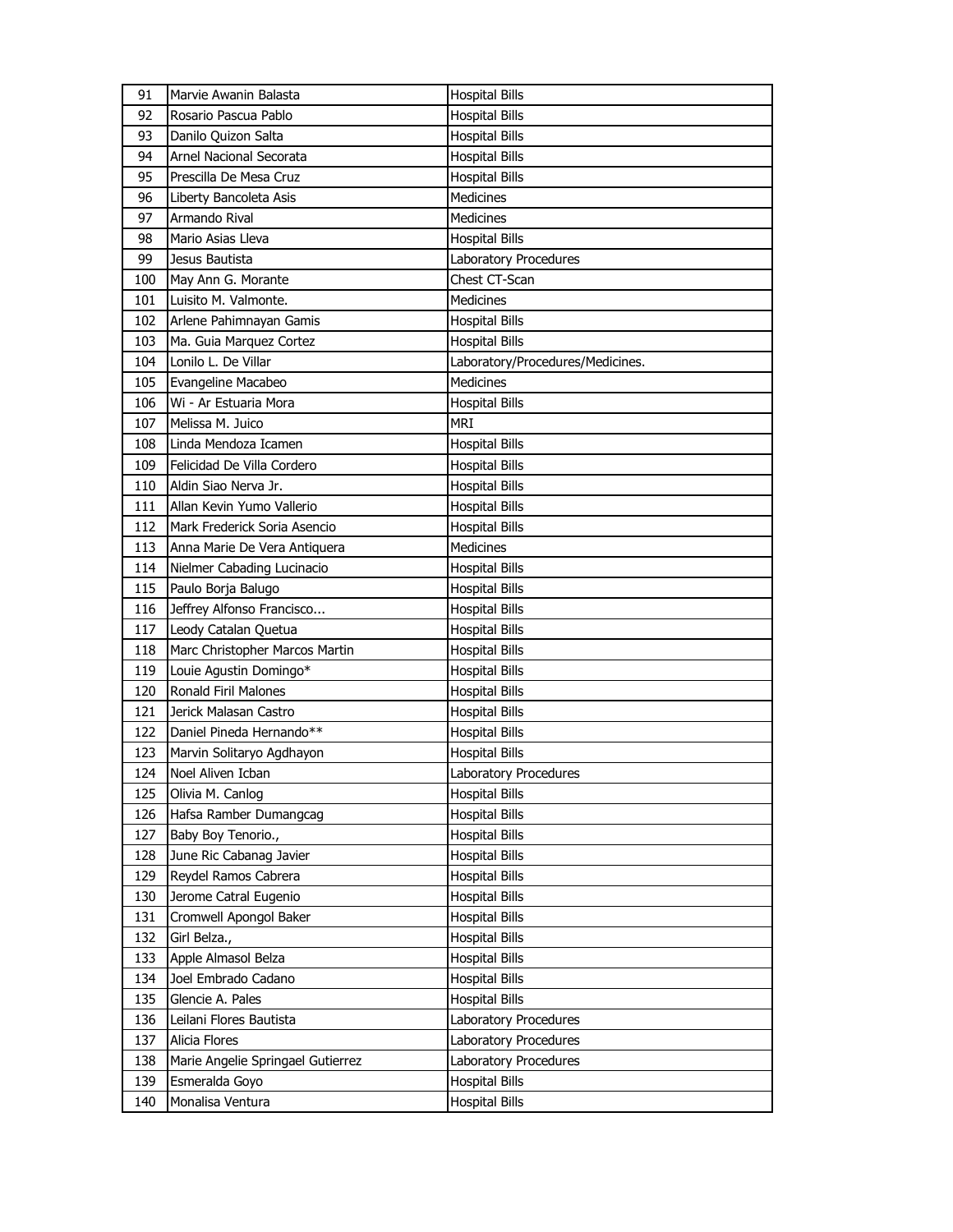| 91  | Marvie Awanin Balasta             | <b>Hospital Bills</b>            |
|-----|-----------------------------------|----------------------------------|
| 92  | Rosario Pascua Pablo              | <b>Hospital Bills</b>            |
| 93  | Danilo Quizon Salta               | <b>Hospital Bills</b>            |
| 94  | Arnel Nacional Secorata           | <b>Hospital Bills</b>            |
| 95  | Prescilla De Mesa Cruz            | <b>Hospital Bills</b>            |
| 96  | Liberty Bancoleta Asis            | Medicines                        |
| 97  | Armando Rival                     | Medicines                        |
| 98  | Mario Asias Lleva                 | <b>Hospital Bills</b>            |
| 99  | Jesus Bautista                    | Laboratory Procedures            |
| 100 | May Ann G. Morante                | Chest CT-Scan                    |
| 101 | Luisito M. Valmonte.              | Medicines                        |
| 102 | Arlene Pahimnayan Gamis           | <b>Hospital Bills</b>            |
| 103 | Ma. Guia Marquez Cortez           | <b>Hospital Bills</b>            |
| 104 | Lonilo L. De Villar               | Laboratory/Procedures/Medicines. |
| 105 | Evangeline Macabeo                | <b>Medicines</b>                 |
| 106 | Wi - Ar Estuaria Mora             | <b>Hospital Bills</b>            |
| 107 | Melissa M. Juico                  | MRI                              |
| 108 | Linda Mendoza Icamen              | <b>Hospital Bills</b>            |
| 109 | Felicidad De Villa Cordero        | <b>Hospital Bills</b>            |
| 110 | Aldin Siao Nerva Jr.              | <b>Hospital Bills</b>            |
| 111 | Allan Kevin Yumo Vallerio         | <b>Hospital Bills</b>            |
| 112 | Mark Frederick Soria Asencio      | <b>Hospital Bills</b>            |
| 113 | Anna Marie De Vera Antiquera      | <b>Medicines</b>                 |
| 114 | Nielmer Cabading Lucinacio        | <b>Hospital Bills</b>            |
| 115 | Paulo Borja Balugo                | <b>Hospital Bills</b>            |
| 116 | Jeffrey Alfonso Francisco         | <b>Hospital Bills</b>            |
| 117 | Leody Catalan Quetua              | <b>Hospital Bills</b>            |
| 118 | Marc Christopher Marcos Martin    | Hospital Bills                   |
| 119 | Louie Agustin Domingo*            | <b>Hospital Bills</b>            |
| 120 | Ronald Firil Malones              | <b>Hospital Bills</b>            |
| 121 | Jerick Malasan Castro             | <b>Hospital Bills</b>            |
| 122 | Daniel Pineda Hernando**          | <b>Hospital Bills</b>            |
| 123 | Marvin Solitaryo Agdhayon         | <b>Hospital Bills</b>            |
| 124 | Noel Aliven Icban                 | Laboratory Procedures            |
| 125 | Olivia M. Canlog                  | <b>Hospital Bills</b>            |
| 126 | Hafsa Ramber Dumangcag            | <b>Hospital Bills</b>            |
| 127 | Baby Boy Tenorio.,                | <b>Hospital Bills</b>            |
| 128 | June Ric Cabanag Javier           | <b>Hospital Bills</b>            |
| 129 | Reydel Ramos Cabrera              | <b>Hospital Bills</b>            |
| 130 | Jerome Catral Eugenio             | <b>Hospital Bills</b>            |
| 131 | Cromwell Apongol Baker            | <b>Hospital Bills</b>            |
| 132 | Girl Belza.,                      | <b>Hospital Bills</b>            |
| 133 | Apple Almasol Belza               | <b>Hospital Bills</b>            |
| 134 | Joel Embrado Cadano               | <b>Hospital Bills</b>            |
| 135 | Glencie A. Pales                  | <b>Hospital Bills</b>            |
| 136 | Leilani Flores Bautista           | Laboratory Procedures            |
| 137 | Alicia Flores                     | Laboratory Procedures            |
| 138 | Marie Angelie Springael Gutierrez | Laboratory Procedures            |
| 139 | Esmeralda Goyo                    | <b>Hospital Bills</b>            |
| 140 | Monalisa Ventura                  | <b>Hospital Bills</b>            |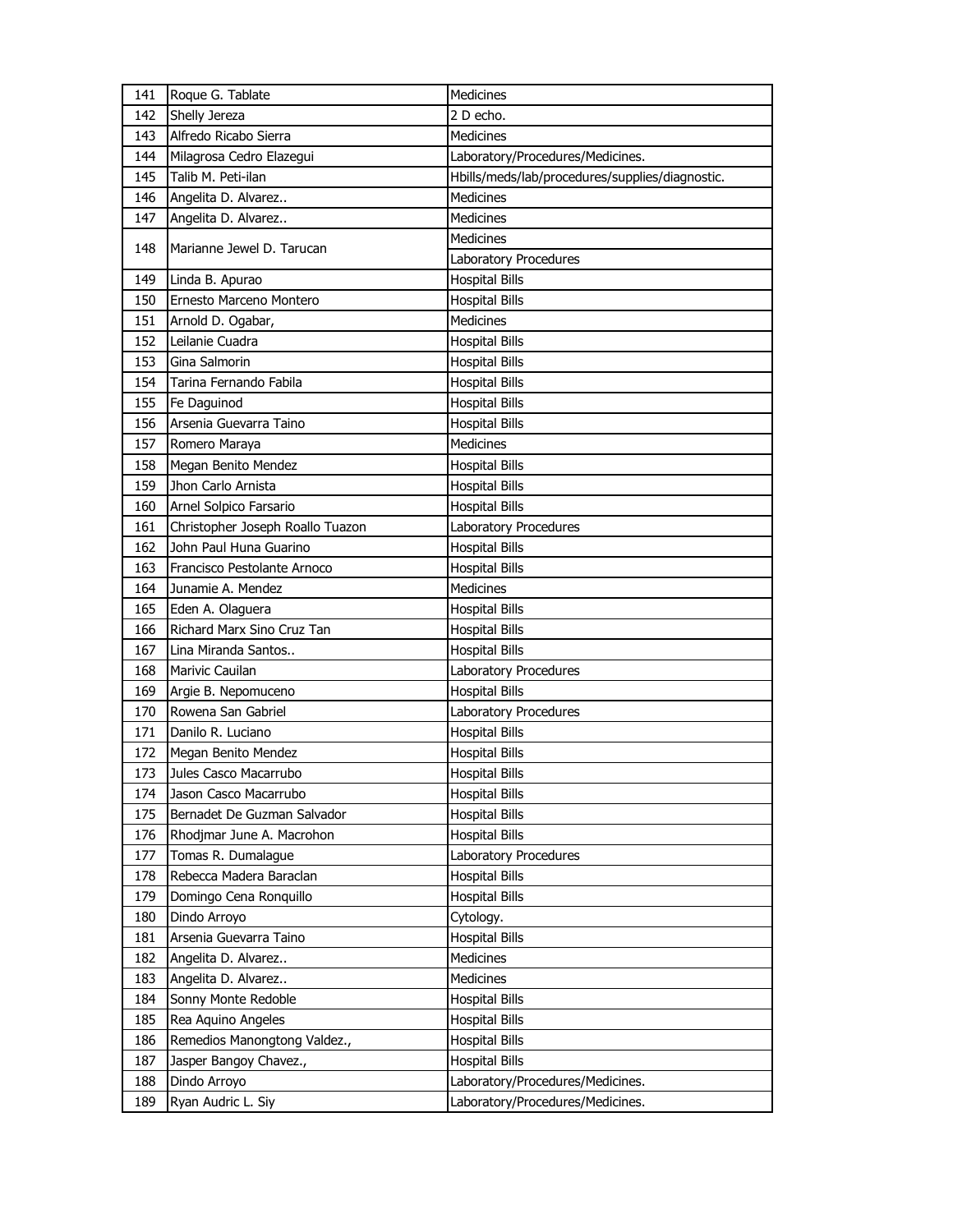| 141 | Roque G. Tablate                 | Medicines                                       |
|-----|----------------------------------|-------------------------------------------------|
| 142 | Shelly Jereza                    | 2 D echo.                                       |
| 143 | Alfredo Ricabo Sierra            | <b>Medicines</b>                                |
| 144 | Milagrosa Cedro Elazegui         | Laboratory/Procedures/Medicines.                |
| 145 | Talib M. Peti-ilan               | Hbills/meds/lab/procedures/supplies/diagnostic. |
| 146 | Angelita D. Alvarez              | Medicines                                       |
| 147 | Angelita D. Alvarez              | <b>Medicines</b>                                |
|     |                                  | <b>Medicines</b>                                |
| 148 | Marianne Jewel D. Tarucan        | Laboratory Procedures                           |
| 149 | Linda B. Apurao                  | <b>Hospital Bills</b>                           |
| 150 | Ernesto Marceno Montero          | <b>Hospital Bills</b>                           |
| 151 | Arnold D. Ogabar,                | <b>Medicines</b>                                |
| 152 | Leilanie Cuadra                  | <b>Hospital Bills</b>                           |
| 153 | Gina Salmorin                    | <b>Hospital Bills</b>                           |
| 154 | Tarina Fernando Fabila           | <b>Hospital Bills</b>                           |
| 155 | Fe Daguinod                      | <b>Hospital Bills</b>                           |
| 156 | Arsenia Guevarra Taino           | <b>Hospital Bills</b>                           |
| 157 | Romero Maraya                    | Medicines                                       |
| 158 | Megan Benito Mendez              | <b>Hospital Bills</b>                           |
| 159 | Jhon Carlo Arnista               | <b>Hospital Bills</b>                           |
| 160 | Arnel Solpico Farsario           | <b>Hospital Bills</b>                           |
| 161 | Christopher Joseph Roallo Tuazon | Laboratory Procedures                           |
| 162 | John Paul Huna Guarino           | <b>Hospital Bills</b>                           |
| 163 | Francisco Pestolante Arnoco      | <b>Hospital Bills</b>                           |
| 164 | Junamie A. Mendez                | <b>Medicines</b>                                |
| 165 | Eden A. Olaguera                 | <b>Hospital Bills</b>                           |
| 166 | Richard Marx Sino Cruz Tan       | <b>Hospital Bills</b>                           |
| 167 | Lina Miranda Santos              | <b>Hospital Bills</b>                           |
| 168 | Marivic Cauilan                  | Laboratory Procedures                           |
| 169 | Argie B. Nepomuceno              | <b>Hospital Bills</b>                           |
| 170 | Rowena San Gabriel               | Laboratory Procedures                           |
| 171 | Danilo R. Luciano                | <b>Hospital Bills</b>                           |
| 172 | Megan Benito Mendez              | <b>Hospital Bills</b>                           |
| 173 | Jules Casco Macarrubo            | <b>Hospital Bills</b>                           |
| 174 | Jason Casco Macarrubo            | <b>Hospital Bills</b>                           |
| 175 | Bernadet De Guzman Salvador      | <b>Hospital Bills</b>                           |
| 176 | Rhodjmar June A. Macrohon        | <b>Hospital Bills</b>                           |
| 177 | Tomas R. Dumalague               | Laboratory Procedures                           |
| 178 | Rebecca Madera Baraclan          | <b>Hospital Bills</b>                           |
| 179 | Domingo Cena Ronquillo           | <b>Hospital Bills</b>                           |
| 180 | Dindo Arroyo                     | Cytology.                                       |
| 181 | Arsenia Guevarra Taino           | <b>Hospital Bills</b>                           |
| 182 | Angelita D. Alvarez              | Medicines                                       |
| 183 | Angelita D. Alvarez              | Medicines                                       |
| 184 | Sonny Monte Redoble              | <b>Hospital Bills</b>                           |
| 185 | Rea Aquino Angeles               | <b>Hospital Bills</b>                           |
| 186 | Remedios Manongtong Valdez.,     | <b>Hospital Bills</b>                           |
| 187 | Jasper Bangoy Chavez.,           | <b>Hospital Bills</b>                           |
| 188 | Dindo Arroyo                     | Laboratory/Procedures/Medicines.                |
| 189 | Ryan Audric L. Siy               | Laboratory/Procedures/Medicines.                |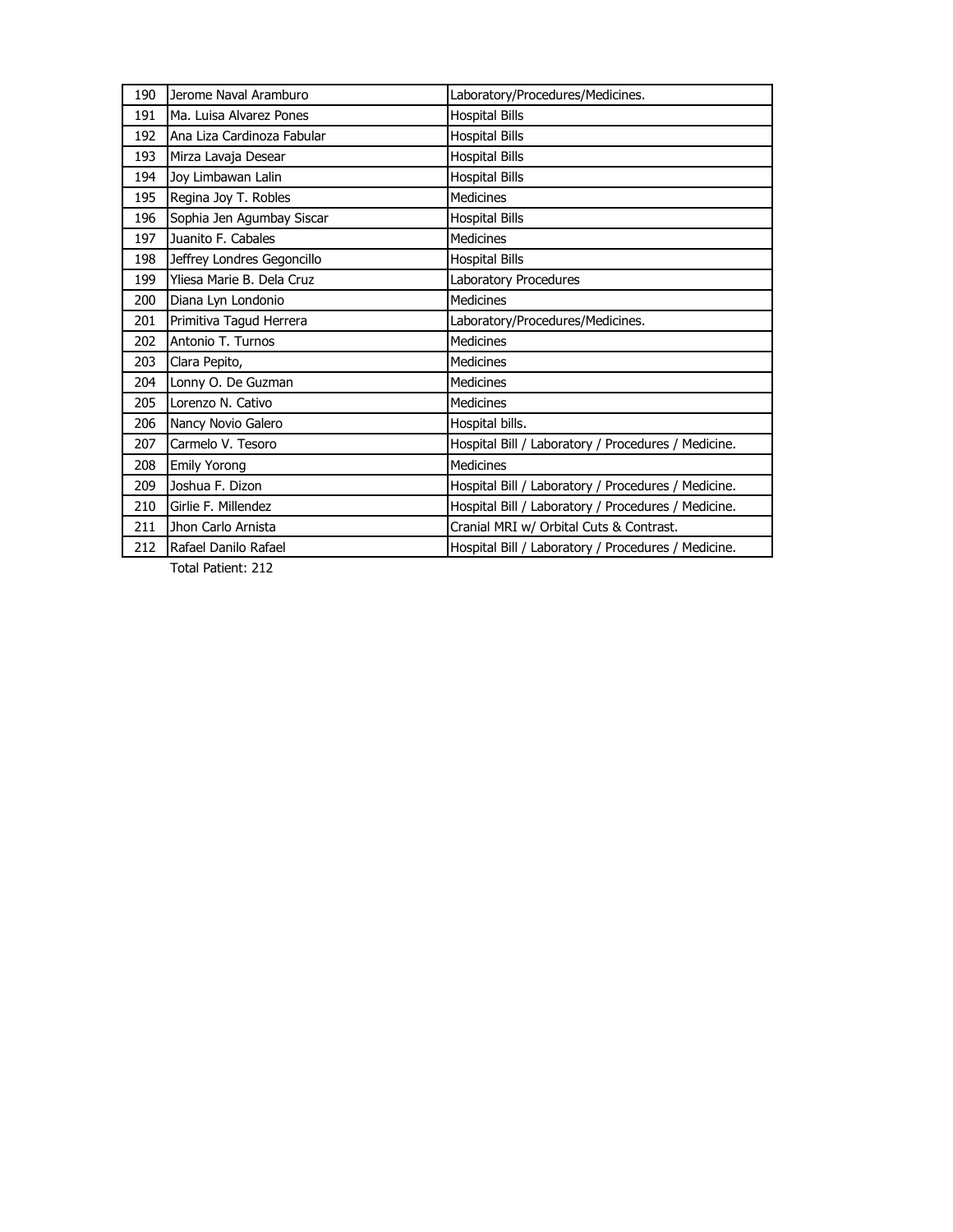| 190 | Jerome Naval Aramburo      | Laboratory/Procedures/Medicines.                    |
|-----|----------------------------|-----------------------------------------------------|
| 191 | Ma. Luisa Alvarez Pones    | <b>Hospital Bills</b>                               |
| 192 | Ana Liza Cardinoza Fabular | <b>Hospital Bills</b>                               |
| 193 | Mirza Lavaja Desear        | <b>Hospital Bills</b>                               |
| 194 | Joy Limbawan Lalin         | <b>Hospital Bills</b>                               |
| 195 | Regina Joy T. Robles       | <b>Medicines</b>                                    |
| 196 | Sophia Jen Agumbay Siscar  | <b>Hospital Bills</b>                               |
| 197 | Juanito F. Cabales         | <b>Medicines</b>                                    |
| 198 | Jeffrey Londres Gegoncillo | <b>Hospital Bills</b>                               |
| 199 | Yliesa Marie B. Dela Cruz  | Laboratory Procedures                               |
| 200 | Diana Lyn Londonio         | <b>Medicines</b>                                    |
| 201 | Primitiva Tagud Herrera    | Laboratory/Procedures/Medicines.                    |
| 202 | Antonio T. Turnos          | <b>Medicines</b>                                    |
| 203 | Clara Pepito,              | <b>Medicines</b>                                    |
| 204 | Lonny O. De Guzman         | <b>Medicines</b>                                    |
| 205 | Lorenzo N. Cativo          | <b>Medicines</b>                                    |
| 206 | Nancy Novio Galero         | Hospital bills.                                     |
| 207 | Carmelo V. Tesoro          | Hospital Bill / Laboratory / Procedures / Medicine. |
| 208 | <b>Emily Yorong</b>        | <b>Medicines</b>                                    |
| 209 | Joshua F. Dizon            | Hospital Bill / Laboratory / Procedures / Medicine. |
| 210 | Girlie F. Millendez        | Hospital Bill / Laboratory / Procedures / Medicine. |
| 211 | Jhon Carlo Arnista         | Cranial MRI w/ Orbital Cuts & Contrast.             |
| 212 | Rafael Danilo Rafael       | Hospital Bill / Laboratory / Procedures / Medicine. |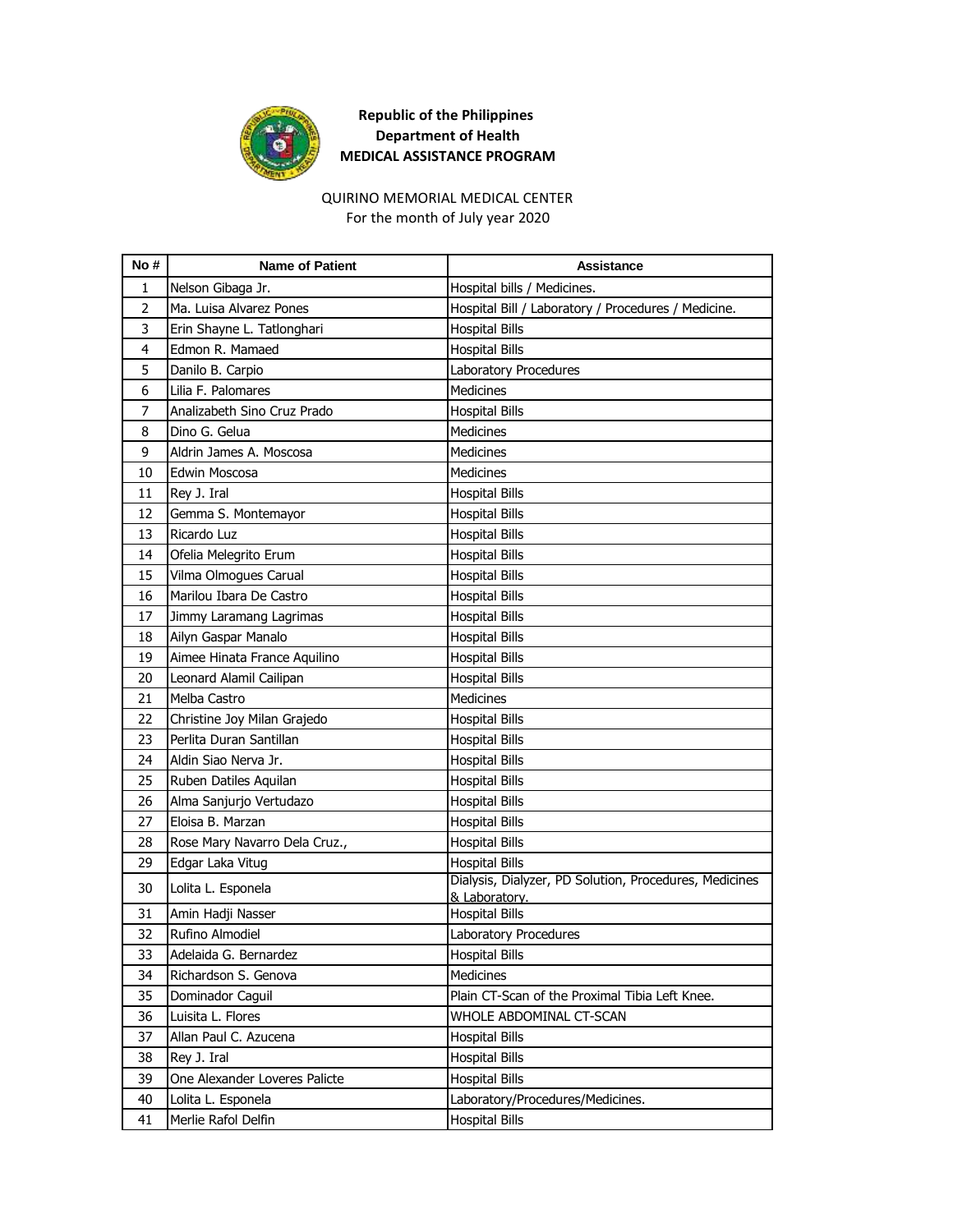

## QUIRINO MEMORIAL MEDICAL CENTER

For the month of July year 2020

| No#            | <b>Name of Patient</b>        | Assistance                                                              |
|----------------|-------------------------------|-------------------------------------------------------------------------|
| 1              | Nelson Gibaga Jr.             | Hospital bills / Medicines.                                             |
| $\overline{2}$ | Ma. Luisa Alvarez Pones       | Hospital Bill / Laboratory / Procedures / Medicine.                     |
| 3              | Erin Shayne L. Tatlonghari    | <b>Hospital Bills</b>                                                   |
| 4              | Edmon R. Mamaed               | <b>Hospital Bills</b>                                                   |
| 5              | Danilo B. Carpio              | Laboratory Procedures                                                   |
| 6              | Lilia F. Palomares            | <b>Medicines</b>                                                        |
| $\overline{7}$ | Analizabeth Sino Cruz Prado   | <b>Hospital Bills</b>                                                   |
| 8              | Dino G. Gelua                 | <b>Medicines</b>                                                        |
| 9              | Aldrin James A. Moscosa       | <b>Medicines</b>                                                        |
| 10             | Edwin Moscosa                 | Medicines                                                               |
| 11             | Rey J. Iral                   | <b>Hospital Bills</b>                                                   |
| 12             | Gemma S. Montemayor           | <b>Hospital Bills</b>                                                   |
| 13             | Ricardo Luz                   | <b>Hospital Bills</b>                                                   |
| 14             | Ofelia Melegrito Erum         | <b>Hospital Bills</b>                                                   |
| 15             | Vilma Olmogues Carual         | <b>Hospital Bills</b>                                                   |
| 16             | Marilou Ibara De Castro       | <b>Hospital Bills</b>                                                   |
| 17             | Jimmy Laramang Lagrimas       | <b>Hospital Bills</b>                                                   |
| 18             | Ailyn Gaspar Manalo           | <b>Hospital Bills</b>                                                   |
| 19             | Aimee Hinata France Aquilino  | <b>Hospital Bills</b>                                                   |
| 20             | Leonard Alamil Cailipan       | <b>Hospital Bills</b>                                                   |
| 21             | Melba Castro                  | <b>Medicines</b>                                                        |
| 22             | Christine Joy Milan Grajedo   | <b>Hospital Bills</b>                                                   |
| 23             | Perlita Duran Santillan       | <b>Hospital Bills</b>                                                   |
| 24             | Aldin Siao Nerva Jr.          | <b>Hospital Bills</b>                                                   |
| 25             | Ruben Datiles Aquilan         | <b>Hospital Bills</b>                                                   |
| 26             | Alma Sanjurjo Vertudazo       | <b>Hospital Bills</b>                                                   |
| 27             | Eloisa B. Marzan              | <b>Hospital Bills</b>                                                   |
| 28             | Rose Mary Navarro Dela Cruz., | <b>Hospital Bills</b>                                                   |
| 29             | Edgar Laka Vitug              | <b>Hospital Bills</b>                                                   |
| 30             | Lolita L. Esponela            | Dialysis, Dialyzer, PD Solution, Procedures, Medicines<br>& Laboratory. |
| 31             | Amin Hadji Nasser             | <b>Hospital Bills</b>                                                   |
| 32             | Rufino Almodiel               | Laboratory Procedures                                                   |
| 33             | Adelaida G. Bernardez         | <b>Hospital Bills</b>                                                   |
| 34             | Richardson S. Genova          | Medicines                                                               |
| 35             | Dominador Caguil              | Plain CT-Scan of the Proximal Tibia Left Knee.                          |
| 36             | Luisita L. Flores             | WHOLE ABDOMINAL CT-SCAN                                                 |
| 37             | Allan Paul C. Azucena         | <b>Hospital Bills</b>                                                   |
| 38             | Rey J. Iral                   | <b>Hospital Bills</b>                                                   |
| 39             | One Alexander Loveres Palicte | <b>Hospital Bills</b>                                                   |
| 40             | Lolita L. Esponela            | Laboratory/Procedures/Medicines.                                        |
| 41             | Merlie Rafol Delfin           | <b>Hospital Bills</b>                                                   |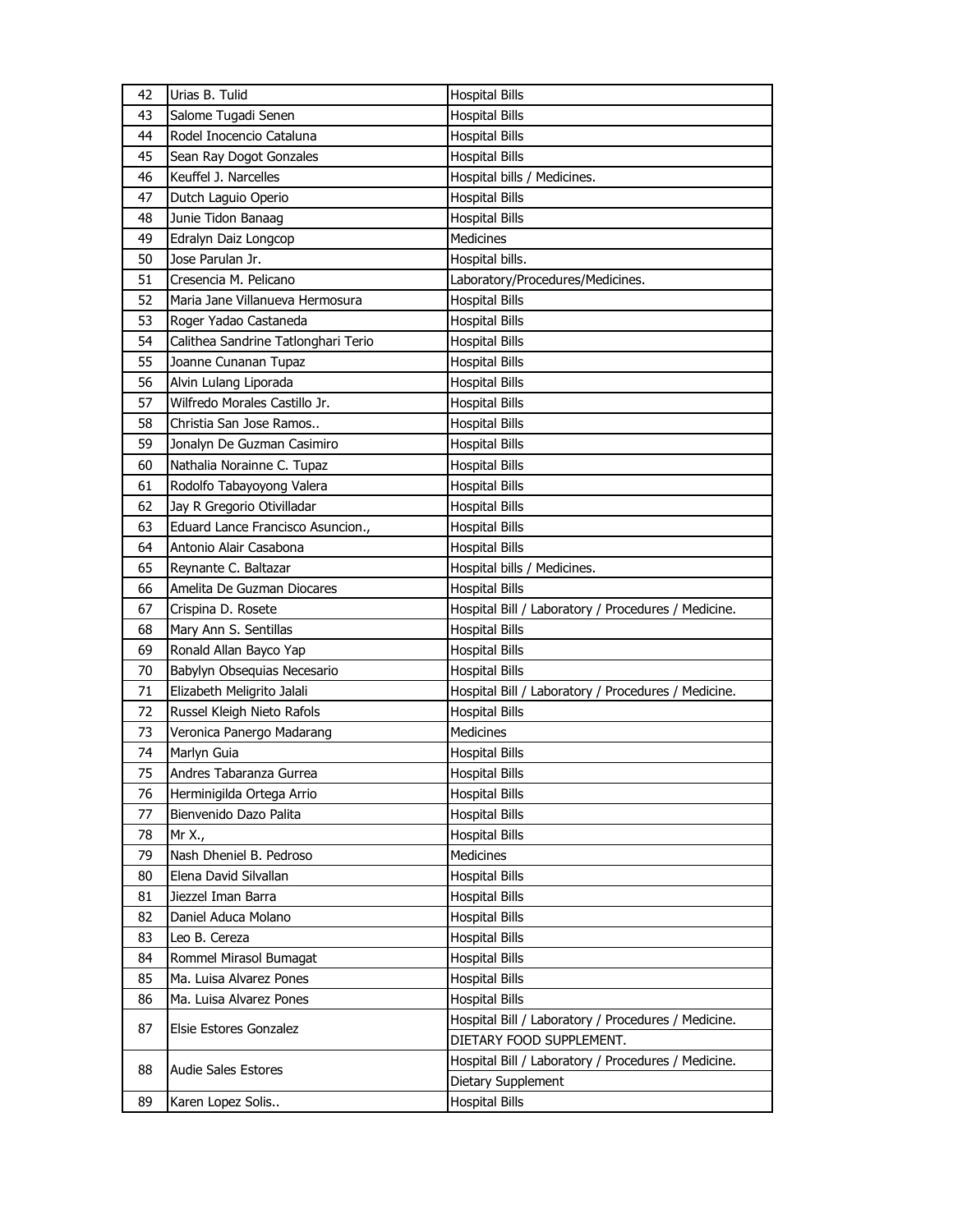| 42 | Urias B. Tulid                      | <b>Hospital Bills</b>                               |
|----|-------------------------------------|-----------------------------------------------------|
| 43 | Salome Tugadi Senen                 | <b>Hospital Bills</b>                               |
| 44 | Rodel Inocencio Cataluna            | <b>Hospital Bills</b>                               |
| 45 | Sean Ray Dogot Gonzales             | <b>Hospital Bills</b>                               |
| 46 | Keuffel J. Narcelles                | Hospital bills / Medicines.                         |
| 47 | Dutch Laguio Operio                 | <b>Hospital Bills</b>                               |
| 48 | Junie Tidon Banaag                  | <b>Hospital Bills</b>                               |
| 49 | Edralyn Daiz Longcop                | <b>Medicines</b>                                    |
| 50 | Jose Parulan Jr.                    | Hospital bills.                                     |
| 51 | Cresencia M. Pelicano               | Laboratory/Procedures/Medicines.                    |
| 52 | Maria Jane Villanueva Hermosura     | <b>Hospital Bills</b>                               |
| 53 | Roger Yadao Castaneda               | <b>Hospital Bills</b>                               |
| 54 | Calithea Sandrine Tatlonghari Terio | <b>Hospital Bills</b>                               |
| 55 | Joanne Cunanan Tupaz                | <b>Hospital Bills</b>                               |
| 56 | Alvin Lulang Liporada               | <b>Hospital Bills</b>                               |
| 57 | Wilfredo Morales Castillo Jr.       | <b>Hospital Bills</b>                               |
| 58 | Christia San Jose Ramos             | <b>Hospital Bills</b>                               |
| 59 | Jonalyn De Guzman Casimiro          | <b>Hospital Bills</b>                               |
| 60 | Nathalia Norainne C. Tupaz          | <b>Hospital Bills</b>                               |
| 61 | Rodolfo Tabayoyong Valera           | <b>Hospital Bills</b>                               |
| 62 | Jay R Gregorio Otivilladar          | <b>Hospital Bills</b>                               |
| 63 | Eduard Lance Francisco Asuncion.,   | <b>Hospital Bills</b>                               |
| 64 | Antonio Alair Casabona              | <b>Hospital Bills</b>                               |
| 65 | Reynante C. Baltazar                | Hospital bills / Medicines.                         |
| 66 | Amelita De Guzman Diocares          | <b>Hospital Bills</b>                               |
|    |                                     |                                                     |
|    |                                     |                                                     |
| 67 | Crispina D. Rosete                  | Hospital Bill / Laboratory / Procedures / Medicine. |
| 68 | Mary Ann S. Sentillas               | <b>Hospital Bills</b>                               |
| 69 | Ronald Allan Bayco Yap              | <b>Hospital Bills</b>                               |
| 70 | Babylyn Obsequias Necesario         | <b>Hospital Bills</b>                               |
| 71 | Elizabeth Meligrito Jalali          | Hospital Bill / Laboratory / Procedures / Medicine. |
| 72 | Russel Kleigh Nieto Rafols          | <b>Hospital Bills</b>                               |
| 73 | Veronica Panergo Madarang           | Medicines                                           |
| 74 | Marlyn Guia                         | <b>Hospital Bills</b>                               |
| 75 | Andres Tabaranza Gurrea             | <b>Hospital Bills</b>                               |
| 76 | Herminigilda Ortega Arrio           | <b>Hospital Bills</b>                               |
| 77 | Bienvenido Dazo Palita              | <b>Hospital Bills</b>                               |
| 78 | Mr X.,                              | <b>Hospital Bills</b>                               |
| 79 | Nash Dheniel B. Pedroso             | Medicines                                           |
| 80 | Elena David Silvallan               | <b>Hospital Bills</b>                               |
| 81 | Jiezzel Iman Barra                  | <b>Hospital Bills</b>                               |
| 82 | Daniel Aduca Molano                 | Hospital Bills                                      |
| 83 | Leo B. Cereza                       | <b>Hospital Bills</b>                               |
| 84 | Rommel Mirasol Bumagat              | <b>Hospital Bills</b>                               |
| 85 | Ma. Luisa Alvarez Pones             | <b>Hospital Bills</b>                               |
| 86 | Ma. Luisa Alvarez Pones             | <b>Hospital Bills</b>                               |
| 87 | Elsie Estores Gonzalez              | Hospital Bill / Laboratory / Procedures / Medicine. |
|    |                                     | DIETARY FOOD SUPPLEMENT.                            |
| 88 | <b>Audie Sales Estores</b>          | Hospital Bill / Laboratory / Procedures / Medicine. |
| 89 | Karen Lopez Solis                   | Dietary Supplement<br><b>Hospital Bills</b>         |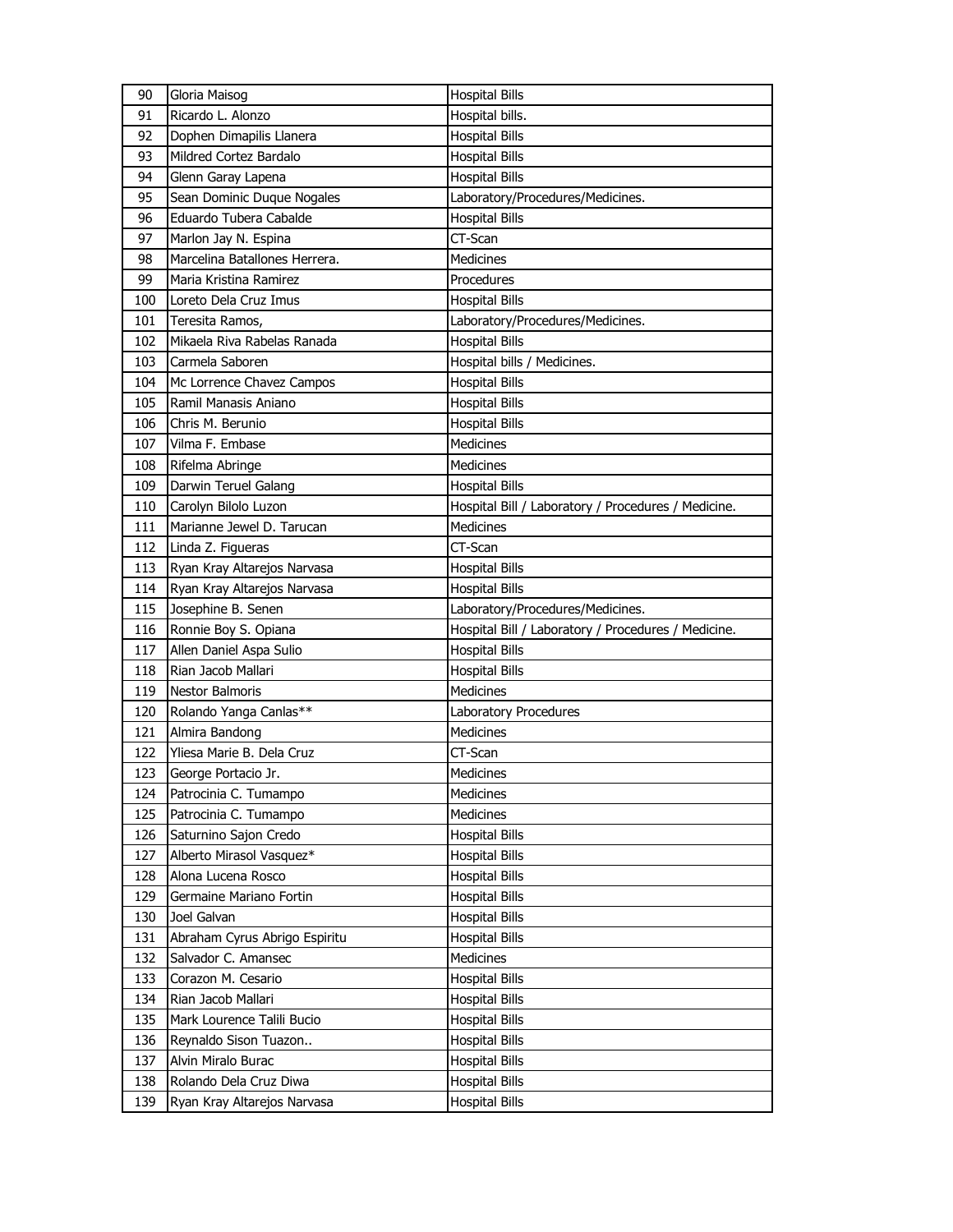| 90  | Gloria Maisog                 | <b>Hospital Bills</b>                               |
|-----|-------------------------------|-----------------------------------------------------|
| 91  | Ricardo L. Alonzo             | Hospital bills.                                     |
| 92  | Dophen Dimapilis Llanera      | <b>Hospital Bills</b>                               |
| 93  | Mildred Cortez Bardalo        | <b>Hospital Bills</b>                               |
| 94  | Glenn Garay Lapena            | <b>Hospital Bills</b>                               |
| 95  | Sean Dominic Duque Nogales    | Laboratory/Procedures/Medicines.                    |
| 96  | Eduardo Tubera Cabalde        | <b>Hospital Bills</b>                               |
| 97  | Marlon Jay N. Espina          | CT-Scan                                             |
| 98  | Marcelina Batallones Herrera. | <b>Medicines</b>                                    |
| 99  | Maria Kristina Ramirez        | Procedures                                          |
| 100 | Loreto Dela Cruz Imus         | <b>Hospital Bills</b>                               |
| 101 | Teresita Ramos,               | Laboratory/Procedures/Medicines.                    |
| 102 | Mikaela Riva Rabelas Ranada   | <b>Hospital Bills</b>                               |
| 103 | Carmela Saboren               | Hospital bills / Medicines.                         |
| 104 | Mc Lorrence Chavez Campos     | <b>Hospital Bills</b>                               |
| 105 | Ramil Manasis Aniano          | <b>Hospital Bills</b>                               |
| 106 | Chris M. Berunio              | <b>Hospital Bills</b>                               |
| 107 | Vilma F. Embase               | <b>Medicines</b>                                    |
| 108 | Rifelma Abringe               | <b>Medicines</b>                                    |
| 109 | Darwin Teruel Galang          | <b>Hospital Bills</b>                               |
| 110 | Carolyn Bilolo Luzon          | Hospital Bill / Laboratory / Procedures / Medicine. |
| 111 | Marianne Jewel D. Tarucan     | <b>Medicines</b>                                    |
| 112 | Linda Z. Figueras             | CT-Scan                                             |
| 113 | Ryan Kray Altarejos Narvasa   | <b>Hospital Bills</b>                               |
| 114 | Ryan Kray Altarejos Narvasa   | <b>Hospital Bills</b>                               |
|     |                               |                                                     |
| 115 | Josephine B. Senen            | Laboratory/Procedures/Medicines.                    |
| 116 | Ronnie Boy S. Opiana          | Hospital Bill / Laboratory / Procedures / Medicine. |
| 117 | Allen Daniel Aspa Sulio       | <b>Hospital Bills</b>                               |
| 118 | Rian Jacob Mallari            | <b>Hospital Bills</b>                               |
| 119 | <b>Nestor Balmoris</b>        | <b>Medicines</b>                                    |
| 120 | Rolando Yanga Canlas**        | Laboratory Procedures                               |
| 121 | Almira Bandong                | <b>Medicines</b>                                    |
| 122 | Yliesa Marie B. Dela Cruz     | CT-Scan                                             |
| 123 | George Portacio Jr.           | Medicines                                           |
| 124 | Patrocinia C. Tumampo         | Medicines                                           |
| 125 | Patrocinia C. Tumampo         | <b>Medicines</b>                                    |
| 126 | Saturnino Sajon Credo         | <b>Hospital Bills</b>                               |
| 127 | Alberto Mirasol Vasquez*      | <b>Hospital Bills</b>                               |
| 128 | Alona Lucena Rosco            | <b>Hospital Bills</b>                               |
| 129 | Germaine Mariano Fortin       | <b>Hospital Bills</b>                               |
| 130 | Joel Galvan                   | Hospital Bills                                      |
| 131 | Abraham Cyrus Abrigo Espiritu | <b>Hospital Bills</b>                               |
| 132 | Salvador C. Amansec           | Medicines                                           |
| 133 | Corazon M. Cesario            | <b>Hospital Bills</b>                               |
| 134 | Rian Jacob Mallari            | <b>Hospital Bills</b>                               |
| 135 | Mark Lourence Talili Bucio    | Hospital Bills                                      |
| 136 | Reynaldo Sison Tuazon         | <b>Hospital Bills</b>                               |
| 137 | Alvin Miralo Burac            | <b>Hospital Bills</b>                               |
| 138 | Rolando Dela Cruz Diwa        | Hospital Bills                                      |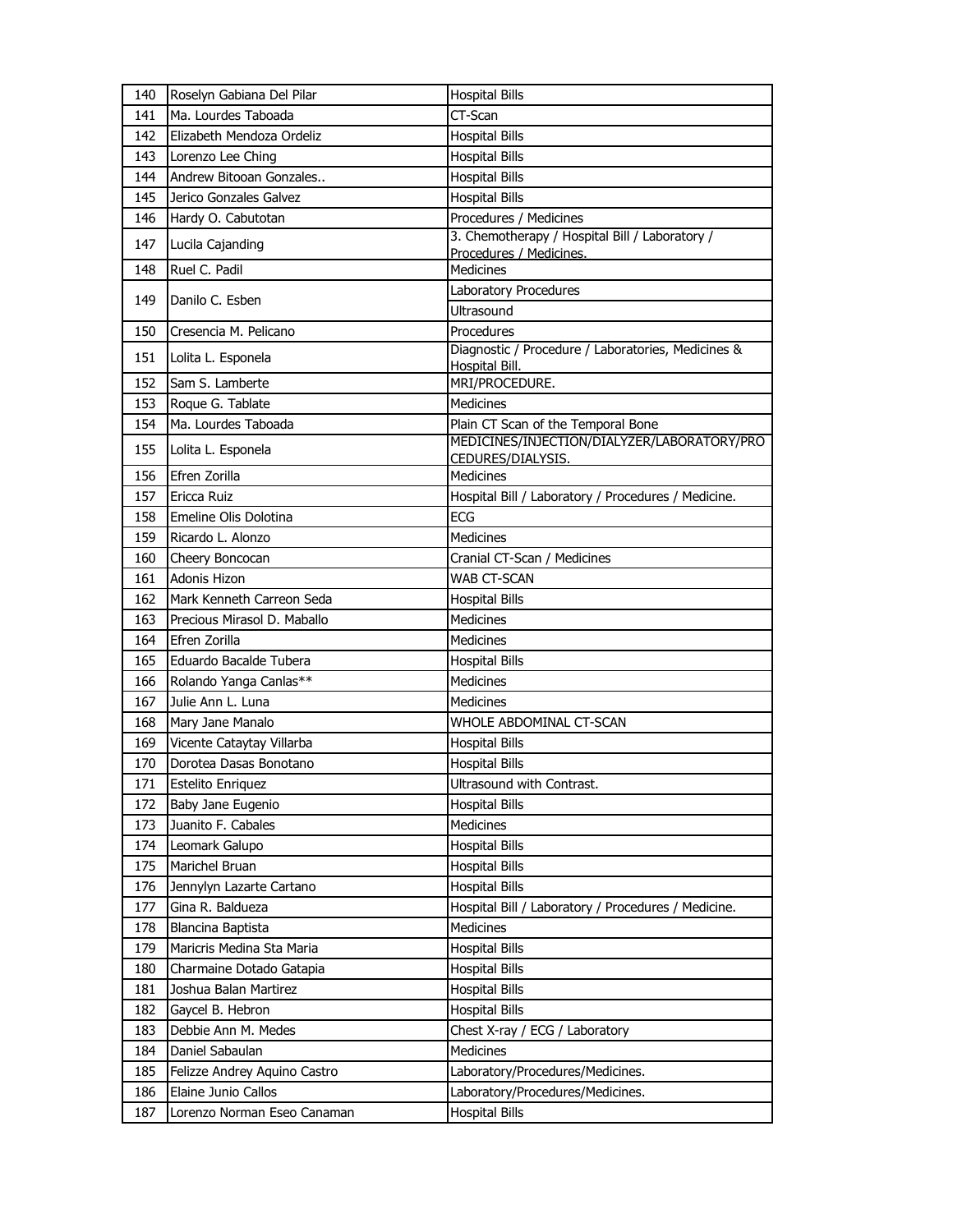| 140 | Roselyn Gabiana Del Pilar    | <b>Hospital Bills</b>                                            |
|-----|------------------------------|------------------------------------------------------------------|
| 141 | Ma. Lourdes Taboada          | CT-Scan                                                          |
| 142 | Elizabeth Mendoza Ordeliz    | <b>Hospital Bills</b>                                            |
| 143 | Lorenzo Lee Ching            | <b>Hospital Bills</b>                                            |
| 144 | Andrew Bitooan Gonzales      | <b>Hospital Bills</b>                                            |
| 145 | Jerico Gonzales Galvez       | <b>Hospital Bills</b>                                            |
| 146 | Hardy O. Cabutotan           | Procedures / Medicines                                           |
| 147 | Lucila Cajanding             | 3. Chemotherapy / Hospital Bill / Laboratory /                   |
|     |                              | Procedures / Medicines.<br><b>Medicines</b>                      |
| 148 | Ruel C. Padil                |                                                                  |
| 149 | Danilo C. Esben              | Laboratory Procedures                                            |
|     |                              | Ultrasound                                                       |
| 150 | Cresencia M. Pelicano        | Procedures<br>Diagnostic / Procedure / Laboratories, Medicines & |
| 151 | Lolita L. Esponela           | Hospital Bill.                                                   |
| 152 | Sam S. Lamberte              | MRI/PROCEDURE.                                                   |
| 153 | Roque G. Tablate             | <b>Medicines</b>                                                 |
| 154 | Ma. Lourdes Taboada          | Plain CT Scan of the Temporal Bone                               |
| 155 | Lolita L. Esponela           | MEDICINES/INJECTION/DIALYZER/LABORATORY/PRO                      |
|     |                              | CEDURES/DIALYSIS.                                                |
| 156 | Efren Zorilla                | <b>Medicines</b>                                                 |
| 157 | Ericca Ruiz                  | Hospital Bill / Laboratory / Procedures / Medicine.              |
| 158 | Emeline Olis Dolotina        | <b>ECG</b>                                                       |
| 159 | Ricardo L. Alonzo            | Medicines                                                        |
| 160 | Cheery Boncocan              | Cranial CT-Scan / Medicines                                      |
| 161 | Adonis Hizon                 | WAB CT-SCAN                                                      |
| 162 | Mark Kenneth Carreon Seda    | <b>Hospital Bills</b>                                            |
| 163 | Precious Mirasol D. Maballo  | <b>Medicines</b>                                                 |
| 164 | Efren Zorilla                | Medicines                                                        |
| 165 | Eduardo Bacalde Tubera       | <b>Hospital Bills</b>                                            |
| 166 | Rolando Yanga Canlas**       | Medicines                                                        |
| 167 | Julie Ann L. Luna            | <b>Medicines</b>                                                 |
| 168 | Mary Jane Manalo             | WHOLE ABDOMINAL CT-SCAN                                          |
| 169 | Vicente Cataytay Villarba    | <b>Hospital Bills</b>                                            |
| 170 | Dorotea Dasas Bonotano       | <b>Hospital Bills</b>                                            |
| 171 | Estelito Enriquez            | Ultrasound with Contrast.                                        |
| 172 | Baby Jane Eugenio            | <b>Hospital Bills</b>                                            |
| 173 | Juanito F. Cabales           | <b>Medicines</b>                                                 |
| 174 | Leomark Galupo               | <b>Hospital Bills</b>                                            |
| 175 | Marichel Bruan               | <b>Hospital Bills</b>                                            |
| 176 | Jennylyn Lazarte Cartano     | <b>Hospital Bills</b>                                            |
| 177 | Gina R. Baldueza             | Hospital Bill / Laboratory / Procedures / Medicine.              |
| 178 | Blancina Baptista            | Medicines                                                        |
| 179 | Maricris Medina Sta Maria    | <b>Hospital Bills</b>                                            |
| 180 | Charmaine Dotado Gatapia     | <b>Hospital Bills</b>                                            |
| 181 | Joshua Balan Martirez        | <b>Hospital Bills</b>                                            |
| 182 | Gaycel B. Hebron             | <b>Hospital Bills</b>                                            |
| 183 | Debbie Ann M. Medes          | Chest X-ray / ECG / Laboratory                                   |
| 184 | Daniel Sabaulan              | <b>Medicines</b>                                                 |
| 185 | Felizze Andrey Aquino Castro | Laboratory/Procedures/Medicines.                                 |
| 186 | Elaine Junio Callos          | Laboratory/Procedures/Medicines.                                 |
| 187 | Lorenzo Norman Eseo Canaman  | <b>Hospital Bills</b>                                            |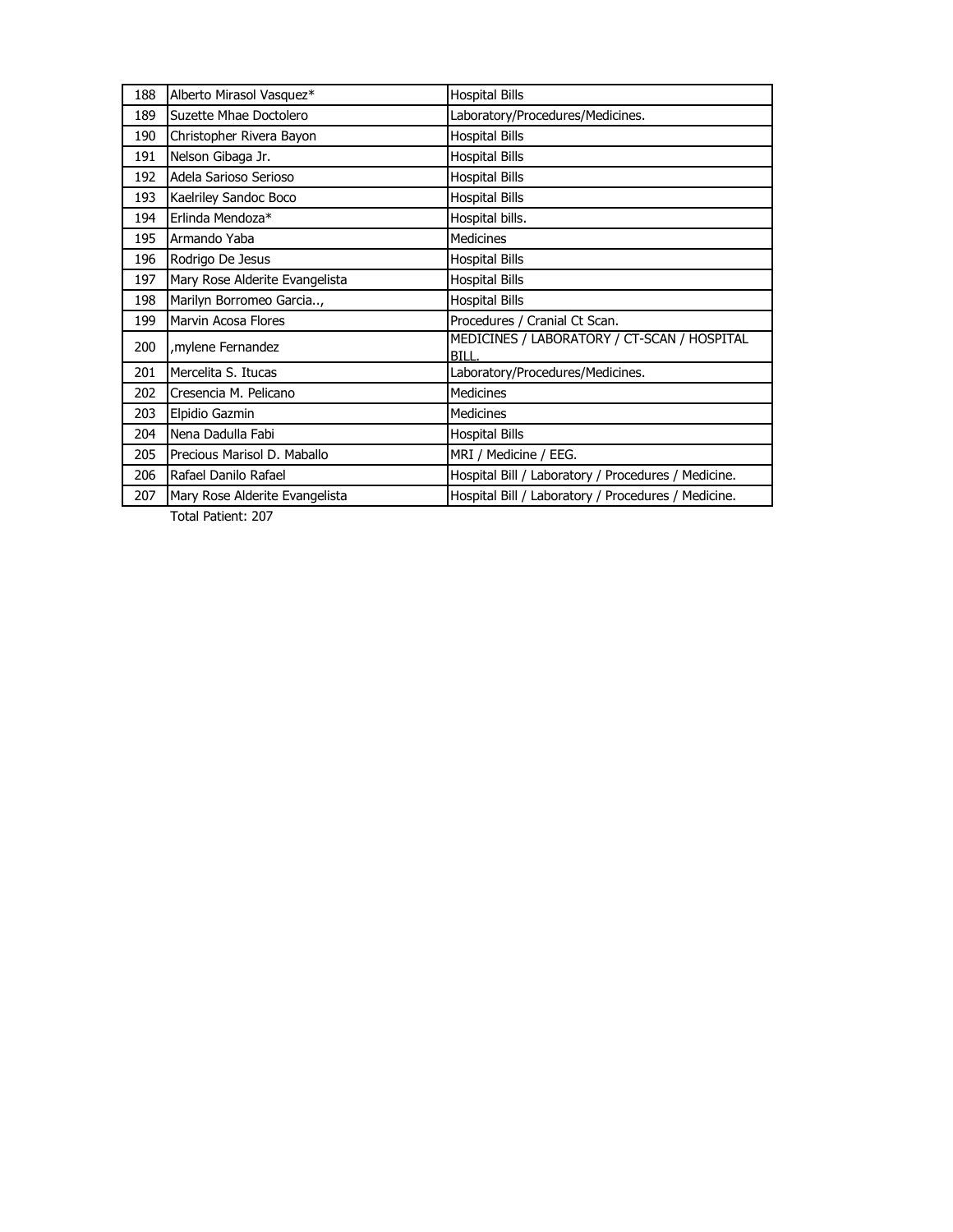| 188 | Alberto Mirasol Vasquez*       | <b>Hospital Bills</b>                                |
|-----|--------------------------------|------------------------------------------------------|
| 189 | Suzette Mhae Doctolero         | Laboratory/Procedures/Medicines.                     |
| 190 | Christopher Rivera Bayon       | <b>Hospital Bills</b>                                |
| 191 | Nelson Gibaga Jr.              | <b>Hospital Bills</b>                                |
| 192 | Adela Sarioso Serioso          | <b>Hospital Bills</b>                                |
| 193 | Kaelriley Sandoc Boco          | <b>Hospital Bills</b>                                |
| 194 | Erlinda Mendoza*               | Hospital bills.                                      |
| 195 | Armando Yaba                   | <b>Medicines</b>                                     |
| 196 | Rodrigo De Jesus               | <b>Hospital Bills</b>                                |
| 197 | Mary Rose Alderite Evangelista | <b>Hospital Bills</b>                                |
| 198 | Marilyn Borromeo Garcia,       | <b>Hospital Bills</b>                                |
| 199 | Marvin Acosa Flores            | Procedures / Cranial Ct Scan.                        |
| 200 | mylene Fernandez,              | MEDICINES / LABORATORY / CT-SCAN / HOSPITAL<br>BILL. |
| 201 | Mercelita S. Itucas            | Laboratory/Procedures/Medicines.                     |
| 202 | Cresencia M. Pelicano          | <b>Medicines</b>                                     |
| 203 | Elpidio Gazmin                 | <b>Medicines</b>                                     |
| 204 | Nena Dadulla Fabi              | <b>Hospital Bills</b>                                |
| 205 | Precious Marisol D. Maballo    | MRI / Medicine / EEG.                                |
| 206 | Rafael Danilo Rafael           | Hospital Bill / Laboratory / Procedures / Medicine.  |
| 207 | Mary Rose Alderite Evangelista | Hospital Bill / Laboratory / Procedures / Medicine.  |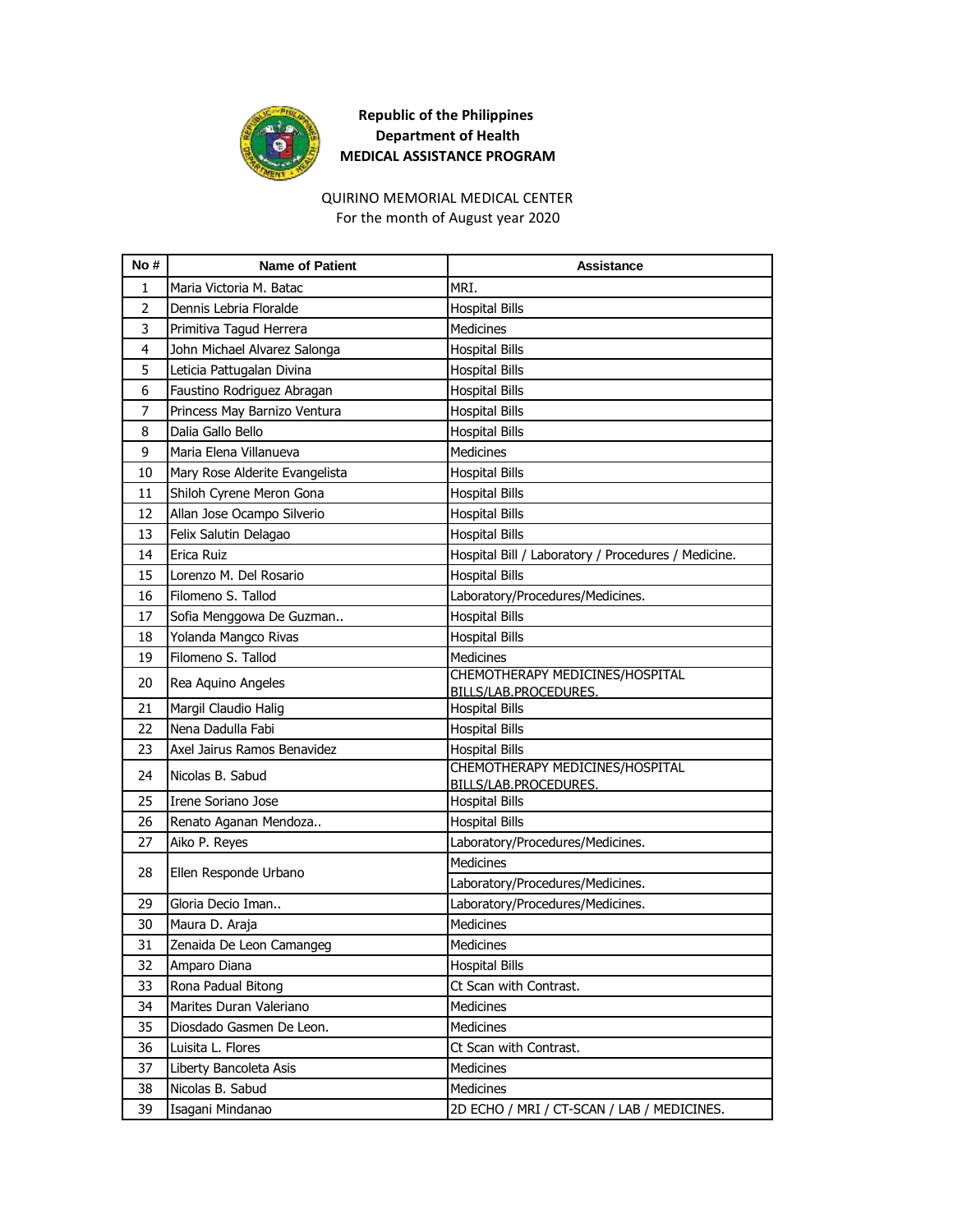

## **Republic of the Philippines Department of Health MEDICAL ASSISTANCE PROGRAM**

### QUIRINO MEMORIAL MEDICAL CENTER

For the month of August year 2020

| No#            | <b>Name of Patient</b>         | Assistance                                               |
|----------------|--------------------------------|----------------------------------------------------------|
| 1              | Maria Victoria M. Batac        | MRI.                                                     |
| $\overline{2}$ | Dennis Lebria Floralde         | <b>Hospital Bills</b>                                    |
| 3              | Primitiva Tagud Herrera        | <b>Medicines</b>                                         |
| 4              | John Michael Alvarez Salonga   | <b>Hospital Bills</b>                                    |
| 5              | Leticia Pattugalan Divina      | <b>Hospital Bills</b>                                    |
| 6              | Faustino Rodriguez Abragan     | <b>Hospital Bills</b>                                    |
| $\overline{7}$ | Princess May Barnizo Ventura   | <b>Hospital Bills</b>                                    |
| 8              | Dalia Gallo Bello              | <b>Hospital Bills</b>                                    |
| 9              | Maria Elena Villanueva         | Medicines                                                |
| 10             | Mary Rose Alderite Evangelista | <b>Hospital Bills</b>                                    |
| 11             | Shiloh Cyrene Meron Gona       | <b>Hospital Bills</b>                                    |
| 12             | Allan Jose Ocampo Silverio     | <b>Hospital Bills</b>                                    |
| 13             | Felix Salutin Delagao          | <b>Hospital Bills</b>                                    |
| 14             | Erica Ruiz                     | Hospital Bill / Laboratory / Procedures / Medicine.      |
| 15             | Lorenzo M. Del Rosario         | <b>Hospital Bills</b>                                    |
| 16             | Filomeno S. Tallod             | Laboratory/Procedures/Medicines.                         |
| 17             | Sofia Menggowa De Guzman       | <b>Hospital Bills</b>                                    |
| 18             | Yolanda Mangco Rivas           | <b>Hospital Bills</b>                                    |
| 19             | Filomeno S. Tallod             | Medicines                                                |
| 20             | Rea Aquino Angeles             | CHEMOTHERAPY MEDICINES/HOSPITAL<br>BILLS/LAB.PROCEDURES. |
| 21             | Margil Claudio Halig           | <b>Hospital Bills</b>                                    |
| 22             | Nena Dadulla Fabi              | <b>Hospital Bills</b>                                    |
| 23             | Axel Jairus Ramos Benavidez    | <b>Hospital Bills</b>                                    |
| 24             | Nicolas B. Sabud               | CHEMOTHERAPY MEDICINES/HOSPITAL<br>BILLS/LAB.PROCEDURES. |
| 25             | Irene Soriano Jose             | <b>Hospital Bills</b>                                    |
| 26             | Renato Aganan Mendoza          | <b>Hospital Bills</b>                                    |
| 27             | Aiko P. Reyes                  | Laboratory/Procedures/Medicines.                         |
|                |                                | <b>Medicines</b>                                         |
| 28             | Ellen Responde Urbano          | Laboratory/Procedures/Medicines.                         |
| 29             | Gloria Decio Iman              | Laboratory/Procedures/Medicines.                         |
| 30             | Maura D. Araja                 | <b>Medicines</b>                                         |
| 31             | Zenaida De Leon Camangeg       | <b>Medicines</b>                                         |
| 32             | Amparo Diana                   | <b>Hospital Bills</b>                                    |
| 33             | Rona Padual Bitong             | Ct Scan with Contrast.                                   |
| 34             | Marites Duran Valeriano        | Medicines                                                |
| 35             | Diosdado Gasmen De Leon.       | <b>Medicines</b>                                         |
| 36             | Luisita L. Flores              | Ct Scan with Contrast.                                   |
| 37             | Liberty Bancoleta Asis         | Medicines                                                |
| 38             | Nicolas B. Sabud               | Medicines                                                |
| 39             | Isagani Mindanao               | 2D ECHO / MRI / CT-SCAN / LAB / MEDICINES.               |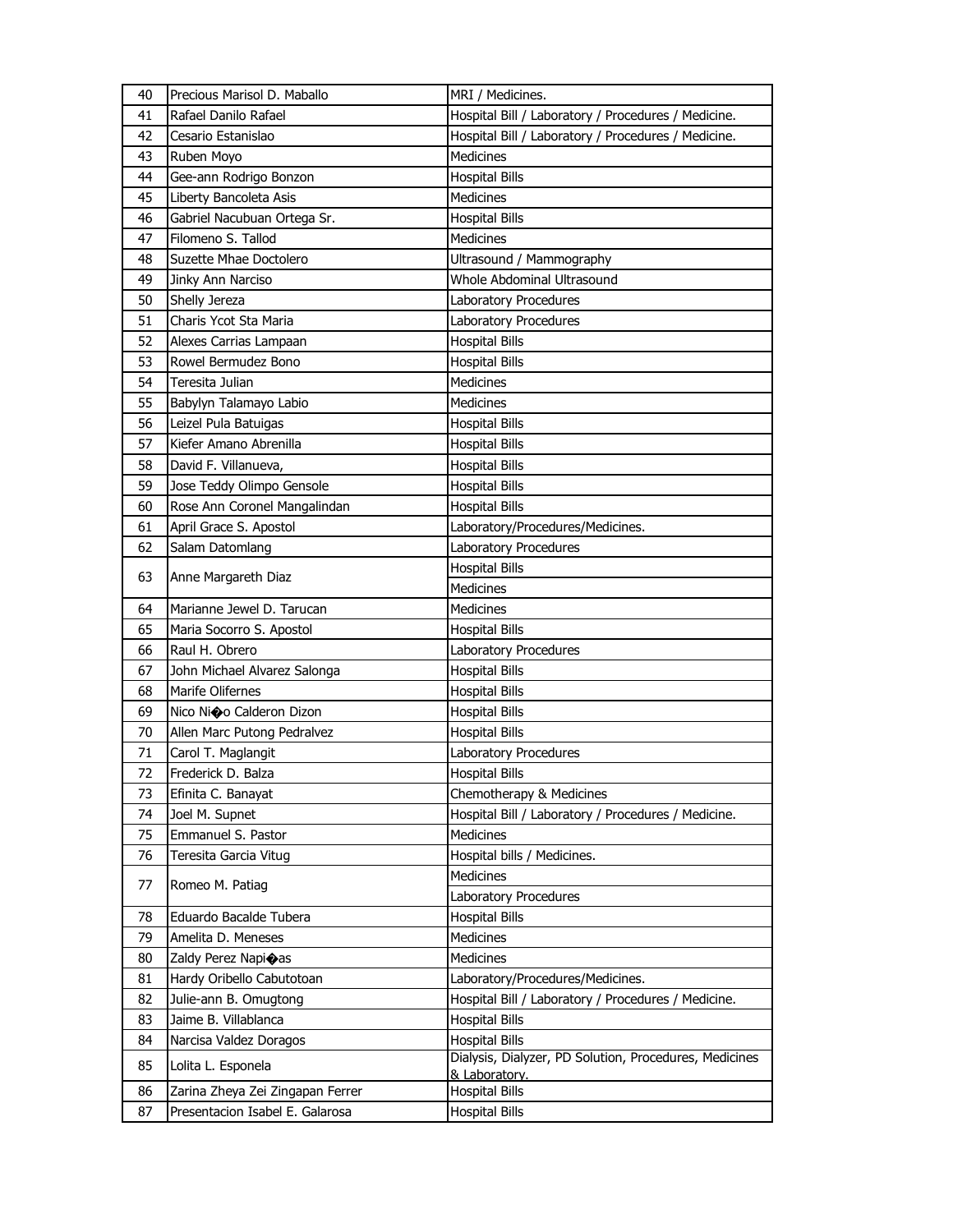| 40 | Precious Marisol D. Maballo      | MRI / Medicines.                                       |
|----|----------------------------------|--------------------------------------------------------|
| 41 | Rafael Danilo Rafael             | Hospital Bill / Laboratory / Procedures / Medicine.    |
| 42 | Cesario Estanislao               | Hospital Bill / Laboratory / Procedures / Medicine.    |
| 43 | Ruben Moyo                       | Medicines                                              |
| 44 | Gee-ann Rodrigo Bonzon           | <b>Hospital Bills</b>                                  |
| 45 | Liberty Bancoleta Asis           | <b>Medicines</b>                                       |
| 46 | Gabriel Nacubuan Ortega Sr.      | <b>Hospital Bills</b>                                  |
| 47 | Filomeno S. Tallod               | <b>Medicines</b>                                       |
| 48 | Suzette Mhae Doctolero           | Ultrasound / Mammography                               |
| 49 | Jinky Ann Narciso                | Whole Abdominal Ultrasound                             |
| 50 | Shelly Jereza                    | Laboratory Procedures                                  |
| 51 | Charis Ycot Sta Maria            | Laboratory Procedures                                  |
| 52 | Alexes Carrias Lampaan           | <b>Hospital Bills</b>                                  |
| 53 | Rowel Bermudez Bono              | <b>Hospital Bills</b>                                  |
| 54 | Teresita Julian                  | Medicines                                              |
| 55 | Babylyn Talamayo Labio           | Medicines                                              |
| 56 | Leizel Pula Batuigas             | Hospital Bills                                         |
| 57 | Kiefer Amano Abrenilla           | <b>Hospital Bills</b>                                  |
| 58 | David F. Villanueva,             | <b>Hospital Bills</b>                                  |
| 59 | Jose Teddy Olimpo Gensole        | <b>Hospital Bills</b>                                  |
| 60 | Rose Ann Coronel Mangalindan     | <b>Hospital Bills</b>                                  |
| 61 | April Grace S. Apostol           | Laboratory/Procedures/Medicines.                       |
| 62 | Salam Datomlang                  | Laboratory Procedures                                  |
|    |                                  | <b>Hospital Bills</b>                                  |
| 63 | Anne Margareth Diaz              | Medicines                                              |
| 64 | Marianne Jewel D. Tarucan        | Medicines                                              |
| 65 | Maria Socorro S. Apostol         | <b>Hospital Bills</b>                                  |
| 66 | Raul H. Obrero                   | Laboratory Procedures                                  |
| 67 | John Michael Alvarez Salonga     | <b>Hospital Bills</b>                                  |
| 68 | Marife Olifernes                 | <b>Hospital Bills</b>                                  |
| 69 | Nico Ni�o Calderon Dizon         | <b>Hospital Bills</b>                                  |
| 70 | Allen Marc Putong Pedralvez      | <b>Hospital Bills</b>                                  |
| 71 | Carol T. Maglangit               | Laboratory Procedures                                  |
| 72 | Frederick D. Balza               | <b>Hospital Bills</b>                                  |
| 73 | Efinita C. Banayat               | Chemotherapy & Medicines                               |
| 74 | Joel M. Supnet                   | Hospital Bill / Laboratory / Procedures / Medicine.    |
| 75 | Emmanuel S. Pastor               | Medicines                                              |
| 76 | Teresita Garcia Vitug            | Hospital bills / Medicines.                            |
|    |                                  | Medicines                                              |
| 77 | Romeo M. Patiag                  | Laboratory Procedures                                  |
| 78 | Eduardo Bacalde Tubera           | <b>Hospital Bills</b>                                  |
| 79 | Amelita D. Meneses               | Medicines                                              |
| 80 | Zaldy Perez Napioas              | Medicines                                              |
| 81 | Hardy Oribello Cabutotoan        | Laboratory/Procedures/Medicines.                       |
| 82 | Julie-ann B. Omugtong            | Hospital Bill / Laboratory / Procedures / Medicine.    |
| 83 | Jaime B. Villablanca             | <b>Hospital Bills</b>                                  |
| 84 | Narcisa Valdez Doragos           | <b>Hospital Bills</b>                                  |
|    |                                  | Dialysis, Dialyzer, PD Solution, Procedures, Medicines |
| 85 | Lolita L. Esponela               | & Laboratory.                                          |
| 86 | Zarina Zheya Zei Zingapan Ferrer | <b>Hospital Bills</b>                                  |
| 87 | Presentacion Isabel E. Galarosa  | <b>Hospital Bills</b>                                  |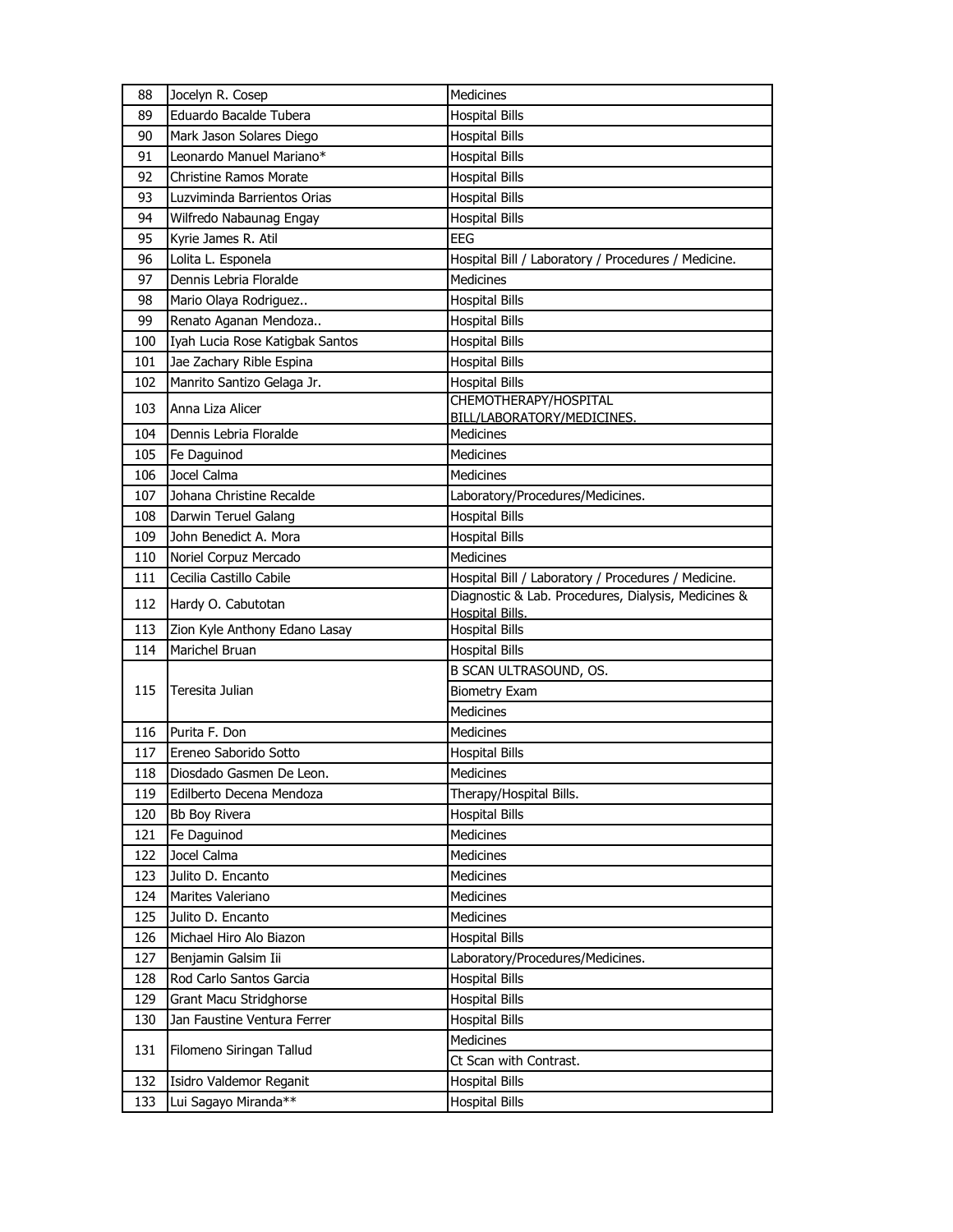| 88  | Jocelyn R. Cosep                | Medicines                                                                                                  |
|-----|---------------------------------|------------------------------------------------------------------------------------------------------------|
| 89  | Eduardo Bacalde Tubera          | <b>Hospital Bills</b>                                                                                      |
| 90  | Mark Jason Solares Diego        | <b>Hospital Bills</b>                                                                                      |
| 91  | Leonardo Manuel Mariano*        | <b>Hospital Bills</b>                                                                                      |
| 92  | <b>Christine Ramos Morate</b>   | <b>Hospital Bills</b>                                                                                      |
| 93  | Luzviminda Barrientos Orias     | <b>Hospital Bills</b>                                                                                      |
| 94  | Wilfredo Nabaunag Engay         | <b>Hospital Bills</b>                                                                                      |
| 95  | Kyrie James R. Atil             | <b>EEG</b>                                                                                                 |
| 96  | Lolita L. Esponela              | Hospital Bill / Laboratory / Procedures / Medicine.                                                        |
| 97  | Dennis Lebria Floralde          | <b>Medicines</b>                                                                                           |
| 98  | Mario Olaya Rodriguez           | <b>Hospital Bills</b>                                                                                      |
| 99  | Renato Aganan Mendoza           | <b>Hospital Bills</b>                                                                                      |
| 100 | Iyah Lucia Rose Katigbak Santos | <b>Hospital Bills</b>                                                                                      |
| 101 | Jae Zachary Rible Espina        | <b>Hospital Bills</b>                                                                                      |
| 102 | Manrito Santizo Gelaga Jr.      | <b>Hospital Bills</b>                                                                                      |
| 103 | Anna Liza Alicer                | CHEMOTHERAPY/HOSPITAL                                                                                      |
|     |                                 | BILL/LABORATORY/MEDICINES.                                                                                 |
| 104 | Dennis Lebria Floralde          | Medicines                                                                                                  |
| 105 | Fe Daguinod                     | Medicines                                                                                                  |
| 106 | Jocel Calma                     | Medicines                                                                                                  |
| 107 | Johana Christine Recalde        | Laboratory/Procedures/Medicines.                                                                           |
| 108 | Darwin Teruel Galang            | <b>Hospital Bills</b>                                                                                      |
| 109 | John Benedict A. Mora           | <b>Hospital Bills</b>                                                                                      |
| 110 | Noriel Corpuz Mercado           | <b>Medicines</b>                                                                                           |
| 111 | Cecilia Castillo Cabile         | Hospital Bill / Laboratory / Procedures / Medicine.<br>Diagnostic & Lab. Procedures, Dialysis, Medicines & |
| 112 | Hardy O. Cabutotan              | <b>Hospital Bills.</b>                                                                                     |
| 113 | Zion Kyle Anthony Edano Lasay   | <b>Hospital Bills</b>                                                                                      |
| 114 | Marichel Bruan                  | <b>Hospital Bills</b>                                                                                      |
|     |                                 | B SCAN ULTRASOUND, OS.                                                                                     |
| 115 | Teresita Julian                 | <b>Biometry Exam</b>                                                                                       |
|     |                                 | <b>Medicines</b>                                                                                           |
| 116 | Purita F. Don                   | Medicines                                                                                                  |
| 117 | Ereneo Saborido Sotto           | <b>Hospital Bills</b>                                                                                      |
| 118 | Diosdado Gasmen De Leon.        | Medicines                                                                                                  |
| 119 | Edilberto Decena Mendoza        | Therapy/Hospital Bills.                                                                                    |
| 120 | Bb Boy Rivera                   | <b>Hospital Bills</b>                                                                                      |
| 121 | Fe Daguinod                     | Medicines                                                                                                  |
| 122 | Jocel Calma                     | Medicines                                                                                                  |
| 123 | Julito D. Encanto               | Medicines                                                                                                  |
| 124 | Marites Valeriano               | Medicines                                                                                                  |
| 125 | Julito D. Encanto               | <b>Medicines</b>                                                                                           |
| 126 | Michael Hiro Alo Biazon         | <b>Hospital Bills</b>                                                                                      |
| 127 | Benjamin Galsim Iii             | Laboratory/Procedures/Medicines.                                                                           |
| 128 | Rod Carlo Santos Garcia         | <b>Hospital Bills</b>                                                                                      |
| 129 | Grant Macu Stridghorse          | <b>Hospital Bills</b>                                                                                      |
| 130 | Jan Faustine Ventura Ferrer     | <b>Hospital Bills</b>                                                                                      |
| 131 | Filomeno Siringan Tallud        | Medicines                                                                                                  |
|     |                                 | Ct Scan with Contrast.                                                                                     |
| 132 | Isidro Valdemor Reganit         | <b>Hospital Bills</b>                                                                                      |
| 133 | Lui Sagayo Miranda**            | <b>Hospital Bills</b>                                                                                      |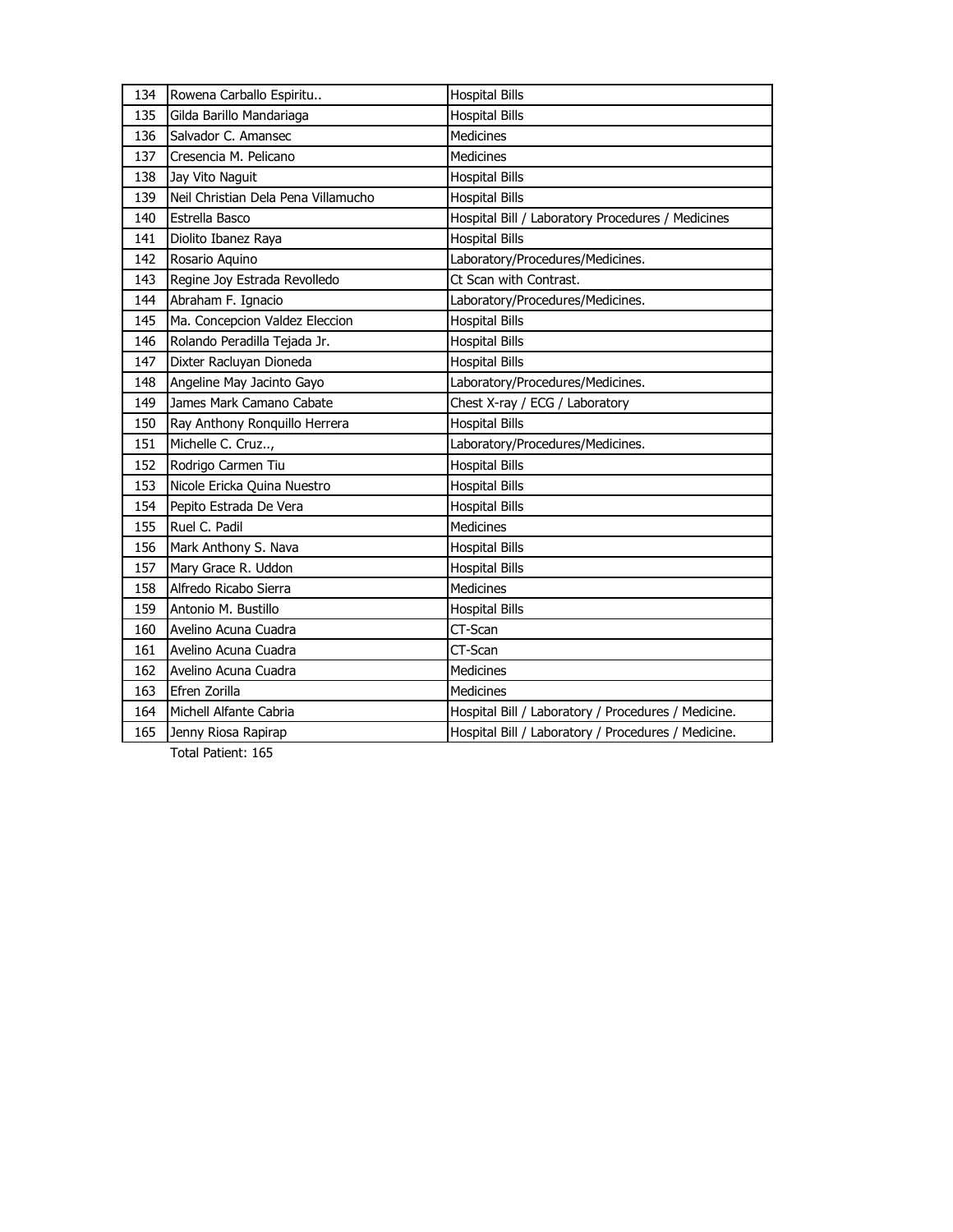| 134 | Rowena Carballo Espiritu            | <b>Hospital Bills</b>                               |
|-----|-------------------------------------|-----------------------------------------------------|
| 135 | Gilda Barillo Mandariaga            | <b>Hospital Bills</b>                               |
| 136 | Salvador C. Amansec                 | <b>Medicines</b>                                    |
| 137 | Cresencia M. Pelicano               | <b>Medicines</b>                                    |
| 138 | Jay Vito Naguit                     | <b>Hospital Bills</b>                               |
| 139 | Neil Christian Dela Pena Villamucho | <b>Hospital Bills</b>                               |
| 140 | Estrella Basco                      | Hospital Bill / Laboratory Procedures / Medicines   |
| 141 | Diolito Ibanez Raya                 | <b>Hospital Bills</b>                               |
| 142 | Rosario Aquino                      | Laboratory/Procedures/Medicines.                    |
| 143 | Regine Joy Estrada Revolledo        | Ct Scan with Contrast.                              |
| 144 | Abraham F. Ignacio                  | Laboratory/Procedures/Medicines.                    |
| 145 | Ma. Concepcion Valdez Eleccion      | <b>Hospital Bills</b>                               |
| 146 | Rolando Peradilla Tejada Jr.        | <b>Hospital Bills</b>                               |
| 147 | Dixter Racluyan Dioneda             | <b>Hospital Bills</b>                               |
| 148 | Angeline May Jacinto Gayo           | Laboratory/Procedures/Medicines.                    |
| 149 | James Mark Camano Cabate            | Chest X-ray / ECG / Laboratory                      |
| 150 | Ray Anthony Ronquillo Herrera       | <b>Hospital Bills</b>                               |
| 151 | Michelle C. Cruz,                   | Laboratory/Procedures/Medicines.                    |
| 152 | Rodrigo Carmen Tiu                  | <b>Hospital Bills</b>                               |
| 153 | Nicole Ericka Quina Nuestro         | <b>Hospital Bills</b>                               |
| 154 | Pepito Estrada De Vera              | <b>Hospital Bills</b>                               |
| 155 | Ruel C. Padil                       | <b>Medicines</b>                                    |
| 156 | Mark Anthony S. Nava                | <b>Hospital Bills</b>                               |
| 157 | Mary Grace R. Uddon                 | <b>Hospital Bills</b>                               |
| 158 | Alfredo Ricabo Sierra               | <b>Medicines</b>                                    |
| 159 | Antonio M. Bustillo                 | <b>Hospital Bills</b>                               |
| 160 | Avelino Acuna Cuadra                | CT-Scan                                             |
| 161 | Avelino Acuna Cuadra                | CT-Scan                                             |
| 162 | Avelino Acuna Cuadra                | <b>Medicines</b>                                    |
| 163 | Efren Zorilla                       | Medicines                                           |
| 164 | Michell Alfante Cabria              | Hospital Bill / Laboratory / Procedures / Medicine. |
| 165 | Jenny Riosa Rapirap                 | Hospital Bill / Laboratory / Procedures / Medicine. |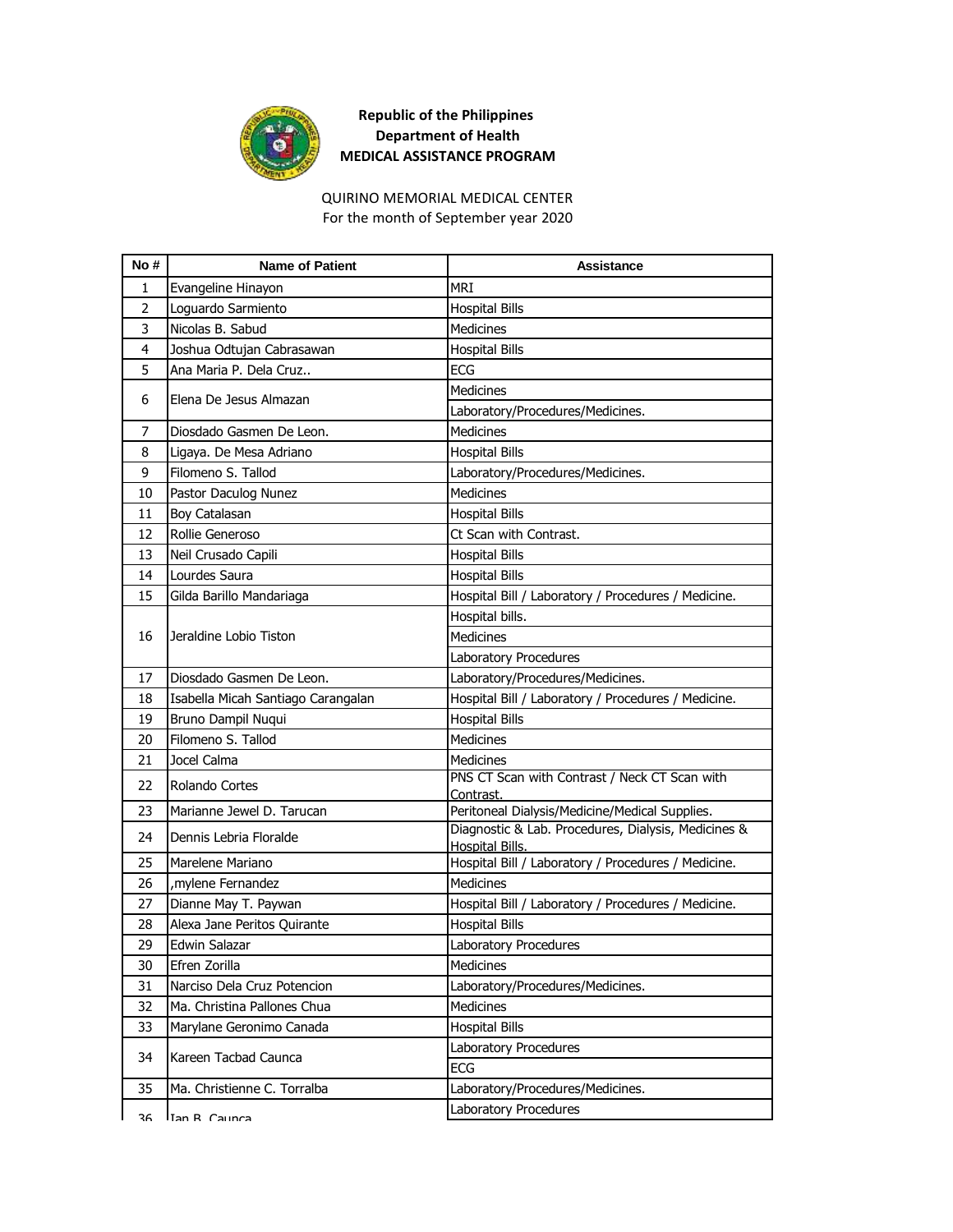

## **Republic of the Philippines Department of Health MEDICAL ASSISTANCE PROGRAM**

#### QUIRINO MEMORIAL MEDICAL CENTER For the month of September year 2020

| No #           | <b>Name of Patient</b>             | <b>Assistance</b>                                                             |
|----------------|------------------------------------|-------------------------------------------------------------------------------|
| 1              | Evangeline Hinayon                 | <b>MRI</b>                                                                    |
| $\overline{2}$ | Loguardo Sarmiento                 | <b>Hospital Bills</b>                                                         |
| 3              | Nicolas B. Sabud                   | <b>Medicines</b>                                                              |
| 4              | Joshua Odtujan Cabrasawan          | <b>Hospital Bills</b>                                                         |
| 5              | Ana Maria P. Dela Cruz             | <b>ECG</b>                                                                    |
| 6              | Elena De Jesus Almazan             | <b>Medicines</b>                                                              |
|                |                                    | Laboratory/Procedures/Medicines.                                              |
| 7              | Diosdado Gasmen De Leon.           | Medicines                                                                     |
| 8              | Ligaya. De Mesa Adriano            | <b>Hospital Bills</b>                                                         |
| 9              | Filomeno S. Tallod                 | Laboratory/Procedures/Medicines.                                              |
| 10             | Pastor Daculog Nunez               | Medicines                                                                     |
| 11             | Boy Catalasan                      | <b>Hospital Bills</b>                                                         |
| 12             | Rollie Generoso                    | Ct Scan with Contrast.                                                        |
| 13             | Neil Crusado Capili                | <b>Hospital Bills</b>                                                         |
| 14             | Lourdes Saura                      | <b>Hospital Bills</b>                                                         |
| 15             | Gilda Barillo Mandariaga           | Hospital Bill / Laboratory / Procedures / Medicine.                           |
|                |                                    | Hospital bills.                                                               |
| 16             | Jeraldine Lobio Tiston             | <b>Medicines</b>                                                              |
|                |                                    | Laboratory Procedures                                                         |
| 17             | Diosdado Gasmen De Leon.           | Laboratory/Procedures/Medicines.                                              |
| 18             | Isabella Micah Santiago Carangalan | Hospital Bill / Laboratory / Procedures / Medicine.                           |
| 19             | Bruno Dampil Nuqui                 | <b>Hospital Bills</b>                                                         |
| 20             | Filomeno S. Tallod                 | <b>Medicines</b>                                                              |
| 21             | Jocel Calma                        | <b>Medicines</b>                                                              |
| 22             | Rolando Cortes                     | PNS CT Scan with Contrast / Neck CT Scan with<br>Contrast.                    |
| 23             | Marianne Jewel D. Tarucan          | Peritoneal Dialysis/Medicine/Medical Supplies.                                |
| 24             | Dennis Lebria Floralde             | Diagnostic & Lab. Procedures, Dialysis, Medicines &<br><b>Hospital Bills.</b> |
| 25             | Marelene Mariano                   | Hospital Bill / Laboratory / Procedures / Medicine.                           |
| 26             | mylene Fernandez,                  | <b>Medicines</b>                                                              |
| 27             | Dianne May T. Paywan               | Hospital Bill / Laboratory / Procedures / Medicine.                           |
| 28             | Alexa Jane Peritos Quirante        | <b>Hospital Bills</b>                                                         |
| 29             | Edwin Salazar                      | Laboratory Procedures                                                         |
| 30             | Efren Zorilla                      | Medicines                                                                     |
| 31             | Narciso Dela Cruz Potencion        | Laboratory/Procedures/Medicines.                                              |
| 32             | Ma. Christina Pallones Chua        | Medicines                                                                     |
| 33             | Marylane Geronimo Canada           | <b>Hospital Bills</b>                                                         |
|                |                                    | Laboratory Procedures                                                         |
| 34             | Kareen Tacbad Caunca               | <b>ECG</b>                                                                    |
| 35             | Ma. Christienne C. Torralba        | Laboratory/Procedures/Medicines.                                              |
| 36             | Tan R Caunca                       | Laboratory Procedures                                                         |
|                |                                    |                                                                               |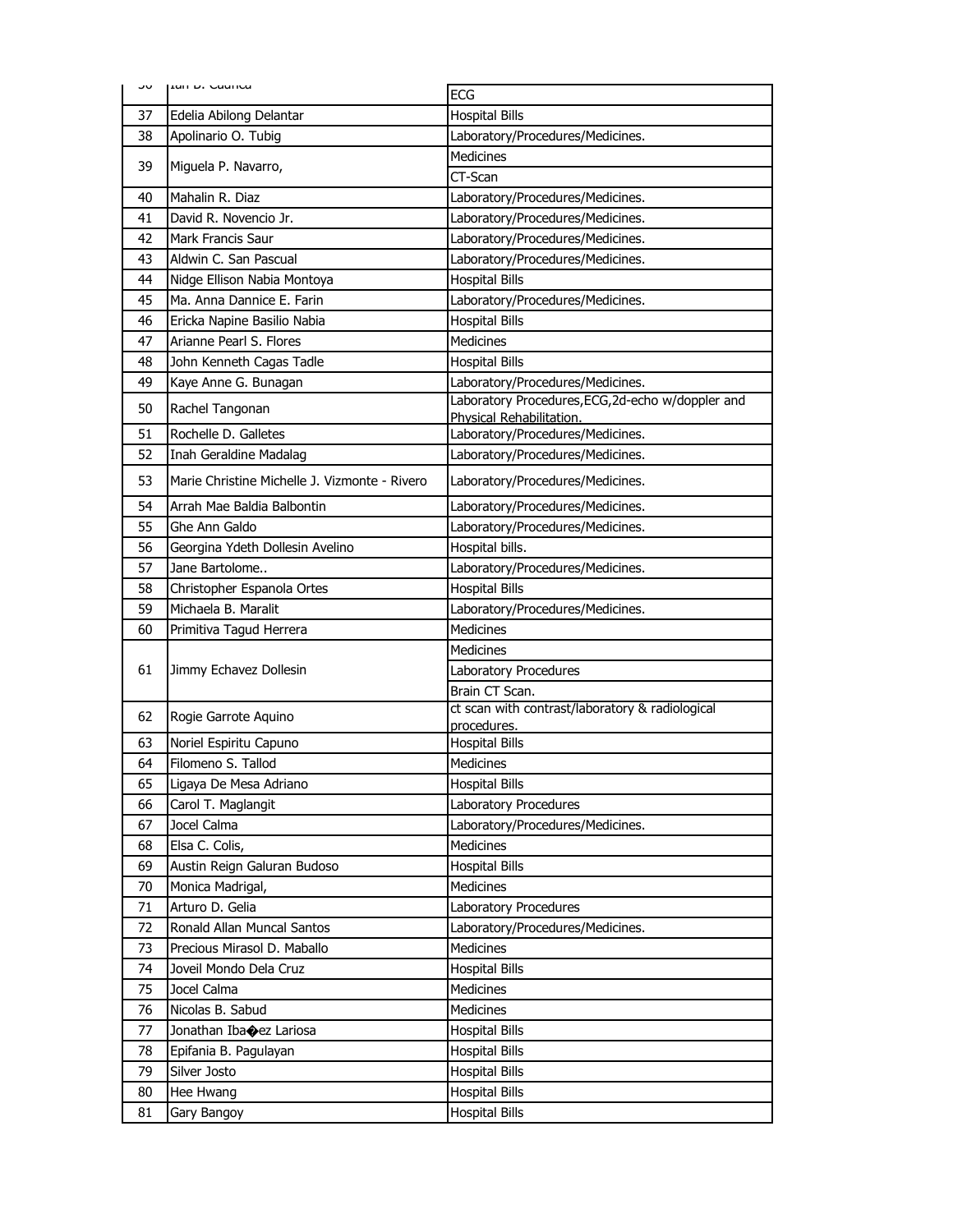| ںر | Lan D. Caunca                                 | <b>ECG</b>                                                                    |
|----|-----------------------------------------------|-------------------------------------------------------------------------------|
| 37 | Edelia Abilong Delantar                       | <b>Hospital Bills</b>                                                         |
| 38 | Apolinario O. Tubig                           | Laboratory/Procedures/Medicines.                                              |
| 39 |                                               | <b>Medicines</b>                                                              |
|    | Miguela P. Navarro,                           | CT-Scan                                                                       |
| 40 | Mahalin R. Diaz                               | Laboratory/Procedures/Medicines.                                              |
| 41 | David R. Novencio Jr.                         | Laboratory/Procedures/Medicines.                                              |
| 42 | Mark Francis Saur                             | Laboratory/Procedures/Medicines.                                              |
| 43 | Aldwin C. San Pascual                         | Laboratory/Procedures/Medicines.                                              |
| 44 | Nidge Ellison Nabia Montoya                   | <b>Hospital Bills</b>                                                         |
| 45 | Ma. Anna Dannice E. Farin                     | Laboratory/Procedures/Medicines.                                              |
| 46 | Ericka Napine Basilio Nabia                   | <b>Hospital Bills</b>                                                         |
| 47 | Arianne Pearl S. Flores                       | Medicines                                                                     |
| 48 | John Kenneth Cagas Tadle                      | <b>Hospital Bills</b>                                                         |
| 49 | Kaye Anne G. Bunagan                          | Laboratory/Procedures/Medicines.                                              |
| 50 | Rachel Tangonan                               | Laboratory Procedures, ECG, 2d-echo w/doppler and<br>Physical Rehabilitation. |
| 51 | Rochelle D. Galletes                          | Laboratory/Procedures/Medicines.                                              |
| 52 | Inah Geraldine Madalag                        | Laboratory/Procedures/Medicines.                                              |
| 53 | Marie Christine Michelle J. Vizmonte - Rivero | Laboratory/Procedures/Medicines.                                              |
| 54 | Arrah Mae Baldia Balbontin                    | Laboratory/Procedures/Medicines.                                              |
| 55 | Ghe Ann Galdo                                 | Laboratory/Procedures/Medicines.                                              |
| 56 | Georgina Ydeth Dollesin Avelino               | Hospital bills.                                                               |
| 57 | Jane Bartolome                                | Laboratory/Procedures/Medicines.                                              |
| 58 | Christopher Espanola Ortes                    | <b>Hospital Bills</b>                                                         |
| 59 | Michaela B. Maralit                           | Laboratory/Procedures/Medicines.                                              |
| 60 | Primitiva Tagud Herrera                       | Medicines                                                                     |
|    |                                               | Medicines                                                                     |
| 61 | Jimmy Echavez Dollesin                        | Laboratory Procedures                                                         |
|    |                                               | Brain CT Scan.                                                                |
| 62 | Rogie Garrote Aquino                          | ct scan with contrast/laboratory & radiological                               |
| 63 | Noriel Espiritu Capuno                        | procedures.<br><b>Hospital Bills</b>                                          |
| 64 | Filomeno S. Tallod                            | <b>Medicines</b>                                                              |
| 65 | Ligaya De Mesa Adriano                        | <b>Hospital Bills</b>                                                         |
| 66 | Carol T. Maglangit                            | Laboratory Procedures                                                         |
| 67 | Jocel Calma                                   | Laboratory/Procedures/Medicines.                                              |
| 68 | Elsa C. Colis,                                | Medicines                                                                     |
| 69 | Austin Reign Galuran Budoso                   | <b>Hospital Bills</b>                                                         |
| 70 | Monica Madrigal,                              | Medicines                                                                     |
| 71 | Arturo D. Gelia                               | Laboratory Procedures                                                         |
| 72 | Ronald Allan Muncal Santos                    | Laboratory/Procedures/Medicines.                                              |
| 73 | Precious Mirasol D. Maballo                   | Medicines                                                                     |
| 74 | Joveil Mondo Dela Cruz                        | <b>Hospital Bills</b>                                                         |
| 75 | Jocel Calma                                   | Medicines                                                                     |
| 76 | Nicolas B. Sabud                              | Medicines                                                                     |
| 77 | Jonathan Ibacez Lariosa                       | <b>Hospital Bills</b>                                                         |
| 78 | Epifania B. Pagulayan                         | <b>Hospital Bills</b>                                                         |
| 79 | Silver Josto                                  | <b>Hospital Bills</b>                                                         |
| 80 | Hee Hwang                                     | <b>Hospital Bills</b>                                                         |
| 81 | Gary Bangoy                                   | <b>Hospital Bills</b>                                                         |
|    |                                               |                                                                               |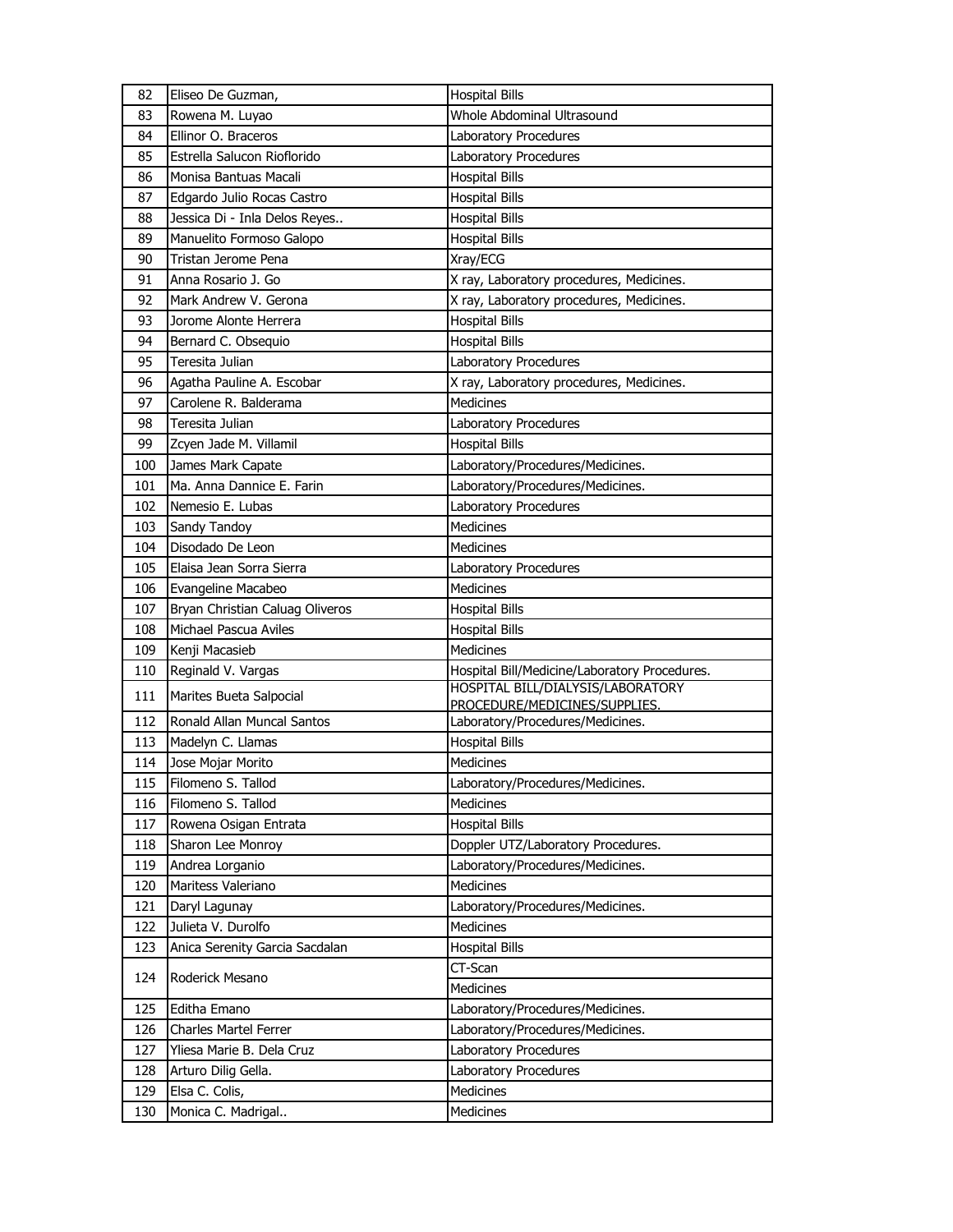| 82  | Eliseo De Guzman,               | <b>Hospital Bills</b>                         |
|-----|---------------------------------|-----------------------------------------------|
| 83  | Rowena M. Luyao                 | Whole Abdominal Ultrasound                    |
| 84  | Ellinor O. Braceros             | Laboratory Procedures                         |
| 85  | Estrella Salucon Rioflorido     | Laboratory Procedures                         |
| 86  | Monisa Bantuas Macali           | <b>Hospital Bills</b>                         |
| 87  | Edgardo Julio Rocas Castro      | <b>Hospital Bills</b>                         |
| 88  | Jessica Di - Inla Delos Reyes   | <b>Hospital Bills</b>                         |
| 89  | Manuelito Formoso Galopo        | <b>Hospital Bills</b>                         |
| 90  | Tristan Jerome Pena             | Xray/ECG                                      |
| 91  | Anna Rosario J. Go              | X ray, Laboratory procedures, Medicines.      |
| 92  | Mark Andrew V. Gerona           | X ray, Laboratory procedures, Medicines.      |
| 93  | Jorome Alonte Herrera           | <b>Hospital Bills</b>                         |
| 94  | Bernard C. Obsequio             | <b>Hospital Bills</b>                         |
| 95  | Teresita Julian                 | Laboratory Procedures                         |
| 96  | Agatha Pauline A. Escobar       | X ray, Laboratory procedures, Medicines.      |
| 97  | Carolene R. Balderama           | Medicines                                     |
| 98  | Teresita Julian                 | Laboratory Procedures                         |
| 99  | Zcyen Jade M. Villamil          | <b>Hospital Bills</b>                         |
| 100 | James Mark Capate               | Laboratory/Procedures/Medicines.              |
| 101 | Ma. Anna Dannice E. Farin       | Laboratory/Procedures/Medicines.              |
| 102 | Nemesio E. Lubas                | Laboratory Procedures                         |
| 103 | Sandy Tandoy                    | Medicines                                     |
| 104 | Disodado De Leon                | Medicines                                     |
| 105 | Elaisa Jean Sorra Sierra        | Laboratory Procedures                         |
| 106 | Evangeline Macabeo              | Medicines                                     |
| 107 | Bryan Christian Caluag Oliveros | <b>Hospital Bills</b>                         |
| 108 | Michael Pascua Aviles           | <b>Hospital Bills</b>                         |
| 109 | Kenji Macasieb                  | Medicines                                     |
| 110 | Reginald V. Vargas              | Hospital Bill/Medicine/Laboratory Procedures. |
| 111 | Marites Bueta Salpocial         | HOSPITAL BILL/DIALYSIS/LABORATORY             |
|     |                                 | PROCEDURE/MEDICINES/SUPPLIES.                 |
| 112 | Ronald Allan Muncal Santos      | Laboratory/Procedures/Medicines.              |
| 113 | Madelyn C. Llamas               | <b>Hospital Bills</b>                         |
| 114 | Jose Mojar Morito               | Medicines                                     |
| 115 | Filomeno S. Tallod              | Laboratory/Procedures/Medicines.              |
| 116 | Filomeno S. Tallod              | Medicines                                     |
| 117 | Rowena Osigan Entrata           | <b>Hospital Bills</b>                         |
| 118 | Sharon Lee Monroy               | Doppler UTZ/Laboratory Procedures.            |
| 119 | Andrea Lorganio                 | Laboratory/Procedures/Medicines.              |
| 120 | Maritess Valeriano              | Medicines                                     |
| 121 | Daryl Lagunay                   | Laboratory/Procedures/Medicines.              |
| 122 | Julieta V. Durolfo              | Medicines                                     |
| 123 | Anica Serenity Garcia Sacdalan  | <b>Hospital Bills</b>                         |
| 124 | Roderick Mesano                 | CT-Scan                                       |
|     |                                 | Medicines                                     |
| 125 | Editha Emano                    | Laboratory/Procedures/Medicines.              |
| 126 | Charles Martel Ferrer           | Laboratory/Procedures/Medicines.              |
| 127 | Yliesa Marie B. Dela Cruz       | Laboratory Procedures                         |
| 128 | Arturo Dilig Gella.             | Laboratory Procedures                         |
| 129 | Elsa C. Colis,                  | Medicines                                     |
| 130 | Monica C. Madrigal              | Medicines                                     |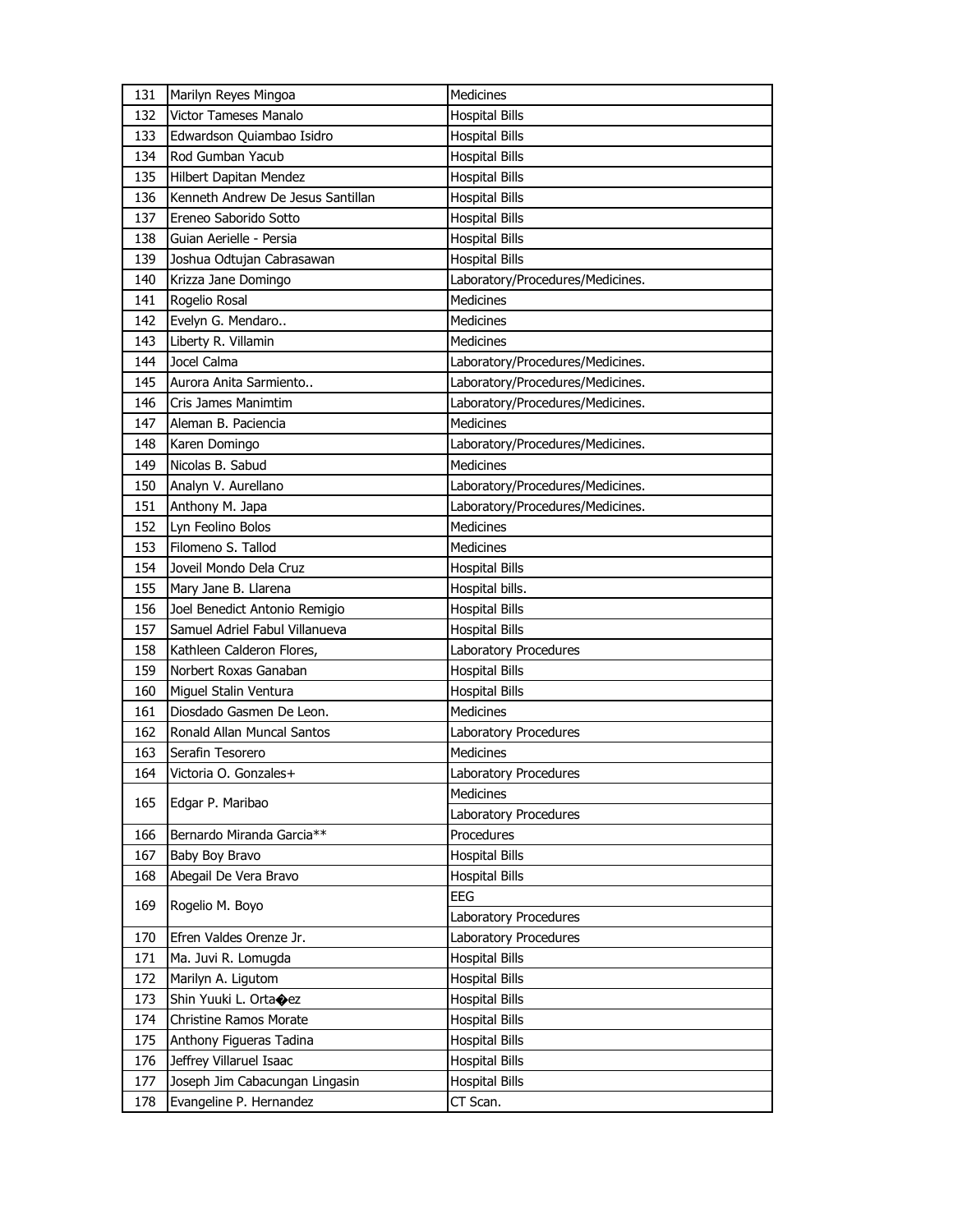| 131        | Marilyn Reyes Mingoa                                      | Medicines                         |
|------------|-----------------------------------------------------------|-----------------------------------|
| 132        | Victor Tameses Manalo                                     | <b>Hospital Bills</b>             |
| 133        | Edwardson Quiambao Isidro                                 | <b>Hospital Bills</b>             |
| 134        | Rod Gumban Yacub                                          | <b>Hospital Bills</b>             |
| 135        | Hilbert Dapitan Mendez                                    | <b>Hospital Bills</b>             |
| 136        | Kenneth Andrew De Jesus Santillan                         | <b>Hospital Bills</b>             |
| 137        | Ereneo Saborido Sotto                                     | <b>Hospital Bills</b>             |
| 138        | Guian Aerielle - Persia                                   | <b>Hospital Bills</b>             |
| 139        | Joshua Odtujan Cabrasawan                                 | <b>Hospital Bills</b>             |
| 140        | Krizza Jane Domingo                                       | Laboratory/Procedures/Medicines.  |
| 141        | Rogelio Rosal                                             | <b>Medicines</b>                  |
| 142        | Evelyn G. Mendaro                                         | Medicines                         |
| 143        | Liberty R. Villamin                                       | Medicines                         |
| 144        | Jocel Calma                                               | Laboratory/Procedures/Medicines.  |
| 145        | Aurora Anita Sarmiento                                    | Laboratory/Procedures/Medicines.  |
| 146        | Cris James Manimtim                                       | Laboratory/Procedures/Medicines.  |
| 147        | Aleman B. Paciencia                                       | <b>Medicines</b>                  |
| 148        | Karen Domingo                                             | Laboratory/Procedures/Medicines.  |
| 149        | Nicolas B. Sabud                                          | Medicines                         |
| 150        | Analyn V. Aurellano                                       | Laboratory/Procedures/Medicines.  |
| 151        | Anthony M. Japa                                           | Laboratory/Procedures/Medicines.  |
| 152        | Lyn Feolino Bolos                                         | <b>Medicines</b>                  |
| 153        | Filomeno S. Tallod                                        | Medicines                         |
| 154        | Joveil Mondo Dela Cruz                                    | <b>Hospital Bills</b>             |
| 155        | Mary Jane B. Llarena                                      | Hospital bills.                   |
| 156        | Joel Benedict Antonio Remigio                             | <b>Hospital Bills</b>             |
|            |                                                           |                                   |
| 157        | Samuel Adriel Fabul Villanueva                            | <b>Hospital Bills</b>             |
| 158        | Kathleen Calderon Flores,                                 | Laboratory Procedures             |
| 159        | Norbert Roxas Ganaban                                     | <b>Hospital Bills</b>             |
| 160        | Miguel Stalin Ventura                                     | <b>Hospital Bills</b>             |
| 161        | Diosdado Gasmen De Leon.                                  | <b>Medicines</b>                  |
| 162        | Ronald Allan Muncal Santos                                | Laboratory Procedures             |
| 163        | Serafin Tesorero                                          | Medicines                         |
| 164        | Victoria O. Gonzales+                                     | Laboratory Procedures             |
|            |                                                           | Medicines                         |
| 165        | Edgar P. Maribao                                          | <b>Laboratory Procedures</b>      |
| 166        | Bernardo Miranda Garcia**                                 | Procedures                        |
| 167        | Baby Boy Bravo                                            | <b>Hospital Bills</b>             |
| 168        | Abegail De Vera Bravo                                     | <b>Hospital Bills</b>             |
|            |                                                           | EEG                               |
| 169        | Rogelio M. Boyo                                           | Laboratory Procedures             |
| 170        | Efren Valdes Orenze Jr.                                   | Laboratory Procedures             |
| 171        | Ma. Juvi R. Lomugda                                       | <b>Hospital Bills</b>             |
| 172        | Marilyn A. Ligutom                                        | <b>Hospital Bills</b>             |
| 173        | Shin Yuuki L. Ortaoez                                     | <b>Hospital Bills</b>             |
| 174        | Christine Ramos Morate                                    | <b>Hospital Bills</b>             |
| 175        | Anthony Figueras Tadina                                   | <b>Hospital Bills</b>             |
| 176        | Jeffrey Villaruel Isaac                                   | <b>Hospital Bills</b>             |
| 177<br>178 | Joseph Jim Cabacungan Lingasin<br>Evangeline P. Hernandez | <b>Hospital Bills</b><br>CT Scan. |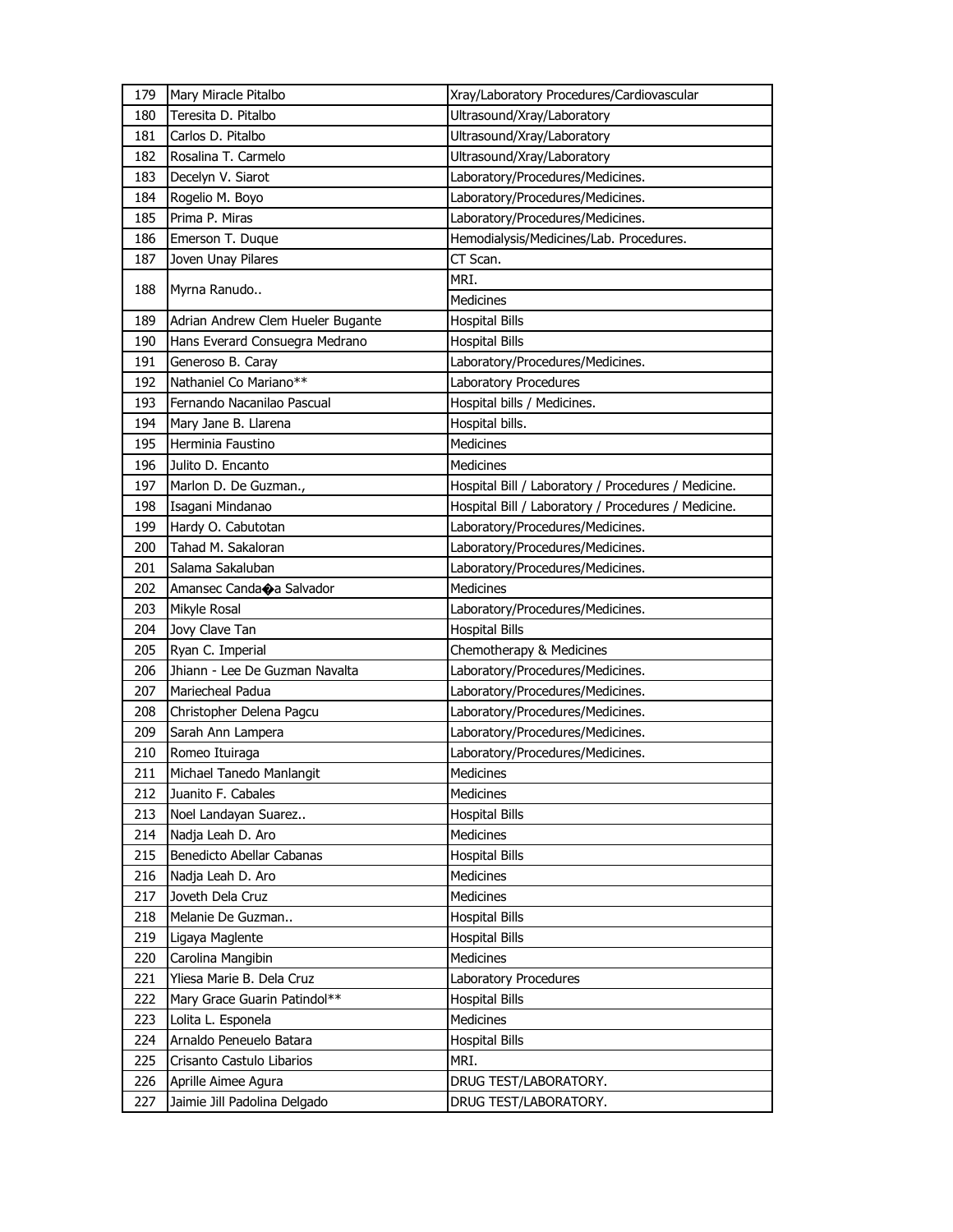| 179 | Mary Miracle Pitalbo                | Xray/Laboratory Procedures/Cardiovascular           |
|-----|-------------------------------------|-----------------------------------------------------|
| 180 | Teresita D. Pitalbo                 | Ultrasound/Xray/Laboratory                          |
| 181 | Carlos D. Pitalbo                   | Ultrasound/Xray/Laboratory                          |
| 182 | Rosalina T. Carmelo                 | Ultrasound/Xray/Laboratory                          |
| 183 | Decelyn V. Siarot                   | Laboratory/Procedures/Medicines.                    |
| 184 | Rogelio M. Boyo                     | Laboratory/Procedures/Medicines.                    |
| 185 | Prima P. Miras                      | Laboratory/Procedures/Medicines.                    |
| 186 | Emerson T. Duque                    | Hemodialysis/Medicines/Lab. Procedures.             |
| 187 | Joven Unay Pilares                  | CT Scan.                                            |
|     |                                     | MRI.                                                |
| 188 | Myrna Ranudo                        | Medicines                                           |
| 189 | Adrian Andrew Clem Hueler Bugante   | <b>Hospital Bills</b>                               |
| 190 | Hans Everard Consuegra Medrano      | <b>Hospital Bills</b>                               |
| 191 | Generoso B. Caray                   | Laboratory/Procedures/Medicines.                    |
| 192 | Nathaniel Co Mariano**              | Laboratory Procedures                               |
| 193 | Fernando Nacanilao Pascual          | Hospital bills / Medicines.                         |
| 194 | Mary Jane B. Llarena                | Hospital bills.                                     |
| 195 | Herminia Faustino                   | Medicines                                           |
| 196 | Julito D. Encanto                   | <b>Medicines</b>                                    |
| 197 | Marlon D. De Guzman.,               | Hospital Bill / Laboratory / Procedures / Medicine. |
| 198 | Isagani Mindanao                    | Hospital Bill / Laboratory / Procedures / Medicine. |
| 199 | Hardy O. Cabutotan                  | Laboratory/Procedures/Medicines.                    |
| 200 | Tahad M. Sakaloran                  | Laboratory/Procedures/Medicines.                    |
| 201 | Salama Sakaluban                    | Laboratory/Procedures/Medicines.                    |
| 202 | Amansec Canda $\bigcirc$ a Salvador | <b>Medicines</b>                                    |
| 203 | Mikyle Rosal                        | Laboratory/Procedures/Medicines.                    |
| 204 | Jovy Clave Tan                      | <b>Hospital Bills</b>                               |
| 205 | Ryan C. Imperial                    | Chemotherapy & Medicines                            |
| 206 | Jhiann - Lee De Guzman Navalta      | Laboratory/Procedures/Medicines.                    |
| 207 | Mariecheal Padua                    | Laboratory/Procedures/Medicines.                    |
| 208 | Christopher Delena Pagcu            | Laboratory/Procedures/Medicines.                    |
| 209 | Sarah Ann Lampera                   | Laboratory/Procedures/Medicines.                    |
| 210 | Romeo Ituiraga                      | Laboratory/Procedures/Medicines.                    |
| 211 | Michael Tanedo Manlangit            | <b>Medicines</b>                                    |
| 212 | Juanito F. Cabales                  | Medicines                                           |
| 213 | Noel Landayan Suarez                | <b>Hospital Bills</b>                               |
| 214 | Nadja Leah D. Aro                   | Medicines                                           |
| 215 | Benedicto Abellar Cabanas           | <b>Hospital Bills</b>                               |
| 216 | Nadja Leah D. Aro                   | Medicines                                           |
| 217 | Joveth Dela Cruz                    | Medicines                                           |
| 218 | Melanie De Guzman                   | <b>Hospital Bills</b>                               |
| 219 | Ligaya Maglente                     | <b>Hospital Bills</b>                               |
| 220 | Carolina Mangibin                   | Medicines                                           |
| 221 | Yliesa Marie B. Dela Cruz           | Laboratory Procedures                               |
| 222 | Mary Grace Guarin Patindol**        | <b>Hospital Bills</b>                               |
| 223 | Lolita L. Esponela                  | Medicines                                           |
| 224 | Arnaldo Peneuelo Batara             | <b>Hospital Bills</b>                               |
| 225 | Crisanto Castulo Libarios           | MRI.                                                |
| 226 | Aprille Aimee Agura                 | DRUG TEST/LABORATORY.                               |
| 227 | Jaimie Jill Padolina Delgado        | DRUG TEST/LABORATORY.                               |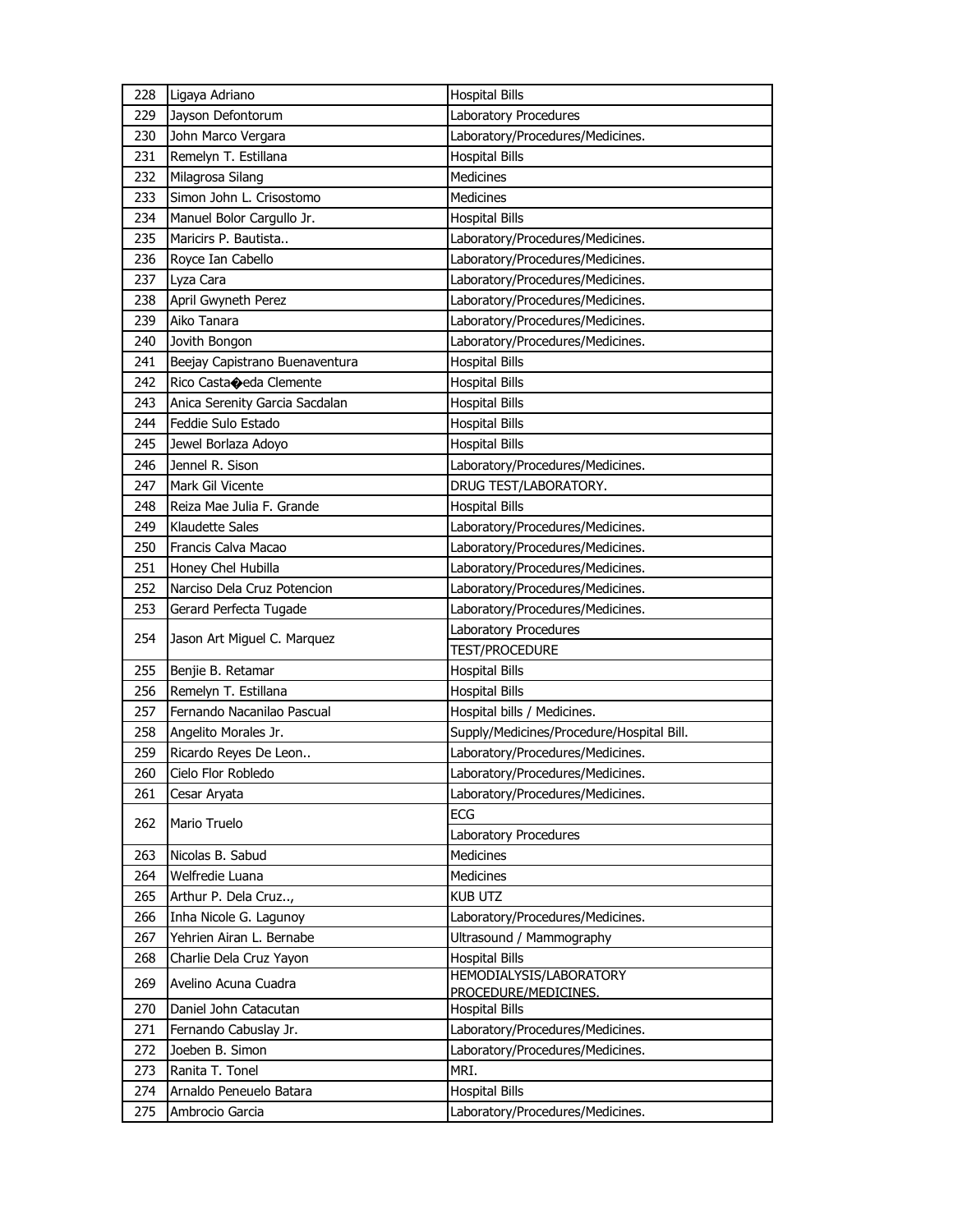| 228        | Ligaya Adriano                 | <b>Hospital Bills</b>                     |
|------------|--------------------------------|-------------------------------------------|
| 229        | Jayson Defontorum              | Laboratory Procedures                     |
| 230        | John Marco Vergara             | Laboratory/Procedures/Medicines.          |
| 231        | Remelyn T. Estillana           | <b>Hospital Bills</b>                     |
| 232        | Milagrosa Silang               | Medicines                                 |
| 233        | Simon John L. Crisostomo       | Medicines                                 |
| 234        | Manuel Bolor Cargullo Jr.      | <b>Hospital Bills</b>                     |
| 235        | Maricirs P. Bautista           | Laboratory/Procedures/Medicines.          |
| 236        | Royce Ian Cabello              | Laboratory/Procedures/Medicines.          |
| 237        | Lyza Cara                      | Laboratory/Procedures/Medicines.          |
| 238        | April Gwyneth Perez            | Laboratory/Procedures/Medicines.          |
| 239        | Aiko Tanara                    | Laboratory/Procedures/Medicines.          |
| 240        | Jovith Bongon                  | Laboratory/Procedures/Medicines.          |
| 241        | Beejay Capistrano Buenaventura | <b>Hospital Bills</b>                     |
| 242        | Rico Castaceda Clemente        | <b>Hospital Bills</b>                     |
| 243        | Anica Serenity Garcia Sacdalan | <b>Hospital Bills</b>                     |
| 244        | Feddie Sulo Estado             | <b>Hospital Bills</b>                     |
| 245        | Jewel Borlaza Adoyo            | <b>Hospital Bills</b>                     |
| 246        | Jennel R. Sison                | Laboratory/Procedures/Medicines.          |
| 247        | Mark Gil Vicente               | DRUG TEST/LABORATORY.                     |
| 248        | Reiza Mae Julia F. Grande      | <b>Hospital Bills</b>                     |
| 249        | Klaudette Sales                | Laboratory/Procedures/Medicines.          |
| 250        | Francis Calva Macao            | Laboratory/Procedures/Medicines.          |
| 251        | Honey Chel Hubilla             | Laboratory/Procedures/Medicines.          |
| 252        | Narciso Dela Cruz Potencion    | Laboratory/Procedures/Medicines.          |
| 253        | Gerard Perfecta Tugade         | Laboratory/Procedures/Medicines.          |
| 254        | Jason Art Miguel C. Marquez    | Laboratory Procedures                     |
|            |                                | TEST/PROCEDURE                            |
| 255        | Benjie B. Retamar              | <b>Hospital Bills</b>                     |
| 256        | Remelyn T. Estillana           | <b>Hospital Bills</b>                     |
| 257        | Fernando Nacanilao Pascual     | Hospital bills / Medicines.               |
| 258        | Angelito Morales Jr.           | Supply/Medicines/Procedure/Hospital Bill. |
| 259        | Ricardo Reyes De Leon          | Laboratory/Procedures/Medicines.          |
| 260        | Cielo Flor Robledo             | Laboratory/Procedures/Medicines.          |
| 261        | Cesar Aryata                   | Laboratory/Procedures/Medicines.          |
| 262        | Mario Truelo                   | ECG<br>Laboratory Procedures              |
|            | Nicolas B. Sabud               | Medicines                                 |
| 263        | Welfredie Luana                | Medicines                                 |
| 264<br>265 | Arthur P. Dela Cruz,           | <b>KUB UTZ</b>                            |
| 266        | Inha Nicole G. Lagunoy         | Laboratory/Procedures/Medicines.          |
| 267        | Yehrien Airan L. Bernabe       | Ultrasound / Mammography                  |
| 268        | Charlie Dela Cruz Yayon        | <b>Hospital Bills</b>                     |
|            |                                | HEMODIALYSIS/LABORATORY                   |
| 269        | Avelino Acuna Cuadra           | PROCEDURE/MEDICINES.                      |
| 270        | Daniel John Catacutan          | <b>Hospital Bills</b>                     |
| 271        | Fernando Cabuslay Jr.          | Laboratory/Procedures/Medicines.          |
| 272        | Joeben B. Simon                | Laboratory/Procedures/Medicines.          |
| 273        | Ranita T. Tonel                | MRI.                                      |
| 274        | Arnaldo Peneuelo Batara        | <b>Hospital Bills</b>                     |
| 275        | Ambrocio Garcia                | Laboratory/Procedures/Medicines.          |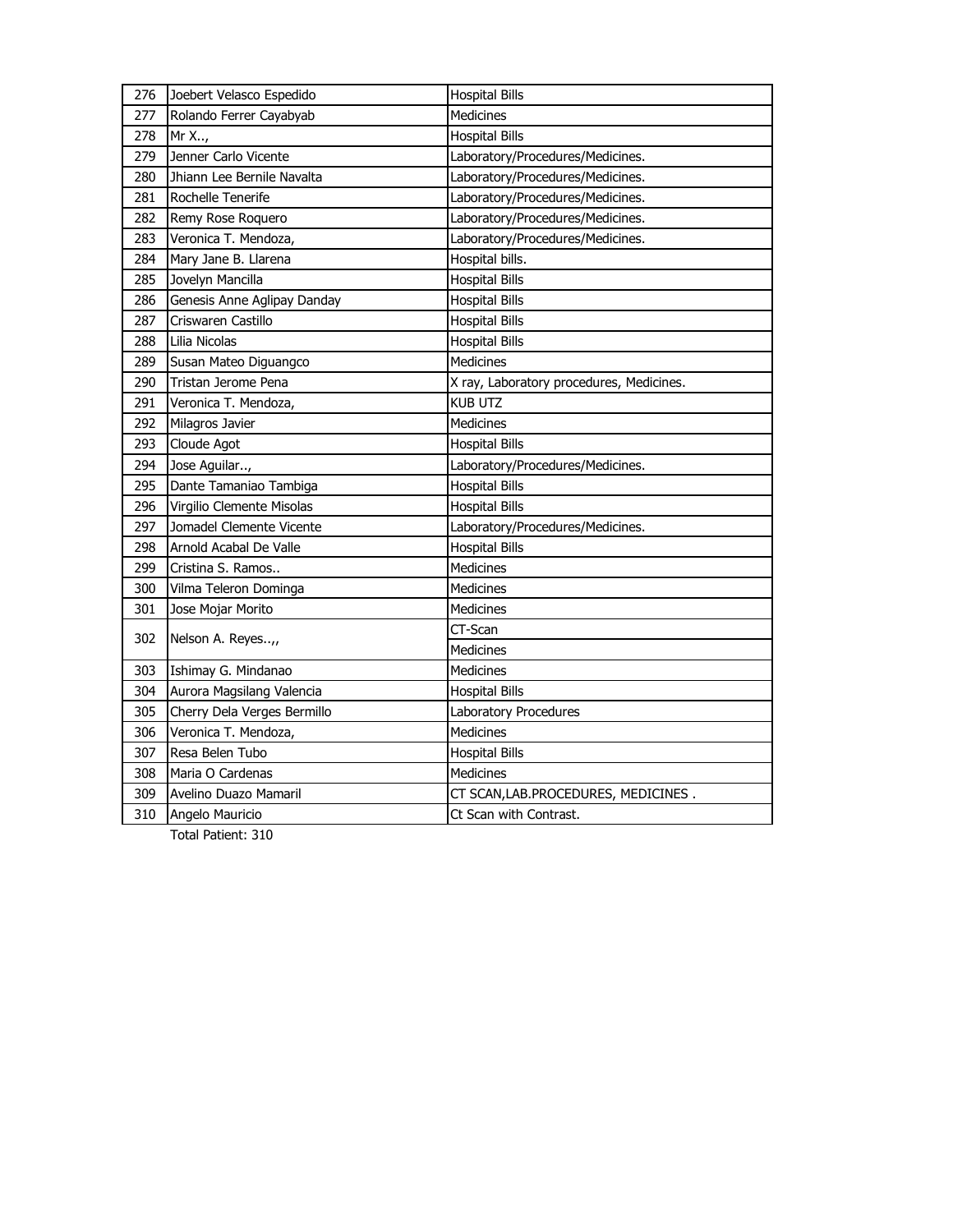| 276 | Joebert Velasco Espedido    | <b>Hospital Bills</b>                    |
|-----|-----------------------------|------------------------------------------|
| 277 | Rolando Ferrer Cayabyab     | <b>Medicines</b>                         |
| 278 | Mr X,                       | <b>Hospital Bills</b>                    |
| 279 | Jenner Carlo Vicente        | Laboratory/Procedures/Medicines.         |
| 280 | Jhiann Lee Bernile Navalta  | Laboratory/Procedures/Medicines.         |
| 281 | Rochelle Tenerife           | Laboratory/Procedures/Medicines.         |
| 282 | Remy Rose Roquero           | Laboratory/Procedures/Medicines.         |
| 283 | Veronica T. Mendoza,        | Laboratory/Procedures/Medicines.         |
| 284 | Mary Jane B. Llarena        | Hospital bills.                          |
| 285 | Jovelyn Mancilla            | <b>Hospital Bills</b>                    |
| 286 | Genesis Anne Aglipay Danday | <b>Hospital Bills</b>                    |
| 287 | Criswaren Castillo          | <b>Hospital Bills</b>                    |
| 288 | Lilia Nicolas               | <b>Hospital Bills</b>                    |
| 289 | Susan Mateo Diguangco       | Medicines                                |
| 290 | Tristan Jerome Pena         | X ray, Laboratory procedures, Medicines. |
| 291 | Veronica T. Mendoza,        | <b>KUB UTZ</b>                           |
| 292 | Milagros Javier             | <b>Medicines</b>                         |
| 293 | Cloude Agot                 | <b>Hospital Bills</b>                    |
| 294 | Jose Aguilar,               | Laboratory/Procedures/Medicines.         |
| 295 | Dante Tamaniao Tambiga      | <b>Hospital Bills</b>                    |
| 296 | Virgilio Clemente Misolas   | <b>Hospital Bills</b>                    |
| 297 | Jomadel Clemente Vicente    | Laboratory/Procedures/Medicines.         |
| 298 | Arnold Acabal De Valle      | <b>Hospital Bills</b>                    |
| 299 | Cristina S. Ramos           | <b>Medicines</b>                         |
| 300 | Vilma Teleron Dominga       | Medicines                                |
| 301 | Jose Mojar Morito           | Medicines                                |
| 302 | Nelson A. Reyes,,           | CT-Scan                                  |
|     |                             | <b>Medicines</b>                         |
| 303 | Ishimay G. Mindanao         | Medicines                                |
| 304 | Aurora Magsilang Valencia   | <b>Hospital Bills</b>                    |
| 305 | Cherry Dela Verges Bermillo | Laboratory Procedures                    |
| 306 | Veronica T. Mendoza,        | <b>Medicines</b>                         |
| 307 | Resa Belen Tubo             | <b>Hospital Bills</b>                    |
| 308 | Maria O Cardenas            | Medicines                                |
| 309 | Avelino Duazo Mamaril       | CT SCAN, LAB. PROCEDURES, MEDICINES.     |
| 310 | Angelo Mauricio             | Ct Scan with Contrast.                   |
|     |                             |                                          |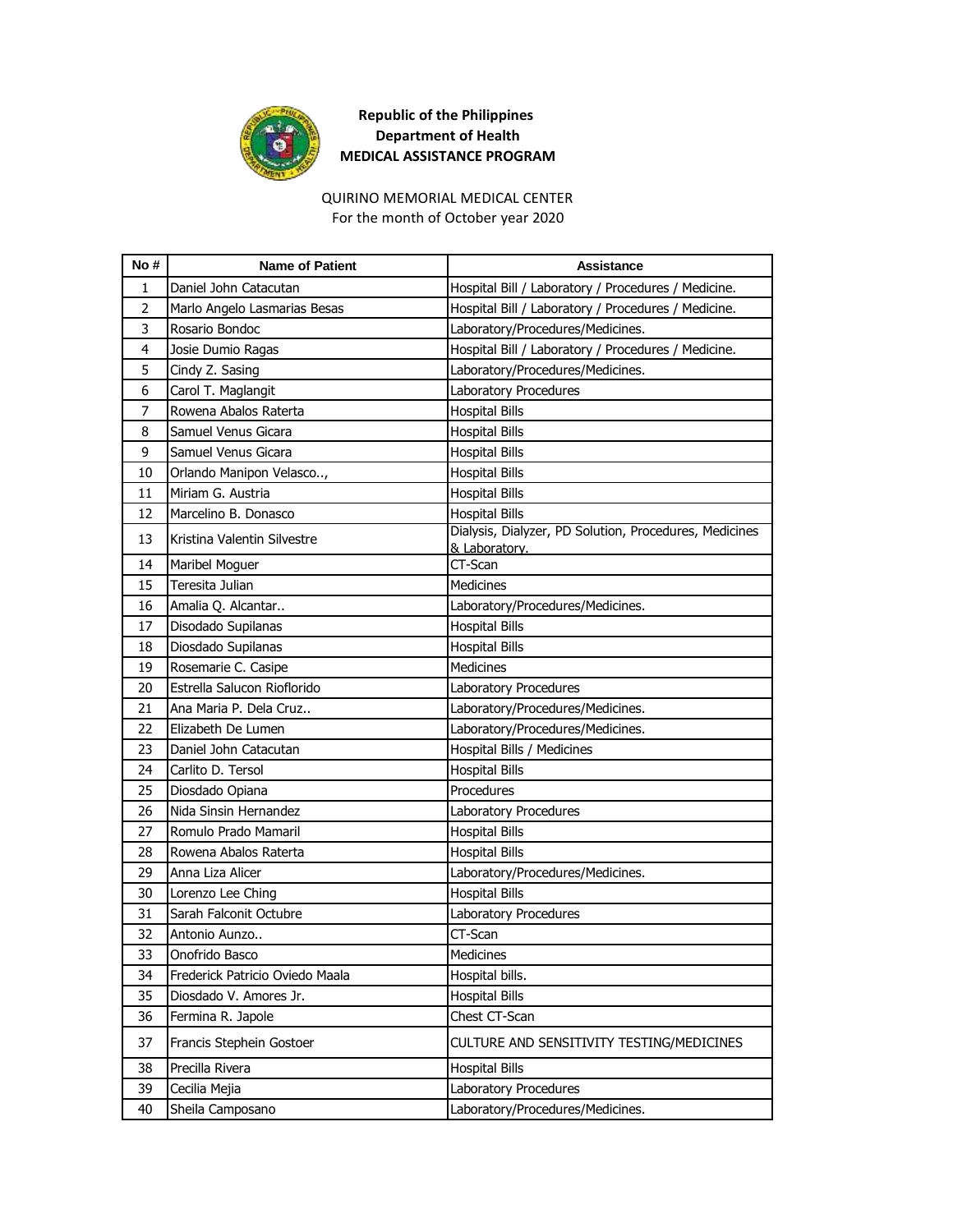

## **Republic of the Philippines Department of Health MEDICAL ASSISTANCE PROGRAM**

# QUIRINO MEMORIAL MEDICAL CENTER

For the month of October year 2020

| No# | <b>Name of Patient</b>          | <b>Assistance</b>                                                       |
|-----|---------------------------------|-------------------------------------------------------------------------|
| 1   | Daniel John Catacutan           | Hospital Bill / Laboratory / Procedures / Medicine.                     |
| 2   | Marlo Angelo Lasmarias Besas    | Hospital Bill / Laboratory / Procedures / Medicine.                     |
| 3   | Rosario Bondoc                  | Laboratory/Procedures/Medicines.                                        |
| 4   | Josie Dumio Ragas               | Hospital Bill / Laboratory / Procedures / Medicine.                     |
| 5   | Cindy Z. Sasing                 | Laboratory/Procedures/Medicines.                                        |
| 6   | Carol T. Maglangit              | Laboratory Procedures                                                   |
| 7   | Rowena Abalos Raterta           | <b>Hospital Bills</b>                                                   |
| 8   | Samuel Venus Gicara             | <b>Hospital Bills</b>                                                   |
| 9   | Samuel Venus Gicara             | <b>Hospital Bills</b>                                                   |
| 10  | Orlando Manipon Velasco,        | <b>Hospital Bills</b>                                                   |
| 11  | Miriam G. Austria               | <b>Hospital Bills</b>                                                   |
| 12  | Marcelino B. Donasco            | <b>Hospital Bills</b>                                                   |
| 13  | Kristina Valentin Silvestre     | Dialysis, Dialyzer, PD Solution, Procedures, Medicines<br>& Laboratory. |
| 14  | Maribel Moguer                  | CT-Scan                                                                 |
| 15  | Teresita Julian                 | Medicines                                                               |
| 16  | Amalia Q. Alcantar              | Laboratory/Procedures/Medicines.                                        |
| 17  | Disodado Supilanas              | <b>Hospital Bills</b>                                                   |
| 18  | Diosdado Supilanas              | <b>Hospital Bills</b>                                                   |
| 19  | Rosemarie C. Casipe             | Medicines                                                               |
| 20  | Estrella Salucon Rioflorido     | Laboratory Procedures                                                   |
| 21  | Ana Maria P. Dela Cruz          | Laboratory/Procedures/Medicines.                                        |
| 22  | Elizabeth De Lumen              | Laboratory/Procedures/Medicines.                                        |
| 23  | Daniel John Catacutan           | Hospital Bills / Medicines                                              |
| 24  | Carlito D. Tersol               | <b>Hospital Bills</b>                                                   |
| 25  | Diosdado Opiana                 | Procedures                                                              |
| 26  | Nida Sinsin Hernandez           | Laboratory Procedures                                                   |
| 27  | Romulo Prado Mamaril            | <b>Hospital Bills</b>                                                   |
| 28  | Rowena Abalos Raterta           | <b>Hospital Bills</b>                                                   |
| 29  | Anna Liza Alicer                | Laboratory/Procedures/Medicines.                                        |
| 30  | Lorenzo Lee Ching               | <b>Hospital Bills</b>                                                   |
| 31  | Sarah Falconit Octubre          | Laboratory Procedures                                                   |
| 32  | Antonio Aunzo                   | CT-Scan                                                                 |
| 33  | Onofrido Basco                  | Medicines                                                               |
| 34  | Frederick Patricio Oviedo Maala | Hospital bills.                                                         |
| 35  | Diosdado V. Amores Jr.          | <b>Hospital Bills</b>                                                   |
| 36  | Fermina R. Japole               | Chest CT-Scan                                                           |
| 37  | Francis Stephein Gostoer        | CULTURE AND SENSITIVITY TESTING/MEDICINES                               |
| 38  | Precilla Rivera                 | <b>Hospital Bills</b>                                                   |
| 39  | Cecilia Mejia                   | Laboratory Procedures                                                   |
| 40  | Sheila Camposano                | Laboratory/Procedures/Medicines.                                        |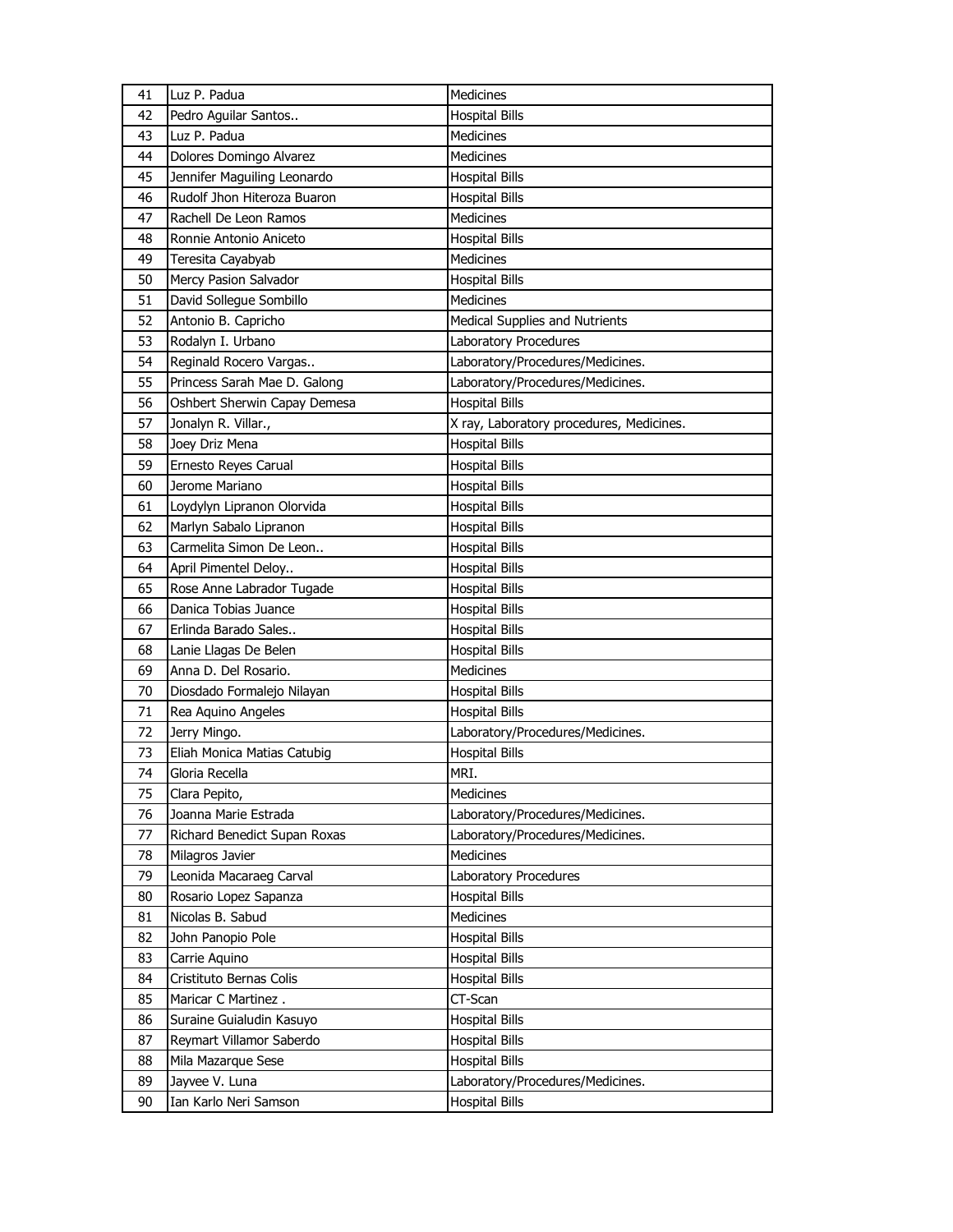| 41 | Luz P. Padua                                  | Medicines                                                 |
|----|-----------------------------------------------|-----------------------------------------------------------|
| 42 | Pedro Aguilar Santos                          | <b>Hospital Bills</b>                                     |
| 43 | Luz P. Padua                                  | <b>Medicines</b>                                          |
| 44 | Dolores Domingo Alvarez                       | <b>Medicines</b>                                          |
| 45 | Jennifer Maguiling Leonardo                   | <b>Hospital Bills</b>                                     |
| 46 | Rudolf Jhon Hiteroza Buaron                   | <b>Hospital Bills</b>                                     |
| 47 | Rachell De Leon Ramos                         | Medicines                                                 |
| 48 | Ronnie Antonio Aniceto                        | <b>Hospital Bills</b>                                     |
| 49 | Teresita Cayabyab                             | <b>Medicines</b>                                          |
| 50 | Mercy Pasion Salvador                         | <b>Hospital Bills</b>                                     |
| 51 | David Sollegue Sombillo                       | Medicines                                                 |
| 52 | Antonio B. Capricho                           | <b>Medical Supplies and Nutrients</b>                     |
| 53 | Rodalyn I. Urbano                             | Laboratory Procedures                                     |
| 54 | Reginald Rocero Vargas                        | Laboratory/Procedures/Medicines.                          |
| 55 | Princess Sarah Mae D. Galong                  | Laboratory/Procedures/Medicines.                          |
| 56 | Oshbert Sherwin Capay Demesa                  | <b>Hospital Bills</b>                                     |
| 57 | Jonalyn R. Villar.,                           | X ray, Laboratory procedures, Medicines.                  |
| 58 | Joey Driz Mena                                | <b>Hospital Bills</b>                                     |
| 59 | Ernesto Reyes Carual                          | <b>Hospital Bills</b>                                     |
| 60 | Jerome Mariano                                | <b>Hospital Bills</b>                                     |
| 61 | Loydylyn Lipranon Olorvida                    | <b>Hospital Bills</b>                                     |
| 62 | Marlyn Sabalo Lipranon                        | <b>Hospital Bills</b>                                     |
| 63 | Carmelita Simon De Leon                       | <b>Hospital Bills</b>                                     |
| 64 | April Pimentel Deloy                          | <b>Hospital Bills</b>                                     |
| 65 | Rose Anne Labrador Tugade                     | <b>Hospital Bills</b>                                     |
|    | Danica Tobias Juance                          | <b>Hospital Bills</b>                                     |
| 66 |                                               |                                                           |
| 67 | Erlinda Barado Sales                          |                                                           |
| 68 |                                               | <b>Hospital Bills</b><br><b>Hospital Bills</b>            |
| 69 | Lanie Llagas De Belen<br>Anna D. Del Rosario. | Medicines                                                 |
| 70 | Diosdado Formalejo Nilayan                    |                                                           |
| 71 |                                               | <b>Hospital Bills</b><br><b>Hospital Bills</b>            |
| 72 | Rea Aquino Angeles<br>Jerry Mingo.            |                                                           |
| 73 | Eliah Monica Matias Catubig                   | Laboratory/Procedures/Medicines.<br><b>Hospital Bills</b> |
| 74 | Gloria Recella                                | MRI.                                                      |
| 75 | Clara Pepito,                                 | Medicines                                                 |
| 76 | Joanna Marie Estrada                          | Laboratory/Procedures/Medicines.                          |
| 77 | Richard Benedict Supan Roxas                  | Laboratory/Procedures/Medicines.                          |
| 78 | Milagros Javier                               | <b>Medicines</b>                                          |
| 79 | Leonida Macaraeg Carval                       | Laboratory Procedures                                     |
| 80 | Rosario Lopez Sapanza                         | <b>Hospital Bills</b>                                     |
| 81 | Nicolas B. Sabud                              | Medicines                                                 |
| 82 | John Panopio Pole                             | <b>Hospital Bills</b>                                     |
| 83 | Carrie Aquino                                 | <b>Hospital Bills</b>                                     |
| 84 | Cristituto Bernas Colis                       | <b>Hospital Bills</b>                                     |
| 85 | Maricar C Martinez.                           | CT-Scan                                                   |
| 86 | Suraine Guialudin Kasuyo                      | <b>Hospital Bills</b>                                     |
| 87 | Reymart Villamor Saberdo                      | <b>Hospital Bills</b>                                     |
| 88 | Mila Mazarque Sese                            | <b>Hospital Bills</b>                                     |
| 89 | Jayvee V. Luna                                | Laboratory/Procedures/Medicines.                          |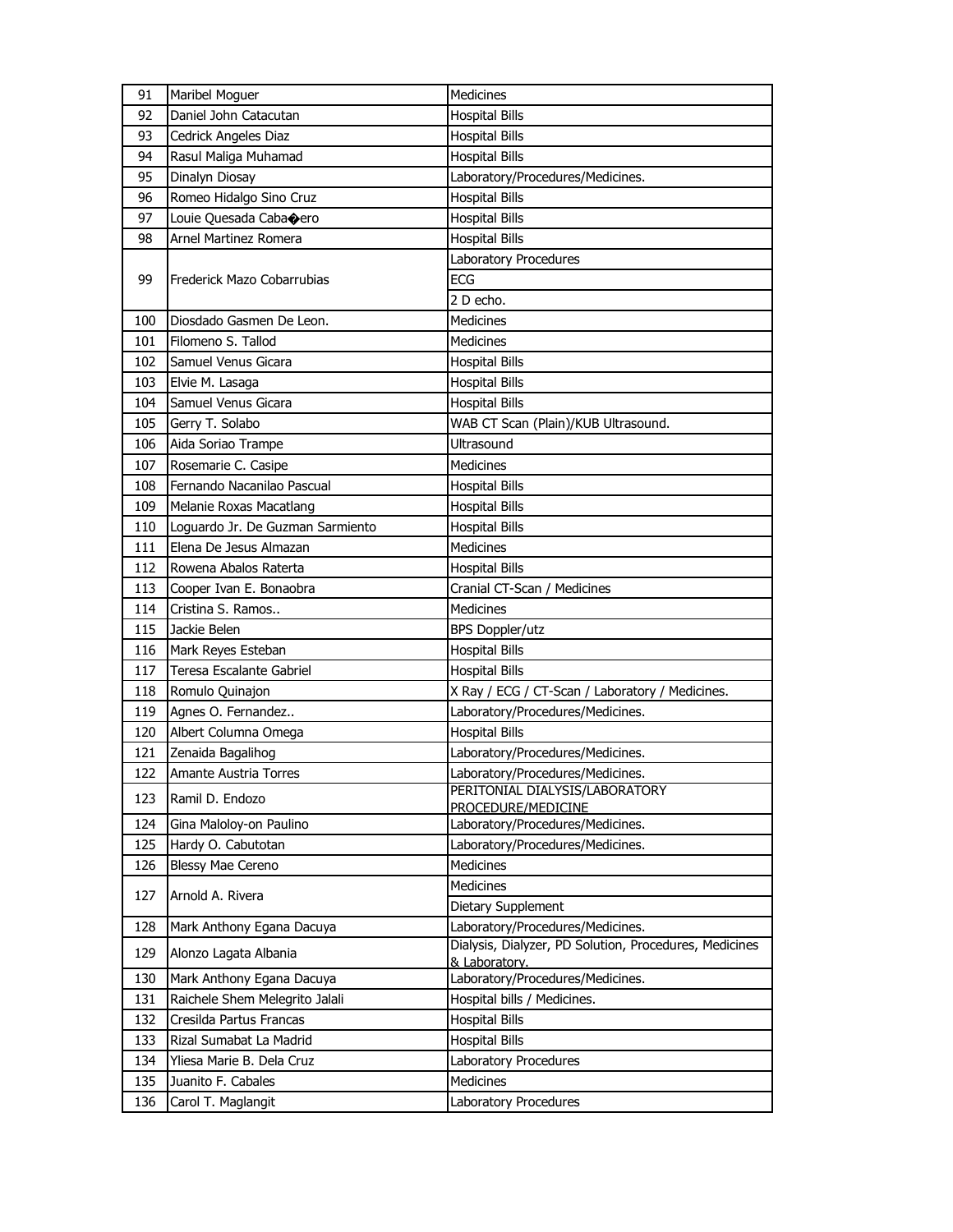| 91  | Maribel Moguer                   | Medicines                                              |
|-----|----------------------------------|--------------------------------------------------------|
| 92  | Daniel John Catacutan            | <b>Hospital Bills</b>                                  |
| 93  | Cedrick Angeles Diaz             | <b>Hospital Bills</b>                                  |
| 94  | Rasul Maliga Muhamad             | <b>Hospital Bills</b>                                  |
| 95  | Dinalyn Diosay                   | Laboratory/Procedures/Medicines.                       |
| 96  | Romeo Hidalgo Sino Cruz          | <b>Hospital Bills</b>                                  |
| 97  | Louie Quesada Cabaoero           | <b>Hospital Bills</b>                                  |
| 98  | Arnel Martinez Romera            | <b>Hospital Bills</b>                                  |
|     |                                  | Laboratory Procedures                                  |
| 99  | Frederick Mazo Cobarrubias       | <b>ECG</b>                                             |
|     |                                  | 2 D echo.                                              |
| 100 | Diosdado Gasmen De Leon.         | Medicines                                              |
| 101 | Filomeno S. Tallod               | Medicines                                              |
| 102 | Samuel Venus Gicara              | <b>Hospital Bills</b>                                  |
| 103 | Elvie M. Lasaga                  | <b>Hospital Bills</b>                                  |
| 104 | Samuel Venus Gicara              | <b>Hospital Bills</b>                                  |
| 105 | Gerry T. Solabo                  | WAB CT Scan (Plain)/KUB Ultrasound.                    |
| 106 | Aida Soriao Trampe               | Ultrasound                                             |
| 107 | Rosemarie C. Casipe              | <b>Medicines</b>                                       |
| 108 | Fernando Nacanilao Pascual       | <b>Hospital Bills</b>                                  |
| 109 | Melanie Roxas Macatlang          | <b>Hospital Bills</b>                                  |
| 110 | Loguardo Jr. De Guzman Sarmiento | <b>Hospital Bills</b>                                  |
| 111 | Elena De Jesus Almazan           | Medicines                                              |
| 112 | Rowena Abalos Raterta            | <b>Hospital Bills</b>                                  |
| 113 | Cooper Ivan E. Bonaobra          | Cranial CT-Scan / Medicines                            |
| 114 | Cristina S. Ramos                | Medicines                                              |
| 115 | Jackie Belen                     | <b>BPS Doppler/utz</b>                                 |
| 116 | Mark Reyes Esteban               | <b>Hospital Bills</b>                                  |
| 117 | Teresa Escalante Gabriel         | <b>Hospital Bills</b>                                  |
| 118 | Romulo Quinajon                  | X Ray / ECG / CT-Scan / Laboratory / Medicines.        |
| 119 | Agnes O. Fernandez               | Laboratory/Procedures/Medicines.                       |
| 120 | Albert Columna Omega             | <b>Hospital Bills</b>                                  |
| 121 | Zenaida Bagalihog                | Laboratory/Procedures/Medicines.                       |
| 122 | Amante Austria Torres            | Laboratory/Procedures/Medicines.                       |
| 123 | Ramil D. Endozo                  | PERITONIAL DIALYSIS/LABORATORY<br>PROCEDURE/MEDICINE   |
| 124 | Gina Maloloy-on Paulino          | Laboratory/Procedures/Medicines.                       |
| 125 | Hardy O. Cabutotan               | Laboratory/Procedures/Medicines.                       |
| 126 | Blessy Mae Cereno                | Medicines                                              |
|     |                                  | <b>Medicines</b>                                       |
| 127 | Arnold A. Rivera                 | Dietary Supplement                                     |
| 128 | Mark Anthony Egana Dacuya        | Laboratory/Procedures/Medicines.                       |
| 129 | Alonzo Lagata Albania            | Dialysis, Dialyzer, PD Solution, Procedures, Medicines |
|     |                                  | & Laboratory.                                          |
| 130 | Mark Anthony Egana Dacuya        | Laboratory/Procedures/Medicines.                       |
| 131 | Raichele Shem Melegrito Jalali   | Hospital bills / Medicines.                            |
| 132 | Cresilda Partus Francas          | <b>Hospital Bills</b>                                  |
| 133 | Rizal Sumabat La Madrid          | <b>Hospital Bills</b>                                  |
| 134 | Yliesa Marie B. Dela Cruz        | Laboratory Procedures                                  |
| 135 | Juanito F. Cabales               | Medicines                                              |
| 136 | Carol T. Maglangit               | Laboratory Procedures                                  |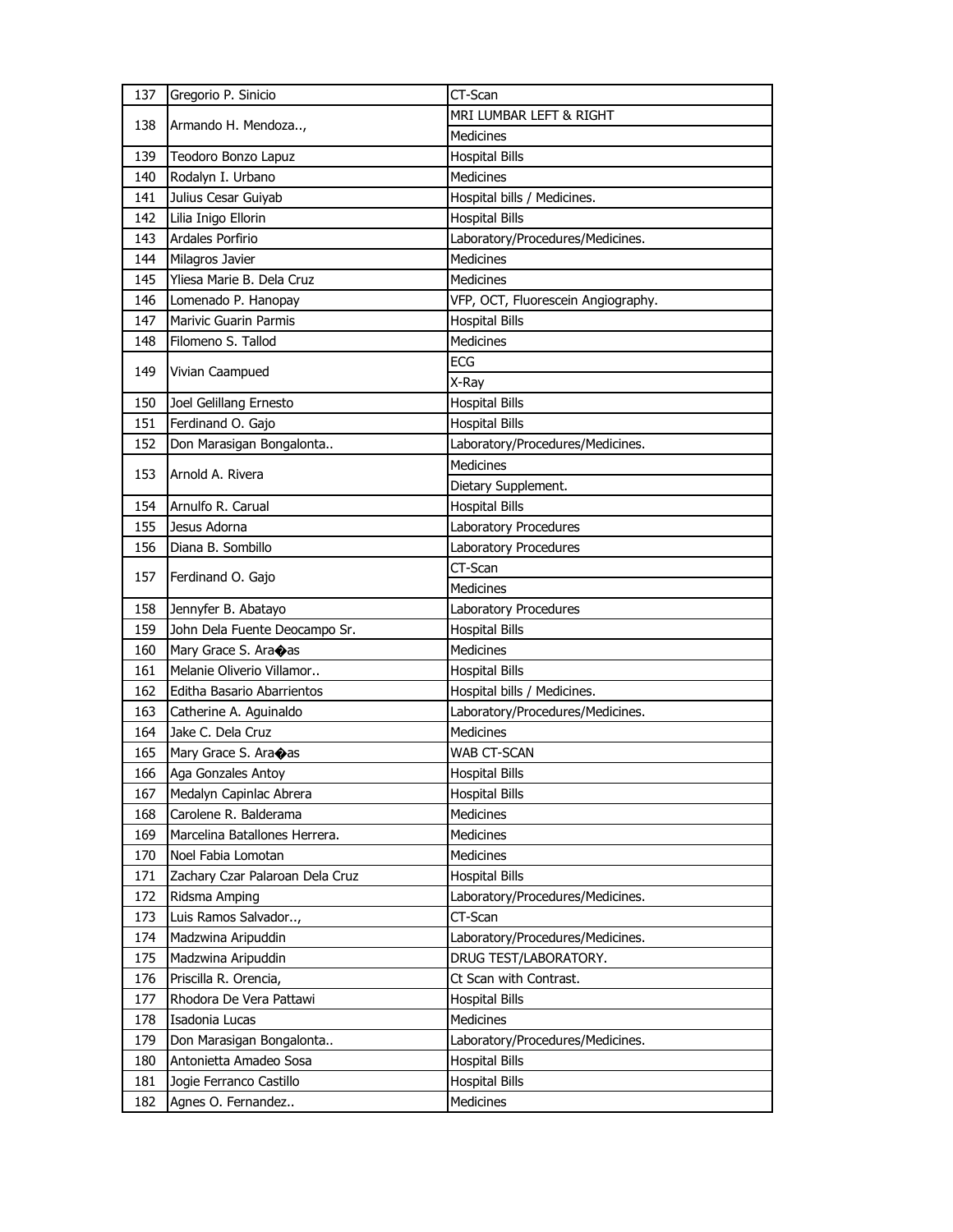| 137        | Gregorio P. Sinicio                           | CT-Scan                            |
|------------|-----------------------------------------------|------------------------------------|
| 138        | Armando H. Mendoza,                           | MRI LUMBAR LEFT & RIGHT            |
|            |                                               | <b>Medicines</b>                   |
| 139        | Teodoro Bonzo Lapuz                           | <b>Hospital Bills</b>              |
| 140        | Rodalyn I. Urbano                             | Medicines                          |
| 141        | Julius Cesar Guiyab                           | Hospital bills / Medicines.        |
| 142        | Lilia Inigo Ellorin                           | <b>Hospital Bills</b>              |
| 143        | Ardales Porfirio                              | Laboratory/Procedures/Medicines.   |
| 144        | Milagros Javier                               | Medicines                          |
| 145        | Yliesa Marie B. Dela Cruz                     | <b>Medicines</b>                   |
| 146        | Lomenado P. Hanopay                           | VFP, OCT, Fluorescein Angiography. |
| 147        | Marivic Guarin Parmis                         | <b>Hospital Bills</b>              |
| 148        | Filomeno S. Tallod                            | <b>Medicines</b>                   |
| 149        | Vivian Caampued                               | ECG                                |
|            |                                               | X-Ray                              |
| 150        | Joel Gelillang Ernesto                        | <b>Hospital Bills</b>              |
| 151        | Ferdinand O. Gajo                             | <b>Hospital Bills</b>              |
| 152        | Don Marasigan Bongalonta                      | Laboratory/Procedures/Medicines.   |
| 153        | Arnold A. Rivera                              | Medicines                          |
|            |                                               | Dietary Supplement.                |
| 154        | Arnulfo R. Carual                             | <b>Hospital Bills</b>              |
| 155        | Jesus Adorna                                  | Laboratory Procedures              |
| 156        | Diana B. Sombillo                             | Laboratory Procedures              |
| 157        | Ferdinand O. Gajo                             | CT-Scan                            |
|            |                                               | Medicines                          |
|            |                                               |                                    |
| 158        | Jennyfer B. Abatayo                           | Laboratory Procedures              |
| 159        | John Dela Fuente Deocampo Sr.                 | <b>Hospital Bills</b>              |
| 160        | Mary Grace S. Ara $\diamond$ as               | <b>Medicines</b>                   |
| 161        | Melanie Oliverio Villamor                     | <b>Hospital Bills</b>              |
| 162        | <b>Editha Basario Abarrientos</b>             | Hospital bills / Medicines.        |
| 163        | Catherine A. Aguinaldo                        | Laboratory/Procedures/Medicines.   |
| 164        | Jake C. Dela Cruz                             | <b>Medicines</b>                   |
| 165        | Mary Grace S. Ara $\diamond$ as               | WAB CT-SCAN                        |
| 166        | Aga Gonzales Antoy                            | <b>Hospital Bills</b>              |
| 167        | Medalyn Capinlac Abrera                       | <b>Hospital Bills</b>              |
| 168        | Carolene R. Balderama                         | Medicines                          |
| 169        | Marcelina Batallones Herrera.                 | Medicines                          |
| 170        | Noel Fabia Lomotan                            | Medicines                          |
| 171        | Zachary Czar Palaroan Dela Cruz               | <b>Hospital Bills</b>              |
| 172        | Ridsma Amping                                 | Laboratory/Procedures/Medicines.   |
| 173        | Luis Ramos Salvador,                          | CT-Scan                            |
| 174        | Madzwina Aripuddin                            | Laboratory/Procedures/Medicines.   |
| 175        | Madzwina Aripuddin                            | DRUG TEST/LABORATORY.              |
| 176        | Priscilla R. Orencia,                         | Ct Scan with Contrast.             |
| 177        | Rhodora De Vera Pattawi                       | <b>Hospital Bills</b>              |
| 178        | Isadonia Lucas                                | Medicines                          |
| 179        | Don Marasigan Bongalonta                      | Laboratory/Procedures/Medicines.   |
| 180        | Antonietta Amadeo Sosa                        | <b>Hospital Bills</b>              |
| 181<br>182 | Jogie Ferranco Castillo<br>Agnes O. Fernandez | <b>Hospital Bills</b><br>Medicines |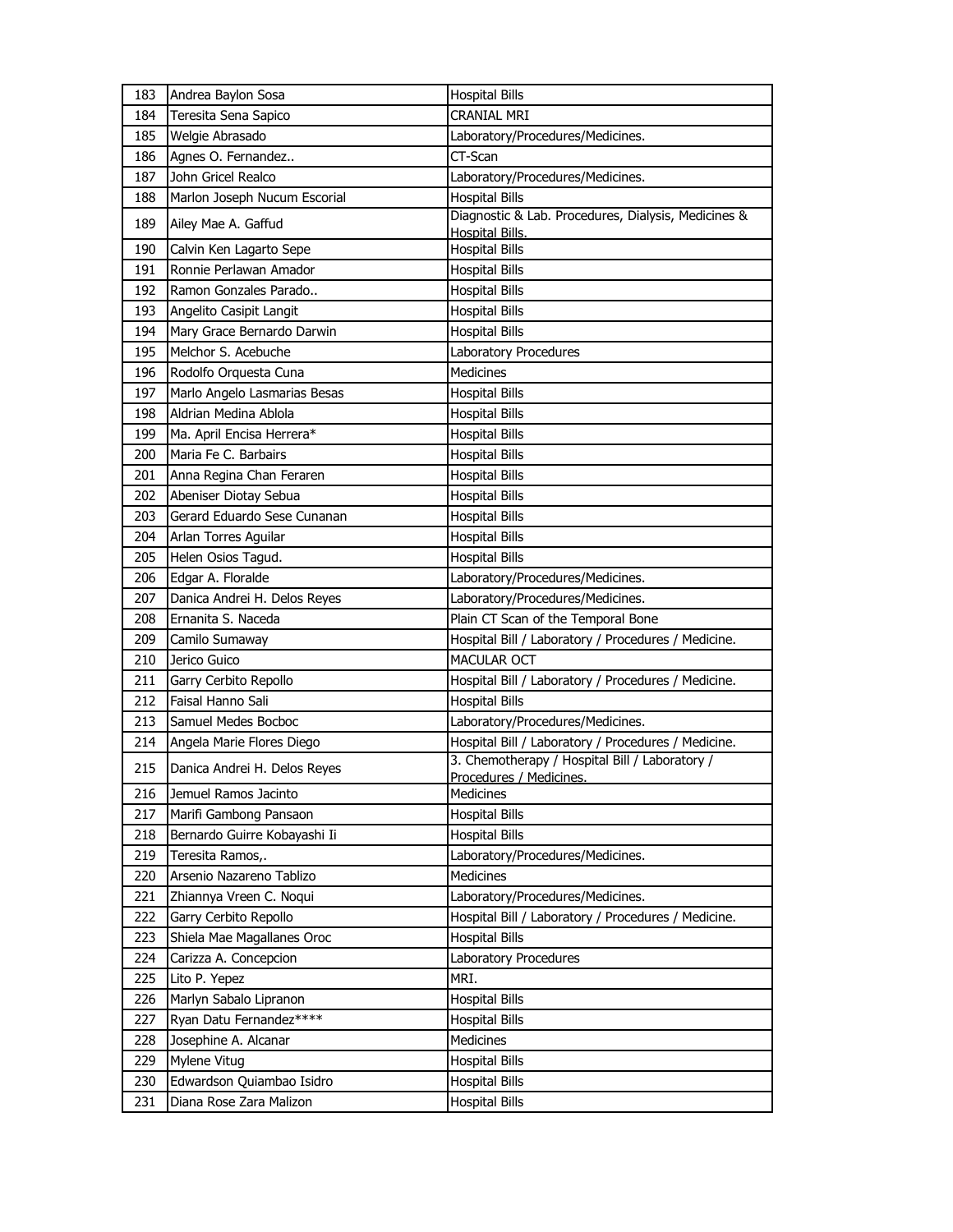| 183 | Andrea Baylon Sosa           | <b>Hospital Bills</b>                                                     |
|-----|------------------------------|---------------------------------------------------------------------------|
| 184 | Teresita Sena Sapico         | CRANIAL MRI                                                               |
| 185 | Welgie Abrasado              | Laboratory/Procedures/Medicines.                                          |
| 186 | Agnes O. Fernandez           | CT-Scan                                                                   |
| 187 | John Gricel Realco           | Laboratory/Procedures/Medicines.                                          |
| 188 | Marlon Joseph Nucum Escorial | <b>Hospital Bills</b>                                                     |
| 189 | Ailey Mae A. Gaffud          | Diagnostic & Lab. Procedures, Dialysis, Medicines &<br>Hospital Bills.    |
| 190 | Calvin Ken Lagarto Sepe      | <b>Hospital Bills</b>                                                     |
| 191 | Ronnie Perlawan Amador       | <b>Hospital Bills</b>                                                     |
| 192 | Ramon Gonzales Parado        | <b>Hospital Bills</b>                                                     |
| 193 | Angelito Casipit Langit      | <b>Hospital Bills</b>                                                     |
| 194 | Mary Grace Bernardo Darwin   | <b>Hospital Bills</b>                                                     |
| 195 | Melchor S. Acebuche          | Laboratory Procedures                                                     |
| 196 | Rodolfo Orquesta Cuna        | <b>Medicines</b>                                                          |
| 197 | Marlo Angelo Lasmarias Besas | <b>Hospital Bills</b>                                                     |
| 198 | Aldrian Medina Ablola        | <b>Hospital Bills</b>                                                     |
| 199 | Ma. April Encisa Herrera*    | <b>Hospital Bills</b>                                                     |
| 200 | Maria Fe C. Barbairs         | <b>Hospital Bills</b>                                                     |
| 201 | Anna Regina Chan Feraren     | <b>Hospital Bills</b>                                                     |
| 202 | Abeniser Diotay Sebua        | <b>Hospital Bills</b>                                                     |
| 203 | Gerard Eduardo Sese Cunanan  | <b>Hospital Bills</b>                                                     |
| 204 | Arlan Torres Aguilar         | <b>Hospital Bills</b>                                                     |
| 205 | Helen Osios Tagud.           | <b>Hospital Bills</b>                                                     |
| 206 | Edgar A. Floralde            | Laboratory/Procedures/Medicines.                                          |
| 207 | Danica Andrei H. Delos Reyes | Laboratory/Procedures/Medicines.                                          |
| 208 | Ernanita S. Naceda           | Plain CT Scan of the Temporal Bone                                        |
| 209 | Camilo Sumaway               | Hospital Bill / Laboratory / Procedures / Medicine.                       |
| 210 | Jerico Guico                 | MACULAR OCT                                                               |
| 211 | Garry Cerbito Repollo        | Hospital Bill / Laboratory / Procedures / Medicine.                       |
| 212 | Faisal Hanno Sali            | <b>Hospital Bills</b>                                                     |
| 213 | Samuel Medes Bocboc          | Laboratory/Procedures/Medicines.                                          |
| 214 | Angela Marie Flores Diego    | Hospital Bill / Laboratory / Procedures / Medicine.                       |
| 215 | Danica Andrei H. Delos Reyes | 3. Chemotherapy / Hospital Bill / Laboratory /<br>Procedures / Medicines. |
| 216 | Jemuel Ramos Jacinto         | Medicines                                                                 |
| 217 | Marifi Gambong Pansaon       | <b>Hospital Bills</b>                                                     |
| 218 | Bernardo Guirre Kobayashi Ii | <b>Hospital Bills</b>                                                     |
| 219 | Teresita Ramos,.             | Laboratory/Procedures/Medicines.                                          |
| 220 | Arsenio Nazareno Tablizo     | Medicines                                                                 |
| 221 | Zhiannya Vreen C. Noqui      | Laboratory/Procedures/Medicines.                                          |
| 222 | Garry Cerbito Repollo        | Hospital Bill / Laboratory / Procedures / Medicine.                       |
| 223 | Shiela Mae Magallanes Oroc   | <b>Hospital Bills</b>                                                     |
| 224 | Carizza A. Concepcion        | Laboratory Procedures                                                     |
| 225 | Lito P. Yepez                | MRI.                                                                      |
| 226 | Marlyn Sabalo Lipranon       | <b>Hospital Bills</b>                                                     |
| 227 | Ryan Datu Fernandez****      | <b>Hospital Bills</b>                                                     |
| 228 | Josephine A. Alcanar         | Medicines                                                                 |
| 229 | Mylene Vitug                 | <b>Hospital Bills</b>                                                     |
| 230 | Edwardson Quiambao Isidro    | <b>Hospital Bills</b>                                                     |
| 231 | Diana Rose Zara Malizon      | <b>Hospital Bills</b>                                                     |
|     |                              |                                                                           |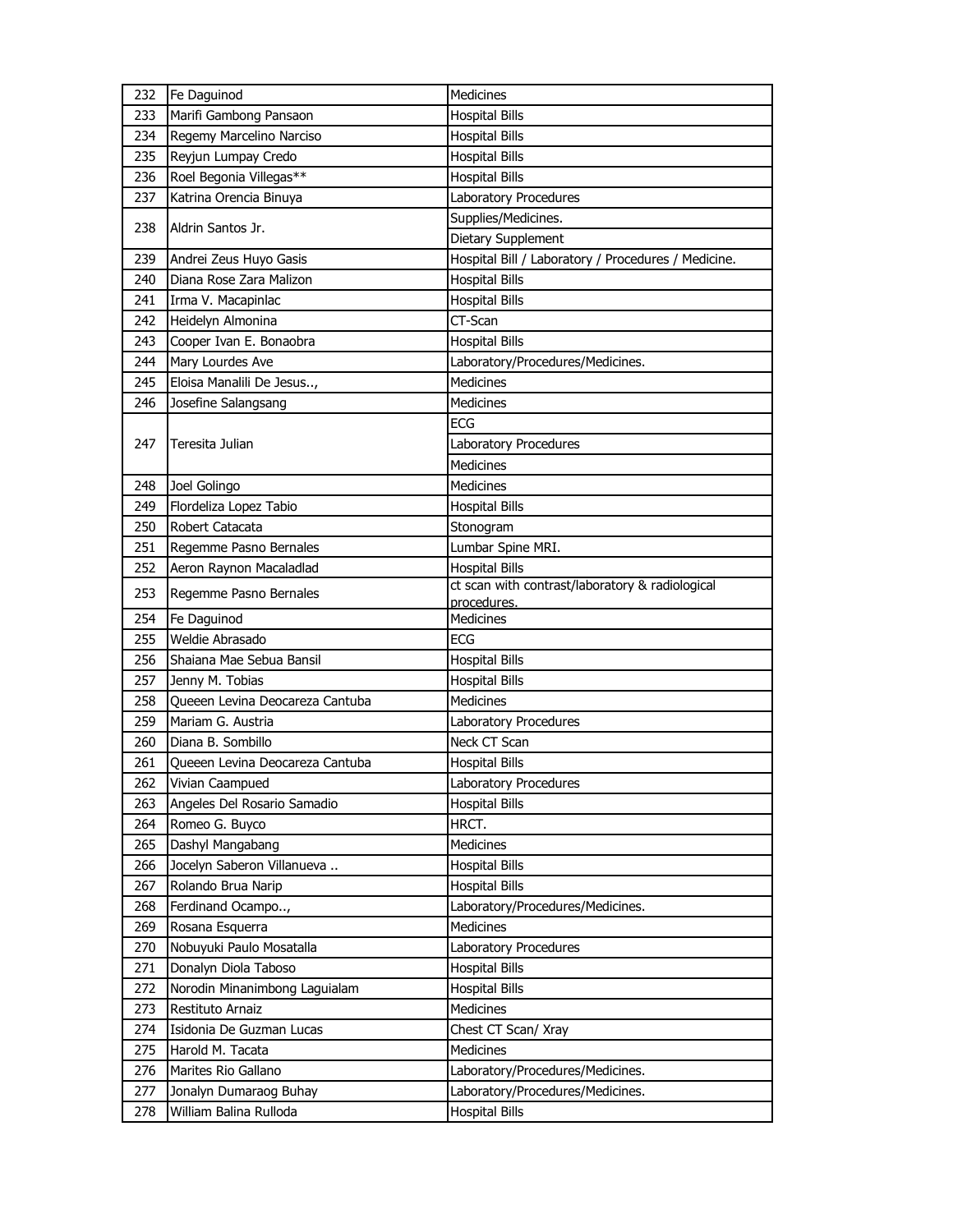| 232 | Fe Daguinod                     | Medicines                                           |
|-----|---------------------------------|-----------------------------------------------------|
| 233 | Marifi Gambong Pansaon          | <b>Hospital Bills</b>                               |
| 234 | Regemy Marcelino Narciso        | <b>Hospital Bills</b>                               |
| 235 | Reyjun Lumpay Credo             | <b>Hospital Bills</b>                               |
| 236 | Roel Begonia Villegas**         | <b>Hospital Bills</b>                               |
| 237 | Katrina Orencia Binuya          | Laboratory Procedures                               |
|     |                                 | Supplies/Medicines.                                 |
| 238 | Aldrin Santos Jr.               | Dietary Supplement                                  |
| 239 | Andrei Zeus Huyo Gasis          | Hospital Bill / Laboratory / Procedures / Medicine. |
| 240 | Diana Rose Zara Malizon         | <b>Hospital Bills</b>                               |
| 241 | Irma V. Macapinlac              | <b>Hospital Bills</b>                               |
| 242 | Heidelyn Almonina               | CT-Scan                                             |
| 243 | Cooper Ivan E. Bonaobra         | <b>Hospital Bills</b>                               |
| 244 | Mary Lourdes Ave                | Laboratory/Procedures/Medicines.                    |
| 245 | Eloisa Manalili De Jesus,       | <b>Medicines</b>                                    |
| 246 | Josefine Salangsang             | Medicines                                           |
|     |                                 | <b>ECG</b>                                          |
| 247 | Teresita Julian                 | Laboratory Procedures                               |
|     |                                 | <b>Medicines</b>                                    |
| 248 | Joel Golingo                    | <b>Medicines</b>                                    |
| 249 | Flordeliza Lopez Tabio          | <b>Hospital Bills</b>                               |
| 250 | Robert Catacata                 | Stonogram                                           |
| 251 | Regemme Pasno Bernales          | Lumbar Spine MRI.                                   |
| 252 | Aeron Raynon Macaladlad         | <b>Hospital Bills</b>                               |
| 253 |                                 | ct scan with contrast/laboratory & radiological     |
|     | Regemme Pasno Bernales          | procedures.                                         |
| 254 | Fe Daguinod                     | Medicines                                           |
| 255 | Weldie Abrasado                 | <b>ECG</b>                                          |
| 256 | Shaiana Mae Sebua Bansil        | <b>Hospital Bills</b>                               |
| 257 | Jenny M. Tobias                 | <b>Hospital Bills</b>                               |
| 258 | Queeen Levina Deocareza Cantuba | Medicines                                           |
| 259 | Mariam G. Austria               | Laboratory Procedures                               |
| 260 | Diana B. Sombillo               | Neck CT Scan                                        |
| 261 | Queeen Levina Deocareza Cantuba | <b>Hospital Bills</b>                               |
| 262 | Vivian Caampued                 | Laboratory Procedures                               |
| 263 | Angeles Del Rosario Samadio     | <b>Hospital Bills</b>                               |
| 264 | Romeo G. Buyco                  | HRCT.                                               |
| 265 | Dashyl Mangabang                | Medicines                                           |
| 266 | Jocelyn Saberon Villanueva      | <b>Hospital Bills</b>                               |
| 267 | Rolando Brua Narip              | <b>Hospital Bills</b>                               |
| 268 | Ferdinand Ocampo,               | Laboratory/Procedures/Medicines.                    |
| 269 | Rosana Esquerra                 | Medicines                                           |
| 270 | Nobuyuki Paulo Mosatalla        | Laboratory Procedures                               |
| 271 | Donalyn Diola Taboso            | <b>Hospital Bills</b>                               |
| 272 | Norodin Minanimbong Laguialam   | <b>Hospital Bills</b>                               |
| 273 | Restituto Arnaiz                | Medicines                                           |
| 274 | Isidonia De Guzman Lucas        | Chest CT Scan/ Xray                                 |
| 275 | Harold M. Tacata                | Medicines                                           |
| 276 | Marites Rio Gallano             | Laboratory/Procedures/Medicines.                    |
| 277 | Jonalyn Dumaraog Buhay          | Laboratory/Procedures/Medicines.                    |
| 278 | William Balina Rulloda          | <b>Hospital Bills</b>                               |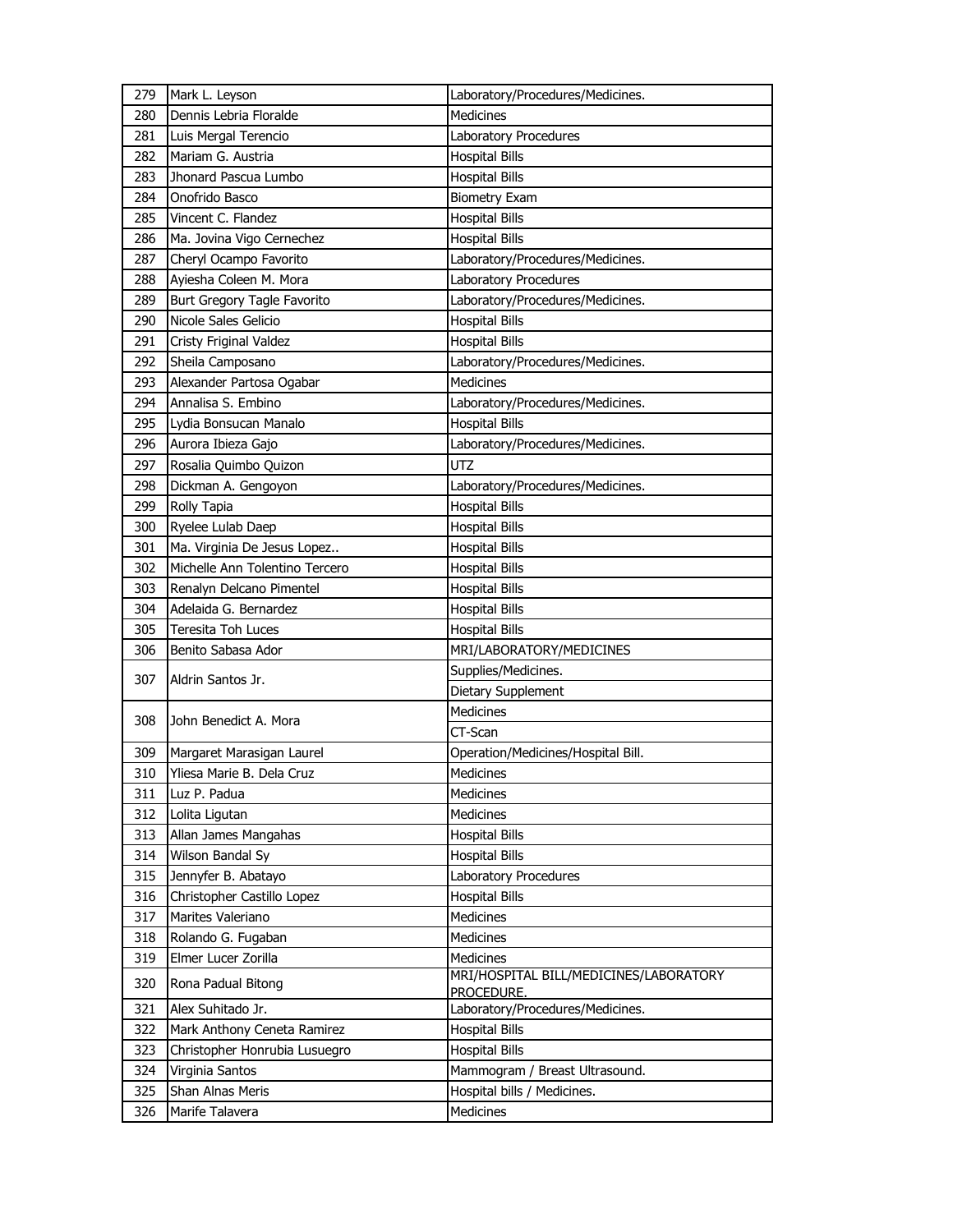| 279        | Mark L. Leyson                                    | Laboratory/Procedures/Medicines.               |
|------------|---------------------------------------------------|------------------------------------------------|
| 280        | Dennis Lebria Floralde                            | <b>Medicines</b>                               |
| 281        | Luis Mergal Terencio                              | Laboratory Procedures                          |
| 282        | Mariam G. Austria                                 | <b>Hospital Bills</b>                          |
| 283        | Jhonard Pascua Lumbo                              | <b>Hospital Bills</b>                          |
| 284        | Onofrido Basco                                    | <b>Biometry Exam</b>                           |
| 285        | Vincent C. Flandez                                | <b>Hospital Bills</b>                          |
| 286        | Ma. Jovina Vigo Cernechez                         | <b>Hospital Bills</b>                          |
| 287        | Cheryl Ocampo Favorito                            | Laboratory/Procedures/Medicines.               |
| 288        | Ayiesha Coleen M. Mora                            | Laboratory Procedures                          |
| 289        | Burt Gregory Tagle Favorito                       | Laboratory/Procedures/Medicines.               |
| 290        | Nicole Sales Gelicio                              | <b>Hospital Bills</b>                          |
| 291        | Cristy Friginal Valdez                            | <b>Hospital Bills</b>                          |
| 292        | Sheila Camposano                                  | Laboratory/Procedures/Medicines.               |
| 293        | Alexander Partosa Ogabar                          | <b>Medicines</b>                               |
| 294        | Annalisa S. Embino                                | Laboratory/Procedures/Medicines.               |
| 295        | Lydia Bonsucan Manalo                             | <b>Hospital Bills</b>                          |
| 296        | Aurora Ibieza Gajo                                | Laboratory/Procedures/Medicines.               |
| 297        | Rosalia Quimbo Quizon                             | <b>UTZ</b>                                     |
| 298        | Dickman A. Gengoyon                               | Laboratory/Procedures/Medicines.               |
| 299        | Rolly Tapia                                       | <b>Hospital Bills</b>                          |
| 300        | Ryelee Lulab Daep                                 | <b>Hospital Bills</b>                          |
| 301        | Ma. Virginia De Jesus Lopez                       | <b>Hospital Bills</b>                          |
| 302        | Michelle Ann Tolentino Tercero                    | Hospital Bills                                 |
| 303        | Renalyn Delcano Pimentel                          | <b>Hospital Bills</b>                          |
| 304        | Adelaida G. Bernardez                             | Hospital Bills                                 |
| 305        | Teresita Toh Luces                                | <b>Hospital Bills</b>                          |
| 306        | Benito Sabasa Ador                                | MRI/LABORATORY/MEDICINES                       |
| 307        | Aldrin Santos Jr.                                 | Supplies/Medicines.                            |
|            |                                                   | Dietary Supplement                             |
| 308        | John Benedict A. Mora                             | Medicines                                      |
|            |                                                   | CT-Scan                                        |
| 309        | Margaret Marasigan Laurel                         | Operation/Medicines/Hospital Bill.             |
| 310        | Yliesa Marie B. Dela Cruz                         | Medicines                                      |
| 311        | Luz P. Padua                                      | Medicines                                      |
| 312        | Lolita Ligutan                                    | <b>Medicines</b>                               |
| 313        | Allan James Mangahas<br>Wilson Bandal Sy          | <b>Hospital Bills</b>                          |
| 314        |                                                   | <b>Hospital Bills</b>                          |
| 315<br>316 | Jennyfer B. Abatayo<br>Christopher Castillo Lopez | Laboratory Procedures<br><b>Hospital Bills</b> |
| 317        | Marites Valeriano                                 | Medicines                                      |
| 318        | Rolando G. Fugaban                                | <b>Medicines</b>                               |
| 319        | Elmer Lucer Zorilla                               | <b>Medicines</b>                               |
|            |                                                   | MRI/HOSPITAL BILL/MEDICINES/LABORATORY         |
| 320        | Rona Padual Bitong                                | PROCEDURE.                                     |
| 321        | Alex Suhitado Jr.                                 | Laboratory/Procedures/Medicines.               |
| 322        | Mark Anthony Ceneta Ramirez                       | <b>Hospital Bills</b>                          |
| 323        | Christopher Honrubia Lusuegro                     | <b>Hospital Bills</b>                          |
| 324        | Virginia Santos                                   | Mammogram / Breast Ultrasound.                 |
| 325        | Shan Alnas Meris                                  | Hospital bills / Medicines.                    |
| 326        | Marife Talavera                                   | Medicines                                      |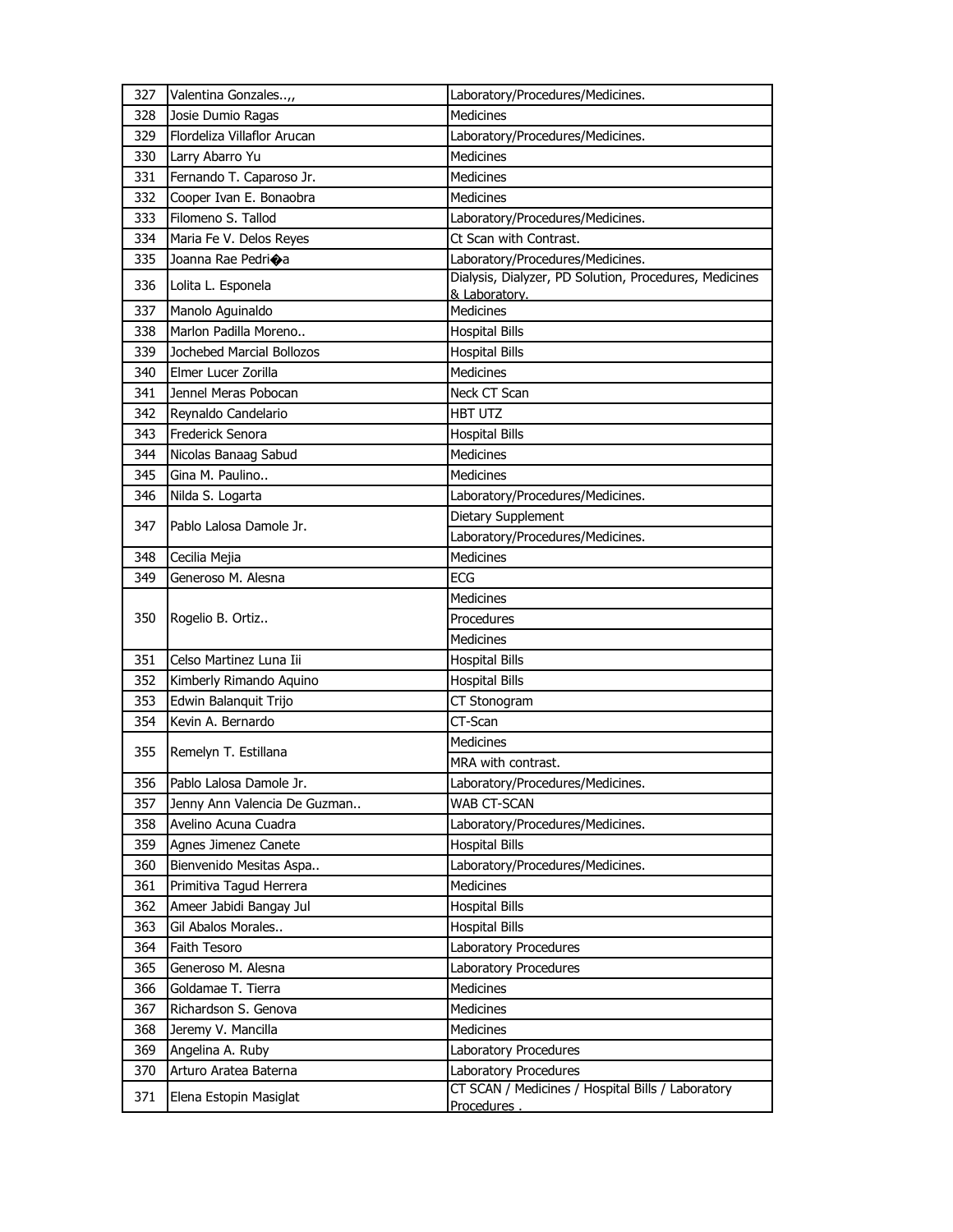| 327 | Valentina Gonzales,,         | Laboratory/Procedures/Medicines.                                        |
|-----|------------------------------|-------------------------------------------------------------------------|
| 328 | Josie Dumio Ragas            | Medicines                                                               |
| 329 | Flordeliza Villaflor Arucan  | Laboratory/Procedures/Medicines.                                        |
| 330 | Larry Abarro Yu              | <b>Medicines</b>                                                        |
| 331 | Fernando T. Caparoso Jr.     | Medicines                                                               |
| 332 | Cooper Ivan E. Bonaobra      | Medicines                                                               |
| 333 | Filomeno S. Tallod           | Laboratory/Procedures/Medicines.                                        |
| 334 | Maria Fe V. Delos Reyes      | Ct Scan with Contrast.                                                  |
| 335 | Joanna Rae Pedrioa           | Laboratory/Procedures/Medicines.                                        |
| 336 | Lolita L. Esponela           | Dialysis, Dialyzer, PD Solution, Procedures, Medicines<br>& Laboratory. |
| 337 | Manolo Aguinaldo             | Medicines                                                               |
| 338 | Marlon Padilla Moreno        | <b>Hospital Bills</b>                                                   |
| 339 | Jochebed Marcial Bollozos    | <b>Hospital Bills</b>                                                   |
| 340 | Elmer Lucer Zorilla          | <b>Medicines</b>                                                        |
| 341 | Jennel Meras Pobocan         | Neck CT Scan                                                            |
| 342 | Reynaldo Candelario          | HBT UTZ                                                                 |
| 343 | Frederick Senora             | <b>Hospital Bills</b>                                                   |
| 344 | Nicolas Banaag Sabud         | <b>Medicines</b>                                                        |
| 345 | Gina M. Paulino              | Medicines                                                               |
| 346 | Nilda S. Logarta             | Laboratory/Procedures/Medicines.                                        |
| 347 | Pablo Lalosa Damole Jr.      | Dietary Supplement                                                      |
|     |                              | Laboratory/Procedures/Medicines.                                        |
| 348 | Cecilia Mejia                | <b>Medicines</b>                                                        |
| 349 | Generoso M. Alesna           | <b>ECG</b>                                                              |
|     | Rogelio B. Ortiz             | Medicines                                                               |
| 350 |                              | Procedures                                                              |
|     |                              | Medicines                                                               |
| 351 | Celso Martinez Luna Iii      | <b>Hospital Bills</b>                                                   |
| 352 | Kimberly Rimando Aquino      | <b>Hospital Bills</b>                                                   |
| 353 | Edwin Balanquit Trijo        | CT Stonogram                                                            |
| 354 | Kevin A. Bernardo            | CT-Scan                                                                 |
| 355 |                              | Medicines                                                               |
|     | Remelyn T. Estillana         | MRA with contrast.                                                      |
| 356 | Pablo Lalosa Damole Jr.      | Laboratory/Procedures/Medicines.                                        |
| 357 | Jenny Ann Valencia De Guzman | WAB CT-SCAN                                                             |
| 358 | Avelino Acuna Cuadra         | Laboratory/Procedures/Medicines.                                        |
| 359 | Agnes Jimenez Canete         | <b>Hospital Bills</b>                                                   |
| 360 | Bienvenido Mesitas Aspa      | Laboratory/Procedures/Medicines.                                        |
| 361 | Primitiva Tagud Herrera      | <b>Medicines</b>                                                        |
| 362 | Ameer Jabidi Bangay Jul      | <b>Hospital Bills</b>                                                   |
| 363 | Gil Abalos Morales           | <b>Hospital Bills</b>                                                   |
| 364 | Faith Tesoro                 | Laboratory Procedures                                                   |
| 365 | Generoso M. Alesna           | Laboratory Procedures                                                   |
| 366 | Goldamae T. Tierra           | Medicines                                                               |
| 367 | Richardson S. Genova         | <b>Medicines</b>                                                        |
| 368 | Jeremy V. Mancilla           | <b>Medicines</b>                                                        |
| 369 | Angelina A. Ruby             | Laboratory Procedures                                                   |
| 370 | Arturo Aratea Baterna        | Laboratory Procedures                                                   |
| 371 | Elena Estopin Masiglat       | CT SCAN / Medicines / Hospital Bills / Laboratory                       |
|     |                              | Procedures.                                                             |